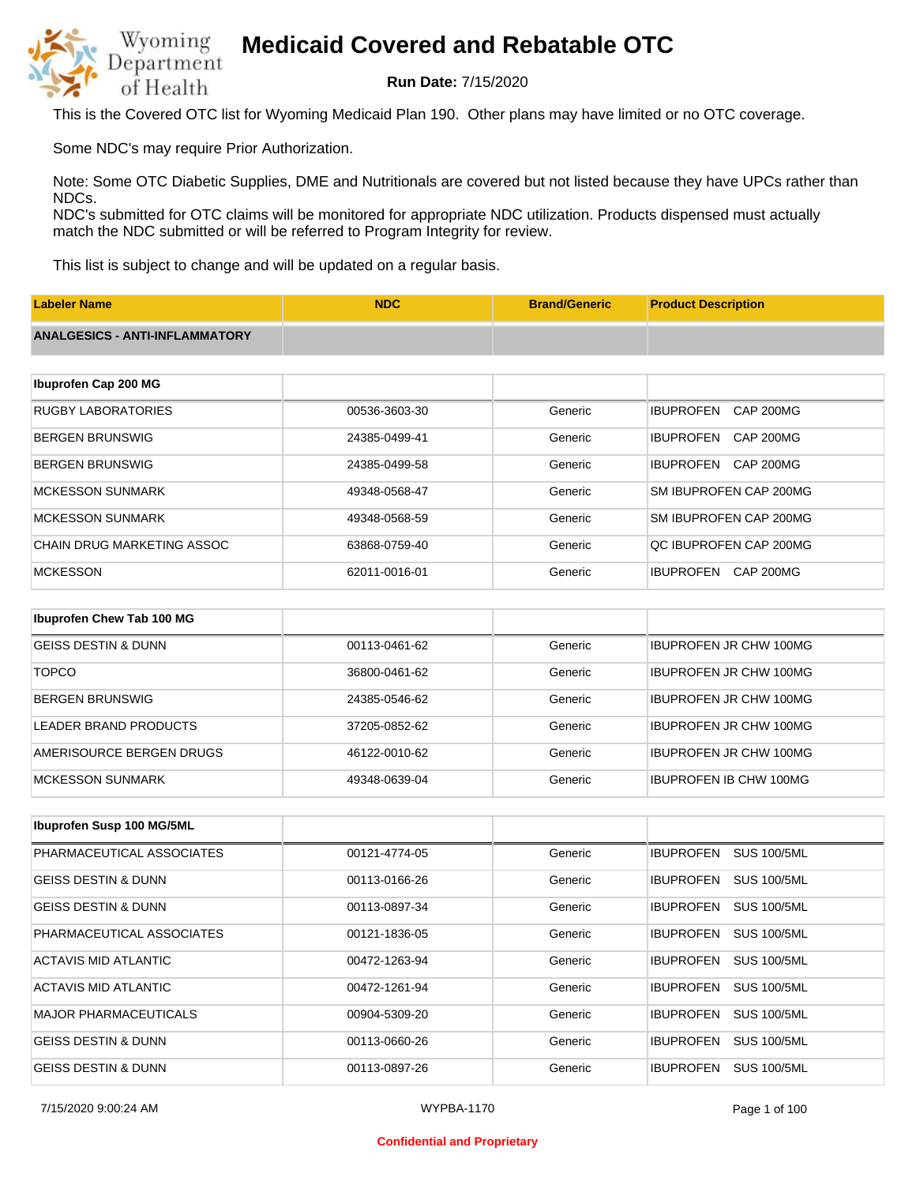

**Run Date:** 7/15/2020

This is the Covered OTC list for Wyoming Medicaid Plan 190. Other plans may have limited or no OTC coverage.

Some NDC's may require Prior Authorization.

Note: Some OTC Diabetic Supplies, DME and Nutritionals are covered but not listed because they have UPCs rather than NDCs.

NDC's submitted for OTC claims will be monitored for appropriate NDC utilization. Products dispensed must actually match the NDC submitted or will be referred to Program Integrity for review.

This list is subject to change and will be updated on a regular basis.

| <b>Labeler Name</b>                   | <b>NDC</b>    | <b>Brand/Generic</b> | <b>Product Description</b>           |
|---------------------------------------|---------------|----------------------|--------------------------------------|
| <b>ANALGESICS - ANTI-INFLAMMATORY</b> |               |                      |                                      |
|                                       |               |                      |                                      |
| Ibuprofen Cap 200 MG                  |               |                      |                                      |
| <b>RUGBY LABORATORIES</b>             | 00536-3603-30 | Generic              | <b>IBUPROFEN</b><br><b>CAP 200MG</b> |
| <b>BERGEN BRUNSWIG</b>                | 24385-0499-41 | Generic              | <b>IBUPROFEN</b><br><b>CAP 200MG</b> |
| <b>BERGEN BRUNSWIG</b>                | 24385-0499-58 | Generic              | <b>IBUPROFEN</b><br><b>CAP 200MG</b> |
| <b>MCKESSON SUNMARK</b>               | 49348-0568-47 | Generic              | SM IBUPROFEN CAP 200MG               |
| <b>MCKESSON SUNMARK</b>               | 49348-0568-59 | Generic              | SM IBUPROFEN CAP 200MG               |
| <b>CHAIN DRUG MARKETING ASSOC</b>     | 63868-0759-40 | Generic              | QC IBUPROFEN CAP 200MG               |
| <b>MCKESSON</b>                       | 62011-0016-01 | Generic              | <b>IBUPROFEN</b><br><b>CAP 200MG</b> |
|                                       |               |                      |                                      |
| Ibuprofen Chew Tab 100 MG             |               |                      |                                      |
| <b>GEISS DESTIN &amp; DUNN</b>        | 00113-0461-62 | Generic              | <b>IBUPROFEN JR CHW 100MG</b>        |
| <b>TOPCO</b>                          | 36800-0461-62 | Generic              | <b>IBUPROFEN JR CHW 100MG</b>        |

| IBERGEN BRUNSWIG         | 24385-0546-62 | Generic | <b>IBUPROFEN JR CHW 100MG</b> |
|--------------------------|---------------|---------|-------------------------------|
| LEADER BRAND PRODUCTS    | 37205-0852-62 | Generic | <b>IBUPROFEN JR CHW 100MG</b> |
| AMERISOURCE BERGEN DRUGS | 46122-0010-62 | Generic | <b>IBUPROFEN JR CHW 100MG</b> |
| IMCKESSON SUNMARK        | 49348-0639-04 | Generic | <b>IBUPROFEN IB CHW 100MG</b> |

| Ibuprofen Susp 100 MG/5ML      |               |         |                                        |
|--------------------------------|---------------|---------|----------------------------------------|
| PHARMACEUTICAL ASSOCIATES      | 00121-4774-05 | Generic | <b>IBUPROFEN</b><br><b>SUS 100/5ML</b> |
| <b>GEISS DESTIN &amp; DUNN</b> | 00113-0166-26 | Generic | <b>SUS 100/5ML</b><br><b>IBUPROFEN</b> |
| <b>GEISS DESTIN &amp; DUNN</b> | 00113-0897-34 | Generic | <b>SUS 100/5ML</b><br><b>IBUPROFEN</b> |
| PHARMACEUTICAL ASSOCIATES      | 00121-1836-05 | Generic | <b>SUS 100/5ML</b><br><b>IBUPROFEN</b> |
| ACTAVIS MID ATLANTIC           | 00472-1263-94 | Generic | <b>SUS 100/5ML</b><br><b>IBUPROFEN</b> |
| ACTAVIS MID ATLANTIC           | 00472-1261-94 | Generic | <b>IBUPROFEN</b><br><b>SUS 100/5ML</b> |
| <b>MAJOR PHARMACEUTICALS</b>   | 00904-5309-20 | Generic | <b>SUS 100/5ML</b><br><b>IBUPROFEN</b> |
| <b>GEISS DESTIN &amp; DUNN</b> | 00113-0660-26 | Generic | <b>SUS 100/5ML</b><br><b>IBUPROFEN</b> |
| <b>GEISS DESTIN &amp; DUNN</b> | 00113-0897-26 | Generic | <b>SUS 100/5ML</b><br><b>IBUPROFEN</b> |

#### **Confidential and Proprietary**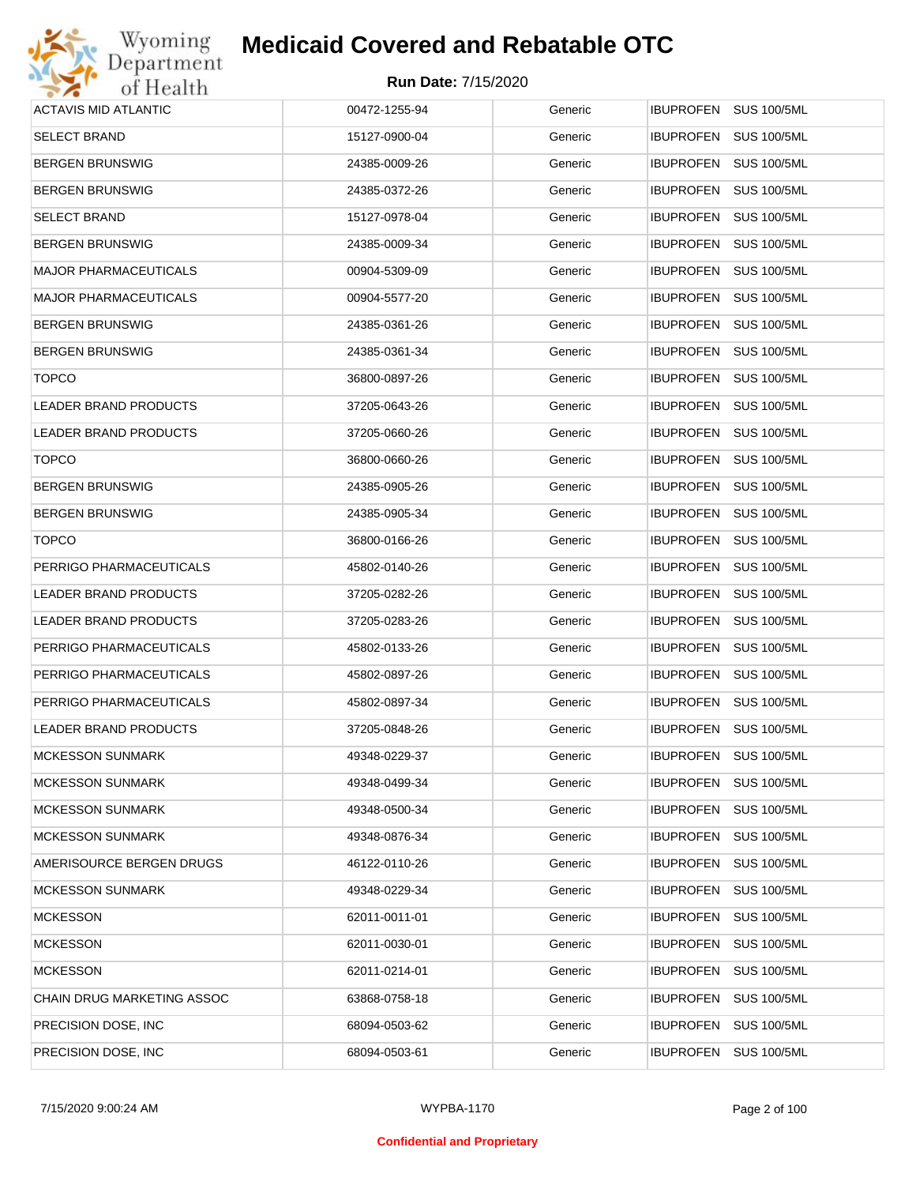

| <b>ACTAVIS MID ATLANTIC</b>  | 00472-1255-94 | Generic | IBUPROFEN SUS 100/5ML                  |
|------------------------------|---------------|---------|----------------------------------------|
| <b>SELECT BRAND</b>          | 15127-0900-04 | Generic | <b>SUS 100/5ML</b><br>IBUPROFEN        |
| <b>BERGEN BRUNSWIG</b>       | 24385-0009-26 | Generic | <b>IBUPROFEN</b><br>SUS 100/5ML        |
| <b>BERGEN BRUNSWIG</b>       | 24385-0372-26 | Generic | <b>IBUPROFEN</b><br><b>SUS 100/5ML</b> |
| <b>SELECT BRAND</b>          | 15127-0978-04 | Generic | IBUPROFEN<br><b>SUS 100/5ML</b>        |
| <b>BERGEN BRUNSWIG</b>       | 24385-0009-34 | Generic | <b>IBUPROFEN</b><br><b>SUS 100/5ML</b> |
| <b>MAJOR PHARMACEUTICALS</b> | 00904-5309-09 | Generic | IBUPROFEN<br><b>SUS 100/5ML</b>        |
| <b>MAJOR PHARMACEUTICALS</b> | 00904-5577-20 | Generic | <b>IBUPROFEN</b><br><b>SUS 100/5ML</b> |
| <b>BERGEN BRUNSWIG</b>       | 24385-0361-26 | Generic | IBUPROFEN<br><b>SUS 100/5ML</b>        |
| <b>BERGEN BRUNSWIG</b>       | 24385-0361-34 | Generic | <b>IBUPROFEN</b><br><b>SUS 100/5ML</b> |
| <b>TOPCO</b>                 | 36800-0897-26 | Generic | IBUPROFEN<br><b>SUS 100/5ML</b>        |
| LEADER BRAND PRODUCTS        | 37205-0643-26 | Generic | <b>IBUPROFEN</b><br><b>SUS 100/5ML</b> |
| LEADER BRAND PRODUCTS        | 37205-0660-26 | Generic | IBUPROFEN<br><b>SUS 100/5ML</b>        |
| <b>TOPCO</b>                 | 36800-0660-26 | Generic | <b>IBUPROFEN</b><br><b>SUS 100/5ML</b> |
| <b>BERGEN BRUNSWIG</b>       | 24385-0905-26 | Generic | IBUPROFEN<br><b>SUS 100/5ML</b>        |
| <b>BERGEN BRUNSWIG</b>       | 24385-0905-34 | Generic | <b>IBUPROFEN</b><br><b>SUS 100/5ML</b> |
| <b>TOPCO</b>                 | 36800-0166-26 | Generic | <b>IBUPROFEN</b><br><b>SUS 100/5ML</b> |
| PERRIGO PHARMACEUTICALS      | 45802-0140-26 | Generic | <b>IBUPROFEN</b><br><b>SUS 100/5ML</b> |
| LEADER BRAND PRODUCTS        | 37205-0282-26 | Generic | <b>IBUPROFEN</b><br><b>SUS 100/5ML</b> |
| LEADER BRAND PRODUCTS        | 37205-0283-26 | Generic | <b>IBUPROFEN</b><br><b>SUS 100/5ML</b> |
| PERRIGO PHARMACEUTICALS      | 45802-0133-26 | Generic | <b>IBUPROFEN</b><br><b>SUS 100/5ML</b> |
| PERRIGO PHARMACEUTICALS      | 45802-0897-26 | Generic | <b>IBUPROFEN</b><br><b>SUS 100/5ML</b> |
| PERRIGO PHARMACEUTICALS      | 45802-0897-34 | Generic | IBUPROFEN<br><b>SUS 100/5ML</b>        |
| LEADER BRAND PRODUCTS        | 37205-0848-26 | Generic | <b>IBUPROFEN</b><br><b>SUS 100/5ML</b> |
| <b>MCKESSON SUNMARK</b>      | 49348-0229-37 | Generic | <b>IBUPROFEN SUS 100/5ML</b>           |
| <b>MCKESSON SUNMARK</b>      | 49348-0499-34 | Generic | <b>IBUPROFEN</b><br><b>SUS 100/5ML</b> |
| <b>MCKESSON SUNMARK</b>      | 49348-0500-34 | Generic | <b>IBUPROFEN</b><br><b>SUS 100/5ML</b> |
| <b>MCKESSON SUNMARK</b>      | 49348-0876-34 | Generic | <b>IBUPROFEN</b><br><b>SUS 100/5ML</b> |
| AMERISOURCE BERGEN DRUGS     | 46122-0110-26 | Generic | <b>IBUPROFEN</b><br><b>SUS 100/5ML</b> |
| <b>MCKESSON SUNMARK</b>      | 49348-0229-34 | Generic | <b>IBUPROFEN</b><br><b>SUS 100/5ML</b> |
| <b>MCKESSON</b>              | 62011-0011-01 | Generic | <b>IBUPROFEN</b><br><b>SUS 100/5ML</b> |
| <b>MCKESSON</b>              | 62011-0030-01 | Generic | <b>IBUPROFEN</b><br><b>SUS 100/5ML</b> |
| <b>MCKESSON</b>              | 62011-0214-01 | Generic | <b>IBUPROFEN</b><br><b>SUS 100/5ML</b> |
| CHAIN DRUG MARKETING ASSOC   | 63868-0758-18 | Generic | <b>IBUPROFEN</b><br><b>SUS 100/5ML</b> |
| PRECISION DOSE, INC          | 68094-0503-62 | Generic | <b>IBUPROFEN</b><br><b>SUS 100/5ML</b> |
| PRECISION DOSE, INC.         | 68094-0503-61 | Generic | <b>IBUPROFEN</b><br><b>SUS 100/5ML</b> |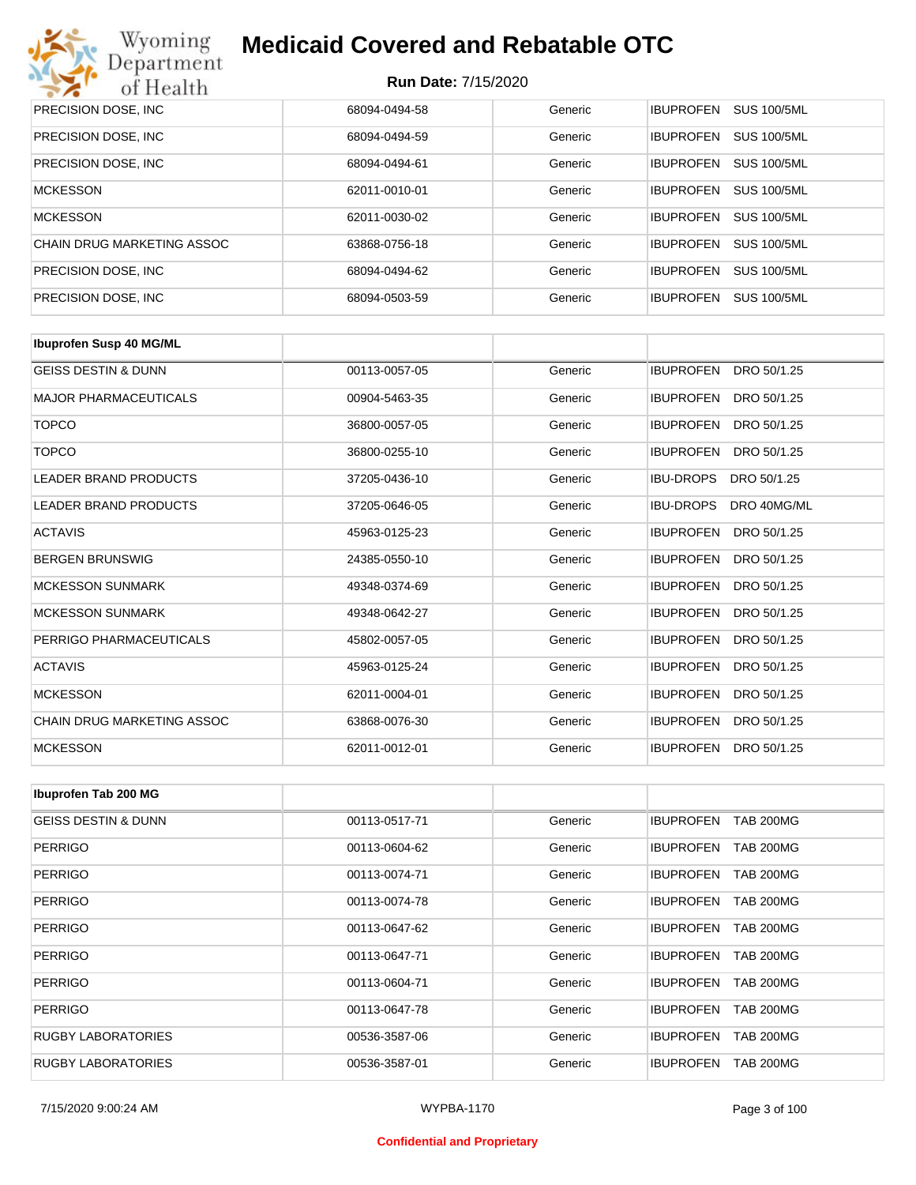

| PRECISION DOSE, INC.       | 68094-0494-58 | Generic | <b>SUS 100/5ML</b><br><b>IBUPROFEN</b> |
|----------------------------|---------------|---------|----------------------------------------|
| PRECISION DOSE, INC.       | 68094-0494-59 | Generic | <b>SUS 100/5ML</b><br><b>IBUPROFEN</b> |
| PRECISION DOSE, INC.       | 68094-0494-61 | Generic | <b>SUS 100/5ML</b><br><b>IBUPROFEN</b> |
| <b>MCKESSON</b>            | 62011-0010-01 | Generic | <b>SUS 100/5ML</b><br><b>IBUPROFEN</b> |
| <b>MCKESSON</b>            | 62011-0030-02 | Generic | <b>SUS 100/5ML</b><br><b>IBUPROFEN</b> |
| CHAIN DRUG MARKETING ASSOC | 63868-0756-18 | Generic | <b>SUS 100/5ML</b><br><b>IBUPROFEN</b> |
| PRECISION DOSE, INC.       | 68094-0494-62 | Generic | <b>SUS 100/5ML</b><br><b>IBUPROFEN</b> |
| PRECISION DOSE, INC.       | 68094-0503-59 | Generic | <b>IBUPROFEN</b><br><b>SUS 100/5ML</b> |

| <b>Ibuprofen Susp 40 MG/ML</b> |               |         |                                 |
|--------------------------------|---------------|---------|---------------------------------|
| <b>GEISS DESTIN &amp; DUNN</b> | 00113-0057-05 | Generic | <b>IBUPROFEN</b><br>DRO 50/1.25 |
| <b>MAJOR PHARMACEUTICALS</b>   | 00904-5463-35 | Generic | <b>IBUPROFEN</b><br>DRO 50/1.25 |
| <b>TOPCO</b>                   | 36800-0057-05 | Generic | <b>IBUPROFEN</b><br>DRO 50/1.25 |
| <b>TOPCO</b>                   | 36800-0255-10 | Generic | <b>IBUPROFEN</b><br>DRO 50/1.25 |
| <b>LEADER BRAND PRODUCTS</b>   | 37205-0436-10 | Generic | <b>IBU-DROPS</b><br>DRO 50/1.25 |
| <b>LEADER BRAND PRODUCTS</b>   | 37205-0646-05 | Generic | <b>IBU-DROPS</b><br>DRO 40MG/ML |
| <b>ACTAVIS</b>                 | 45963-0125-23 | Generic | <b>IBUPROFEN</b><br>DRO 50/1.25 |
| <b>BERGEN BRUNSWIG</b>         | 24385-0550-10 | Generic | <b>IBUPROFEN</b><br>DRO 50/1.25 |
| <b>MCKESSON SUNMARK</b>        | 49348-0374-69 | Generic | <b>IBUPROFEN</b><br>DRO 50/1.25 |
| <b>MCKESSON SUNMARK</b>        | 49348-0642-27 | Generic | <b>IBUPROFEN</b><br>DRO 50/1.25 |
| PERRIGO PHARMACEUTICALS        | 45802-0057-05 | Generic | <b>IBUPROFEN</b><br>DRO 50/1.25 |
| <b>ACTAVIS</b>                 | 45963-0125-24 | Generic | <b>IBUPROFEN</b><br>DRO 50/1.25 |
| <b>MCKESSON</b>                | 62011-0004-01 | Generic | <b>IBUPROFEN</b><br>DRO 50/1.25 |
| CHAIN DRUG MARKETING ASSOC     | 63868-0076-30 | Generic | <b>IBUPROFEN</b><br>DRO 50/1.25 |
| <b>MCKESSON</b>                | 62011-0012-01 | Generic | <b>IBUPROFEN</b><br>DRO 50/1.25 |

| Ibuprofen Tab 200 MG           |               |         |                                      |
|--------------------------------|---------------|---------|--------------------------------------|
| <b>GEISS DESTIN &amp; DUNN</b> | 00113-0517-71 | Generic | <b>IBUPROFEN</b><br><b>TAB 200MG</b> |
| PERRIGO                        | 00113-0604-62 | Generic | <b>IBUPROFEN</b><br><b>TAB 200MG</b> |
| <b>PERRIGO</b>                 | 00113-0074-71 | Generic | <b>TAB 200MG</b><br><b>IBUPROFEN</b> |
| PERRIGO                        | 00113-0074-78 | Generic | <b>IBUPROFEN</b><br><b>TAB 200MG</b> |
| <b>PERRIGO</b>                 | 00113-0647-62 | Generic | <b>IBUPROFEN</b><br><b>TAB 200MG</b> |
| PERRIGO                        | 00113-0647-71 | Generic | <b>IBUPROFEN</b><br><b>TAB 200MG</b> |
| <b>PERRIGO</b>                 | 00113-0604-71 | Generic | <b>IBUPROFEN</b><br><b>TAB 200MG</b> |
| PERRIGO                        | 00113-0647-78 | Generic | <b>IBUPROFEN</b><br><b>TAB 200MG</b> |
| <b>RUGBY LABORATORIES</b>      | 00536-3587-06 | Generic | <b>IBUPROFEN</b><br><b>TAB 200MG</b> |
| <b>RUGBY LABORATORIES</b>      | 00536-3587-01 | Generic | <b>TAB 200MG</b><br><b>IBUPROFEN</b> |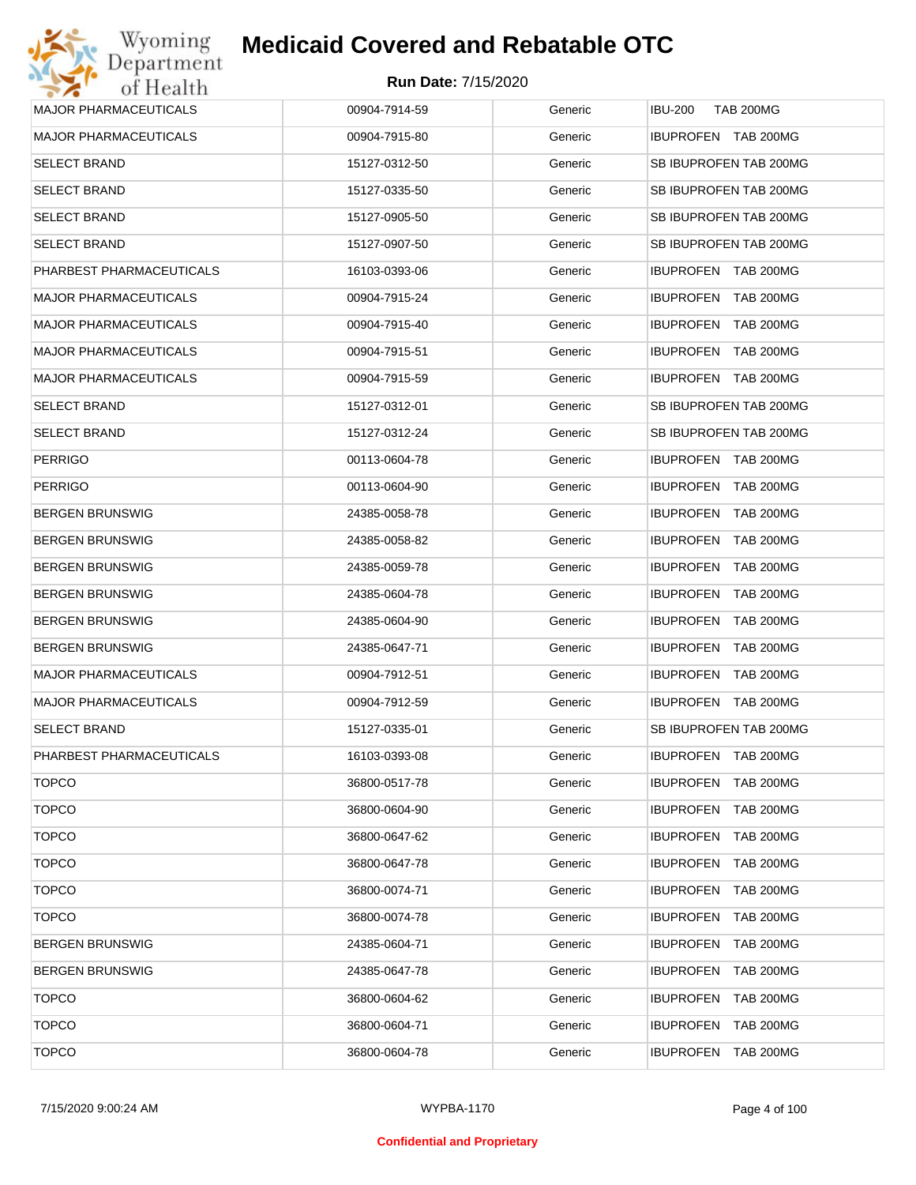

| Wyoming                      | <b>Medicaid Covered and Rebatable OTC</b> |         |                                      |
|------------------------------|-------------------------------------------|---------|--------------------------------------|
| Department<br>of Health      | <b>Run Date: 7/15/2020</b>                |         |                                      |
| MAJOR PHARMACEUTICALS        | 00904-7914-59                             | Generic | <b>IBU-200</b><br><b>TAB 200MG</b>   |
| <b>MAJOR PHARMACEUTICALS</b> | 00904-7915-80                             | Generic | IBUPROFEN TAB 200MG                  |
| <b>SELECT BRAND</b>          | 15127-0312-50                             | Generic | SB IBUPROFEN TAB 200MG               |
| <b>SELECT BRAND</b>          | 15127-0335-50                             | Generic | SB IBUPROFEN TAB 200MG               |
| <b>SELECT BRAND</b>          | 15127-0905-50                             | Generic | SB IBUPROFEN TAB 200MG               |
| <b>SELECT BRAND</b>          | 15127-0907-50                             | Generic | SB IBUPROFEN TAB 200MG               |
| PHARBEST PHARMACEUTICALS     | 16103-0393-06                             | Generic | <b>IBUPROFEN TAB 200MG</b>           |
| <b>MAJOR PHARMACEUTICALS</b> | 00904-7915-24                             | Generic | IBUPROFEN TAB 200MG                  |
| <b>MAJOR PHARMACEUTICALS</b> | 00904-7915-40                             | Generic | <b>IBUPROFEN</b><br>TAB 200MG        |
| <b>MAJOR PHARMACEUTICALS</b> | 00904-7915-51                             | Generic | <b>IBUPROFEN</b><br>TAB 200MG        |
| <b>MAJOR PHARMACEUTICALS</b> | 00904-7915-59                             | Generic | <b>IBUPROFEN</b><br>TAB 200MG        |
| <b>SELECT BRAND</b>          | 15127-0312-01                             | Generic | SB IBUPROFEN TAB 200MG               |
| <b>SELECT BRAND</b>          | 15127-0312-24                             | Generic | SB IBUPROFEN TAB 200MG               |
| <b>PERRIGO</b>               | 00113-0604-78                             | Generic | IBUPROFEN TAB 200MG                  |
| <b>PERRIGO</b>               | 00113-0604-90                             | Generic | <b>IBUPROFEN</b><br>TAB 200MG        |
| <b>BERGEN BRUNSWIG</b>       | 24385-0058-78                             | Generic | <b>IBUPROFEN</b><br><b>TAB 200MG</b> |
| <b>BERGEN BRUNSWIG</b>       | 24385-0058-82                             | Generic | <b>IBUPROFEN</b><br><b>TAB 200MG</b> |
| <b>BERGEN BRUNSWIG</b>       | 24385-0059-78                             | Generic | <b>IBUPROFEN</b><br><b>TAB 200MG</b> |
| <b>BERGEN BRUNSWIG</b>       | 24385-0604-78                             | Generic | <b>IBUPROFEN</b><br><b>TAB 200MG</b> |
| <b>BERGEN BRUNSWIG</b>       | 24385-0604-90                             | Generic | <b>IBUPROFEN</b><br><b>TAB 200MG</b> |
| <b>BERGEN BRUNSWIG</b>       | 24385-0647-71                             | Generic | <b>IBUPROFEN</b><br><b>TAB 200MG</b> |
| <b>MAJOR PHARMACEUTICALS</b> | 00904-7912-51                             | Generic | <b>IBUPROFEN</b><br>TAB 200MG        |
| <b>MAJOR PHARMACEUTICALS</b> | 00904-7912-59                             | Generic | <b>IBUPROFEN TAB 200MG</b>           |
| <b>SELECT BRAND</b>          | 15127-0335-01                             | Generic | SB IBUPROFEN TAB 200MG               |
| PHARBEST PHARMACEUTICALS     | 16103-0393-08                             | Generic | <b>IBUPROFEN</b><br><b>TAB 200MG</b> |
| <b>TOPCO</b>                 | 36800-0517-78                             | Generic | <b>IBUPROFEN</b><br><b>TAB 200MG</b> |
| <b>TOPCO</b>                 | 36800-0604-90                             | Generic | <b>IBUPROFEN</b><br><b>TAB 200MG</b> |
| <b>TOPCO</b>                 | 36800-0647-62                             | Generic | <b>IBUPROFEN</b><br><b>TAB 200MG</b> |
| <b>TOPCO</b>                 | 36800-0647-78                             | Generic | <b>IBUPROFEN</b><br>TAB 200MG        |
| <b>TOPCO</b>                 | 36800-0074-71                             | Generic | <b>IBUPROFEN</b><br><b>TAB 200MG</b> |
| <b>TOPCO</b>                 | 36800-0074-78                             | Generic | <b>IBUPROFEN</b><br>TAB 200MG        |
| <b>BERGEN BRUNSWIG</b>       | 24385-0604-71                             | Generic | <b>IBUPROFEN</b><br><b>TAB 200MG</b> |
| <b>BERGEN BRUNSWIG</b>       | 24385-0647-78                             | Generic | <b>IBUPROFEN</b><br>TAB 200MG        |
| <b>TOPCO</b>                 | 36800-0604-62                             | Generic | <b>IBUPROFEN</b><br><b>TAB 200MG</b> |
| <b>TOPCO</b>                 | 36800-0604-71                             | Generic | <b>IBUPROFEN</b><br>TAB 200MG        |
| <b>TOPCO</b>                 | 36800-0604-78                             | Generic | <b>TAB 200MG</b><br><b>IBUPROFEN</b> |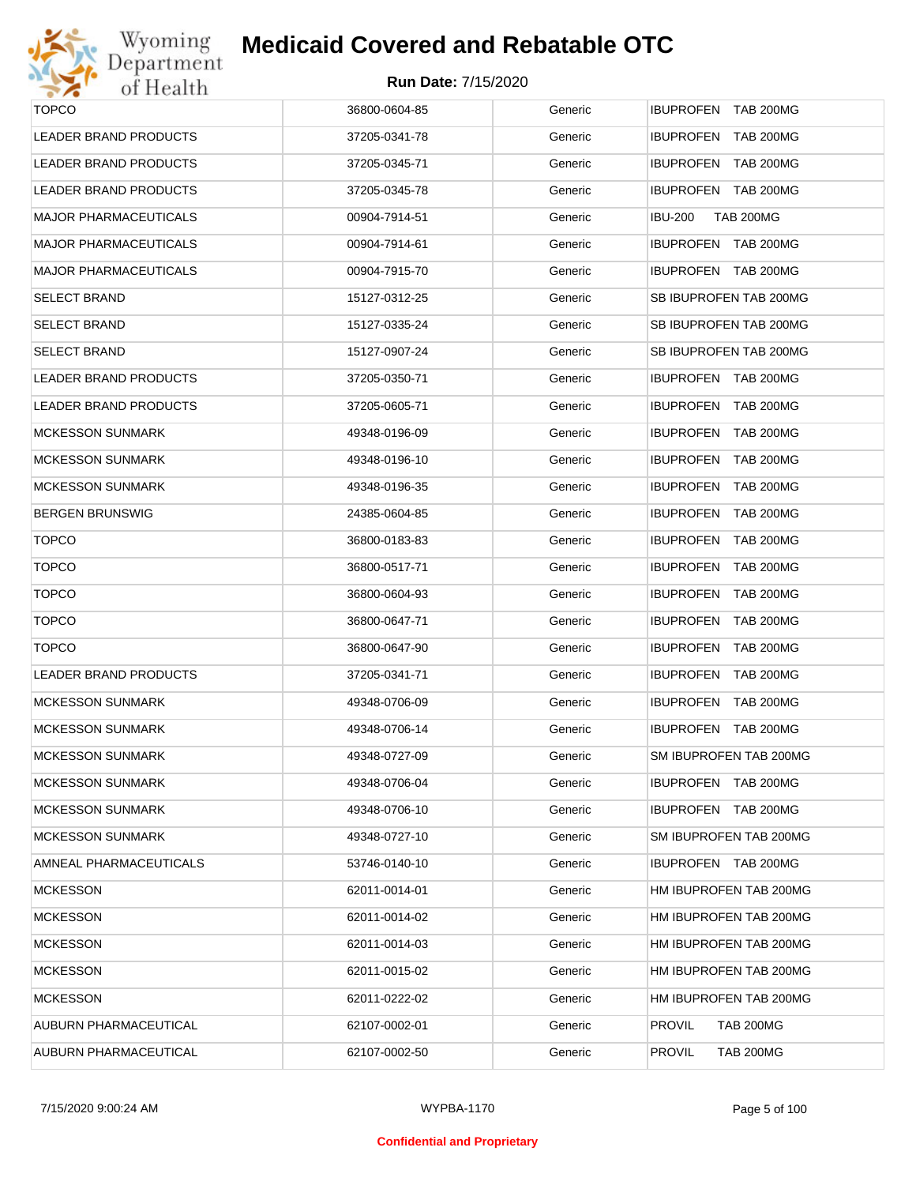

| <b>TOPCO</b>                 | 36800-0604-85 | Generic | IBUPROFEN TAB 200MG                |
|------------------------------|---------------|---------|------------------------------------|
| <b>LEADER BRAND PRODUCTS</b> | 37205-0341-78 | Generic | IBUPROFEN TAB 200MG                |
| <b>LEADER BRAND PRODUCTS</b> | 37205-0345-71 | Generic | IBUPROFEN TAB 200MG                |
| LEADER BRAND PRODUCTS        | 37205-0345-78 | Generic | IBUPROFEN TAB 200MG                |
| MAJOR PHARMACEUTICALS        | 00904-7914-51 | Generic | <b>IBU-200</b><br><b>TAB 200MG</b> |
| MAJOR PHARMACEUTICALS        | 00904-7914-61 | Generic | IBUPROFEN TAB 200MG                |
| MAJOR PHARMACEUTICALS        | 00904-7915-70 | Generic | IBUPROFEN TAB 200MG                |
| SELECT BRAND                 | 15127-0312-25 | Generic | SB IBUPROFEN TAB 200MG             |
| SELECT BRAND                 | 15127-0335-24 | Generic | SB IBUPROFEN TAB 200MG             |
| SELECT BRAND                 | 15127-0907-24 | Generic | SB IBUPROFEN TAB 200MG             |
| LEADER BRAND PRODUCTS        | 37205-0350-71 | Generic | IBUPROFEN TAB 200MG                |
| LEADER BRAND PRODUCTS        | 37205-0605-71 | Generic | IBUPROFEN TAB 200MG                |
| MCKESSON SUNMARK             | 49348-0196-09 | Generic | IBUPROFEN TAB 200MG                |
| MCKESSON SUNMARK             | 49348-0196-10 | Generic | IBUPROFEN TAB 200MG                |
| MCKESSON SUNMARK             | 49348-0196-35 | Generic | IBUPROFEN TAB 200MG                |
| BERGEN BRUNSWIG              | 24385-0604-85 | Generic | IBUPROFEN TAB 200MG                |
| <b>TOPCO</b>                 | 36800-0183-83 | Generic | IBUPROFEN TAB 200MG                |
| <b>TOPCO</b>                 | 36800-0517-71 | Generic | IBUPROFEN TAB 200MG                |
| <b>TOPCO</b>                 | 36800-0604-93 | Generic | IBUPROFEN TAB 200MG                |
| <b>TOPCO</b>                 | 36800-0647-71 | Generic | IBUPROFEN TAB 200MG                |
| <b>TOPCO</b>                 | 36800-0647-90 | Generic | IBUPROFEN TAB 200MG                |
| <b>LEADER BRAND PRODUCTS</b> | 37205-0341-71 | Generic | IBUPROFEN TAB 200MG                |
| <b>MCKESSON SUNMARK</b>      | 49348-0706-09 | Generic | IBUPROFEN TAB 200MG                |
| <b>MCKESSON SUNMARK</b>      | 49348-0706-14 | Generic | IBUPROFEN TAB 200MG                |
| MCKESSON SUNMARK             | 49348-0727-09 | Generic | SM IBUPROFEN TAB 200MG             |
| MCKESSON SUNMARK             | 49348-0706-04 | Generic | IBUPROFEN TAB 200MG                |
| <b>MCKESSON SUNMARK</b>      | 49348-0706-10 | Generic | IBUPROFEN TAB 200MG                |
| <b>MCKESSON SUNMARK</b>      | 49348-0727-10 | Generic | SM IBUPROFEN TAB 200MG             |
| AMNEAL PHARMACEUTICALS       | 53746-0140-10 | Generic | IBUPROFEN TAB 200MG                |
| <b>MCKESSON</b>              | 62011-0014-01 | Generic | HM IBUPROFEN TAB 200MG             |
| <b>MCKESSON</b>              | 62011-0014-02 | Generic | HM IBUPROFEN TAB 200MG             |
| <b>MCKESSON</b>              | 62011-0014-03 | Generic | HM IBUPROFEN TAB 200MG             |
| <b>MCKESSON</b>              | 62011-0015-02 | Generic | HM IBUPROFEN TAB 200MG             |
| <b>MCKESSON</b>              | 62011-0222-02 | Generic | HM IBUPROFEN TAB 200MG             |
| AUBURN PHARMACEUTICAL        | 62107-0002-01 | Generic | <b>PROVIL</b><br><b>TAB 200MG</b>  |
| AUBURN PHARMACEUTICAL        | 62107-0002-50 | Generic | <b>PROVIL</b><br><b>TAB 200MG</b>  |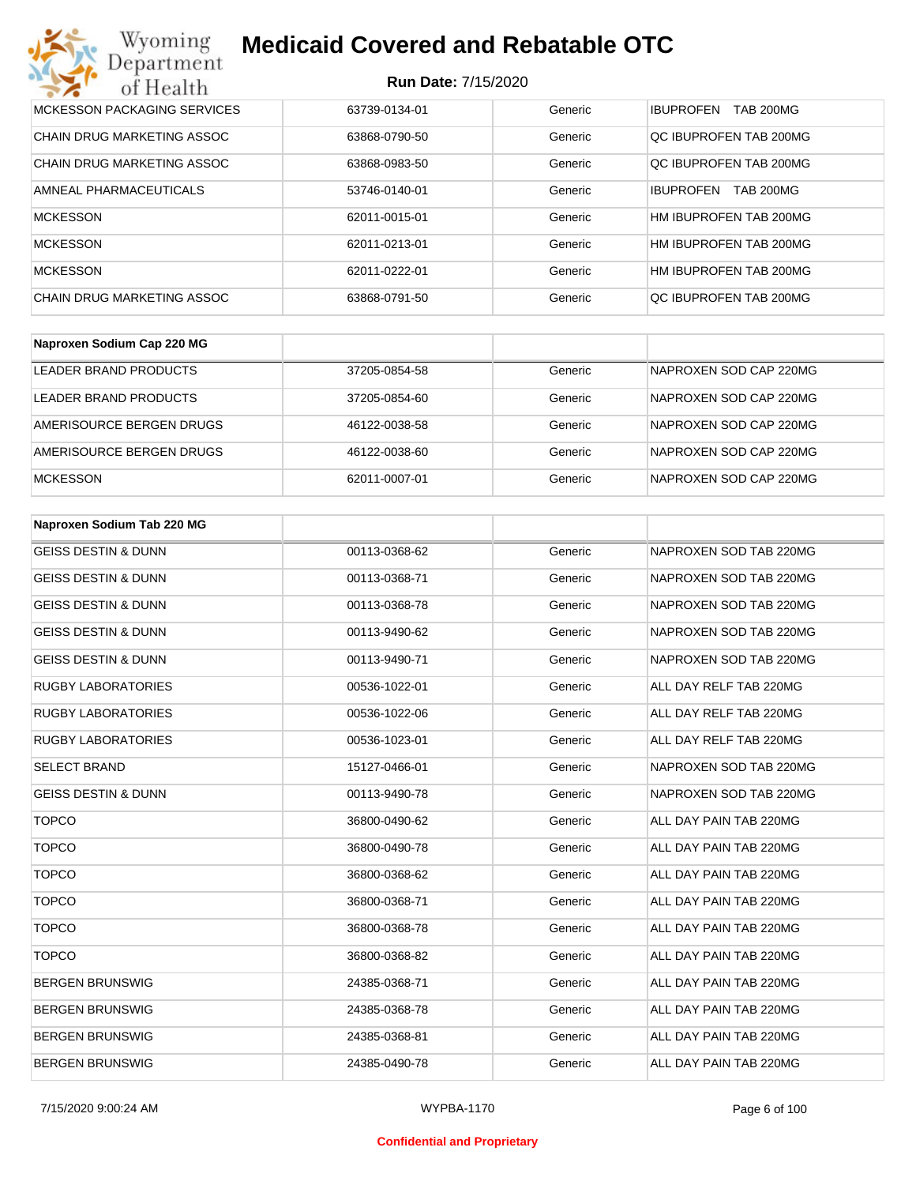#### **Run Date:** 7/15/2020

| Wyoming<br><b>Medicaid Covered and Rebatable OTC</b><br>Department |                            |         |                                      |  |
|--------------------------------------------------------------------|----------------------------|---------|--------------------------------------|--|
| of Health                                                          | <b>Run Date: 7/15/2020</b> |         |                                      |  |
| MCKESSON PACKAGING SERVICES                                        | 63739-0134-01              | Generic | <b>IBUPROFEN</b><br>TAB 200MG        |  |
| CHAIN DRUG MARKETING ASSOC                                         | 63868-0790-50              | Generic | OC IBUPROFEN TAB 200MG               |  |
| <b>CHAIN DRUG MARKETING ASSOC</b>                                  | 63868-0983-50              | Generic | OC IBUPROFEN TAB 200MG               |  |
| AMNEAL PHARMACEUTICALS                                             | 53746-0140-01              | Generic | <b>IBUPROFEN</b><br><b>TAB 200MG</b> |  |
| <b>MCKESSON</b>                                                    | 62011-0015-01              | Generic | HM IBUPROFEN TAB 200MG               |  |
| <b>MCKESSON</b>                                                    | 62011-0213-01              | Generic | HM IBUPROFEN TAB 200MG               |  |
| <b>MCKESSON</b>                                                    | 62011-0222-01              | Generic | HM IBUPROFEN TAB 200MG               |  |
| CHAIN DRUG MARKETING ASSOC                                         | 63868-0791-50              | Generic | OC IBUPROFEN TAB 200MG               |  |

| Naproxen Sodium Cap 220 MG |               |         |                        |
|----------------------------|---------------|---------|------------------------|
| LEADER BRAND PRODUCTS      | 37205-0854-58 | Generic | NAPROXEN SOD CAP 220MG |
| LEADER BRAND PRODUCTS      | 37205-0854-60 | Generic | NAPROXEN SOD CAP 220MG |
| AMERISOURCE BERGEN DRUGS   | 46122-0038-58 | Generic | NAPROXEN SOD CAP 220MG |
| AMERISOURCE BERGEN DRUGS   | 46122-0038-60 | Generic | NAPROXEN SOD CAP 220MG |
| <b>MCKESSON</b>            | 62011-0007-01 | Generic | NAPROXEN SOD CAP 220MG |

| Naproxen Sodium Tab 220 MG     |               |         |                        |
|--------------------------------|---------------|---------|------------------------|
| <b>GEISS DESTIN &amp; DUNN</b> | 00113-0368-62 | Generic | NAPROXEN SOD TAB 220MG |
| <b>GEISS DESTIN &amp; DUNN</b> | 00113-0368-71 | Generic | NAPROXEN SOD TAB 220MG |
| <b>GEISS DESTIN &amp; DUNN</b> | 00113-0368-78 | Generic | NAPROXEN SOD TAB 220MG |
| <b>GEISS DESTIN &amp; DUNN</b> | 00113-9490-62 | Generic | NAPROXEN SOD TAB 220MG |
| <b>GEISS DESTIN &amp; DUNN</b> | 00113-9490-71 | Generic | NAPROXEN SOD TAB 220MG |
| <b>RUGBY LABORATORIES</b>      | 00536-1022-01 | Generic | ALL DAY RELF TAB 220MG |
| <b>RUGBY LABORATORIES</b>      | 00536-1022-06 | Generic | ALL DAY RELF TAB 220MG |
| <b>RUGBY LABORATORIES</b>      | 00536-1023-01 | Generic | ALL DAY RELF TAB 220MG |
| <b>SELECT BRAND</b>            | 15127-0466-01 | Generic | NAPROXEN SOD TAB 220MG |
| <b>GEISS DESTIN &amp; DUNN</b> | 00113-9490-78 | Generic | NAPROXEN SOD TAB 220MG |
| <b>TOPCO</b>                   | 36800-0490-62 | Generic | ALL DAY PAIN TAB 220MG |
| <b>TOPCO</b>                   | 36800-0490-78 | Generic | ALL DAY PAIN TAB 220MG |
| <b>TOPCO</b>                   | 36800-0368-62 | Generic | ALL DAY PAIN TAB 220MG |
| <b>TOPCO</b>                   | 36800-0368-71 | Generic | ALL DAY PAIN TAB 220MG |
| <b>TOPCO</b>                   | 36800-0368-78 | Generic | ALL DAY PAIN TAB 220MG |
| <b>TOPCO</b>                   | 36800-0368-82 | Generic | ALL DAY PAIN TAB 220MG |
| <b>BERGEN BRUNSWIG</b>         | 24385-0368-71 | Generic | ALL DAY PAIN TAB 220MG |
| <b>BERGEN BRUNSWIG</b>         | 24385-0368-78 | Generic | ALL DAY PAIN TAB 220MG |
| <b>BERGEN BRUNSWIG</b>         | 24385-0368-81 | Generic | ALL DAY PAIN TAB 220MG |
| <b>BERGEN BRUNSWIG</b>         | 24385-0490-78 | Generic | ALL DAY PAIN TAB 220MG |

#### **Confidential and Proprietary**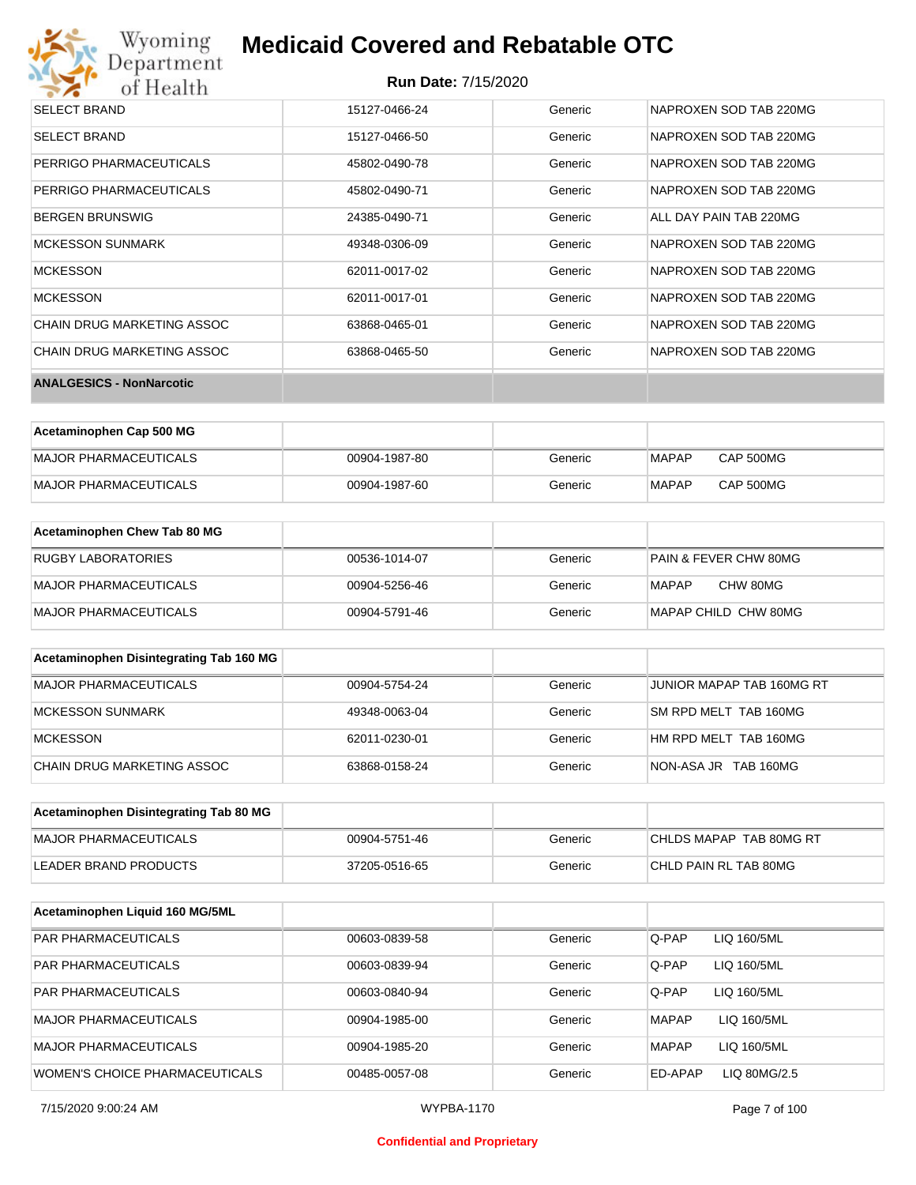## **Medicaid Covered and Rebatable OTC**

| <b>SELECT BRAND</b>             | 15127-0466-24 | Generic | NAPROXEN SOD TAB 220MG |
|---------------------------------|---------------|---------|------------------------|
| <b>SELECT BRAND</b>             | 15127-0466-50 | Generic | NAPROXEN SOD TAB 220MG |
| PERRIGO PHARMACEUTICALS         | 45802-0490-78 | Generic | NAPROXEN SOD TAB 220MG |
| PERRIGO PHARMACEUTICALS         | 45802-0490-71 | Generic | NAPROXEN SOD TAB 220MG |
| <b>BERGEN BRUNSWIG</b>          | 24385-0490-71 | Generic | ALL DAY PAIN TAB 220MG |
| MCKESSON SUNMARK                | 49348-0306-09 | Generic | NAPROXEN SOD TAB 220MG |
| <b>MCKESSON</b>                 | 62011-0017-02 | Generic | NAPROXEN SOD TAB 220MG |
| <b>MCKESSON</b>                 | 62011-0017-01 | Generic | NAPROXEN SOD TAB 220MG |
| CHAIN DRUG MARKETING ASSOC      | 63868-0465-01 | Generic | NAPROXEN SOD TAB 220MG |
| CHAIN DRUG MARKETING ASSOC      | 63868-0465-50 | Generic | NAPROXEN SOD TAB 220MG |
| <b>ANALGESICS - NonNarcotic</b> |               |         |                        |

| Acetaminophen Cap 500 MG |               |         |              |           |
|--------------------------|---------------|---------|--------------|-----------|
| MAJOR PHARMACEUTICALS    | 00904-1987-80 | Generic | MAPAP        | CAP 500MG |
| MAJOR PHARMACEUTICALS    | 00904-1987-60 | Generic | <b>MAPAP</b> | CAP 500MG |

| Acetaminophen Chew Tab 80 MG |               |         |                       |
|------------------------------|---------------|---------|-----------------------|
| <b>RUGBY LABORATORIES</b>    | 00536-1014-07 | Generic | PAIN & FEVER CHW 80MG |
| MAJOR PHARMACEUTICALS        | 00904-5256-46 | Generic | CHW 80MG<br>MAPAP     |
| MAJOR PHARMACEUTICALS        | 00904-5791-46 | Generic | MAPAP CHILD CHW 80MG  |

| Acetaminophen Disintegrating Tab 160 MG |               |         |                           |
|-----------------------------------------|---------------|---------|---------------------------|
| MAJOR PHARMACEUTICALS                   | 00904-5754-24 | Generic | JUNIOR MAPAP TAB 160MG RT |
| MCKESSON SUNMARK                        | 49348-0063-04 | Generic | SM RPD MELT TAB 160MG     |
| <b>MCKESSON</b>                         | 62011-0230-01 | Generic | HM RPD MELT TAB 160MG     |
| CHAIN DRUG MARKETING ASSOC              | 63868-0158-24 | Generic | NON-ASA JR TAB 160MG      |

| Acetaminophen Disintegrating Tab 80 MG |               |         |                         |
|----------------------------------------|---------------|---------|-------------------------|
| MAJOR PHARMACEUTICALS                  | 00904-5751-46 | Generic | CHLDS MAPAP TAB 80MG RT |
| LEADER BRAND PRODUCTS                  | 37205-0516-65 | Generic | CHLD PAIN RL TAB 80MG   |

| Acetaminophen Liquid 160 MG/5ML |               |         |              |              |
|---------------------------------|---------------|---------|--------------|--------------|
| <b>PAR PHARMACEUTICALS</b>      | 00603-0839-58 | Generic | Q-PAP        | LIQ 160/5ML  |
| <b>PAR PHARMACEUTICALS</b>      | 00603-0839-94 | Generic | Q-PAP        | LIQ 160/5ML  |
| <b>PAR PHARMACEUTICALS</b>      | 00603-0840-94 | Generic | Q-PAP        | LIQ 160/5ML  |
| <b>MAJOR PHARMACEUTICALS</b>    | 00904-1985-00 | Generic | <b>MAPAP</b> | LIQ 160/5ML  |
| <b>MAJOR PHARMACEUTICALS</b>    | 00904-1985-20 | Generic | <b>MAPAP</b> | LIQ 160/5ML  |
| WOMEN'S CHOICE PHARMACEUTICALS  | 00485-0057-08 | Generic | ED-APAP      | LIQ 80MG/2.5 |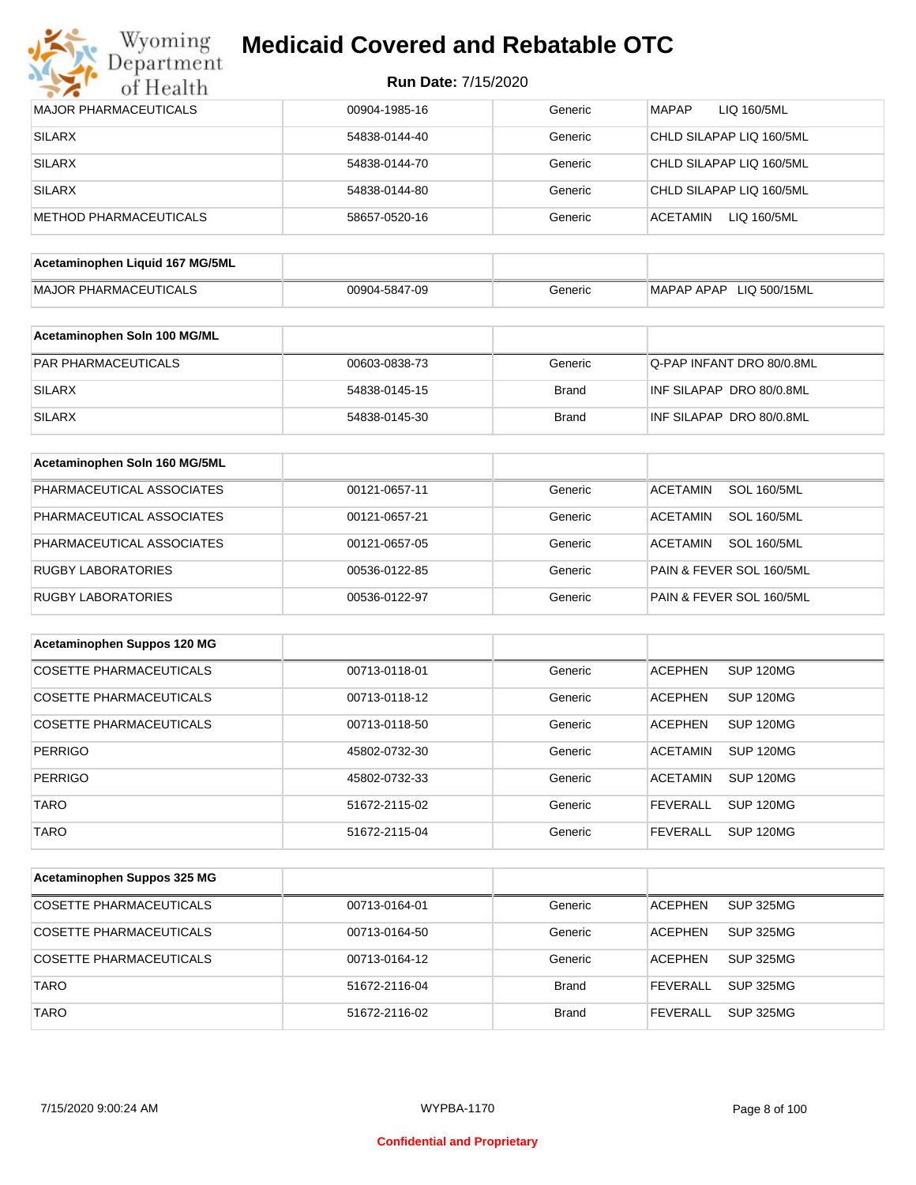

| <b>Run Date: 7/15/2020</b> |  |
|----------------------------|--|
|----------------------------|--|

| <b>MAJOR PHARMACEUTICALS</b>    | 00904-1985-16 | Generic      | <b>MAPAP</b><br>LIQ 160/5ML           |
|---------------------------------|---------------|--------------|---------------------------------------|
| <b>SILARX</b>                   | 54838-0144-40 | Generic      | CHLD SILAPAP LIQ 160/5ML              |
| <b>SILARX</b>                   | 54838-0144-70 | Generic      | CHLD SILAPAP LIQ 160/5ML              |
| <b>SILARX</b>                   | 54838-0144-80 | Generic      | CHLD SILAPAP LIQ 160/5ML              |
| <b>METHOD PHARMACEUTICALS</b>   | 58657-0520-16 | Generic      | <b>ACETAMIN</b><br>LIQ 160/5ML        |
|                                 |               |              |                                       |
| Acetaminophen Liquid 167 MG/5ML |               |              |                                       |
| <b>MAJOR PHARMACEUTICALS</b>    | 00904-5847-09 | Generic      | MAPAP APAP LIQ 500/15ML               |
| Acetaminophen Soln 100 MG/ML    |               |              |                                       |
| PAR PHARMACEUTICALS             | 00603-0838-73 | Generic      | Q-PAP INFANT DRO 80/0.8ML             |
| <b>SILARX</b>                   | 54838-0145-15 | <b>Brand</b> | INF SILAPAP DRO 80/0.8ML              |
| <b>SILARX</b>                   | 54838-0145-30 | <b>Brand</b> | INF SILAPAP DRO 80/0.8ML              |
|                                 |               |              |                                       |
| Acetaminophen Soln 160 MG/5ML   |               |              |                                       |
| PHARMACEUTICAL ASSOCIATES       | 00121-0657-11 | Generic      | <b>ACETAMIN</b><br><b>SOL 160/5ML</b> |
| PHARMACEUTICAL ASSOCIATES       | 00121-0657-21 | Generic      | <b>ACETAMIN</b><br><b>SOL 160/5ML</b> |
| PHARMACEUTICAL ASSOCIATES       | 00121-0657-05 | Generic      | <b>ACETAMIN</b><br><b>SOL 160/5ML</b> |
| <b>RUGBY LABORATORIES</b>       | 00536-0122-85 | Generic      | PAIN & FEVER SOL 160/5ML              |
| <b>RUGBY LABORATORIES</b>       | 00536-0122-97 | Generic      | PAIN & FEVER SOL 160/5ML              |
|                                 |               |              |                                       |
| Acetaminophen Suppos 120 MG     |               |              |                                       |
| COSETTE PHARMACEUTICALS         | 00713-0118-01 | Generic      | <b>ACEPHEN</b><br><b>SUP 120MG</b>    |
| COSETTE PHARMACEUTICALS         | 00713-0118-12 | Generic      | <b>ACEPHEN</b><br><b>SUP 120MG</b>    |
| <b>COSETTE PHARMACEUTICALS</b>  | 00713-0118-50 | Generic      | <b>ACEPHEN</b><br><b>SUP 120MG</b>    |
| <b>PERRIGO</b>                  | 45802-0732-30 | Generic      | <b>SUP 120MG</b><br><b>ACETAMIN</b>   |
| <b>PERRIGO</b>                  | 45802-0732-33 | Generic      | <b>ACETAMIN</b><br>SUP 120MG          |
| <b>TARO</b>                     | 51672-2115-02 | Generic      | <b>SUP 120MG</b><br><b>FEVERALL</b>   |
| <b>TARO</b>                     | 51672-2115-04 | Generic      | <b>SUP 120MG</b><br><b>FEVERALL</b>   |
|                                 |               |              |                                       |
| Acetaminophen Suppos 325 MG     |               |              |                                       |
| <b>COSETTE PHARMACEUTICALS</b>  | 00713-0164-01 | Generic      | <b>ACEPHEN</b><br><b>SUP 325MG</b>    |
| <b>COSETTE PHARMACEUTICALS</b>  | 00713-0164-50 | Generic      | <b>ACEPHEN</b><br><b>SUP 325MG</b>    |
| COSETTE PHARMACEUTICALS         | 00713-0164-12 | Generic      | <b>ACEPHEN</b><br><b>SUP 325MG</b>    |
| <b>TARO</b>                     | 51672-2116-04 | <b>Brand</b> | <b>FEVERALL</b><br><b>SUP 325MG</b>   |
| <b>TARO</b>                     | 51672-2116-02 | <b>Brand</b> | <b>FEVERALL</b><br><b>SUP 325MG</b>   |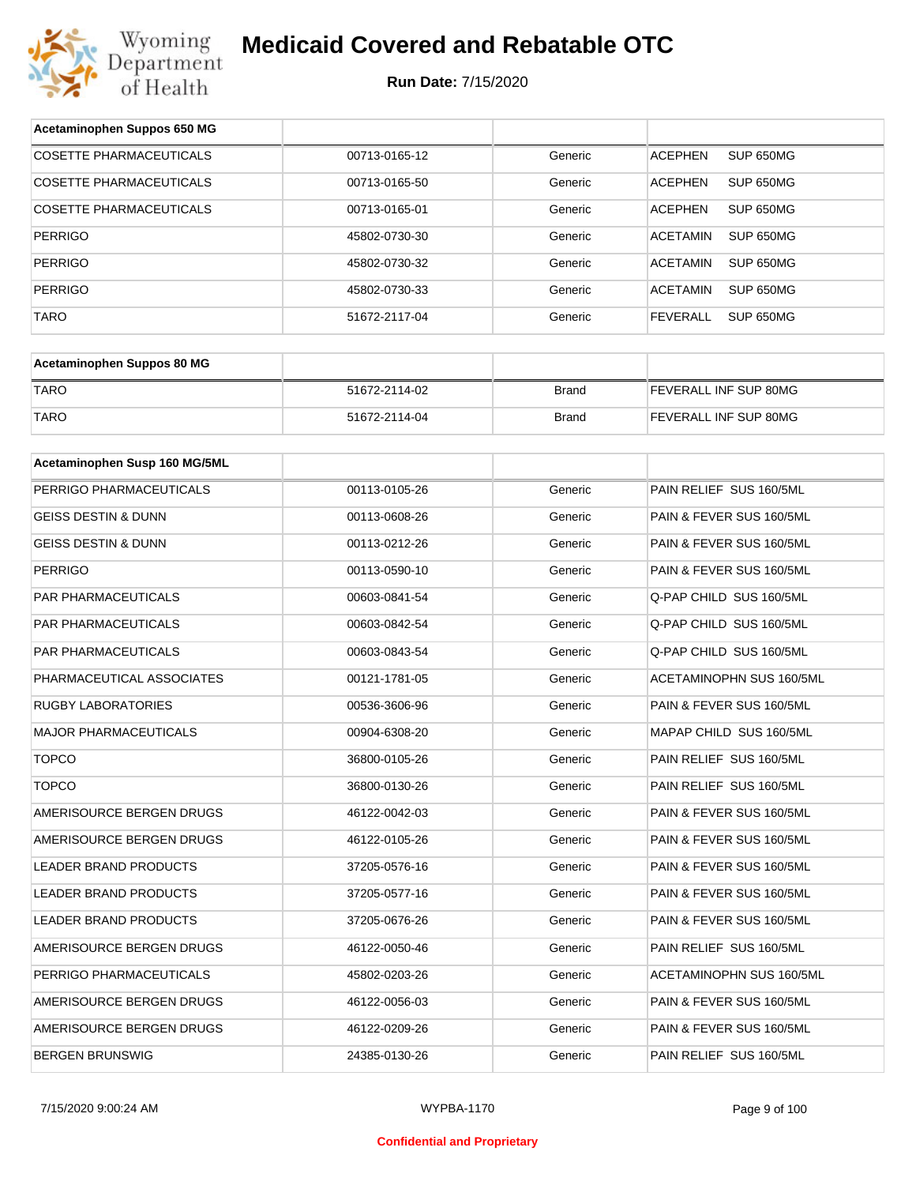

| Acetaminophen Suppos 650 MG    |               |              |                                     |
|--------------------------------|---------------|--------------|-------------------------------------|
| <b>COSETTE PHARMACEUTICALS</b> | 00713-0165-12 | Generic      | SUP 650MG<br><b>ACEPHEN</b>         |
| COSETTE PHARMACEUTICALS        | 00713-0165-50 | Generic      | <b>ACEPHEN</b><br>SUP 650MG         |
| COSETTE PHARMACEUTICALS        | 00713-0165-01 | Generic      | <b>ACEPHEN</b><br>SUP 650MG         |
| <b>PERRIGO</b>                 | 45802-0730-30 | Generic      | <b>ACETAMIN</b><br>SUP 650MG        |
| <b>PERRIGO</b>                 | 45802-0730-32 | Generic      | <b>ACETAMIN</b><br>SUP 650MG        |
| <b>PERRIGO</b>                 | 45802-0730-33 | Generic      | <b>ACETAMIN</b><br>SUP 650MG        |
| <b>TARO</b>                    | 51672-2117-04 | Generic      | <b>FEVERALL</b><br><b>SUP 650MG</b> |
|                                |               |              |                                     |
| Acetaminophen Suppos 80 MG     |               |              |                                     |
| <b>TARO</b>                    | 51672-2114-02 | <b>Brand</b> | FEVERALL INF SUP 80MG               |
| <b>TARO</b>                    | 51672-2114-04 | <b>Brand</b> | FEVERALL INF SUP 80MG               |
|                                |               |              |                                     |
| Acetaminophen Susp 160 MG/5ML  |               |              |                                     |
| PERRIGO PHARMACEUTICALS        | 00113-0105-26 | Generic      | PAIN RELIEF SUS 160/5ML             |
| <b>GEISS DESTIN &amp; DUNN</b> | 00113-0608-26 | Generic      | PAIN & FEVER SUS 160/5ML            |
| GEISS DESTIN & DUNN            | 00113-0212-26 | Generic      | PAIN & FEVER SUS 160/5ML            |
| <b>PERRIGO</b>                 | 00113-0590-10 | Generic      | PAIN & FEVER SUS 160/5ML            |
| PAR PHARMACEUTICALS            | 00603-0841-54 | Generic      | Q-PAP CHILD SUS 160/5ML             |
| PAR PHARMACEUTICALS            | 00603-0842-54 | Generic      | Q-PAP CHILD SUS 160/5ML             |
| PAR PHARMACEUTICALS            | 00603-0843-54 | Generic      | Q-PAP CHILD SUS 160/5ML             |
| PHARMACEUTICAL ASSOCIATES      | 00121-1781-05 | Generic      | ACETAMINOPHN SUS 160/5ML            |
| <b>RUGBY LABORATORIES</b>      | 00536-3606-96 | Generic      | PAIN & FEVER SUS 160/5ML            |
| MAJOR PHARMACEUTICALS          | 00904-6308-20 | Generic      | MAPAP CHILD SUS 160/5ML             |
| <b>TOPCO</b>                   | 36800-0105-26 | Generic      | PAIN RELIEF SUS 160/5ML             |
| <b>TOPCO</b>                   | 36800-0130-26 | Generic      | PAIN RELIEF SUS 160/5ML             |
| AMERISOURCE BERGEN DRUGS       | 46122-0042-03 | Generic      | PAIN & FEVER SUS 160/5ML            |
| AMERISOURCE BERGEN DRUGS       | 46122-0105-26 | Generic      | PAIN & FEVER SUS 160/5ML            |
| LEADER BRAND PRODUCTS          | 37205-0576-16 | Generic      | PAIN & FEVER SUS 160/5ML            |
| LEADER BRAND PRODUCTS          | 37205-0577-16 | Generic      | PAIN & FEVER SUS 160/5ML            |
| LEADER BRAND PRODUCTS          | 37205-0676-26 | Generic      | PAIN & FEVER SUS 160/5ML            |
| AMERISOURCE BERGEN DRUGS       | 46122-0050-46 | Generic      | PAIN RELIEF SUS 160/5ML             |
| PERRIGO PHARMACEUTICALS        | 45802-0203-26 | Generic      | ACETAMINOPHN SUS 160/5ML            |
| AMERISOURCE BERGEN DRUGS       | 46122-0056-03 | Generic      | PAIN & FEVER SUS 160/5ML            |
| AMERISOURCE BERGEN DRUGS       | 46122-0209-26 | Generic      | PAIN & FEVER SUS 160/5ML            |
| BERGEN BRUNSWIG                | 24385-0130-26 | Generic      | PAIN RELIEF SUS 160/5ML             |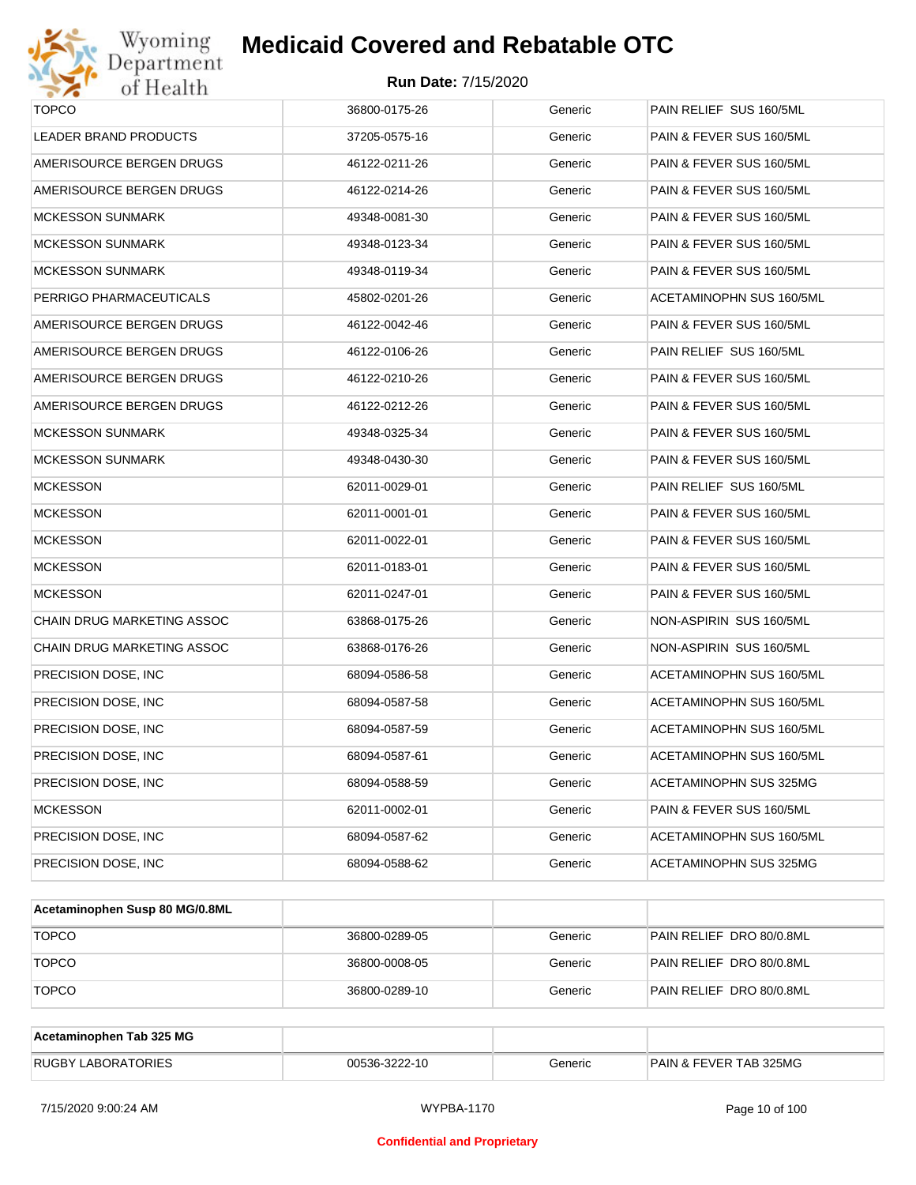



| <b>TOPCO</b>               | 36800-0175-26 | Generic | PAIN RELIEF SUS 160/5ML  |
|----------------------------|---------------|---------|--------------------------|
| LEADER BRAND PRODUCTS      | 37205-0575-16 | Generic | PAIN & FEVER SUS 160/5ML |
| AMERISOURCE BERGEN DRUGS   | 46122-0211-26 | Generic | PAIN & FEVER SUS 160/5ML |
| AMERISOURCE BERGEN DRUGS   | 46122-0214-26 | Generic | PAIN & FEVER SUS 160/5ML |
| <b>MCKESSON SUNMARK</b>    | 49348-0081-30 | Generic | PAIN & FEVER SUS 160/5ML |
| <b>MCKESSON SUNMARK</b>    | 49348-0123-34 | Generic | PAIN & FEVER SUS 160/5ML |
| <b>MCKESSON SUNMARK</b>    | 49348-0119-34 | Generic | PAIN & FEVER SUS 160/5ML |
| PERRIGO PHARMACEUTICALS    | 45802-0201-26 | Generic | ACETAMINOPHN SUS 160/5ML |
| AMERISOURCE BERGEN DRUGS   | 46122-0042-46 | Generic | PAIN & FEVER SUS 160/5ML |
| AMERISOURCE BERGEN DRUGS   | 46122-0106-26 | Generic | PAIN RELIEF SUS 160/5ML  |
| AMERISOURCE BERGEN DRUGS   | 46122-0210-26 | Generic | PAIN & FEVER SUS 160/5ML |
| AMERISOURCE BERGEN DRUGS   | 46122-0212-26 | Generic | PAIN & FEVER SUS 160/5ML |
| <b>MCKESSON SUNMARK</b>    | 49348-0325-34 | Generic | PAIN & FEVER SUS 160/5ML |
| <b>MCKESSON SUNMARK</b>    | 49348-0430-30 | Generic | PAIN & FEVER SUS 160/5ML |
| <b>MCKESSON</b>            | 62011-0029-01 | Generic | PAIN RELIEF SUS 160/5ML  |
| <b>MCKESSON</b>            | 62011-0001-01 | Generic | PAIN & FEVER SUS 160/5ML |
| <b>MCKESSON</b>            | 62011-0022-01 | Generic | PAIN & FEVER SUS 160/5ML |
| <b>MCKESSON</b>            | 62011-0183-01 | Generic | PAIN & FEVER SUS 160/5ML |
| <b>MCKESSON</b>            | 62011-0247-01 | Generic | PAIN & FEVER SUS 160/5ML |
| CHAIN DRUG MARKETING ASSOC | 63868-0175-26 | Generic | NON-ASPIRIN SUS 160/5ML  |
| CHAIN DRUG MARKETING ASSOC | 63868-0176-26 | Generic | NON-ASPIRIN SUS 160/5ML  |
| PRECISION DOSE, INC        | 68094-0586-58 | Generic | ACETAMINOPHN SUS 160/5ML |
| PRECISION DOSE, INC.       | 68094-0587-58 | Generic | ACETAMINOPHN SUS 160/5ML |
| PRECISION DOSE, INC.       | 68094-0587-59 | Generic | ACETAMINOPHN SUS 160/5ML |
| PRECISION DOSE, INC        | 68094-0587-61 | Generic | ACETAMINOPHN SUS 160/5ML |
| PRECISION DOSE, INC        | 68094-0588-59 | Generic | ACETAMINOPHN SUS 325MG   |
| <b>MCKESSON</b>            | 62011-0002-01 | Generic | PAIN & FEVER SUS 160/5ML |
| PRECISION DOSE, INC.       | 68094-0587-62 | Generic | ACETAMINOPHN SUS 160/5ML |
| PRECISION DOSE, INC.       | 68094-0588-62 | Generic | ACETAMINOPHN SUS 325MG   |

| Acetaminophen Susp 80 MG/0.8ML |               |         |                          |
|--------------------------------|---------------|---------|--------------------------|
| <b>TOPCO</b>                   | 36800-0289-05 | Generic | PAIN RELIEF DRO 80/0.8ML |
| <b>TOPCO</b>                   | 36800-0008-05 | Generic | PAIN RELIEF DRO 80/0.8ML |
| <b>TOPCO</b>                   | 36800-0289-10 | Generic | PAIN RELIEF DRO 80/0.8ML |

| Acetaminophen Tab 325 MG  |               |         |                                   |
|---------------------------|---------------|---------|-----------------------------------|
| <b>RUGBY LABORATORIES</b> | 00536-3222-10 | Generic | <b>PAIN &amp; FEVER TAB 325MG</b> |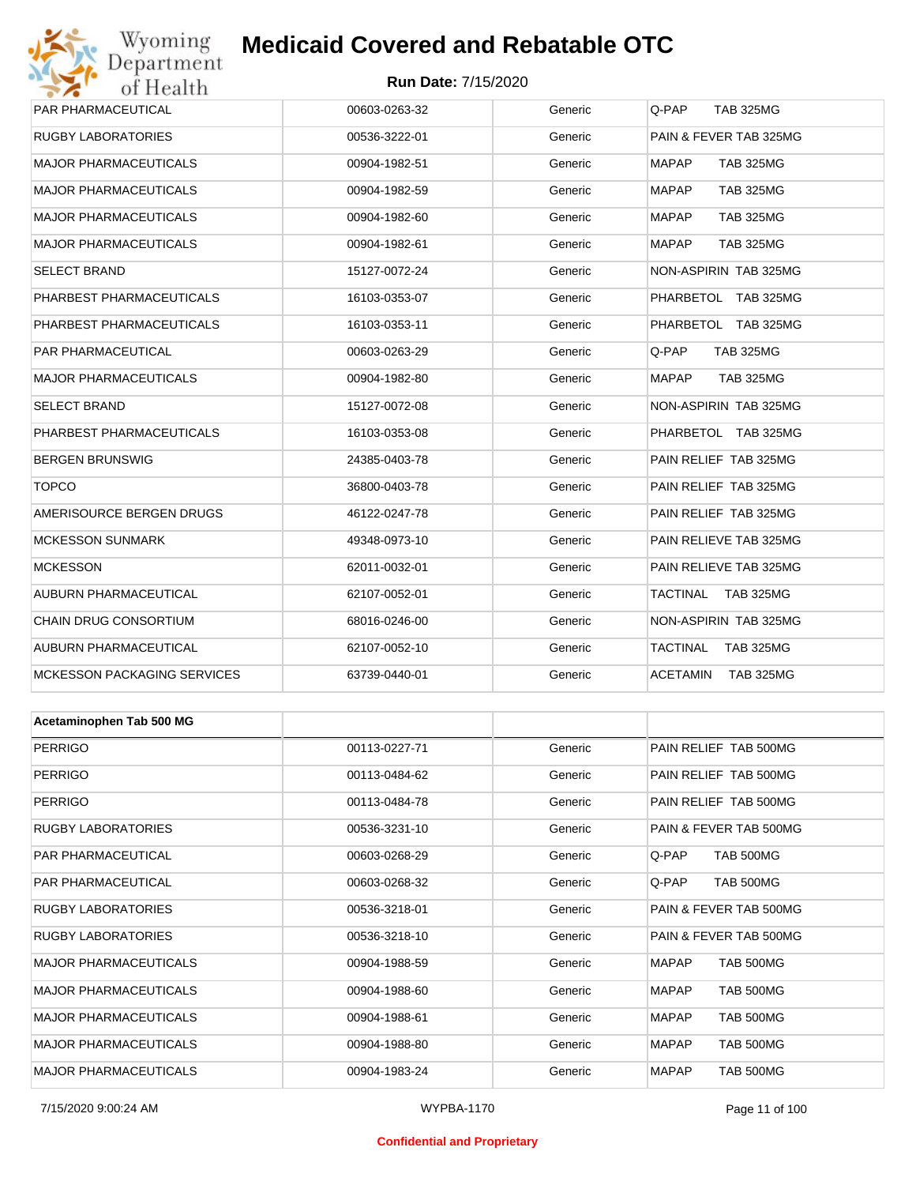## Wyoming<br>Department<br>of Health **Medicaid Covered and Rebatable OTC**

#### **Run Date:** 7/15/2020

| <b>PAR PHARMACEUTICAL</b>          | 00603-0263-32 | Generic | Q-PAP<br><b>TAB 325MG</b>           |
|------------------------------------|---------------|---------|-------------------------------------|
| <b>RUGBY LABORATORIES</b>          | 00536-3222-01 | Generic | PAIN & FEVER TAB 325MG              |
| <b>MAJOR PHARMACEUTICALS</b>       | 00904-1982-51 | Generic | <b>MAPAP</b><br><b>TAB 325MG</b>    |
| <b>MAJOR PHARMACEUTICALS</b>       | 00904-1982-59 | Generic | <b>MAPAP</b><br><b>TAB 325MG</b>    |
| <b>MAJOR PHARMACEUTICALS</b>       | 00904-1982-60 | Generic | <b>MAPAP</b><br><b>TAB 325MG</b>    |
| <b>MAJOR PHARMACEUTICALS</b>       | 00904-1982-61 | Generic | <b>MAPAP</b><br><b>TAB 325MG</b>    |
| <b>SELECT BRAND</b>                | 15127-0072-24 | Generic | NON-ASPIRIN TAB 325MG               |
| PHARBEST PHARMACEUTICALS           | 16103-0353-07 | Generic | PHARBETOL TAB 325MG                 |
| PHARBEST PHARMACEUTICALS           | 16103-0353-11 | Generic | PHARBETOL TAB 325MG                 |
| PAR PHARMACEUTICAL                 | 00603-0263-29 | Generic | Q-PAP<br><b>TAB 325MG</b>           |
| <b>MAJOR PHARMACEUTICALS</b>       | 00904-1982-80 | Generic | <b>MAPAP</b><br><b>TAB 325MG</b>    |
| <b>SELECT BRAND</b>                | 15127-0072-08 | Generic | NON-ASPIRIN TAB 325MG               |
| PHARBEST PHARMACEUTICALS           | 16103-0353-08 | Generic | PHARBETOL TAB 325MG                 |
| <b>BERGEN BRUNSWIG</b>             | 24385-0403-78 | Generic | PAIN RELIEF TAB 325MG               |
| <b>TOPCO</b>                       | 36800-0403-78 | Generic | PAIN RELIEF TAB 325MG               |
| AMERISOURCE BERGEN DRUGS           | 46122-0247-78 | Generic | PAIN RELIEF TAB 325MG               |
| <b>MCKESSON SUNMARK</b>            | 49348-0973-10 | Generic | PAIN RELIEVE TAB 325MG              |
| <b>MCKESSON</b>                    | 62011-0032-01 | Generic | PAIN RELIEVE TAB 325MG              |
| AUBURN PHARMACEUTICAL              | 62107-0052-01 | Generic | <b>TACTINAL</b><br><b>TAB 325MG</b> |
| <b>CHAIN DRUG CONSORTIUM</b>       | 68016-0246-00 | Generic | NON-ASPIRIN TAB 325MG               |
| AUBURN PHARMACEUTICAL              | 62107-0052-10 | Generic | <b>TACTINAL</b><br><b>TAB 325MG</b> |
| <b>MCKESSON PACKAGING SERVICES</b> | 63739-0440-01 | Generic | <b>ACETAMIN</b><br><b>TAB 325MG</b> |
|                                    |               |         |                                     |
| Acetaminophen Tab 500 MG           |               |         |                                     |
| <b>PERRIGO</b>                     | 00113-0227-71 | Generic | PAIN RELIEF TAB 500MG               |
| PERRIGO                            | 00113-0484-62 | Generic | PAIN RELIEF TAB 500MG               |
| <b>PERRIGO</b>                     | 00113-0484-78 | Generic | PAIN RELIEF TAB 500MG               |
| <b>RUGBY LABORATORIES</b>          | 00536-3231-10 | Generic | PAIN & FEVER TAB 500MG              |
| PAR PHARMACEUTICAL                 | 00603-0268-29 | Generic | <b>TAB 500MG</b><br>Q-PAP.          |
| <b>PAR PHARMACEUTICAL</b>          | 00603-0268-32 | Generic | Q-PAP<br>TAB 500MG                  |
| <b>RUGBY LABORATORIES</b>          | 00536-3218-01 | Generic | PAIN & FEVER TAB 500MG              |
| <b>RUGBY LABORATORIES</b>          | 00536-3218-10 | Generic | PAIN & FEVER TAB 500MG              |
| <b>MAJOR PHARMACEUTICALS</b>       | 00904-1988-59 | Generic | TAB 500MG<br>MAPAP                  |
| <b>MAJOR PHARMACEUTICALS</b>       | 00904-1988-60 | Generic | TAB 500MG<br>MAPAP                  |
| <b>MAJOR PHARMACEUTICALS</b>       | 00904-1988-61 | Generic | TAB 500MG<br>MAPAP                  |
| <b>MAJOR PHARMACEUTICALS</b>       | 00904-1988-80 | Generic | <b>MAPAP</b><br>TAB 500MG           |
| MAJOR PHARMACEUTICALS              | 00904-1983-24 | Generic | <b>MAPAP</b><br>TAB 500MG           |

#### **Confidential and Proprietary**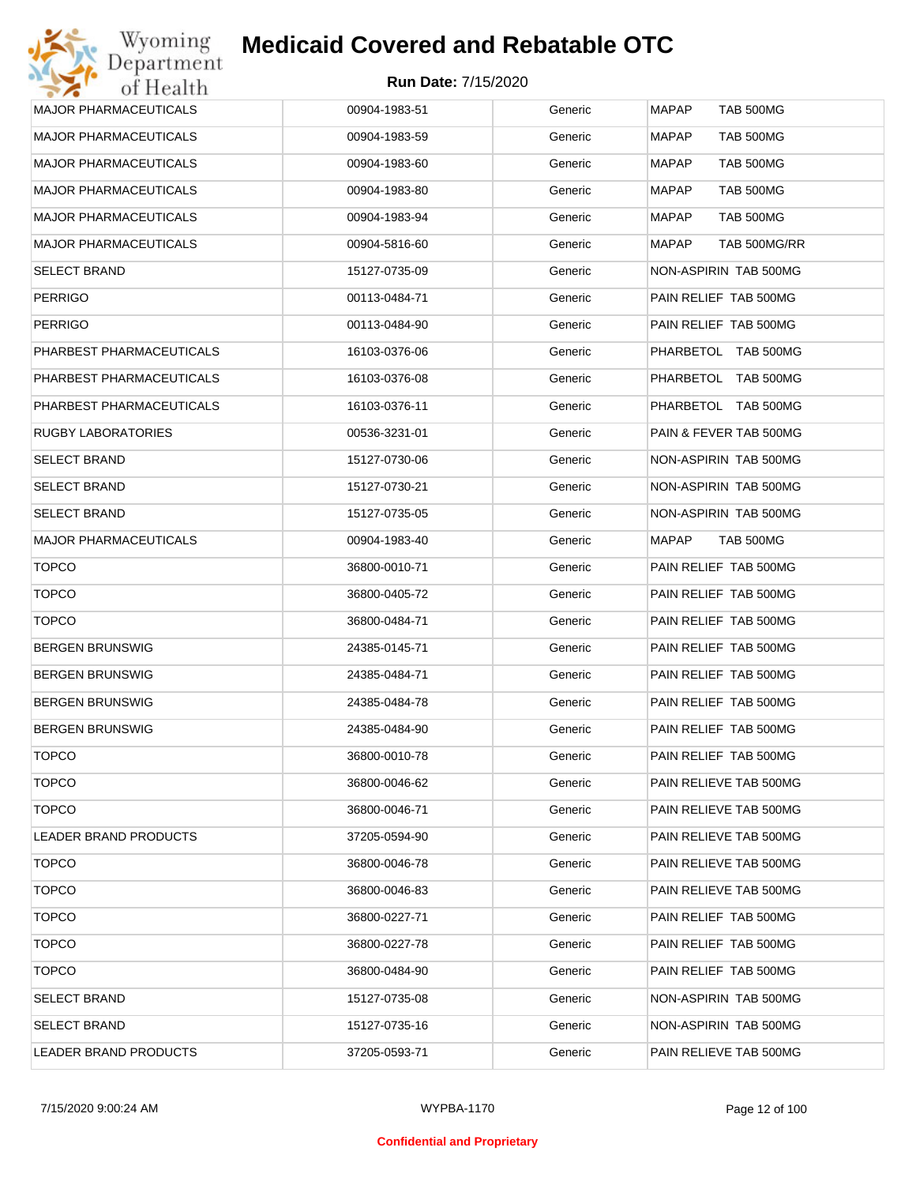| <b>MAJOR PHARMACEUTICALS</b> | 00904-1983-51 | Generic | <b>MAPAP</b><br><b>TAB 500MG</b> |
|------------------------------|---------------|---------|----------------------------------|
| <b>MAJOR PHARMACEUTICALS</b> | 00904-1983-59 | Generic | MAPAP<br>TAB 500MG               |
| <b>MAJOR PHARMACEUTICALS</b> | 00904-1983-60 | Generic | MAPAP<br>TAB 500MG               |
| <b>MAJOR PHARMACEUTICALS</b> | 00904-1983-80 | Generic | MAPAP<br><b>TAB 500MG</b>        |
| <b>MAJOR PHARMACEUTICALS</b> | 00904-1983-94 | Generic | MAPAP<br>TAB 500MG               |
| <b>MAJOR PHARMACEUTICALS</b> | 00904-5816-60 | Generic | MAPAP<br>TAB 500MG/RR            |
| <b>SELECT BRAND</b>          | 15127-0735-09 | Generic | NON-ASPIRIN TAB 500MG            |
| <b>PERRIGO</b>               | 00113-0484-71 | Generic | PAIN RELIEF TAB 500MG            |
| <b>PERRIGO</b>               | 00113-0484-90 | Generic | PAIN RELIEF TAB 500MG            |
| PHARBEST PHARMACEUTICALS     | 16103-0376-06 | Generic | PHARBETOL TAB 500MG              |
| PHARBEST PHARMACEUTICALS     | 16103-0376-08 | Generic | PHARBETOL TAB 500MG              |
| PHARBEST PHARMACEUTICALS     | 16103-0376-11 | Generic | PHARBETOL TAB 500MG              |
| <b>RUGBY LABORATORIES</b>    | 00536-3231-01 | Generic | PAIN & FEVER TAB 500MG           |
| <b>SELECT BRAND</b>          | 15127-0730-06 | Generic | NON-ASPIRIN TAB 500MG            |
| <b>SELECT BRAND</b>          | 15127-0730-21 | Generic | NON-ASPIRIN TAB 500MG            |
| <b>SELECT BRAND</b>          | 15127-0735-05 | Generic | NON-ASPIRIN TAB 500MG            |
| <b>MAJOR PHARMACEUTICALS</b> | 00904-1983-40 | Generic | MAPAP<br>TAB 500MG               |
| <b>TOPCO</b>                 | 36800-0010-71 | Generic | PAIN RELIEF TAB 500MG            |
| <b>TOPCO</b>                 | 36800-0405-72 | Generic | PAIN RELIEF TAB 500MG            |
| <b>TOPCO</b>                 | 36800-0484-71 | Generic | PAIN RELIEF TAB 500MG            |
| <b>BERGEN BRUNSWIG</b>       | 24385-0145-71 | Generic | PAIN RELIEF TAB 500MG            |
| <b>BERGEN BRUNSWIG</b>       | 24385-0484-71 | Generic | PAIN RELIEF TAB 500MG            |
| <b>BERGEN BRUNSWIG</b>       | 24385-0484-78 | Generic | PAIN RELIEF TAB 500MG            |
| <b>BERGEN BRUNSWIG</b>       | 24385-0484-90 | Generic | PAIN RELIEF TAB 500MG            |
| <b>TOPCO</b>                 | 36800-0010-78 | Generic | PAIN RELIEF TAB 500MG            |
| <b>TOPCO</b>                 | 36800-0046-62 | Generic | PAIN RELIEVE TAB 500MG           |
| <b>TOPCO</b>                 | 36800-0046-71 | Generic | PAIN RELIEVE TAB 500MG           |
| LEADER BRAND PRODUCTS        | 37205-0594-90 | Generic | PAIN RELIEVE TAB 500MG           |
| <b>TOPCO</b>                 | 36800-0046-78 | Generic | PAIN RELIEVE TAB 500MG           |
| <b>TOPCO</b>                 | 36800-0046-83 | Generic | PAIN RELIEVE TAB 500MG           |
| <b>TOPCO</b>                 | 36800-0227-71 | Generic | PAIN RELIEF TAB 500MG            |
| <b>TOPCO</b>                 | 36800-0227-78 | Generic | PAIN RELIEF TAB 500MG            |
| <b>TOPCO</b>                 | 36800-0484-90 | Generic | PAIN RELIEF TAB 500MG            |
| <b>SELECT BRAND</b>          | 15127-0735-08 | Generic | NON-ASPIRIN TAB 500MG            |
| <b>SELECT BRAND</b>          | 15127-0735-16 | Generic | NON-ASPIRIN TAB 500MG            |
| LEADER BRAND PRODUCTS        | 37205-0593-71 | Generic | PAIN RELIEVE TAB 500MG           |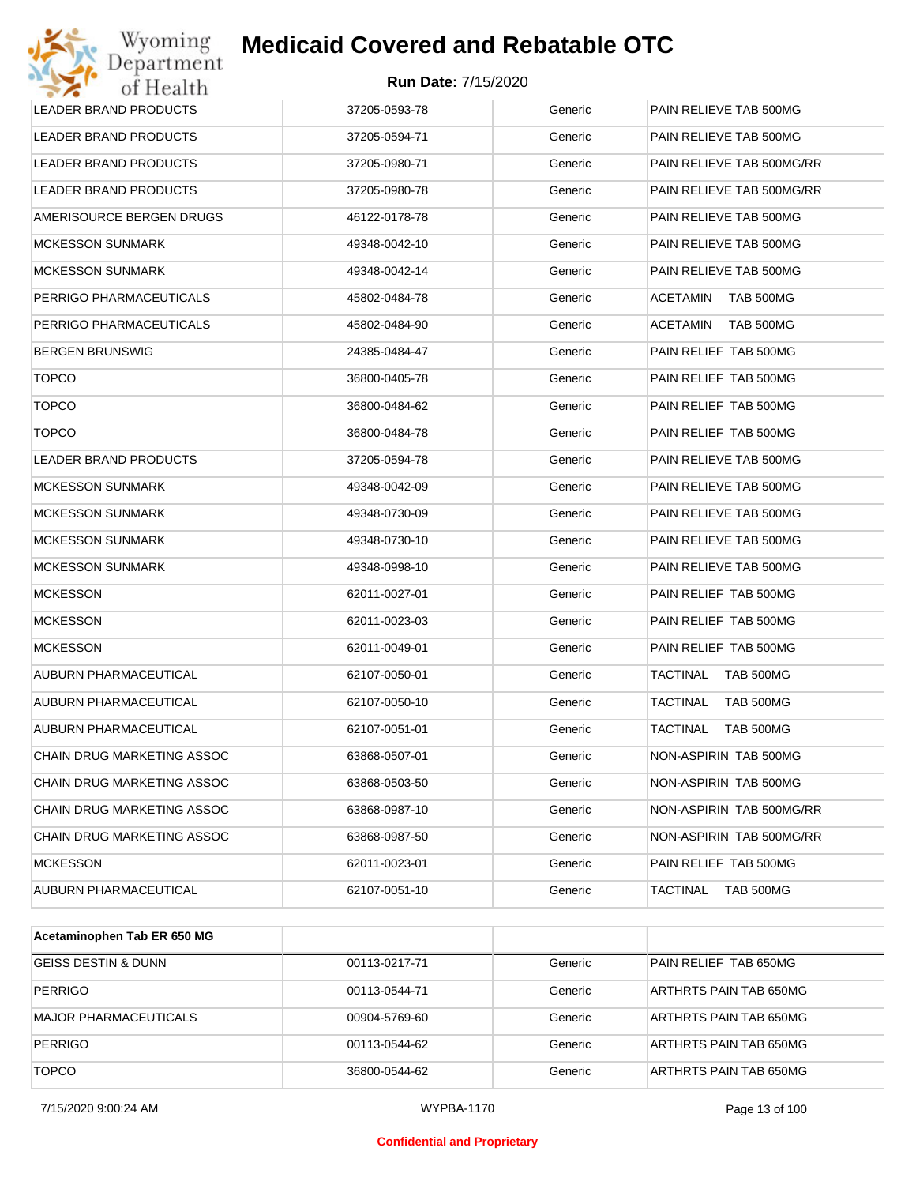| Wyoming<br>Department             | <b>Medicaid Covered and Rebatable OTC</b> |         |                              |
|-----------------------------------|-------------------------------------------|---------|------------------------------|
| of Health                         | <b>Run Date: 7/15/2020</b>                |         |                              |
| <b>LEADER BRAND PRODUCTS</b>      | 37205-0593-78                             | Generic | PAIN RELIEVE TAB 500MG       |
| LEADER BRAND PRODUCTS             | 37205-0594-71                             | Generic | PAIN RELIEVE TAB 500MG       |
| LEADER BRAND PRODUCTS             | 37205-0980-71                             | Generic | PAIN RELIEVE TAB 500MG/RR    |
| LEADER BRAND PRODUCTS             | 37205-0980-78                             | Generic | PAIN RELIEVE TAB 500MG/RR    |
| AMERISOURCE BERGEN DRUGS          | 46122-0178-78                             | Generic | PAIN RELIEVE TAB 500MG       |
| <b>MCKESSON SUNMARK</b>           | 49348-0042-10                             | Generic | PAIN RELIEVE TAB 500MG       |
| <b>MCKESSON SUNMARK</b>           | 49348-0042-14                             | Generic | PAIN RELIEVE TAB 500MG       |
| PERRIGO PHARMACEUTICALS           | 45802-0484-78                             | Generic | <b>ACETAMIN</b><br>TAB 500MG |
| PERRIGO PHARMACEUTICALS           | 45802-0484-90                             | Generic | <b>ACETAMIN</b><br>TAB 500MG |
| <b>BERGEN BRUNSWIG</b>            | 24385-0484-47                             | Generic | PAIN RELIEF TAB 500MG        |
| <b>TOPCO</b>                      | 36800-0405-78                             | Generic | PAIN RELIEF TAB 500MG        |
| <b>TOPCO</b>                      | 36800-0484-62                             | Generic | PAIN RELIEF TAB 500MG        |
| <b>TOPCO</b>                      | 36800-0484-78                             | Generic | PAIN RELIEF TAB 500MG        |
| <b>LEADER BRAND PRODUCTS</b>      | 37205-0594-78                             | Generic | PAIN RELIEVE TAB 500MG       |
| <b>MCKESSON SUNMARK</b>           | 49348-0042-09                             | Generic | PAIN RELIEVE TAB 500MG       |
| <b>MCKESSON SUNMARK</b>           | 49348-0730-09                             | Generic | PAIN RELIEVE TAB 500MG       |
| <b>MCKESSON SUNMARK</b>           | 49348-0730-10                             | Generic | PAIN RELIEVE TAB 500MG       |
| <b>MCKESSON SUNMARK</b>           | 49348-0998-10                             | Generic | PAIN RELIEVE TAB 500MG       |
| <b>MCKESSON</b>                   | 62011-0027-01                             | Generic | PAIN RELIEF TAB 500MG        |
| <b>MCKESSON</b>                   | 62011-0023-03                             | Generic | PAIN RELIEF TAB 500MG        |
| <b>MCKESSON</b>                   | 62011-0049-01                             | Generic | PAIN RELIEF TAB 500MG        |
| AUBURN PHARMACEUTICAL             | 62107-0050-01                             | Generic | TACTINAL<br>TAB 500MG        |
| AUBURN PHARMACEUTICAL             | 62107-0050-10                             | Generic | <b>TACTINAL</b><br>TAB 500MG |
| AUBURN PHARMACEUTICAL             | 62107-0051-01                             | Generic | TACTINAL<br>TAB 500MG        |
| CHAIN DRUG MARKETING ASSOC        | 63868-0507-01                             | Generic | NON-ASPIRIN TAB 500MG        |
| CHAIN DRUG MARKETING ASSOC        | 63868-0503-50                             | Generic | NON-ASPIRIN TAB 500MG        |
| CHAIN DRUG MARKETING ASSOC        | 63868-0987-10                             | Generic | NON-ASPIRIN TAB 500MG/RR     |
| <b>CHAIN DRUG MARKETING ASSOC</b> | 63868-0987-50                             | Generic | NON-ASPIRIN TAB 500MG/RR     |
| <b>MCKESSON</b>                   | 62011-0023-01                             | Generic | PAIN RELIEF TAB 500MG        |
| AUBURN PHARMACEUTICAL             | 62107-0051-10                             | Generic | TACTINAL<br>TAB 500MG        |
|                                   |                                           |         |                              |

| Acetaminophen Tab ER 650 MG    |               |         |                        |
|--------------------------------|---------------|---------|------------------------|
| <b>GEISS DESTIN &amp; DUNN</b> | 00113-0217-71 | Generic | PAIN RELIEF TAB 650MG  |
| <b>PERRIGO</b>                 | 00113-0544-71 | Generic | ARTHRTS PAIN TAB 650MG |
| MAJOR PHARMACEUTICALS          | 00904-5769-60 | Generic | ARTHRTS PAIN TAB 650MG |
| <b>PERRIGO</b>                 | 00113-0544-62 | Generic | ARTHRTS PAIN TAB 650MG |
| <b>TOPCO</b>                   | 36800-0544-62 | Generic | ARTHRTS PAIN TAB 650MG |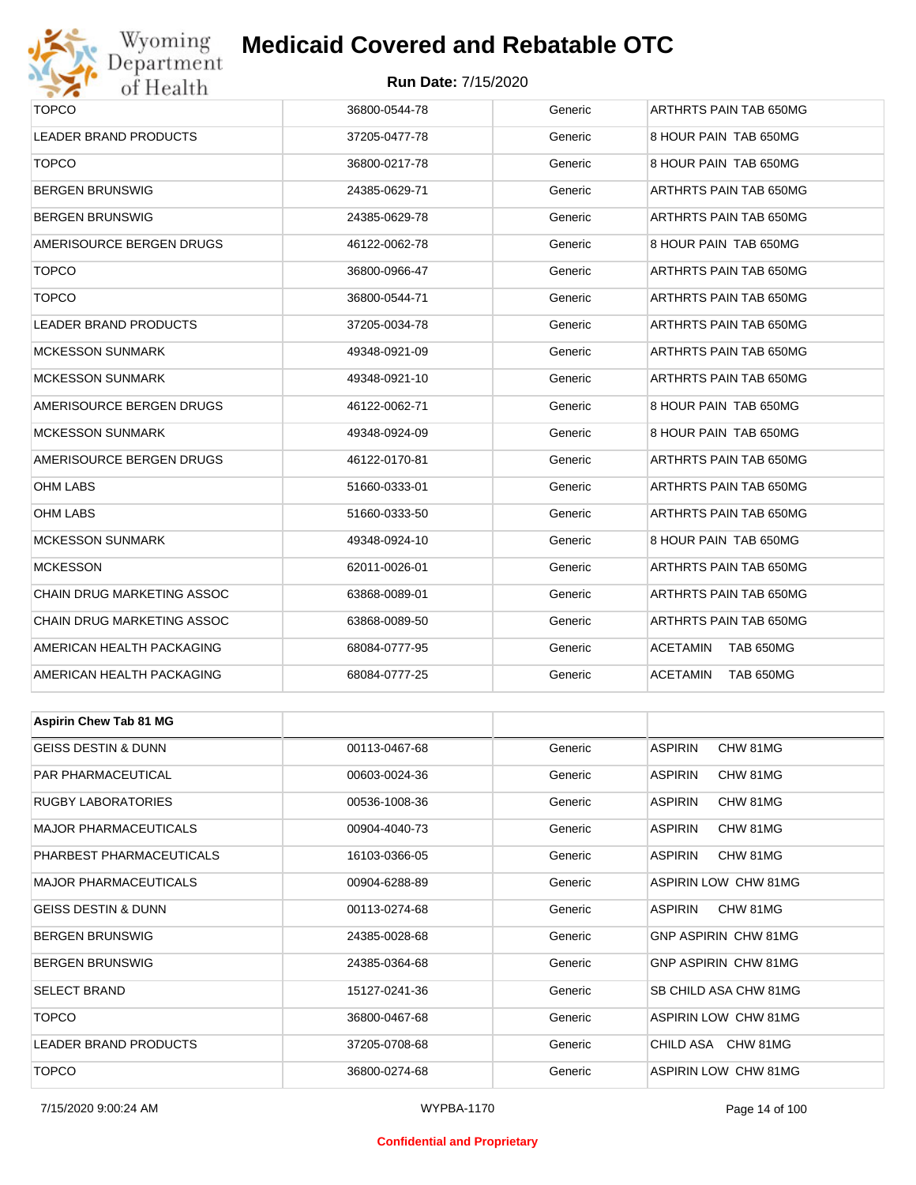

#### **Run Date:** 7/15/2020

| $\bullet$ $\bullet$<br><b>OF TEOGRAPH</b> |               |         |                                     |  |  |
|-------------------------------------------|---------------|---------|-------------------------------------|--|--|
| <b>TOPCO</b>                              | 36800-0544-78 | Generic | ARTHRTS PAIN TAB 650MG              |  |  |
| LEADER BRAND PRODUCTS                     | 37205-0477-78 | Generic | 8 HOUR PAIN TAB 650MG               |  |  |
| <b>TOPCO</b>                              | 36800-0217-78 | Generic | 8 HOUR PAIN TAB 650MG               |  |  |
| <b>BERGEN BRUNSWIG</b>                    | 24385-0629-71 | Generic | ARTHRTS PAIN TAB 650MG              |  |  |
| BERGEN BRUNSWIG                           | 24385-0629-78 | Generic | ARTHRTS PAIN TAB 650MG              |  |  |
| AMERISOURCE BERGEN DRUGS                  | 46122-0062-78 | Generic | 8 HOUR PAIN TAB 650MG               |  |  |
| <b>TOPCO</b>                              | 36800-0966-47 | Generic | ARTHRTS PAIN TAB 650MG              |  |  |
| <b>TOPCO</b>                              | 36800-0544-71 | Generic | ARTHRTS PAIN TAB 650MG              |  |  |
| LEADER BRAND PRODUCTS                     | 37205-0034-78 | Generic | ARTHRTS PAIN TAB 650MG              |  |  |
| <b>MCKESSON SUNMARK</b>                   | 49348-0921-09 | Generic | ARTHRTS PAIN TAB 650MG              |  |  |
| MCKESSON SUNMARK                          | 49348-0921-10 | Generic | ARTHRTS PAIN TAB 650MG              |  |  |
| AMERISOURCE BERGEN DRUGS                  | 46122-0062-71 | Generic | 8 HOUR PAIN TAB 650MG               |  |  |
| MCKESSON SUNMARK                          | 49348-0924-09 | Generic | 8 HOUR PAIN TAB 650MG               |  |  |
| AMERISOURCE BERGEN DRUGS                  | 46122-0170-81 | Generic | ARTHRTS PAIN TAB 650MG              |  |  |
| OHM LABS                                  | 51660-0333-01 | Generic | ARTHRTS PAIN TAB 650MG              |  |  |
| OHM LABS                                  | 51660-0333-50 | Generic | ARTHRTS PAIN TAB 650MG              |  |  |
| MCKESSON SUNMARK                          | 49348-0924-10 | Generic | 8 HOUR PAIN TAB 650MG               |  |  |
| <b>MCKESSON</b>                           | 62011-0026-01 | Generic | ARTHRTS PAIN TAB 650MG              |  |  |
| CHAIN DRUG MARKETING ASSOC                | 63868-0089-01 | Generic | ARTHRTS PAIN TAB 650MG              |  |  |
| CHAIN DRUG MARKETING ASSOC                | 63868-0089-50 | Generic | ARTHRTS PAIN TAB 650MG              |  |  |
| AMERICAN HEALTH PACKAGING                 | 68084-0777-95 | Generic | ACETAMIN<br>TAB 650MG               |  |  |
| AMERICAN HEALTH PACKAGING                 | 68084-0777-25 | Generic | <b>ACETAMIN</b><br><b>TAB 650MG</b> |  |  |
|                                           |               |         |                                     |  |  |
| <b>Aspirin Chew Tab 81 MG</b>             |               |         |                                     |  |  |
| <b>GEISS DESTIN &amp; DUNN</b>            | 00113-0467-68 | Generic | <b>ASPIRIN</b><br>CHW 81MG          |  |  |
| PAR PHARMACEUTICAL                        | 00603-0024-36 | Generic | <b>ASPIRIN</b><br>CHW 81MG          |  |  |
| <b>RUGBY LABORATORIES</b>                 | 00536-1008-36 | Generic | <b>ASPIRIN</b><br>CHW 81MG          |  |  |
| MAJOR PHARMACEUTICALS                     | 00904-4040-73 | Generic | ASPIRIN<br>CHW 81MG                 |  |  |
| PHARBEST PHARMACEUTICALS                  | 16103-0366-05 | Generic | ASPIRIN<br>CHW 81MG                 |  |  |
| MAJOR PHARMACEUTICALS                     | 00904-6288-89 | Generic | <b>ASPIRIN LOW CHW 81MG</b>         |  |  |
| GEISS DESTIN & DUNN                       | 00113-0274-68 | Generic | ASPIRIN<br>CHW 81MG                 |  |  |
| <b>BERGEN BRUNSWIG</b>                    | 24385-0028-68 | Generic | <b>GNP ASPIRIN CHW 81MG</b>         |  |  |
| BERGEN BRUNSWIG                           | 24385-0364-68 | Generic | <b>GNP ASPIRIN CHW 81MG</b>         |  |  |
| SELECT BRAND                              | 15127-0241-36 | Generic | SB CHILD ASA CHW 81MG               |  |  |
| <b>TOPCO</b>                              | 36800-0467-68 | Generic | ASPIRIN LOW CHW 81MG                |  |  |

7/15/2020 9:00:24 AM WYPBA-1170 Page 14 of 100

LEADER BRAND PRODUCTS **1989 1200 1200 137205-0708-68** Generic CHILD ASA CHW 81MG TOPCO 36800-0274-68 Generic ASPIRIN LOW CHW 81MG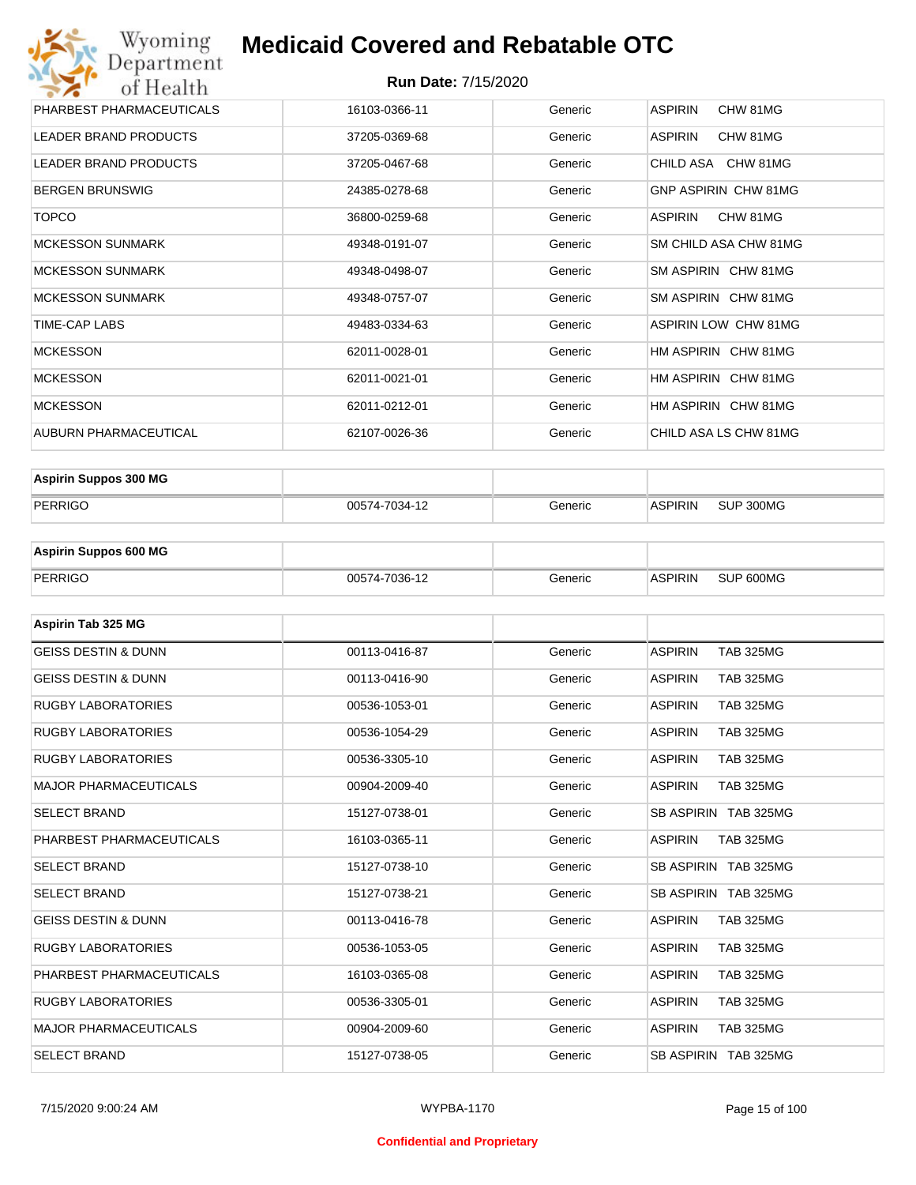#### **Run Date:** 7/15/2020

| Wyoming<br>Department                   | <b>Medicaid Covered and Rebatable OTC</b> |         |                             |  |  |
|-----------------------------------------|-------------------------------------------|---------|-----------------------------|--|--|
| <b>Run Date: 7/15/2020</b><br>of Health |                                           |         |                             |  |  |
| PHARBEST PHARMACEUTICALS                | 16103-0366-11                             | Generic | <b>ASPIRIN</b><br>CHW 81MG  |  |  |
| <b>LEADER BRAND PRODUCTS</b>            | 37205-0369-68                             | Generic | <b>ASPIRIN</b><br>CHW 81MG  |  |  |
| <b>LEADER BRAND PRODUCTS</b>            | 37205-0467-68                             | Generic | CHILD ASA CHW 81MG          |  |  |
| <b>BERGEN BRUNSWIG</b>                  | 24385-0278-68                             | Generic | GNP ASPIRIN CHW 81MG        |  |  |
| <b>TOPCO</b>                            | 36800-0259-68                             | Generic | <b>ASPIRIN</b><br>CHW 81MG  |  |  |
| <b>MCKESSON SUNMARK</b>                 | 49348-0191-07                             | Generic | SM CHILD ASA CHW 81MG       |  |  |
| <b>MCKESSON SUNMARK</b>                 | 49348-0498-07                             | Generic | SM ASPIRIN CHW 81MG         |  |  |
| <b>MCKESSON SUNMARK</b>                 | 49348-0757-07                             | Generic | SM ASPIRIN CHW 81MG         |  |  |
| <b>TIME-CAP LABS</b>                    | 49483-0334-63                             | Generic | <b>ASPIRIN LOW CHW 81MG</b> |  |  |
| <b>MCKESSON</b>                         | 62011-0028-01                             | Generic | HM ASPIRIN CHW 81MG         |  |  |
| <b>MCKESSON</b>                         | 62011-0021-01                             | Generic | HM ASPIRIN CHW 81MG         |  |  |
| <b>MCKESSON</b>                         | 62011-0212-01                             | Generic | HM ASPIRIN CHW 81MG         |  |  |
| AUBURN PHARMACEUTICAL                   | 62107-0026-36                             | Generic | CHILD ASA LS CHW 81MG       |  |  |

| <b>Aspirin Suppos 300 MG</b> |               |         |                |           |
|------------------------------|---------------|---------|----------------|-----------|
| PERRIGO                      | 00574-7034-12 | Generic | <b>ASPIRIN</b> | SUP 300MG |

| <b>Aspirin Suppos 600 MG</b> |               |         |                |           |
|------------------------------|---------------|---------|----------------|-----------|
| PERRIGO                      | 00574-7036-12 | Generic | <b>ASPIRIN</b> | SUP 600MG |

| Aspirin Tab 325 MG             |               |         |                                    |
|--------------------------------|---------------|---------|------------------------------------|
| <b>GEISS DESTIN &amp; DUNN</b> | 00113-0416-87 | Generic | <b>ASPIRIN</b><br><b>TAB 325MG</b> |
| <b>GEISS DESTIN &amp; DUNN</b> | 00113-0416-90 | Generic | <b>ASPIRIN</b><br><b>TAB 325MG</b> |
| <b>RUGBY LABORATORIES</b>      | 00536-1053-01 | Generic | <b>ASPIRIN</b><br><b>TAB 325MG</b> |
| <b>RUGBY LABORATORIES</b>      | 00536-1054-29 | Generic | <b>ASPIRIN</b><br><b>TAB 325MG</b> |
| <b>RUGBY LABORATORIES</b>      | 00536-3305-10 | Generic | <b>ASPIRIN</b><br><b>TAB 325MG</b> |
| <b>MAJOR PHARMACEUTICALS</b>   | 00904-2009-40 | Generic | <b>ASPIRIN</b><br><b>TAB 325MG</b> |
| <b>SELECT BRAND</b>            | 15127-0738-01 | Generic | SB ASPIRIN TAB 325MG               |
| PHARBEST PHARMACEUTICALS       | 16103-0365-11 | Generic | <b>ASPIRIN</b><br><b>TAB 325MG</b> |
| <b>SELECT BRAND</b>            | 15127-0738-10 | Generic | SB ASPIRIN TAB 325MG               |
| <b>SELECT BRAND</b>            | 15127-0738-21 | Generic | SB ASPIRIN TAB 325MG               |
| <b>GEISS DESTIN &amp; DUNN</b> | 00113-0416-78 | Generic | <b>ASPIRIN</b><br><b>TAB 325MG</b> |
| <b>RUGBY LABORATORIES</b>      | 00536-1053-05 | Generic | <b>ASPIRIN</b><br><b>TAB 325MG</b> |
| PHARBEST PHARMACEUTICALS       | 16103-0365-08 | Generic | <b>ASPIRIN</b><br><b>TAB 325MG</b> |
| <b>RUGBY LABORATORIES</b>      | 00536-3305-01 | Generic | <b>ASPIRIN</b><br><b>TAB 325MG</b> |
| <b>MAJOR PHARMACEUTICALS</b>   | 00904-2009-60 | Generic | <b>ASPIRIN</b><br><b>TAB 325MG</b> |
| <b>SELECT BRAND</b>            | 15127-0738-05 | Generic | SB ASPIRIN TAB 325MG               |

#### **Confidential and Proprietary**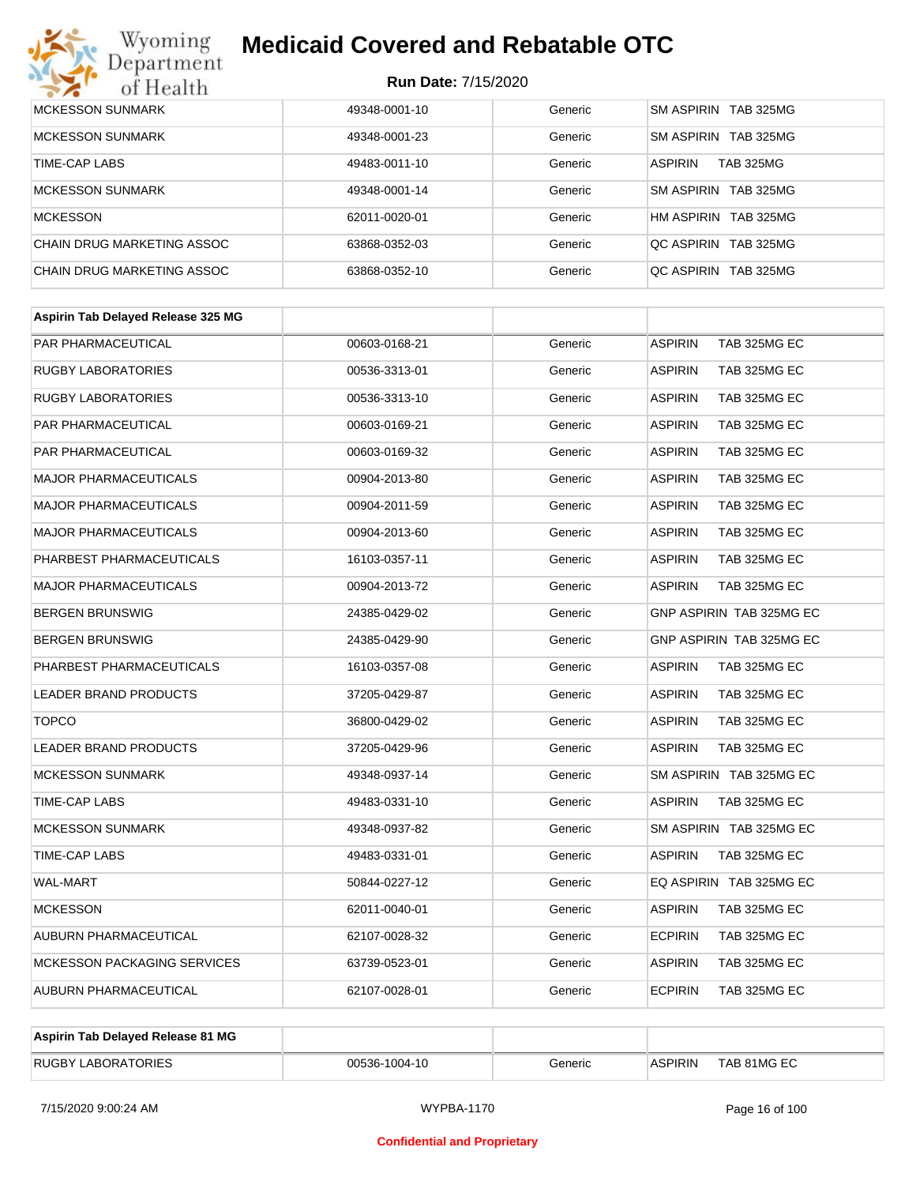

| MCKESSON SUNMARK           | 49348-0001-10 | Generic | SM ASPIRIN TAB 325MG               |
|----------------------------|---------------|---------|------------------------------------|
| <b>MCKESSON SUNMARK</b>    | 49348-0001-23 | Generic | SM ASPIRIN TAB 325MG               |
| TIME-CAP LABS              | 49483-0011-10 | Generic | <b>ASPIRIN</b><br><b>TAB 325MG</b> |
| <b>MCKESSON SUNMARK</b>    | 49348-0001-14 | Generic | SM ASPIRIN TAB 325MG               |
| MCKESSON                   | 62011-0020-01 | Generic | HM ASPIRIN TAB 325MG               |
| CHAIN DRUG MARKETING ASSOC | 63868-0352-03 | Generic | OC ASPIRIN TAB 325MG               |
| CHAIN DRUG MARKETING ASSOC | 63868-0352-10 | Generic | OC ASPIRIN TAB 325MG               |

| Aspirin Tab Delayed Release 325 MG |               |         |                                |
|------------------------------------|---------------|---------|--------------------------------|
| PAR PHARMACEUTICAL                 | 00603-0168-21 | Generic | <b>ASPIRIN</b><br>TAB 325MG EC |
| <b>RUGBY LABORATORIES</b>          | 00536-3313-01 | Generic | <b>ASPIRIN</b><br>TAB 325MG EC |
| <b>RUGBY LABORATORIES</b>          | 00536-3313-10 | Generic | TAB 325MG EC<br><b>ASPIRIN</b> |
| PAR PHARMACEUTICAL                 | 00603-0169-21 | Generic | <b>ASPIRIN</b><br>TAB 325MG EC |
| PAR PHARMACEUTICAL                 | 00603-0169-32 | Generic | TAB 325MG EC<br><b>ASPIRIN</b> |
| <b>MAJOR PHARMACEUTICALS</b>       | 00904-2013-80 | Generic | <b>ASPIRIN</b><br>TAB 325MG EC |
| <b>MAJOR PHARMACEUTICALS</b>       | 00904-2011-59 | Generic | <b>ASPIRIN</b><br>TAB 325MG EC |
| <b>MAJOR PHARMACEUTICALS</b>       | 00904-2013-60 | Generic | <b>ASPIRIN</b><br>TAB 325MG EC |
| PHARBEST PHARMACEUTICALS           | 16103-0357-11 | Generic | <b>ASPIRIN</b><br>TAB 325MG EC |
| <b>MAJOR PHARMACEUTICALS</b>       | 00904-2013-72 | Generic | <b>ASPIRIN</b><br>TAB 325MG EC |
| <b>BERGEN BRUNSWIG</b>             | 24385-0429-02 | Generic | GNP ASPIRIN TAB 325MG EC       |
| <b>BERGEN BRUNSWIG</b>             | 24385-0429-90 | Generic | GNP ASPIRIN TAB 325MG EC       |
| PHARBEST PHARMACEUTICALS           | 16103-0357-08 | Generic | <b>ASPIRIN</b><br>TAB 325MG EC |
| LEADER BRAND PRODUCTS              | 37205-0429-87 | Generic | <b>ASPIRIN</b><br>TAB 325MG EC |
| <b>TOPCO</b>                       | 36800-0429-02 | Generic | <b>ASPIRIN</b><br>TAB 325MG EC |
| <b>LEADER BRAND PRODUCTS</b>       | 37205-0429-96 | Generic | <b>ASPIRIN</b><br>TAB 325MG EC |
| <b>MCKESSON SUNMARK</b>            | 49348-0937-14 | Generic | SM ASPIRIN TAB 325MG EC        |
| TIME-CAP LABS                      | 49483-0331-10 | Generic | <b>ASPIRIN</b><br>TAB 325MG EC |
| <b>MCKESSON SUNMARK</b>            | 49348-0937-82 | Generic | SM ASPIRIN TAB 325MG EC        |
| <b>TIME-CAP LABS</b>               | 49483-0331-01 | Generic | <b>ASPIRIN</b><br>TAB 325MG EC |
| <b>WAL-MART</b>                    | 50844-0227-12 | Generic | EQ ASPIRIN TAB 325MG EC        |
| <b>MCKESSON</b>                    | 62011-0040-01 | Generic | <b>ASPIRIN</b><br>TAB 325MG EC |
| AUBURN PHARMACEUTICAL              | 62107-0028-32 | Generic | <b>ECPIRIN</b><br>TAB 325MG EC |
| <b>MCKESSON PACKAGING SERVICES</b> | 63739-0523-01 | Generic | <b>ASPIRIN</b><br>TAB 325MG EC |
| AUBURN PHARMACEUTICAL              | 62107-0028-01 | Generic | <b>ECPIRIN</b><br>TAB 325MG EC |
|                                    |               |         |                                |

| Aspirin Tab Delayed Release 81 MG |               |         |                |             |
|-----------------------------------|---------------|---------|----------------|-------------|
| <b>RUGBY LABORATORIES</b>         | 00536-1004-10 | Generic | <b>ASPIRIN</b> | TAB 81MG EC |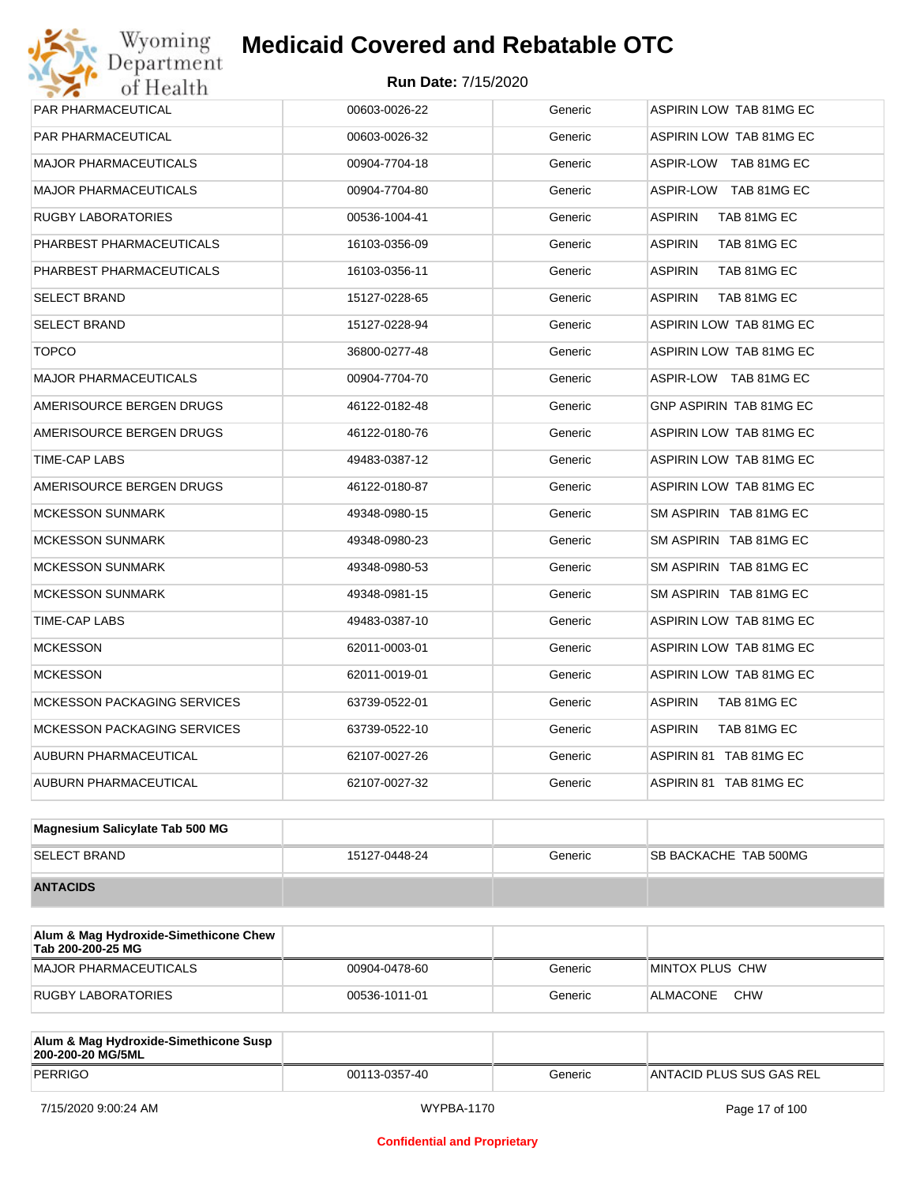| PAR PHARMACEUTICAL                 | 00603-0026-22 | Generic | ASPIRIN LOW TAB 81MG EC        |
|------------------------------------|---------------|---------|--------------------------------|
| PAR PHARMACEUTICAL                 | 00603-0026-32 | Generic | ASPIRIN LOW TAB 81MG EC        |
| <b>MAJOR PHARMACEUTICALS</b>       | 00904-7704-18 | Generic | ASPIR-LOW TAB 81MG EC          |
| <b>MAJOR PHARMACEUTICALS</b>       | 00904-7704-80 | Generic | ASPIR-LOW TAB 81MG EC          |
| <b>RUGBY LABORATORIES</b>          | 00536-1004-41 | Generic | <b>ASPIRIN</b><br>TAB 81MG EC  |
| PHARBEST PHARMACEUTICALS           | 16103-0356-09 | Generic | <b>ASPIRIN</b><br>TAB 81MG EC  |
| PHARBEST PHARMACEUTICALS           | 16103-0356-11 | Generic | <b>ASPIRIN</b><br>TAB 81MG EC  |
| <b>SELECT BRAND</b>                | 15127-0228-65 | Generic | <b>ASPIRIN</b><br>TAB 81MG EC  |
| <b>SELECT BRAND</b>                | 15127-0228-94 | Generic | ASPIRIN LOW TAB 81MG EC        |
| <b>TOPCO</b>                       | 36800-0277-48 | Generic | ASPIRIN LOW TAB 81MG EC        |
| <b>MAJOR PHARMACEUTICALS</b>       | 00904-7704-70 | Generic | ASPIR-LOW TAB 81MG EC          |
| AMERISOURCE BERGEN DRUGS           | 46122-0182-48 | Generic | GNP ASPIRIN TAB 81MG EC        |
| AMERISOURCE BERGEN DRUGS           | 46122-0180-76 | Generic | <b>ASPIRIN LOW TAB 81MG EC</b> |
| TIME-CAP LABS                      | 49483-0387-12 | Generic | ASPIRIN LOW TAB 81MG EC        |
| AMERISOURCE BERGEN DRUGS           | 46122-0180-87 | Generic | ASPIRIN LOW TAB 81MG EC        |
| <b>MCKESSON SUNMARK</b>            | 49348-0980-15 | Generic | SM ASPIRIN TAB 81MG EC         |
| <b>MCKESSON SUNMARK</b>            | 49348-0980-23 | Generic | SM ASPIRIN TAB 81MG EC         |
| <b>MCKESSON SUNMARK</b>            | 49348-0980-53 | Generic | SM ASPIRIN TAB 81MG EC         |
| <b>MCKESSON SUNMARK</b>            | 49348-0981-15 | Generic | SM ASPIRIN TAB 81MG EC         |
| TIME-CAP LABS                      | 49483-0387-10 | Generic | ASPIRIN LOW TAB 81MG EC        |
| <b>MCKESSON</b>                    | 62011-0003-01 | Generic | ASPIRIN LOW TAB 81MG EC        |
| <b>MCKESSON</b>                    | 62011-0019-01 | Generic | ASPIRIN LOW TAB 81MG EC        |
| <b>MCKESSON PACKAGING SERVICES</b> | 63739-0522-01 | Generic | ASPIRIN<br>TAB 81MG EC         |
| <b>MCKESSON PACKAGING SERVICES</b> | 63739-0522-10 | Generic | <b>ASPIRIN</b><br>TAB 81MG EC  |
| AUBURN PHARMACEUTICAL              | 62107-0027-26 | Generic | ASPIRIN 81 TAB 81MG EC         |
| AUBURN PHARMACEUTICAL              | 62107-0027-32 | Generic | ASPIRIN 81 TAB 81MG EC         |
|                                    |               |         |                                |

| Magnesium Salicylate Tab 500 MG |               |         |                              |
|---------------------------------|---------------|---------|------------------------------|
| <b>SELECT BRAND</b>             | 15127-0448-24 | Generic | <b>SB BACKACHE TAB 500MG</b> |
| <b>ANTACIDS</b>                 |               |         |                              |

| Alum & Mag Hydroxide-Simethicone Chew<br>Tab 200-200-25 MG |               |         |                        |
|------------------------------------------------------------|---------------|---------|------------------------|
| MAJOR PHARMACEUTICALS                                      | 00904-0478-60 | Generic | MINTOX PLUS CHW        |
| RUGBY LABORATORIES                                         | 00536-1011-01 | Generic | <b>CHW</b><br>ALMACONE |

| Alum & Mag Hydroxide-Simethicone Susp<br>200-200-20 MG/5ML |               |         |                           |
|------------------------------------------------------------|---------------|---------|---------------------------|
| PERRIGO                                                    | 00113-0357-40 | Generic | IANTACID PLUS SUS GAS REL |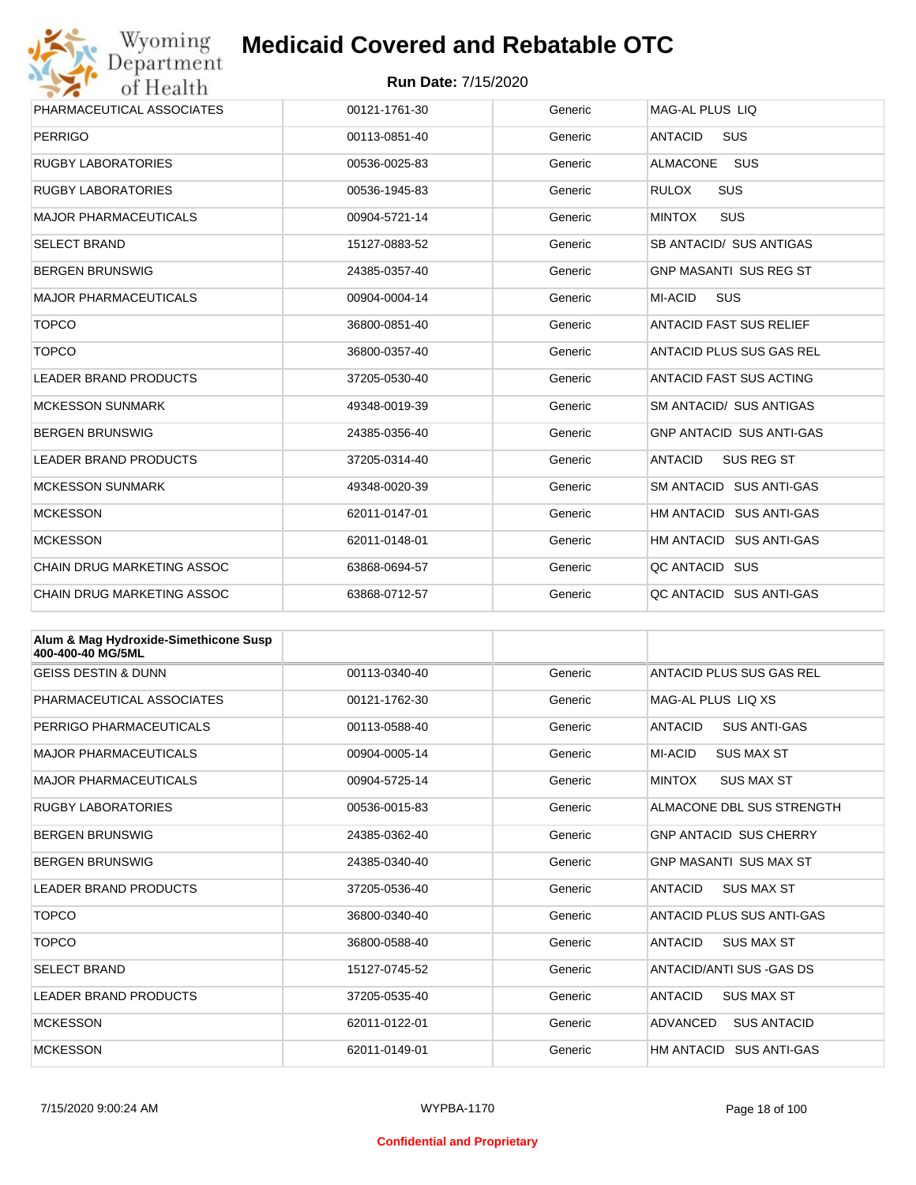

| Wyoming                                               | <b>Medicaid Covered and Rebatable OTC</b> |         |                                     |  |  |
|-------------------------------------------------------|-------------------------------------------|---------|-------------------------------------|--|--|
| Department<br><b>Run Date: 7/15/2020</b><br>of Health |                                           |         |                                     |  |  |
| PHARMACEUTICAL ASSOCIATES                             | 00121-1761-30                             | Generic | MAG-AL PLUS LIQ                     |  |  |
| <b>PERRIGO</b>                                        | 00113-0851-40                             | Generic | SUS<br><b>ANTACID</b>               |  |  |
| <b>RUGBY LABORATORIES</b>                             | 00536-0025-83                             | Generic | <b>ALMACONE</b><br><b>SUS</b>       |  |  |
| <b>RUGBY LABORATORIES</b>                             | 00536-1945-83                             | Generic | <b>SUS</b><br><b>RULOX</b>          |  |  |
| <b>MAJOR PHARMACEUTICALS</b>                          | 00904-5721-14                             | Generic | <b>MINTOX</b><br><b>SUS</b>         |  |  |
| <b>SELECT BRAND</b>                                   | 15127-0883-52                             | Generic | SB ANTACID/ SUS ANTIGAS             |  |  |
| <b>BERGEN BRUNSWIG</b>                                | 24385-0357-40                             | Generic | <b>GNP MASANTI SUS REG ST</b>       |  |  |
| <b>MAJOR PHARMACEUTICALS</b>                          | 00904-0004-14                             | Generic | <b>SUS</b><br>MI-ACID               |  |  |
| <b>TOPCO</b>                                          | 36800-0851-40                             | Generic | <b>ANTACID FAST SUS RELIEF</b>      |  |  |
| <b>TOPCO</b>                                          | 36800-0357-40                             | Generic | ANTACID PLUS SUS GAS REL            |  |  |
| <b>LEADER BRAND PRODUCTS</b>                          | 37205-0530-40                             | Generic | ANTACID FAST SUS ACTING             |  |  |
| <b>MCKESSON SUNMARK</b>                               | 49348-0019-39                             | Generic | <b>SM ANTACID/ SUS ANTIGAS</b>      |  |  |
| <b>BERGEN BRUNSWIG</b>                                | 24385-0356-40                             | Generic | <b>GNP ANTACID SUS ANTI-GAS</b>     |  |  |
| <b>LEADER BRAND PRODUCTS</b>                          | 37205-0314-40                             | Generic | <b>ANTACID</b><br><b>SUS REG ST</b> |  |  |
| <b>MCKESSON SUNMARK</b>                               | 49348-0020-39                             | Generic | SM ANTACID SUS ANTI-GAS             |  |  |
| <b>MCKESSON</b>                                       | 62011-0147-01                             | Generic | HM ANTACID SUS ANTI-GAS             |  |  |
| <b>MCKESSON</b>                                       | 62011-0148-01                             | Generic | HM ANTACID SUS ANTI-GAS             |  |  |
| <b>CHAIN DRUG MARKETING ASSOC</b>                     | 63868-0694-57                             | Generic | QC ANTACID SUS                      |  |  |
| <b>CHAIN DRUG MARKETING ASSOC</b>                     | 63868-0712-57                             | Generic | QC ANTACID SUS ANTI-GAS             |  |  |

| Alum & Mag Hydroxide-Simethicone Susp<br>400-400-40 MG/5ML |               |         |                                       |
|------------------------------------------------------------|---------------|---------|---------------------------------------|
| <b>GEISS DESTIN &amp; DUNN</b>                             | 00113-0340-40 | Generic | ANTACID PLUS SUS GAS REL              |
| PHARMACEUTICAL ASSOCIATES                                  | 00121-1762-30 | Generic | MAG-AL PLUS LIO XS                    |
| PERRIGO PHARMACEUTICALS                                    | 00113-0588-40 | Generic | <b>ANTACID</b><br><b>SUS ANTI-GAS</b> |
| <b>MAJOR PHARMACEUTICALS</b>                               | 00904-0005-14 | Generic | MI-ACID<br><b>SUS MAX ST</b>          |
| <b>MAJOR PHARMACEUTICALS</b>                               | 00904-5725-14 | Generic | <b>MINTOX</b><br><b>SUS MAX ST</b>    |
| <b>RUGBY LABORATORIES</b>                                  | 00536-0015-83 | Generic | ALMACONE DBL SUS STRENGTH             |
| <b>BERGEN BRUNSWIG</b>                                     | 24385-0362-40 | Generic | <b>GNP ANTACID SUS CHERRY</b>         |
| <b>BERGEN BRUNSWIG</b>                                     | 24385-0340-40 | Generic | <b>GNP MASANTI SUS MAX ST</b>         |
| <b>LEADER BRAND PRODUCTS</b>                               | 37205-0536-40 | Generic | <b>ANTACID</b><br><b>SUS MAX ST</b>   |
| <b>TOPCO</b>                                               | 36800-0340-40 | Generic | ANTACID PLUS SUS ANTI-GAS             |
| <b>TOPCO</b>                                               | 36800-0588-40 | Generic | <b>ANTACID</b><br><b>SUS MAX ST</b>   |
| <b>SELECT BRAND</b>                                        | 15127-0745-52 | Generic | ANTACID/ANTI SUS - GAS DS             |
| <b>LEADER BRAND PRODUCTS</b>                               | 37205-0535-40 | Generic | <b>ANTACID</b><br><b>SUS MAX ST</b>   |
| <b>MCKESSON</b>                                            | 62011-0122-01 | Generic | ADVANCED<br><b>SUS ANTACID</b>        |
| <b>MCKESSON</b>                                            | 62011-0149-01 | Generic | HM ANTACID SUS ANTI-GAS               |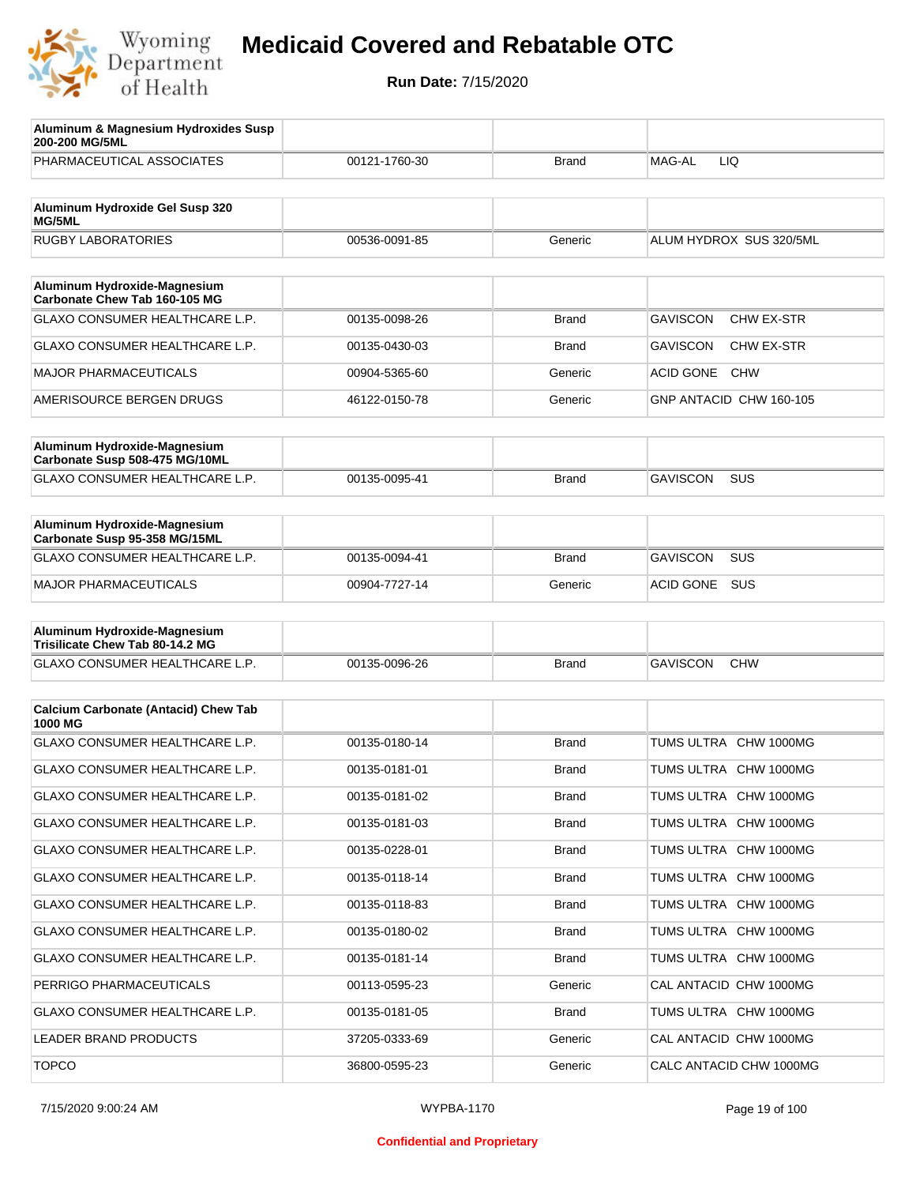

| Aluminum & Magnesium Hydroxides Susp<br>200-200 MG/5ML          |               |              |                                      |
|-----------------------------------------------------------------|---------------|--------------|--------------------------------------|
| PHARMACEUTICAL ASSOCIATES                                       | 00121-1760-30 | <b>Brand</b> | MAG-AL<br>LIQ                        |
| Aluminum Hydroxide Gel Susp 320<br>MG/5ML                       |               |              |                                      |
| <b>RUGBY LABORATORIES</b>                                       | 00536-0091-85 | Generic      | ALUM HYDROX SUS 320/5ML              |
| Aluminum Hydroxide-Magnesium                                    |               |              |                                      |
| Carbonate Chew Tab 160-105 MG                                   |               |              |                                      |
| GLAXO CONSUMER HEALTHCARE L.P.                                  | 00135-0098-26 | <b>Brand</b> | <b>GAVISCON</b><br>CHW EX-STR        |
| GLAXO CONSUMER HEALTHCARE L.P.                                  | 00135-0430-03 | <b>Brand</b> | <b>GAVISCON</b><br><b>CHW EX-STR</b> |
| <b>MAJOR PHARMACEUTICALS</b>                                    | 00904-5365-60 | Generic      | <b>ACID GONE</b><br><b>CHW</b>       |
| AMERISOURCE BERGEN DRUGS                                        | 46122-0150-78 | Generic      | GNP ANTACID CHW 160-105              |
| Aluminum Hydroxide-Magnesium<br>Carbonate Susp 508-475 MG/10ML  |               |              |                                      |
| GLAXO CONSUMER HEALTHCARE L.P.                                  | 00135-0095-41 | <b>Brand</b> | <b>GAVISCON</b><br>SUS               |
| Aluminum Hydroxide-Magnesium<br>Carbonate Susp 95-358 MG/15ML   |               |              |                                      |
| GLAXO CONSUMER HEALTHCARE L.P.                                  | 00135-0094-41 | <b>Brand</b> | SUS<br><b>GAVISCON</b>               |
| <b>MAJOR PHARMACEUTICALS</b>                                    | 00904-7727-14 | Generic      | ACID GONE<br><b>SUS</b>              |
| Aluminum Hydroxide-Magnesium<br>Trisilicate Chew Tab 80-14.2 MG |               |              |                                      |
| GLAXO CONSUMER HEALTHCARE L.P.                                  | 00135-0096-26 | <b>Brand</b> | <b>GAVISCON</b><br><b>CHW</b>        |
| <b>Calcium Carbonate (Antacid) Chew Tab</b>                     |               |              |                                      |
| 1000 MG                                                         |               |              |                                      |
| <b>GLAXO CONSUMER HEALTHCARE L.P.</b>                           | 00135-0180-14 | <b>Brand</b> | TUMS ULTRA CHW 1000MG                |
| <b>GLAXO CONSUMER HEALTHCARE L.P.</b>                           | 00135-0181-01 | <b>Brand</b> | TUMS ULTRA CHW 1000MG                |
| GLAXO CONSUMER HEALTHCARE L.P.                                  | 00135-0181-02 | <b>Brand</b> | TUMS ULTRA CHW 1000MG                |
| GLAXO CONSUMER HEALTHCARE L.P.                                  | 00135-0181-03 | <b>Brand</b> | TUMS ULTRA CHW 1000MG                |
| <b>GLAXO CONSUMER HEALTHCARE L.P.</b>                           | 00135-0228-01 | Brand        | TUMS ULTRA CHW 1000MG                |
| GLAXO CONSUMER HEALTHCARE L.P.                                  | 00135-0118-14 | Brand        | TUMS ULTRA CHW 1000MG                |
| GLAXO CONSUMER HEALTHCARE L.P.                                  | 00135-0118-83 | Brand        | TUMS ULTRA CHW 1000MG                |
| GLAXO CONSUMER HEALTHCARE L.P.                                  | 00135-0180-02 | Brand        | TUMS ULTRA CHW 1000MG                |
| GLAXO CONSUMER HEALTHCARE L.P.                                  | 00135-0181-14 | Brand        | TUMS ULTRA CHW 1000MG                |
| PERRIGO PHARMACEUTICALS                                         | 00113-0595-23 | Generic      | CAL ANTACID CHW 1000MG               |
| GLAXO CONSUMER HEALTHCARE L.P.                                  | 00135-0181-05 | <b>Brand</b> | TUMS ULTRA CHW 1000MG                |
| LEADER BRAND PRODUCTS                                           | 37205-0333-69 | Generic      | CAL ANTACID CHW 1000MG               |
| <b>TOPCO</b>                                                    | 36800-0595-23 | Generic      | CALC ANTACID CHW 1000MG              |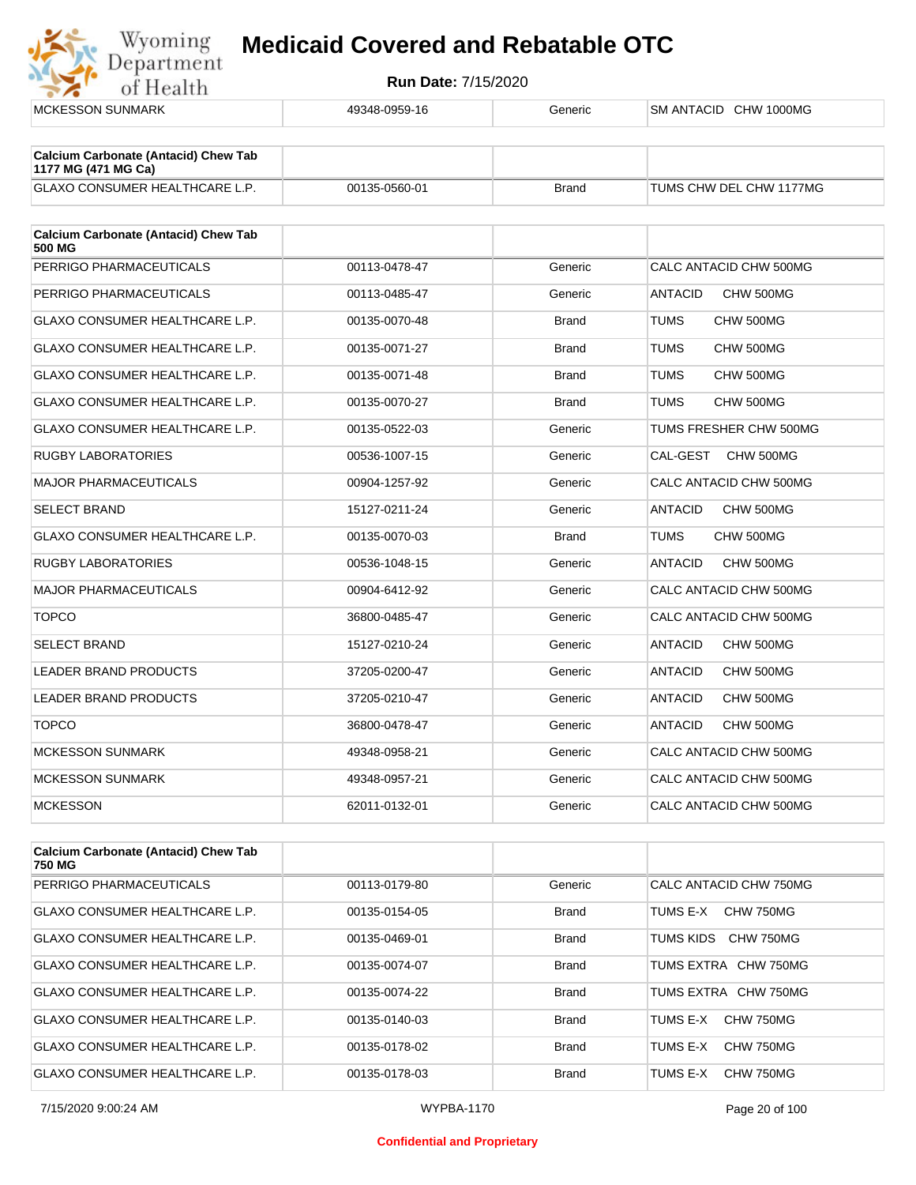

| <b>MCKESSON SUNMARK</b>                               | 49348-0959-16 | Generic      | SM ANTACID CHW 1000MG       |
|-------------------------------------------------------|---------------|--------------|-----------------------------|
| <b>Calcium Carbonate (Antacid) Chew Tab</b>           |               |              |                             |
| 1177 MG (471 MG Ca)                                   |               |              |                             |
| <b>GLAXO CONSUMER HEALTHCARE L.P.</b>                 | 00135-0560-01 | <b>Brand</b> | TUMS CHW DEL CHW 1177MG     |
| <b>Calcium Carbonate (Antacid) Chew Tab</b><br>500 MG |               |              |                             |
| PERRIGO PHARMACEUTICALS                               | 00113-0478-47 | Generic      | CALC ANTACID CHW 500MG      |
| PERRIGO PHARMACEUTICALS                               | 00113-0485-47 | Generic      | <b>ANTACID</b><br>CHW 500MG |
| <b>GLAXO CONSUMER HEALTHCARE L.P.</b>                 | 00135-0070-48 | <b>Brand</b> | <b>TUMS</b><br>CHW 500MG    |
| <b>GLAXO CONSUMER HEALTHCARE L.P.</b>                 | 00135-0071-27 | <b>Brand</b> | <b>TUMS</b><br>CHW 500MG    |
| <b>GLAXO CONSUMER HEALTHCARE L.P.</b>                 | 00135-0071-48 | <b>Brand</b> | <b>TUMS</b><br>CHW 500MG    |
| GLAXO CONSUMER HEALTHCARE L.P.                        | 00135-0070-27 | <b>Brand</b> | <b>TUMS</b><br>CHW 500MG    |
| GLAXO CONSUMER HEALTHCARE L.P.                        | 00135-0522-03 | Generic      | TUMS FRESHER CHW 500MG      |
| <b>RUGBY LABORATORIES</b>                             | 00536-1007-15 | Generic      | CAL-GEST<br>CHW 500MG       |
| <b>MAJOR PHARMACEUTICALS</b>                          | 00904-1257-92 | Generic      | CALC ANTACID CHW 500MG      |
| <b>SELECT BRAND</b>                                   | 15127-0211-24 | Generic      | <b>ANTACID</b><br>CHW 500MG |
| GLAXO CONSUMER HEALTHCARE L.P.                        | 00135-0070-03 | <b>Brand</b> | <b>TUMS</b><br>CHW 500MG    |
| <b>RUGBY LABORATORIES</b>                             | 00536-1048-15 | Generic      | <b>ANTACID</b><br>CHW 500MG |
| <b>MAJOR PHARMACEUTICALS</b>                          | 00904-6412-92 | Generic      | CALC ANTACID CHW 500MG      |
| <b>TOPCO</b>                                          | 36800-0485-47 | Generic      | CALC ANTACID CHW 500MG      |
| <b>SELECT BRAND</b>                                   | 15127-0210-24 | Generic      | <b>ANTACID</b><br>CHW 500MG |
| <b>LEADER BRAND PRODUCTS</b>                          | 37205-0200-47 | Generic      | <b>ANTACID</b><br>CHW 500MG |
| LEADER BRAND PRODUCTS                                 | 37205-0210-47 | Generic      | <b>ANTACID</b><br>CHW 500MG |
| <b>TOPCO</b>                                          | 36800-0478-47 | Generic      | <b>ANTACID</b><br>CHW 500MG |
| <b>MCKESSON SUNMARK</b>                               | 49348-0958-21 | Generic      | CALC ANTACID CHW 500MG      |
| <b>MCKESSON SUNMARK</b>                               | 49348-0957-21 | Generic      | CALC ANTACID CHW 500MG      |
| <b>MCKESSON</b>                                       | 62011-0132-01 | Generic      | CALC ANTACID CHW 500MG      |

| <b>Calcium Carbonate (Antacid) Chew Tab</b><br>750 MG |               |              |                        |
|-------------------------------------------------------|---------------|--------------|------------------------|
| PERRIGO PHARMACEUTICALS                               | 00113-0179-80 | Generic      | CALC ANTACID CHW 750MG |
| GLAXO CONSUMER HEALTHCARE L.P.                        | 00135-0154-05 | <b>Brand</b> | TUMS F-X<br>CHW 750MG  |
| GLAXO CONSUMER HEALTHCARE L.P.                        | 00135-0469-01 | <b>Brand</b> | TUMS KIDS<br>CHW 750MG |
| GLAXO CONSUMER HEALTHCARE L.P.                        | 00135-0074-07 | <b>Brand</b> | TUMS EXTRA CHW 750MG   |
| GLAXO CONSUMER HEALTHCARE L.P.                        | 00135-0074-22 | <b>Brand</b> | TUMS EXTRA CHW 750MG   |
| GLAXO CONSUMER HEALTHCARE L.P.                        | 00135-0140-03 | <b>Brand</b> | CHW 750MG<br>TUMS E-X  |
| <b>GLAXO CONSUMER HEALTHCARE L.P.</b>                 | 00135-0178-02 | <b>Brand</b> | TUMS E-X<br>CHW 750MG  |
| <b>GLAXO CONSUMER HEALTHCARE L.P.</b>                 | 00135-0178-03 | <b>Brand</b> | CHW 750MG<br>TUMS E-X  |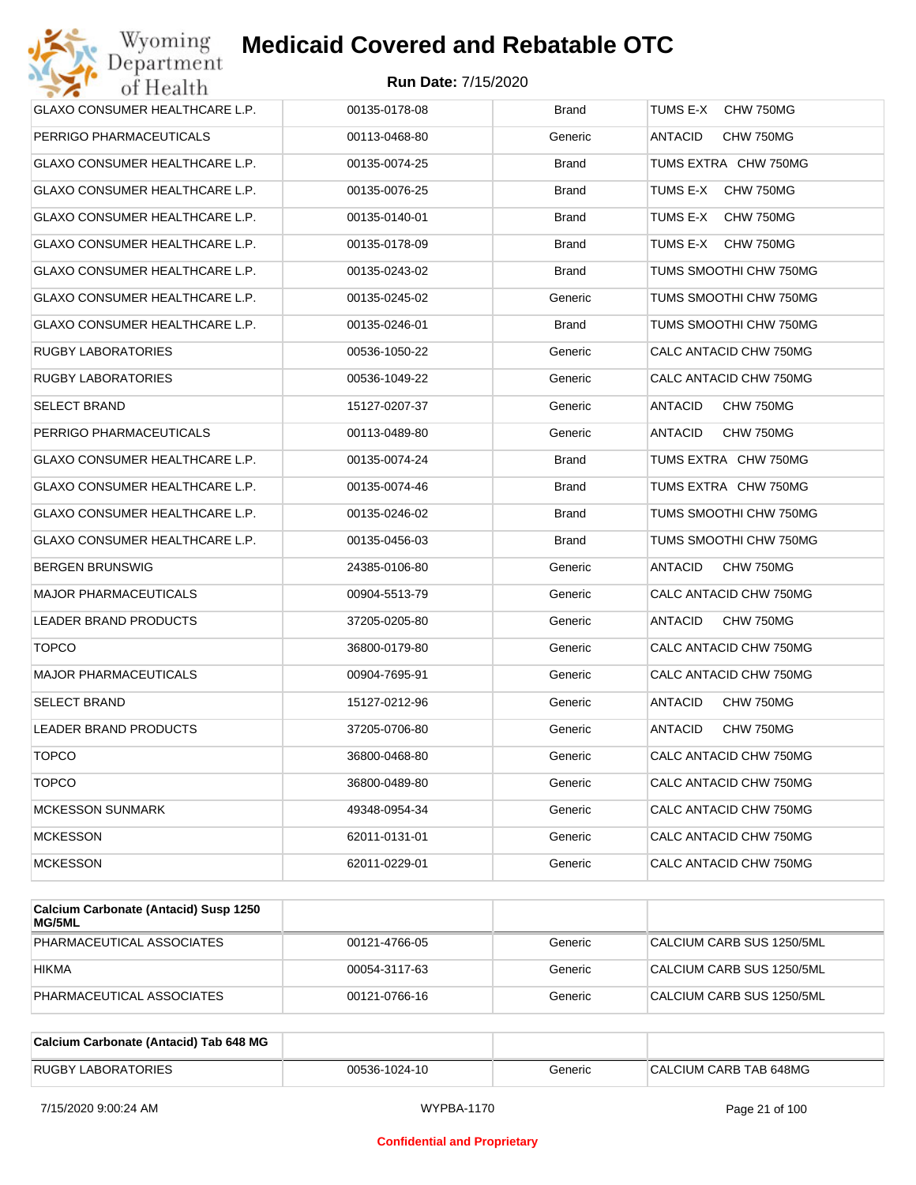

| GLAXO CONSUMER HEALTHCARE L.P. | 00135-0178-08 | <b>Brand</b> | TUMS E-X<br>CHW 750MG       |
|--------------------------------|---------------|--------------|-----------------------------|
| PERRIGO PHARMACEUTICALS        | 00113-0468-80 | Generic      | ANTACID<br>CHW 750MG        |
| GLAXO CONSUMER HEALTHCARE L.P. | 00135-0074-25 | <b>Brand</b> | TUMS EXTRA CHW 750MG        |
| GLAXO CONSUMER HEALTHCARE L.P. | 00135-0076-25 | <b>Brand</b> | TUMS E-X<br>CHW 750MG       |
| GLAXO CONSUMER HEALTHCARE L.P. | 00135-0140-01 | Brand        | TUMS E-X<br>CHW 750MG       |
| GLAXO CONSUMER HEALTHCARE L.P. | 00135-0178-09 | <b>Brand</b> | TUMS E-X<br>CHW 750MG       |
| GLAXO CONSUMER HEALTHCARE L.P. | 00135-0243-02 | Brand        | TUMS SMOOTHI CHW 750MG      |
| GLAXO CONSUMER HEALTHCARE L.P. | 00135-0245-02 | Generic      | TUMS SMOOTHI CHW 750MG      |
| GLAXO CONSUMER HEALTHCARE L.P. | 00135-0246-01 | Brand        | TUMS SMOOTHI CHW 750MG      |
| RUGBY LABORATORIES             | 00536-1050-22 | Generic      | CALC ANTACID CHW 750MG      |
| RUGBY LABORATORIES             | 00536-1049-22 | Generic      | CALC ANTACID CHW 750MG      |
| SELECT BRAND                   | 15127-0207-37 | Generic      | <b>ANTACID</b><br>CHW 750MG |
| PERRIGO PHARMACEUTICALS        | 00113-0489-80 | Generic      | ANTACID<br>CHW 750MG        |
| GLAXO CONSUMER HEALTHCARE L.P. | 00135-0074-24 | <b>Brand</b> | TUMS EXTRA CHW 750MG        |
| GLAXO CONSUMER HEALTHCARE L.P. | 00135-0074-46 | Brand        | TUMS EXTRA CHW 750MG        |
| GLAXO CONSUMER HEALTHCARE L.P. | 00135-0246-02 | <b>Brand</b> | TUMS SMOOTHI CHW 750MG      |
| GLAXO CONSUMER HEALTHCARE L.P. | 00135-0456-03 | Brand        | TUMS SMOOTHI CHW 750MG      |
| <b>BERGEN BRUNSWIG</b>         | 24385-0106-80 | Generic      | ANTACID<br>CHW 750MG        |
| <b>MAJOR PHARMACEUTICALS</b>   | 00904-5513-79 | Generic      | CALC ANTACID CHW 750MG      |
| LEADER BRAND PRODUCTS          | 37205-0205-80 | Generic      | ANTACID<br>CHW 750MG        |
| <b>TOPCO</b>                   | 36800-0179-80 | Generic      | CALC ANTACID CHW 750MG      |
| <b>MAJOR PHARMACEUTICALS</b>   | 00904-7695-91 | Generic      | CALC ANTACID CHW 750MG      |
| SELECT BRAND                   | 15127-0212-96 | Generic      | ANTACID<br>CHW 750MG        |
| <b>LEADER BRAND PRODUCTS</b>   | 37205-0706-80 | Generic      | ANTACID<br>CHW 750MG        |
| <b>TOPCO</b>                   | 36800-0468-80 | Generic      | CALC ANTACID CHW 750MG      |
| <b>TOPCO</b>                   | 36800-0489-80 | Generic      | CALC ANTACID CHW 750MG      |
| <b>MCKESSON SUNMARK</b>        | 49348-0954-34 | Generic      | CALC ANTACID CHW 750MG      |
| <b>MCKESSON</b>                | 62011-0131-01 | Generic      | CALC ANTACID CHW 750MG      |
| <b>MCKESSON</b>                | 62011-0229-01 | Generic      | CALC ANTACID CHW 750MG      |

| Calcium Carbonate (Antacid) Susp 1250<br>MG/5ML |               |         |                           |
|-------------------------------------------------|---------------|---------|---------------------------|
| PHARMACEUTICAL ASSOCIATES                       | 00121-4766-05 | Generic | CALCIUM CARB SUS 1250/5ML |
| <b>HIKMA</b>                                    | 00054-3117-63 | Generic | CALCIUM CARB SUS 1250/5ML |
| PHARMACEUTICAL ASSOCIATES                       | 00121-0766-16 | Generic | CALCIUM CARB SUS 1250/5ML |

| Calcium Carbonate (Antacid) Tab 648 MG |               |         |                        |
|----------------------------------------|---------------|---------|------------------------|
| <b>RUGBY LABORATORIES</b>              | 00536-1024-10 | Generic | CALCIUM CARB TAB 648MG |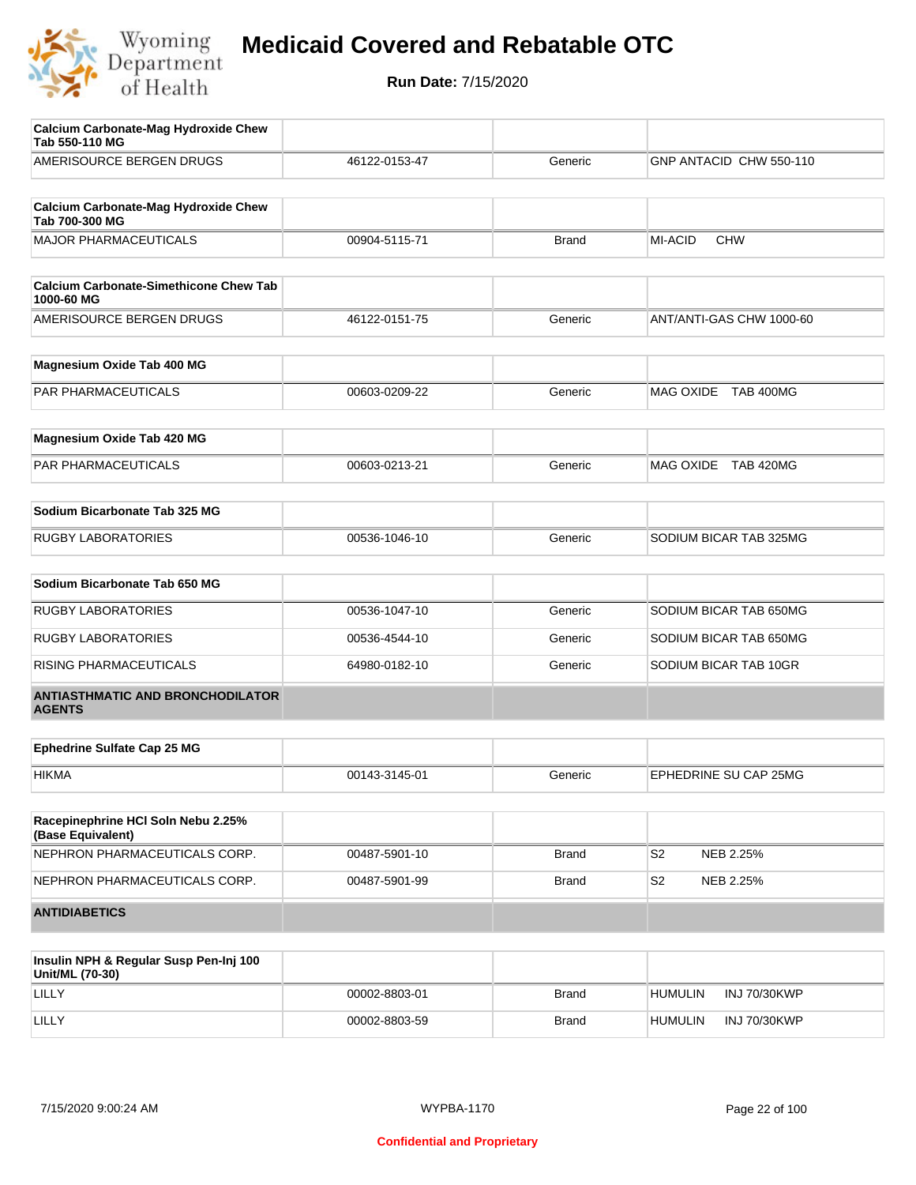

| <b>Calcium Carbonate-Mag Hydroxide Chew</b><br>Tab 550-110 MG |               |              |                             |
|---------------------------------------------------------------|---------------|--------------|-----------------------------|
| AMERISOURCE BERGEN DRUGS                                      | 46122-0153-47 | Generic      | GNP ANTACID CHW 550-110     |
| <b>Calcium Carbonate-Mag Hydroxide Chew</b><br>Tab 700-300 MG |               |              |                             |
| <b>MAJOR PHARMACEUTICALS</b>                                  | 00904-5115-71 | <b>Brand</b> | MI-ACID<br><b>CHW</b>       |
| <b>Calcium Carbonate-Simethicone Chew Tab</b><br>1000-60 MG   |               |              |                             |
| AMERISOURCE BERGEN DRUGS                                      | 46122-0151-75 | Generic      | ANT/ANTI-GAS CHW 1000-60    |
| Magnesium Oxide Tab 400 MG                                    |               |              |                             |
| PAR PHARMACEUTICALS                                           | 00603-0209-22 | Generic      | MAG OXIDE TAB 400MG         |
| Magnesium Oxide Tab 420 MG                                    |               |              |                             |
| PAR PHARMACEUTICALS                                           | 00603-0213-21 | Generic      | MAG OXIDE TAB 420MG         |
| Sodium Bicarbonate Tab 325 MG                                 |               |              |                             |
| <b>RUGBY LABORATORIES</b>                                     | 00536-1046-10 | Generic      | SODIUM BICAR TAB 325MG      |
| Sodium Bicarbonate Tab 650 MG                                 |               |              |                             |
| <b>RUGBY LABORATORIES</b>                                     | 00536-1047-10 | Generic      | SODIUM BICAR TAB 650MG      |
| <b>RUGBY LABORATORIES</b>                                     | 00536-4544-10 | Generic      | SODIUM BICAR TAB 650MG      |
| RISING PHARMACEUTICALS                                        | 64980-0182-10 | Generic      | SODIUM BICAR TAB 10GR       |
| <b>ANTIASTHMATIC AND BRONCHODILATOR</b><br><b>AGENTS</b>      |               |              |                             |
| <b>Ephedrine Sulfate Cap 25 MG</b>                            |               |              |                             |
| <b>HIKMA</b>                                                  | 00143-3145-01 | Generic      | EPHEDRINE SU CAP 25MG       |
| Racepinephrine HCI Soln Nebu 2.25%<br>(Base Equivalent)       |               |              |                             |
| NEPHRON PHARMACEUTICALS CORP.                                 | 00487-5901-10 | Brand        | S <sub>2</sub><br>NEB 2.25% |
| NEPHRON PHARMACEUTICALS CORP.                                 | 00487-5901-99 | Brand        | S <sub>2</sub><br>NEB 2.25% |
| <b>ANTIDIABETICS</b>                                          |               |              |                             |
| Insulin NPH & Regular Susp Pen-Inj 100<br>$11n/14$ $(70.20)$  |               |              |                             |

| <b>INSUMIT NET &amp; Regular Susp Fen-Inj Too</b><br>Unit/ML (70-30) |               |              |                |                     |
|----------------------------------------------------------------------|---------------|--------------|----------------|---------------------|
| LILLY                                                                | 00002-8803-01 | Brand        | <b>HUMULIN</b> | <b>INJ 70/30KWP</b> |
| LILLY                                                                | 00002-8803-59 | <b>Brand</b> | <b>HUMULIN</b> | <b>INJ 70/30KWP</b> |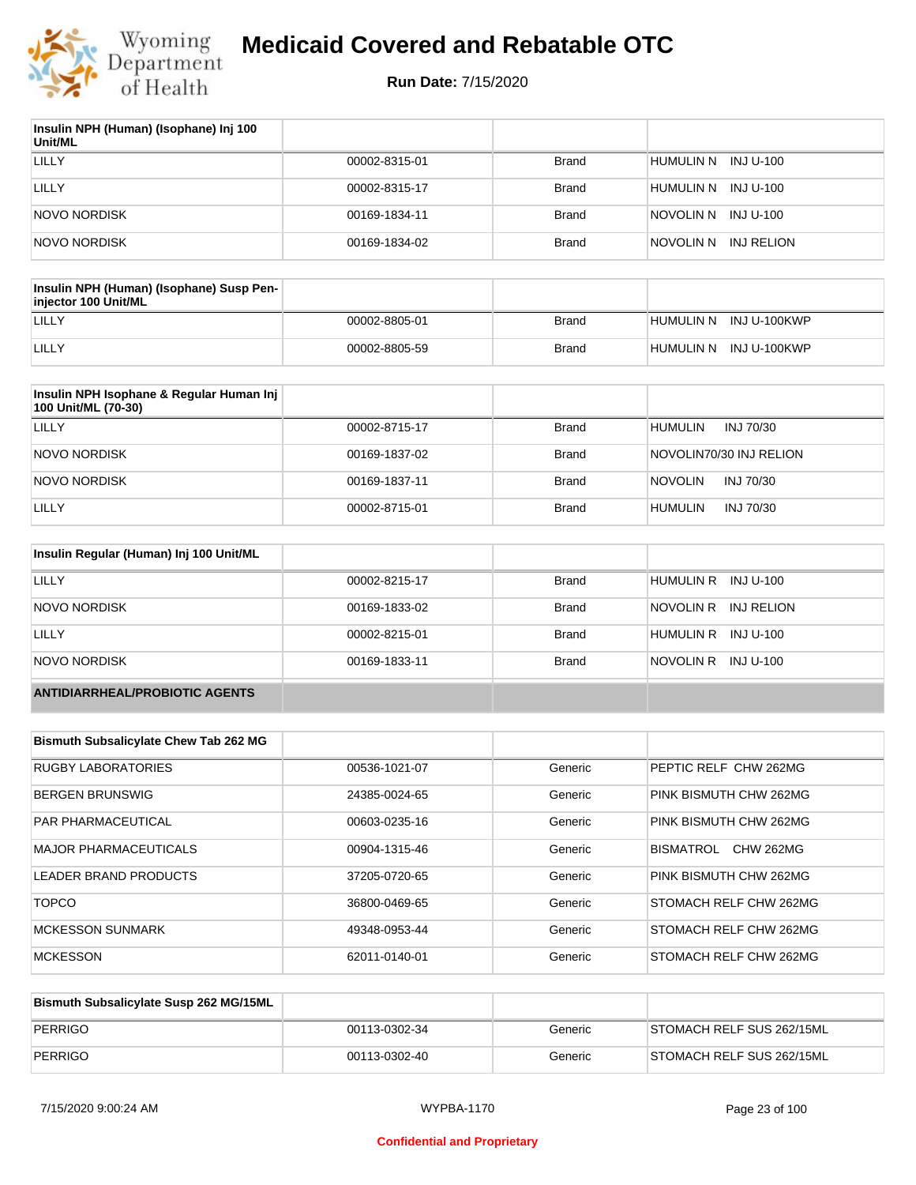

| Insulin NPH (Human) (Isophane) Inj 100<br>Unit/ML |               |              |                         |
|---------------------------------------------------|---------------|--------------|-------------------------|
| LILLY                                             | 00002-8315-01 | Brand        | HUMULIN N INJ U-100     |
| LILLY                                             | 00002-8315-17 | Brand        | HUMULIN N<br>INJ U-100  |
| NOVO NORDISK                                      | 00169-1834-11 | Brand        | INJ U-100<br>NOVOLIN N  |
| NOVO NORDISK                                      | 00169-1834-02 | <b>Brand</b> | INJ RELION<br>NOVOLIN N |

| Insulin NPH (Human) (Isophane) Susp Pen-<br>injector 100 Unit/ML |               |              |                        |
|------------------------------------------------------------------|---------------|--------------|------------------------|
| LILLY                                                            | 00002-8805-01 | Brand        | HUMULIN N INJ U-100KWP |
| LILLY                                                            | 00002-8805-59 | <b>Brand</b> | HUMULIN N INJ U-100KWP |

| Insulin NPH Isophane & Regular Human Inj<br>100 Unit/ML (70-30) |               |              |                             |
|-----------------------------------------------------------------|---------------|--------------|-----------------------------|
| LILLY                                                           | 00002-8715-17 | <b>Brand</b> | <b>HUMULIN</b><br>INJ 70/30 |
| NOVO NORDISK                                                    | 00169-1837-02 | <b>Brand</b> | NOVOLIN70/30 INJ RELION     |
| NOVO NORDISK                                                    | 00169-1837-11 | <b>Brand</b> | <b>NOVOLIN</b><br>INJ 70/30 |
| LILLY                                                           | 00002-8715-01 | <b>Brand</b> | <b>HUMULIN</b><br>INJ 70/30 |

| Insulin Regular (Human) Inj 100 Unit/ML |               |              |                         |
|-----------------------------------------|---------------|--------------|-------------------------|
| LILLY                                   | 00002-8215-17 | <b>Brand</b> | HUMULIN R INJ U-100     |
| NOVO NORDISK                            | 00169-1833-02 | <b>Brand</b> | INJ RELION<br>NOVOLIN R |
| LILLY                                   | 00002-8215-01 | <b>Brand</b> | HUMULIN R INJ U-100     |
| NOVO NORDISK                            | 00169-1833-11 | <b>Brand</b> | NOVOLIN R<br>INJ U-100  |
| <b>ANTIDIARRHEAL/PROBIOTIC AGENTS</b>   |               |              |                         |

| <b>Bismuth Subsalicylate Chew Tab 262 MG</b> |               |         |                                      |
|----------------------------------------------|---------------|---------|--------------------------------------|
| <b>RUGBY LABORATORIES</b>                    | 00536-1021-07 | Generic | PEPTIC RELF CHW 262MG                |
| <b>BERGEN BRUNSWIG</b>                       | 24385-0024-65 | Generic | PINK BISMUTH CHW 262MG               |
| <b>PAR PHARMACEUTICAL</b>                    | 00603-0235-16 | Generic | PINK BISMUTH CHW 262MG               |
| <b>MAJOR PHARMACEUTICALS</b>                 | 00904-1315-46 | Generic | <b>BISMATROL</b><br><b>CHW 262MG</b> |
| LEADER BRAND PRODUCTS                        | 37205-0720-65 | Generic | PINK BISMUTH CHW 262MG               |
| <b>TOPCO</b>                                 | 36800-0469-65 | Generic | <b>STOMACH RELF CHW 262MG</b>        |
| <b>MCKESSON SUNMARK</b>                      | 49348-0953-44 | Generic | <b>STOMACH RELF CHW 262MG</b>        |
| <b>MCKESSON</b>                              | 62011-0140-01 | Generic | <b>STOMACH RELF CHW 262MG</b>        |

| Bismuth Subsalicylate Susp 262 MG/15ML |               |         |                           |
|----------------------------------------|---------------|---------|---------------------------|
| PERRIGO                                | 00113-0302-34 | Generic | STOMACH RELF SUS 262/15ML |
| PERRIGO                                | 00113-0302-40 | Generic | STOMACH RELF SUS 262/15ML |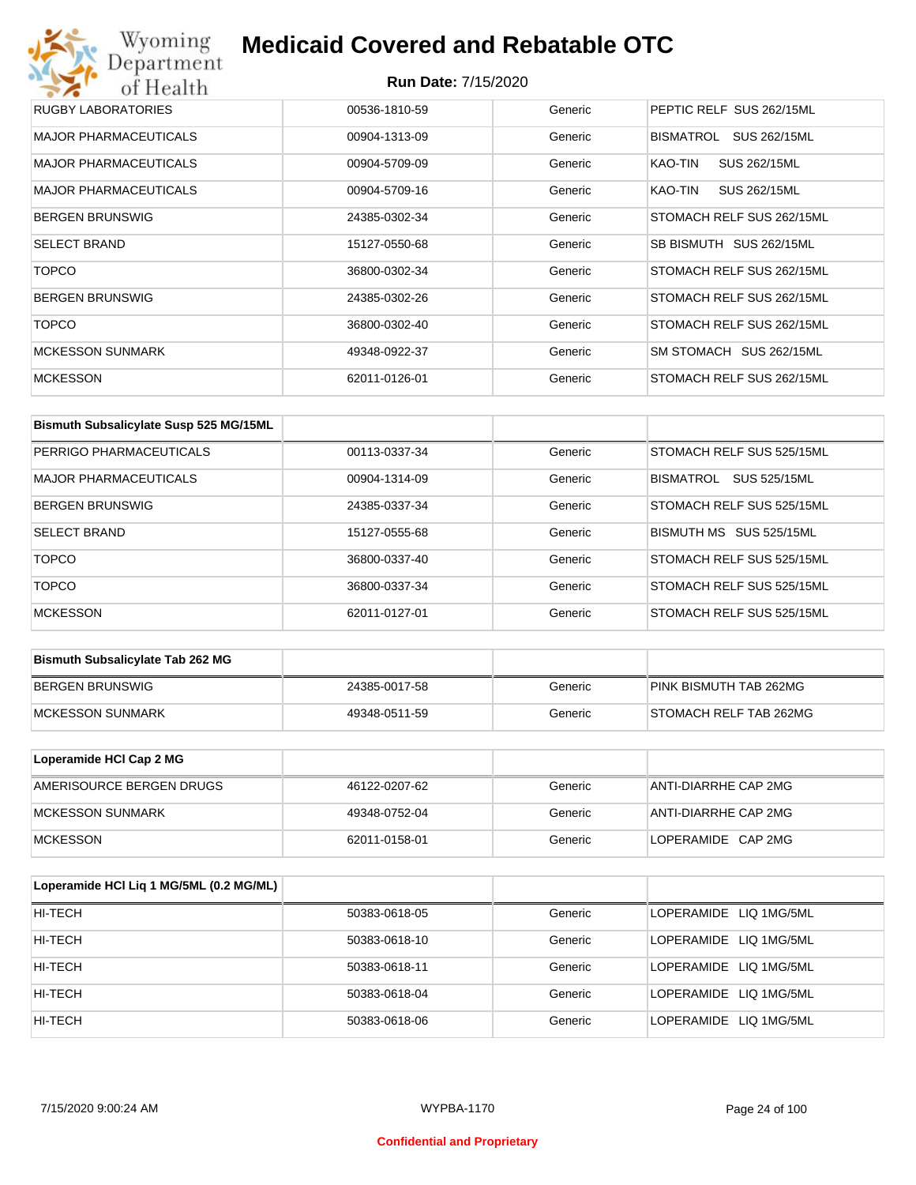## Wyoming<br>Department<br>of Health **Medicaid Covered and Rebatable OTC**

| RUGBY LABORATORIES           | 00536-1810-59 | Generic | PEPTIC RELF SUS 262/15ML  |
|------------------------------|---------------|---------|---------------------------|
| <b>MAJOR PHARMACEUTICALS</b> | 00904-1313-09 | Generic | BISMATROL<br>SUS 262/15ML |
| <b>MAJOR PHARMACEUTICALS</b> | 00904-5709-09 | Generic | SUS 262/15ML<br>KAO-TIN   |
| <b>MAJOR PHARMACEUTICALS</b> | 00904-5709-16 | Generic | KAO-TIN<br>SUS 262/15ML   |
| <b>BERGEN BRUNSWIG</b>       | 24385-0302-34 | Generic | STOMACH RELF SUS 262/15ML |
| <b>SELECT BRAND</b>          | 15127-0550-68 | Generic | SB BISMUTH SUS 262/15ML   |
| <b>TOPCO</b>                 | 36800-0302-34 | Generic | STOMACH RELF SUS 262/15ML |
| <b>BERGEN BRUNSWIG</b>       | 24385-0302-26 | Generic | STOMACH RELF SUS 262/15ML |
| <b>TOPCO</b>                 | 36800-0302-40 | Generic | STOMACH RELF SUS 262/15ML |
| <b>MCKESSON SUNMARK</b>      | 49348-0922-37 | Generic | SM STOMACH SUS 262/15ML   |
| <b>MCKESSON</b>              | 62011-0126-01 | Generic | STOMACH RELF SUS 262/15ML |

| Bismuth Subsalicylate Susp 525 MG/15ML |               |         |                                  |
|----------------------------------------|---------------|---------|----------------------------------|
| PERRIGO PHARMACEUTICALS                | 00113-0337-34 | Generic | STOMACH RELF SUS 525/15ML        |
| <b>MAJOR PHARMACEUTICALS</b>           | 00904-1314-09 | Generic | <b>BISMATROL</b><br>SUS 525/15ML |
| <b>BERGEN BRUNSWIG</b>                 | 24385-0337-34 | Generic | STOMACH RELF SUS 525/15ML        |
| <b>SELECT BRAND</b>                    | 15127-0555-68 | Generic | BISMUTH MS SUS 525/15ML          |
| <b>TOPCO</b>                           | 36800-0337-40 | Generic | STOMACH RELF SUS 525/15ML        |
| <b>TOPCO</b>                           | 36800-0337-34 | Generic | STOMACH RELF SUS 525/15ML        |
| <b>MCKESSON</b>                        | 62011-0127-01 | Generic | STOMACH RELF SUS 525/15ML        |

| <b>Bismuth Subsalicylate Tab 262 MG</b> |               |         |                        |
|-----------------------------------------|---------------|---------|------------------------|
| BERGEN BRUNSWIG                         | 24385-0017-58 | Generic | PINK BISMUTH TAB 262MG |
| <b>IMCKESSON SUNMARK</b>                | 49348-0511-59 | Generic | STOMACH RELF TAB 262MG |

| Loperamide HCI Cap 2 MG  |               |         |                      |
|--------------------------|---------------|---------|----------------------|
| AMERISOURCE BERGEN DRUGS | 46122-0207-62 | Generic | ANTI-DIARRHE CAP 2MG |
| <b>IMCKESSON SUNMARK</b> | 49348-0752-04 | Generic | ANTI-DIARRHE CAP 2MG |
| <b>IMCKESSON</b>         | 62011-0158-01 | Generic | LOPERAMIDE CAP 2MG   |

| Loperamide HCI Liq 1 MG/5ML (0.2 MG/ML) |               |         |                        |
|-----------------------------------------|---------------|---------|------------------------|
| HI-TECH                                 | 50383-0618-05 | Generic | LOPERAMIDE LIQ 1MG/5ML |
| HI-TECH                                 | 50383-0618-10 | Generic | LOPERAMIDE LIQ 1MG/5ML |
| HI-TECH                                 | 50383-0618-11 | Generic | LOPERAMIDE LIQ 1MG/5ML |
| HI-TECH                                 | 50383-0618-04 | Generic | LOPERAMIDE LIQ 1MG/5ML |
| HI-TECH                                 | 50383-0618-06 | Generic | LOPERAMIDE LIQ 1MG/5ML |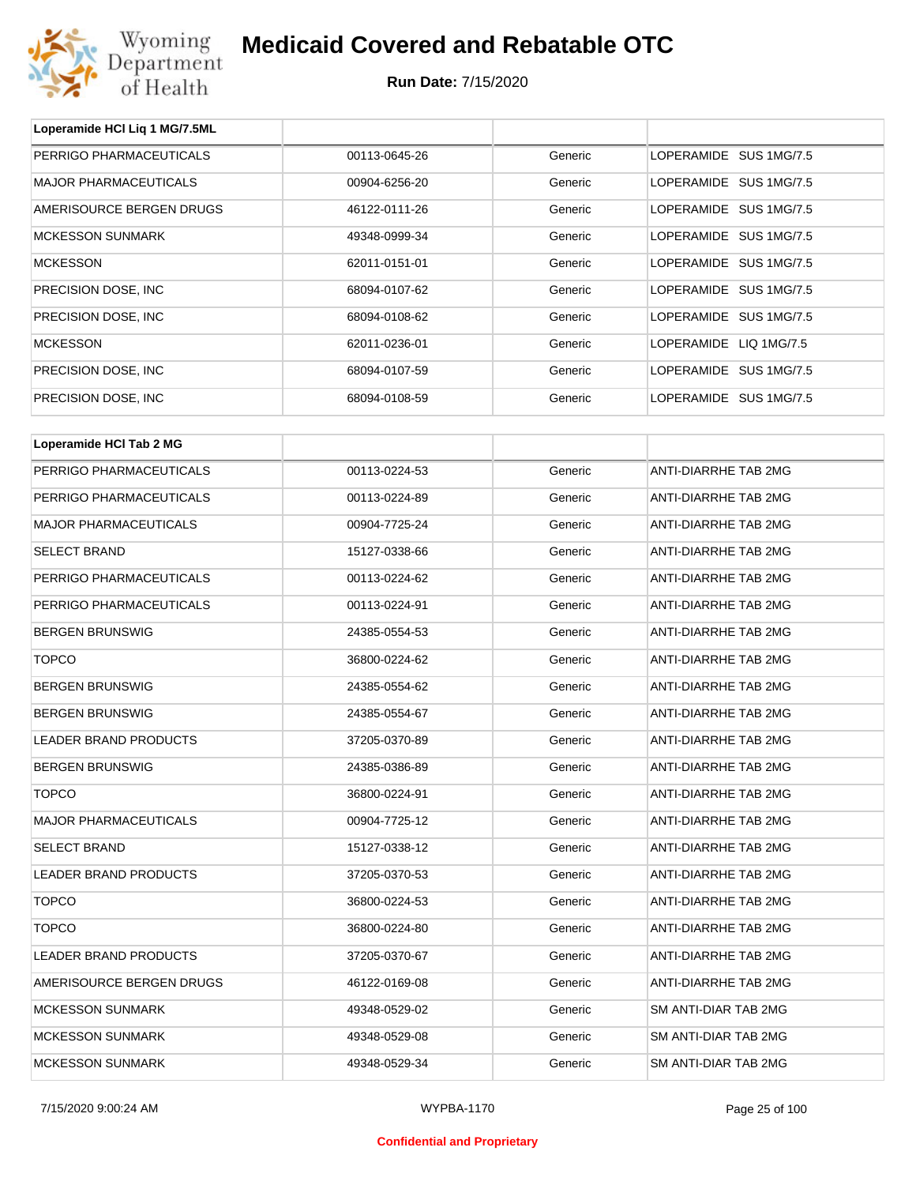

**Loperamide HCl Liq 1 MG/7.5ML**

## **Medicaid Covered and Rebatable OTC**

| PERRIGO PHARMACEUTICALS      | 00113-0645-26 | Generic | LOPERAMIDE SUS 1MG/7.5 |  |  |
|------------------------------|---------------|---------|------------------------|--|--|
| <b>MAJOR PHARMACEUTICALS</b> | 00904-6256-20 | Generic | LOPERAMIDE SUS 1MG/7.5 |  |  |
| AMERISOURCE BERGEN DRUGS     | 46122-0111-26 | Generic | LOPERAMIDE SUS 1MG/7.5 |  |  |
| <b>MCKESSON SUNMARK</b>      | 49348-0999-34 | Generic | LOPERAMIDE SUS 1MG/7.5 |  |  |
| <b>MCKESSON</b>              | 62011-0151-01 | Generic | LOPERAMIDE SUS 1MG/7.5 |  |  |
| PRECISION DOSE, INC          | 68094-0107-62 | Generic | LOPERAMIDE SUS 1MG/7.5 |  |  |
| PRECISION DOSE, INC          | 68094-0108-62 | Generic | LOPERAMIDE SUS 1MG/7.5 |  |  |
| <b>MCKESSON</b>              | 62011-0236-01 | Generic | LOPERAMIDE LIQ 1MG/7.5 |  |  |
| PRECISION DOSE, INC          | 68094-0107-59 | Generic | LOPERAMIDE SUS 1MG/7.5 |  |  |
| PRECISION DOSE, INC.         | 68094-0108-59 | Generic | LOPERAMIDE SUS 1MG/7.5 |  |  |
|                              |               |         |                        |  |  |
| Loperamide HCI Tab 2 MG      |               |         |                        |  |  |
| PERRIGO PHARMACEUTICALS      | 00113-0224-53 | Generic | ANTI-DIARRHE TAB 2MG   |  |  |
| PERRIGO PHARMACEUTICALS      | 00113-0224-89 | Generic | ANTI-DIARRHE TAB 2MG   |  |  |
| <b>MAJOR PHARMACEUTICALS</b> | 00904-7725-24 | Generic | ANTI-DIARRHE TAB 2MG   |  |  |
| <b>SELECT BRAND</b>          | 15127-0338-66 | Generic | ANTI-DIARRHE TAB 2MG   |  |  |
| PERRIGO PHARMACEUTICALS      | 00113-0224-62 | Generic | ANTI-DIARRHE TAB 2MG   |  |  |
| PERRIGO PHARMACEUTICALS      | 00113-0224-91 | Generic | ANTI-DIARRHE TAB 2MG   |  |  |
| <b>BERGEN BRUNSWIG</b>       | 24385-0554-53 | Generic | ANTI-DIARRHE TAB 2MG   |  |  |
| <b>TOPCO</b>                 | 36800-0224-62 | Generic | ANTI-DIARRHE TAB 2MG   |  |  |
| <b>BERGEN BRUNSWIG</b>       | 24385-0554-62 | Generic | ANTI-DIARRHE TAB 2MG   |  |  |
| <b>BERGEN BRUNSWIG</b>       | 24385-0554-67 | Generic | ANTI-DIARRHE TAB 2MG   |  |  |
| LEADER BRAND PRODUCTS        | 37205-0370-89 | Generic | ANTI-DIARRHE TAB 2MG   |  |  |
| <b>BERGEN BRUNSWIG</b>       | 24385-0386-89 | Generic | ANTI-DIARRHE TAB 2MG   |  |  |
| <b>TOPCO</b>                 | 36800-0224-91 | Generic | ANTI-DIARRHE TAB 2MG   |  |  |
| MAJOR PHARMACEUTICALS        | 00904-7725-12 | Generic | ANTI-DIARRHE TAB 2MG   |  |  |
| SELECT BRAND                 | 15127-0338-12 | Generic | ANTI-DIARRHE TAB 2MG   |  |  |
| LEADER BRAND PRODUCTS        | 37205-0370-53 | Generic | ANTI-DIARRHE TAB 2MG   |  |  |
| <b>TOPCO</b>                 | 36800-0224-53 | Generic | ANTI-DIARRHE TAB 2MG   |  |  |
| <b>TOPCO</b>                 | 36800-0224-80 | Generic | ANTI-DIARRHE TAB 2MG   |  |  |
| LEADER BRAND PRODUCTS        | 37205-0370-67 | Generic | ANTI-DIARRHE TAB 2MG   |  |  |
| AMERISOURCE BERGEN DRUGS     | 46122-0169-08 | Generic | ANTI-DIARRHE TAB 2MG   |  |  |
| <b>MCKESSON SUNMARK</b>      | 49348-0529-02 | Generic | SM ANTI-DIAR TAB 2MG   |  |  |
| <b>MCKESSON SUNMARK</b>      | 49348-0529-08 | Generic | SM ANTI-DIAR TAB 2MG   |  |  |
| <b>MCKESSON SUNMARK</b>      | 49348-0529-34 | Generic | SM ANTI-DIAR TAB 2MG   |  |  |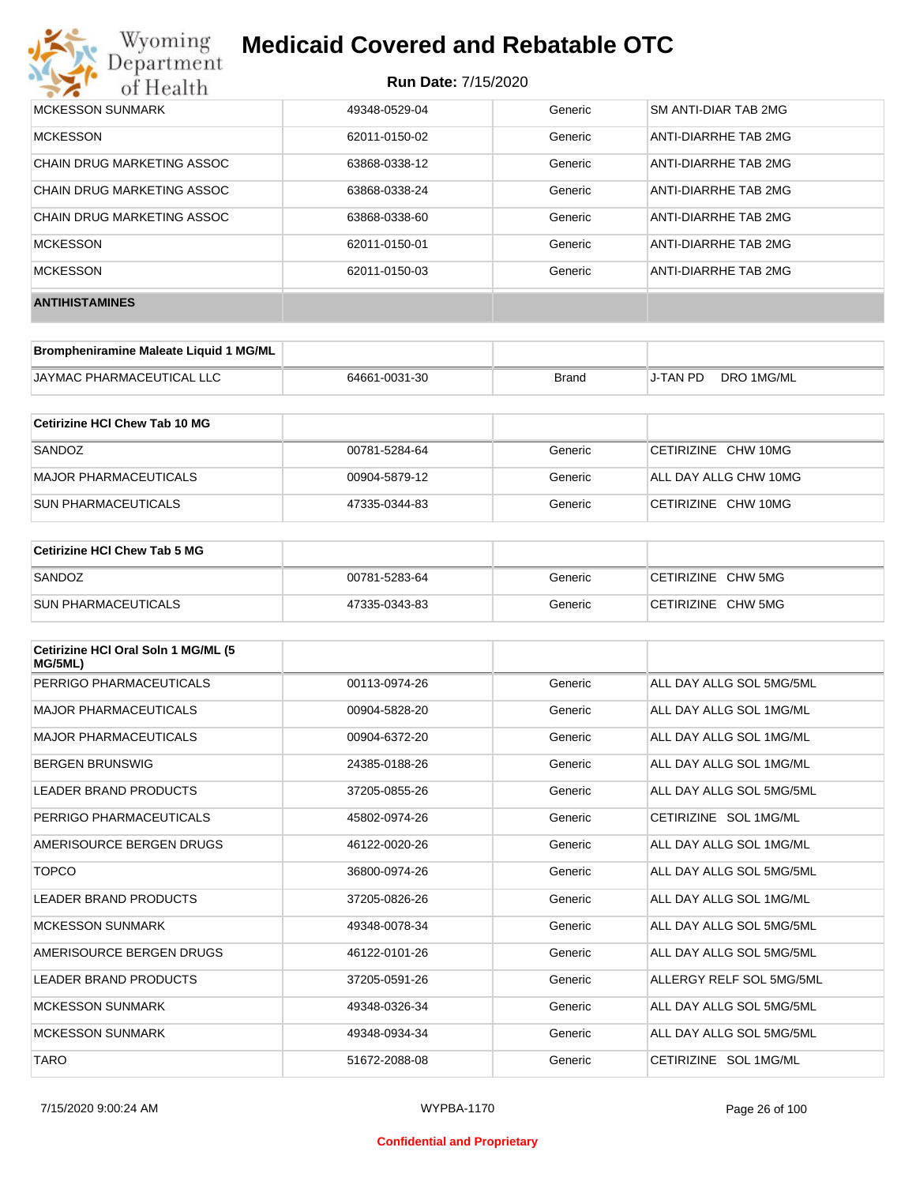## **Medicaid Covered and Rebatable OTC**

| MCKESSON SUNMARK           | 49348-0529-04 | Generic | SM ANTI-DIAR TAB 2MG        |
|----------------------------|---------------|---------|-----------------------------|
| <b>MCKESSON</b>            | 62011-0150-02 | Generic | ANTI-DIARRHE TAB 2MG        |
| CHAIN DRUG MARKETING ASSOC | 63868-0338-12 | Generic | ANTI-DIARRHE TAB 2MG        |
| CHAIN DRUG MARKETING ASSOC | 63868-0338-24 | Generic | <b>ANTI-DIARRHE TAB 2MG</b> |
| CHAIN DRUG MARKETING ASSOC | 63868-0338-60 | Generic | ANTI-DIARRHE TAB 2MG        |
| <b>MCKESSON</b>            | 62011-0150-01 | Generic | ANTI-DIARRHE TAB 2MG        |
| <b>MCKESSON</b>            | 62011-0150-03 | Generic | ANTI-DIARRHE TAB 2MG        |
| <b>ANTIHISTAMINES</b>      |               |         |                             |

| Brompheniramine Maleate Liquid 1 MG/ML |               |              |                 |            |
|----------------------------------------|---------------|--------------|-----------------|------------|
| <b>JAYMAC PHARMACEUTICAL LLC</b>       | 64661-0031-30 | <b>Brand</b> | <b>J-TAN PD</b> | DRO 1MG/ML |

| Cetirizine HCI Chew Tab 10 MG |               |         |                       |
|-------------------------------|---------------|---------|-----------------------|
| SANDOZ                        | 00781-5284-64 | Generic | CETIRIZINE CHW 10MG   |
| MAJOR PHARMACEUTICALS         | 00904-5879-12 | Generic | ALL DAY ALLG CHW 10MG |
| <b>SUN PHARMACEUTICALS</b>    | 47335-0344-83 | Generic | CETIRIZINE CHW 10MG   |

| <b>Cetirizine HCI Chew Tab 5 MG</b> |               |         |                    |
|-------------------------------------|---------------|---------|--------------------|
| SANDOZ                              | 00781-5283-64 | Generic | CETIRIZINE CHW 5MG |
| <b>SUN PHARMACEUTICALS</b>          | 47335-0343-83 | Generic | CETIRIZINE CHW 5MG |

| Cetirizine HCI Oral Soln 1 MG/ML (5<br>MG/5ML) |               |         |                          |
|------------------------------------------------|---------------|---------|--------------------------|
| PERRIGO PHARMACEUTICALS                        | 00113-0974-26 | Generic | ALL DAY ALLG SOL 5MG/5ML |
| <b>MAJOR PHARMACEUTICALS</b>                   | 00904-5828-20 | Generic | ALL DAY ALLG SOL 1MG/ML  |
| <b>MAJOR PHARMACEUTICALS</b>                   | 00904-6372-20 | Generic | ALL DAY ALLG SOL 1MG/ML  |
| <b>BERGEN BRUNSWIG</b>                         | 24385-0188-26 | Generic | ALL DAY ALLG SOL 1MG/ML  |
| <b>LEADER BRAND PRODUCTS</b>                   | 37205-0855-26 | Generic | ALL DAY ALLG SOL 5MG/5ML |
| PERRIGO PHARMACEUTICALS                        | 45802-0974-26 | Generic | CETIRIZINE SOL 1MG/ML    |
| AMERISOURCE BERGEN DRUGS                       | 46122-0020-26 | Generic | ALL DAY ALLG SOL 1MG/ML  |
| <b>TOPCO</b>                                   | 36800-0974-26 | Generic | ALL DAY ALLG SOL 5MG/5ML |
| <b>LEADER BRAND PRODUCTS</b>                   | 37205-0826-26 | Generic | ALL DAY ALLG SOL 1MG/ML  |
| <b>MCKESSON SUNMARK</b>                        | 49348-0078-34 | Generic | ALL DAY ALLG SOL 5MG/5ML |
| AMERISOURCE BERGEN DRUGS                       | 46122-0101-26 | Generic | ALL DAY ALLG SOL 5MG/5ML |
| <b>LEADER BRAND PRODUCTS</b>                   | 37205-0591-26 | Generic | ALLERGY RELF SOL 5MG/5ML |
| <b>MCKESSON SUNMARK</b>                        | 49348-0326-34 | Generic | ALL DAY ALLG SOL 5MG/5ML |
| <b>MCKESSON SUNMARK</b>                        | 49348-0934-34 | Generic | ALL DAY ALLG SOL 5MG/5ML |
| <b>TARO</b>                                    | 51672-2088-08 | Generic | CETIRIZINE SOL 1MG/ML    |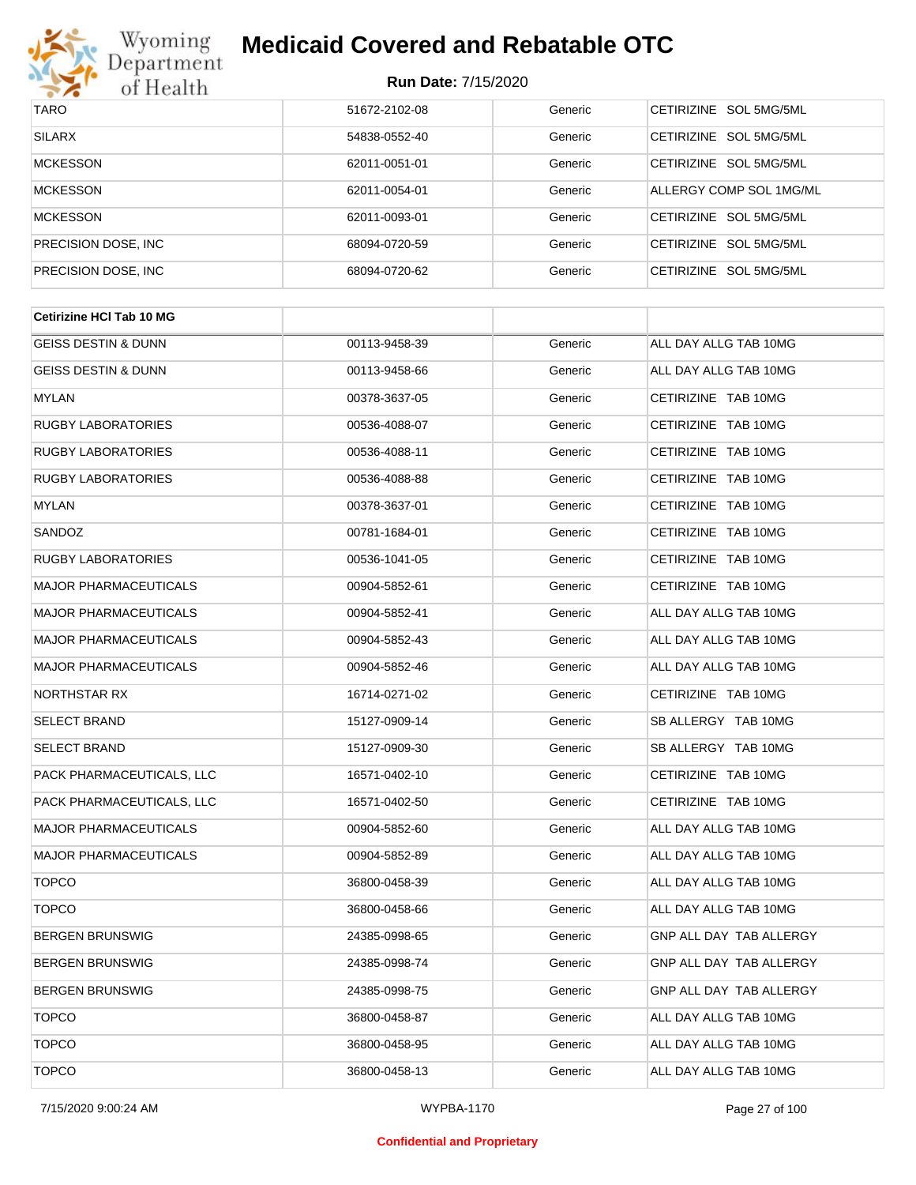

## **Medicaid Covered and Rebatable OTC**

| <b>TARO</b>          | 51672-2102-08 | Generic | CETIRIZINE SOL 5MG/5ML  |
|----------------------|---------------|---------|-------------------------|
| <b>SILARX</b>        | 54838-0552-40 | Generic | CETIRIZINE SOL 5MG/5ML  |
| <b>MCKESSON</b>      | 62011-0051-01 | Generic | CETIRIZINE SOL 5MG/5ML  |
| <b>MCKESSON</b>      | 62011-0054-01 | Generic | ALLERGY COMP SOL 1MG/ML |
| <b>MCKESSON</b>      | 62011-0093-01 | Generic | CETIRIZINE SOL 5MG/5ML  |
| PRECISION DOSE, INC. | 68094-0720-59 | Generic | CETIRIZINE SOL 5MG/5ML  |
| PRECISION DOSE, INC. | 68094-0720-62 | Generic | CETIRIZINE SOL 5MG/5ML  |

| <b>Cetirizine HCI Tab 10 MG</b> |               |         |                                |  |
|---------------------------------|---------------|---------|--------------------------------|--|
| <b>GEISS DESTIN &amp; DUNN</b>  | 00113-9458-39 | Generic | ALL DAY ALLG TAB 10MG          |  |
| <b>GEISS DESTIN &amp; DUNN</b>  | 00113-9458-66 | Generic | ALL DAY ALLG TAB 10MG          |  |
| <b>MYLAN</b>                    | 00378-3637-05 | Generic | CETIRIZINE TAB 10MG            |  |
| <b>RUGBY LABORATORIES</b>       | 00536-4088-07 | Generic | CETIRIZINE TAB 10MG            |  |
| <b>RUGBY LABORATORIES</b>       | 00536-4088-11 | Generic | CETIRIZINE TAB 10MG            |  |
| <b>RUGBY LABORATORIES</b>       | 00536-4088-88 | Generic | CETIRIZINE TAB 10MG            |  |
| <b>MYLAN</b>                    | 00378-3637-01 | Generic | CETIRIZINE TAB 10MG            |  |
| SANDOZ                          | 00781-1684-01 | Generic | CETIRIZINE TAB 10MG            |  |
| <b>RUGBY LABORATORIES</b>       | 00536-1041-05 | Generic | CETIRIZINE TAB 10MG            |  |
| <b>MAJOR PHARMACEUTICALS</b>    | 00904-5852-61 | Generic | CETIRIZINE TAB 10MG            |  |
| <b>MAJOR PHARMACEUTICALS</b>    | 00904-5852-41 | Generic | ALL DAY ALLG TAB 10MG          |  |
| <b>MAJOR PHARMACEUTICALS</b>    | 00904-5852-43 | Generic | ALL DAY ALLG TAB 10MG          |  |
| <b>MAJOR PHARMACEUTICALS</b>    | 00904-5852-46 | Generic | ALL DAY ALLG TAB 10MG          |  |
| NORTHSTAR RX                    | 16714-0271-02 | Generic | CETIRIZINE TAB 10MG            |  |
| <b>SELECT BRAND</b>             | 15127-0909-14 | Generic | SB ALLERGY TAB 10MG            |  |
| <b>SELECT BRAND</b>             | 15127-0909-30 | Generic | SB ALLERGY TAB 10MG            |  |
| PACK PHARMACEUTICALS, LLC       | 16571-0402-10 | Generic | CETIRIZINE TAB 10MG            |  |
| PACK PHARMACEUTICALS, LLC       | 16571-0402-50 | Generic | CETIRIZINE TAB 10MG            |  |
| <b>MAJOR PHARMACEUTICALS</b>    | 00904-5852-60 | Generic | ALL DAY ALLG TAB 10MG          |  |
| <b>MAJOR PHARMACEUTICALS</b>    | 00904-5852-89 | Generic | ALL DAY ALLG TAB 10MG          |  |
| <b>TOPCO</b>                    | 36800-0458-39 | Generic | ALL DAY ALLG TAB 10MG          |  |
| <b>TOPCO</b>                    | 36800-0458-66 | Generic | ALL DAY ALLG TAB 10MG          |  |
| <b>BERGEN BRUNSWIG</b>          | 24385-0998-65 | Generic | <b>GNP ALL DAY TAB ALLERGY</b> |  |
| <b>BERGEN BRUNSWIG</b>          | 24385-0998-74 | Generic | <b>GNP ALL DAY TAB ALLERGY</b> |  |
| <b>BERGEN BRUNSWIG</b>          | 24385-0998-75 | Generic | GNP ALL DAY TAB ALLERGY        |  |
| <b>TOPCO</b>                    | 36800-0458-87 | Generic | ALL DAY ALLG TAB 10MG          |  |
| <b>TOPCO</b>                    | 36800-0458-95 | Generic | ALL DAY ALLG TAB 10MG          |  |
| <b>TOPCO</b>                    | 36800-0458-13 | Generic | ALL DAY ALLG TAB 10MG          |  |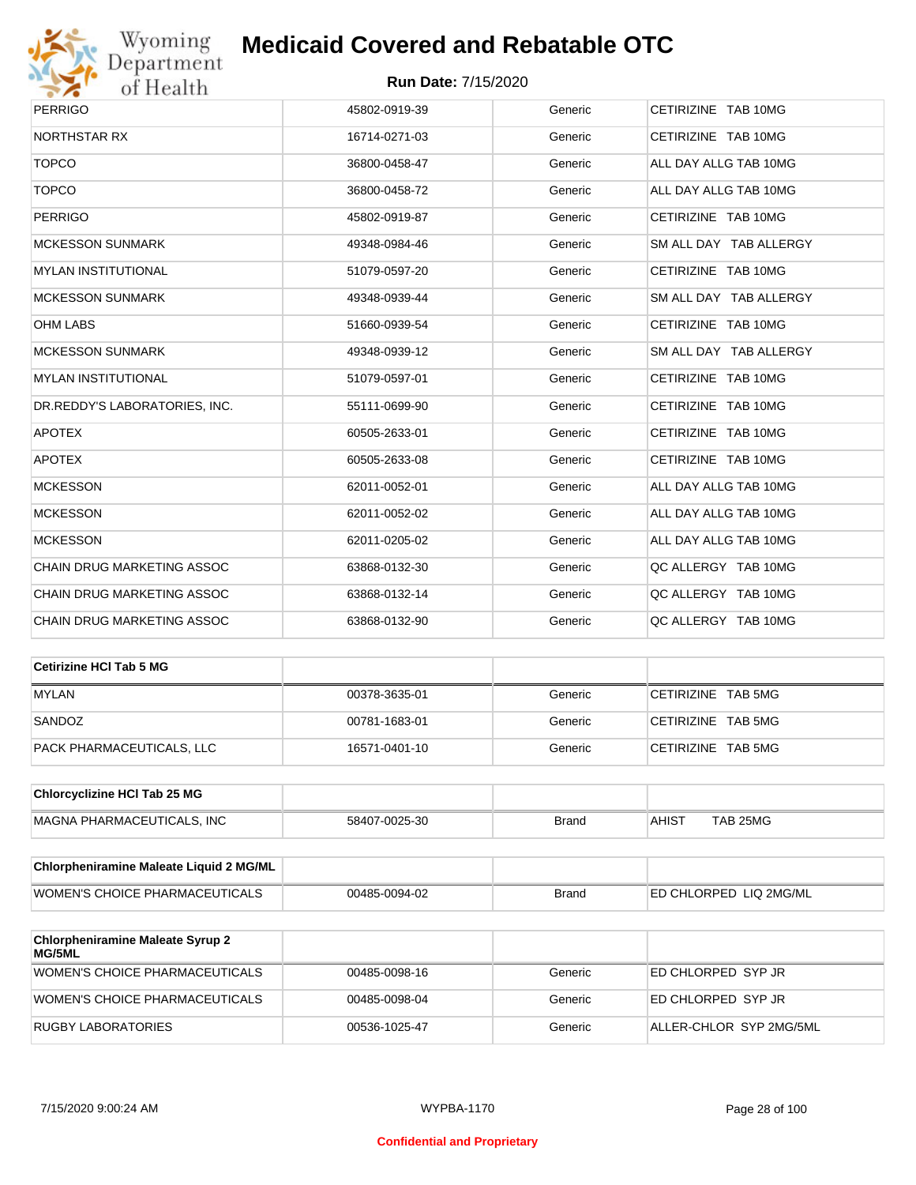

## **Medicaid Covered and Rebatable OTC**

| <b>PERRIGO</b>                    | 45802-0919-39 | Generic | CETIRIZINE TAB 10MG    |
|-----------------------------------|---------------|---------|------------------------|
| NORTHSTAR RX                      | 16714-0271-03 | Generic | CETIRIZINE TAB 10MG    |
| <b>TOPCO</b>                      | 36800-0458-47 | Generic | ALL DAY ALLG TAB 10MG  |
| <b>TOPCO</b>                      | 36800-0458-72 | Generic | ALL DAY ALLG TAB 10MG  |
| <b>PERRIGO</b>                    | 45802-0919-87 | Generic | CETIRIZINE TAB 10MG    |
| <b>MCKESSON SUNMARK</b>           | 49348-0984-46 | Generic | SM ALL DAY TAB ALLERGY |
| <b>MYLAN INSTITUTIONAL</b>        | 51079-0597-20 | Generic | CETIRIZINE TAB 10MG    |
| <b>MCKESSON SUNMARK</b>           | 49348-0939-44 | Generic | SM ALL DAY TAB ALLERGY |
| <b>OHM LABS</b>                   | 51660-0939-54 | Generic | CETIRIZINE TAB 10MG    |
| <b>MCKESSON SUNMARK</b>           | 49348-0939-12 | Generic | SM ALL DAY TAB ALLERGY |
| <b>MYLAN INSTITUTIONAL</b>        | 51079-0597-01 | Generic | CETIRIZINE TAB 10MG    |
| DR.REDDY'S LABORATORIES, INC.     | 55111-0699-90 | Generic | CETIRIZINE TAB 10MG    |
| <b>APOTEX</b>                     | 60505-2633-01 | Generic | CETIRIZINE TAB 10MG    |
| <b>APOTEX</b>                     | 60505-2633-08 | Generic | CETIRIZINE TAB 10MG    |
| <b>MCKESSON</b>                   | 62011-0052-01 | Generic | ALL DAY ALLG TAB 10MG  |
| <b>MCKESSON</b>                   | 62011-0052-02 | Generic | ALL DAY ALLG TAB 10MG  |
| <b>MCKESSON</b>                   | 62011-0205-02 | Generic | ALL DAY ALLG TAB 10MG  |
| <b>CHAIN DRUG MARKETING ASSOC</b> | 63868-0132-30 | Generic | QC ALLERGY TAB 10MG    |
| CHAIN DRUG MARKETING ASSOC        | 63868-0132-14 | Generic | QC ALLERGY TAB 10MG    |
| CHAIN DRUG MARKETING ASSOC        | 63868-0132-90 | Generic | QC ALLERGY TAB 10MG    |
|                                   |               |         |                        |

| Cetirizine HCI Tab 5 MG   |               |         |                    |
|---------------------------|---------------|---------|--------------------|
| <b>MYLAN</b>              | 00378-3635-01 | Generic | CETIRIZINE TAB 5MG |
| SANDOZ                    | 00781-1683-01 | Generic | CETIRIZINE TAB 5MG |
| PACK PHARMACEUTICALS, LLC | 16571-0401-10 | Generic | CETIRIZINE TAB 5MG |

| <b>Chlorcyclizine HCI Tab 25 MG</b> |               |       |              |          |
|-------------------------------------|---------------|-------|--------------|----------|
| MAGNA PHARMACEUTICALS. INC          | 58407-0025-30 | Brand | <b>AHIST</b> | TAB 25MG |

| Chlorpheniramine Maleate Liquid 2 MG/ML |               |              |                                |
|-----------------------------------------|---------------|--------------|--------------------------------|
| WOMEN'S CHOICE PHARMACEUTICALS          | 00485-0094-02 | <b>Brand</b> | <b>IED CHLORPED LIQ 2MG/ML</b> |

| <b>Chlorpheniramine Maleate Syrup 2</b><br><b>MG/5ML</b> |               |         |                         |
|----------------------------------------------------------|---------------|---------|-------------------------|
| WOMEN'S CHOICE PHARMACEUTICALS                           | 00485-0098-16 | Generic | ED CHLORPED SYP JR      |
| WOMEN'S CHOICE PHARMACEUTICALS                           | 00485-0098-04 | Generic | ED CHLORPED SYP JR      |
| RUGBY LABORATORIES                                       | 00536-1025-47 | Generic | ALLER-CHLOR SYP 2MG/5ML |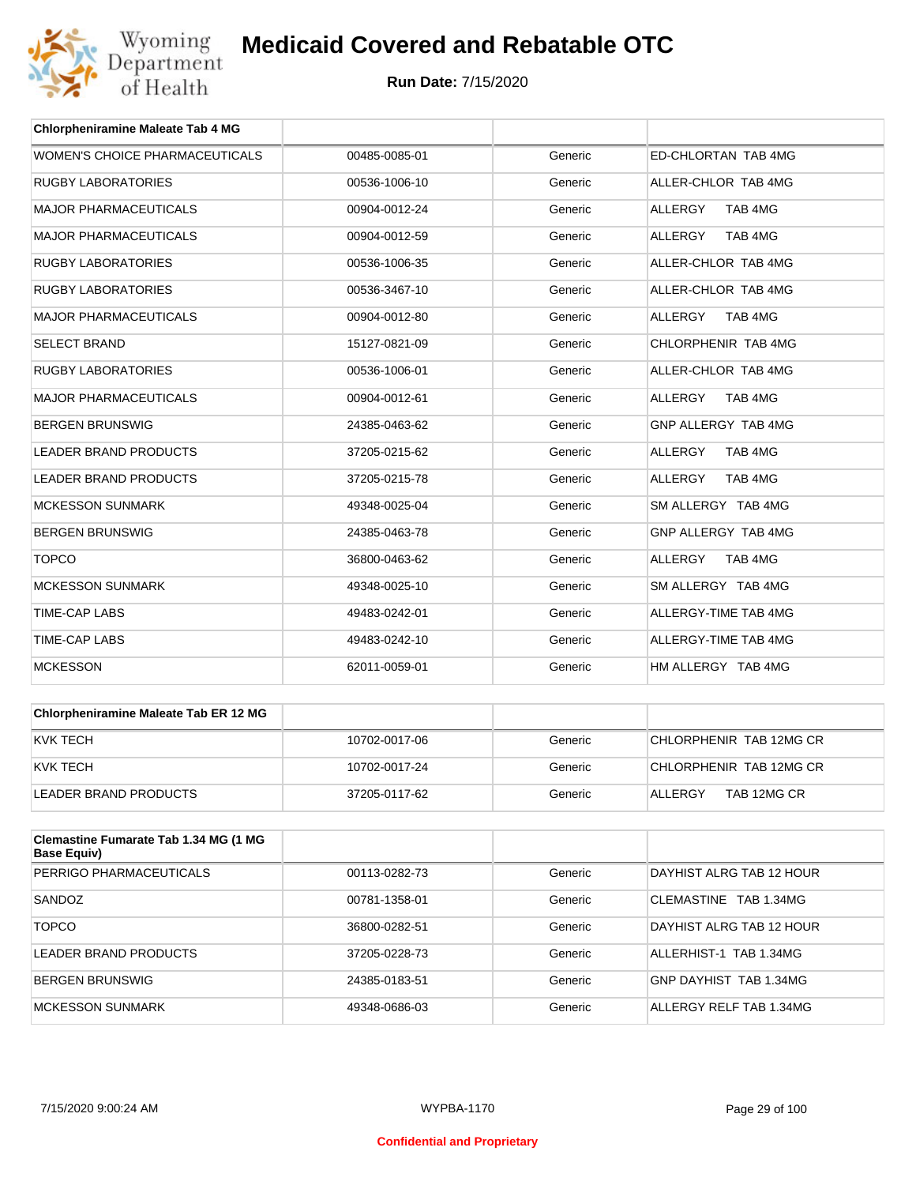

| <b>Chlorpheniramine Maleate Tab 4 MG</b> |               |         |                           |
|------------------------------------------|---------------|---------|---------------------------|
| WOMEN'S CHOICE PHARMACEUTICALS           | 00485-0085-01 | Generic | ED-CHLORTAN TAB 4MG       |
| <b>RUGBY LABORATORIES</b>                | 00536-1006-10 | Generic | ALLER-CHLOR TAB 4MG       |
| <b>MAJOR PHARMACEUTICALS</b>             | 00904-0012-24 | Generic | TAB 4MG<br><b>ALLERGY</b> |
| <b>MAJOR PHARMACEUTICALS</b>             | 00904-0012-59 | Generic | <b>ALLERGY</b><br>TAB 4MG |
| <b>RUGBY LABORATORIES</b>                | 00536-1006-35 | Generic | ALLER-CHLOR TAB 4MG       |
| <b>RUGBY LABORATORIES</b>                | 00536-3467-10 | Generic | ALLER-CHLOR TAB 4MG       |
| <b>MAJOR PHARMACEUTICALS</b>             | 00904-0012-80 | Generic | <b>ALLERGY</b><br>TAB 4MG |
| <b>SELECT BRAND</b>                      | 15127-0821-09 | Generic | CHLORPHENIR TAB 4MG       |
| <b>RUGBY LABORATORIES</b>                | 00536-1006-01 | Generic | ALLER-CHLOR TAB 4MG       |
| <b>MAJOR PHARMACEUTICALS</b>             | 00904-0012-61 | Generic | ALLERGY<br>TAB 4MG        |
| <b>BERGEN BRUNSWIG</b>                   | 24385-0463-62 | Generic | GNP ALLERGY TAB 4MG       |
| <b>LEADER BRAND PRODUCTS</b>             | 37205-0215-62 | Generic | TAB 4MG<br><b>ALLERGY</b> |
| <b>LEADER BRAND PRODUCTS</b>             | 37205-0215-78 | Generic | <b>ALLERGY</b><br>TAB 4MG |
| <b>MCKESSON SUNMARK</b>                  | 49348-0025-04 | Generic | SM ALLERGY TAB 4MG        |
| <b>BERGEN BRUNSWIG</b>                   | 24385-0463-78 | Generic | GNP ALLERGY TAB 4MG       |
| <b>TOPCO</b>                             | 36800-0463-62 | Generic | <b>ALLERGY</b><br>TAB 4MG |
| <b>MCKESSON SUNMARK</b>                  | 49348-0025-10 | Generic | SM ALLERGY TAB 4MG        |
| <b>TIME-CAP LABS</b>                     | 49483-0242-01 | Generic | ALLERGY-TIME TAB 4MG      |
| <b>TIME-CAP LABS</b>                     | 49483-0242-10 | Generic | ALLERGY-TIME TAB 4MG      |
| <b>MCKESSON</b>                          | 62011-0059-01 | Generic | HM ALLERGY TAB 4MG        |

| Chlorpheniramine Maleate Tab ER 12 MG |               |         |                         |
|---------------------------------------|---------------|---------|-------------------------|
| KVK TECH                              | 10702-0017-06 | Generic | CHLORPHENIR TAB 12MG CR |
| KVK TECH                              | 10702-0017-24 | Generic | CHLORPHENIR TAB 12MG CR |
| LEADER BRAND PRODUCTS                 | 37205-0117-62 | Generic | TAB 12MG CR<br>ALLERGY  |

| Clemastine Fumarate Tab 1.34 MG (1 MG<br>Base Equiv) |               |         |                          |
|------------------------------------------------------|---------------|---------|--------------------------|
| PERRIGO PHARMACEUTICALS                              | 00113-0282-73 | Generic | DAYHIST ALRG TAB 12 HOUR |
| SANDOZ                                               | 00781-1358-01 | Generic | CLEMASTINE TAB 1.34MG    |
| <b>TOPCO</b>                                         | 36800-0282-51 | Generic | DAYHIST ALRG TAB 12 HOUR |
| LEADER BRAND PRODUCTS                                | 37205-0228-73 | Generic | ALLERHIST-1 TAB 1.34MG   |
| <b>BERGEN BRUNSWIG</b>                               | 24385-0183-51 | Generic | GNP DAYHIST TAB 1.34MG   |
| MCKESSON SUNMARK                                     | 49348-0686-03 | Generic | ALLERGY RELF TAB 1.34MG  |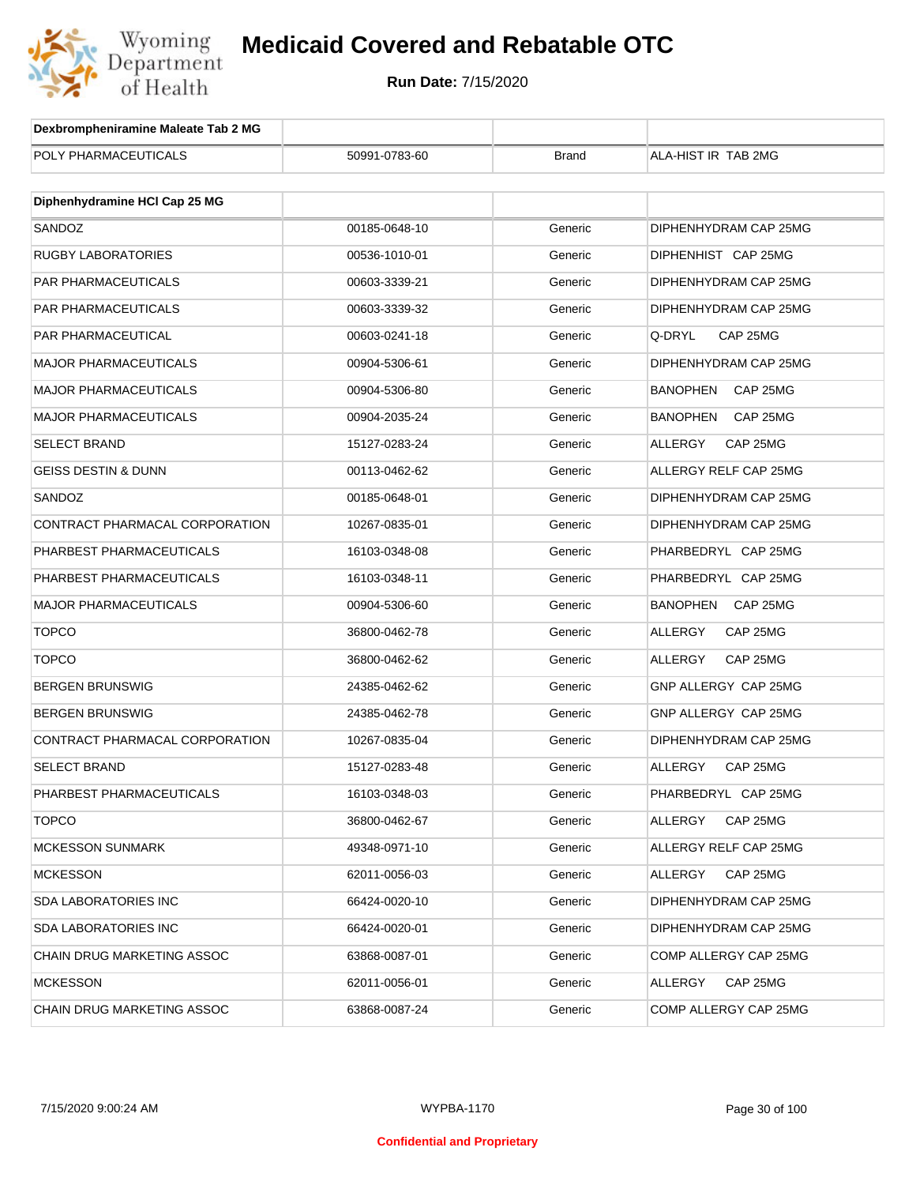

| Dexbrompheniramine Maleate Tab 2 MG |               |              |                             |
|-------------------------------------|---------------|--------------|-----------------------------|
| POLY PHARMACEUTICALS                | 50991-0783-60 | <b>Brand</b> | ALA-HIST IR TAB 2MG         |
|                                     |               |              |                             |
| Diphenhydramine HCI Cap 25 MG       |               |              |                             |
| SANDOZ                              | 00185-0648-10 | Generic      | DIPHENHYDRAM CAP 25MG       |
| RUGBY LABORATORIES                  | 00536-1010-01 | Generic      | DIPHENHIST CAP 25MG         |
| PAR PHARMACEUTICALS                 | 00603-3339-21 | Generic      | DIPHENHYDRAM CAP 25MG       |
| PAR PHARMACEUTICALS                 | 00603-3339-32 | Generic      | DIPHENHYDRAM CAP 25MG       |
| PAR PHARMACEUTICAL                  | 00603-0241-18 | Generic      | Q-DRYL<br>CAP 25MG          |
| <b>MAJOR PHARMACEUTICALS</b>        | 00904-5306-61 | Generic      | DIPHENHYDRAM CAP 25MG       |
| <b>MAJOR PHARMACEUTICALS</b>        | 00904-5306-80 | Generic      | <b>BANOPHEN</b><br>CAP 25MG |
| <b>MAJOR PHARMACEUTICALS</b>        | 00904-2035-24 | Generic      | <b>BANOPHEN</b><br>CAP 25MG |
| <b>SELECT BRAND</b>                 | 15127-0283-24 | Generic      | ALLERGY<br>CAP 25MG         |
| <b>GEISS DESTIN &amp; DUNN</b>      | 00113-0462-62 | Generic      | ALLERGY RELF CAP 25MG       |
| SANDOZ                              | 00185-0648-01 | Generic      | DIPHENHYDRAM CAP 25MG       |
| CONTRACT PHARMACAL CORPORATION      | 10267-0835-01 | Generic      | DIPHENHYDRAM CAP 25MG       |
| PHARBEST PHARMACEUTICALS            | 16103-0348-08 | Generic      | PHARBEDRYL CAP 25MG         |
| PHARBEST PHARMACEUTICALS            | 16103-0348-11 | Generic      | PHARBEDRYL CAP 25MG         |
| <b>MAJOR PHARMACEUTICALS</b>        | 00904-5306-60 | Generic      | <b>BANOPHEN</b><br>CAP 25MG |
| <b>TOPCO</b>                        | 36800-0462-78 | Generic      | ALLERGY<br>CAP 25MG         |
| <b>TOPCO</b>                        | 36800-0462-62 | Generic      | ALLERGY<br>CAP 25MG         |
| <b>BERGEN BRUNSWIG</b>              | 24385-0462-62 | Generic      | GNP ALLERGY CAP 25MG        |
| <b>BERGEN BRUNSWIG</b>              | 24385-0462-78 | Generic      | GNP ALLERGY CAP 25MG        |
| CONTRACT PHARMACAL CORPORATION      | 10267-0835-04 | Generic      | DIPHENHYDRAM CAP 25MG       |
| <b>SELECT BRAND</b>                 | 15127-0283-48 | Generic      | ALLERGY<br>CAP 25MG         |
| PHARBEST PHARMACEUTICALS            | 16103-0348-03 | Generic      | PHARBEDRYL CAP 25MG         |
| <b>TOPCO</b>                        | 36800-0462-67 | Generic      | CAP 25MG<br>ALLERGY         |
| <b>MCKESSON SUNMARK</b>             | 49348-0971-10 | Generic      | ALLERGY RELF CAP 25MG       |
| <b>MCKESSON</b>                     | 62011-0056-03 | Generic      | ALLERGY<br>CAP 25MG         |
| <b>SDA LABORATORIES INC</b>         | 66424-0020-10 | Generic      | DIPHENHYDRAM CAP 25MG       |
| <b>SDA LABORATORIES INC</b>         | 66424-0020-01 | Generic      | DIPHENHYDRAM CAP 25MG       |
| CHAIN DRUG MARKETING ASSOC          | 63868-0087-01 | Generic      | COMP ALLERGY CAP 25MG       |
| <b>MCKESSON</b>                     | 62011-0056-01 | Generic      | ALLERGY<br>CAP 25MG         |
| CHAIN DRUG MARKETING ASSOC          | 63868-0087-24 | Generic      | COMP ALLERGY CAP 25MG       |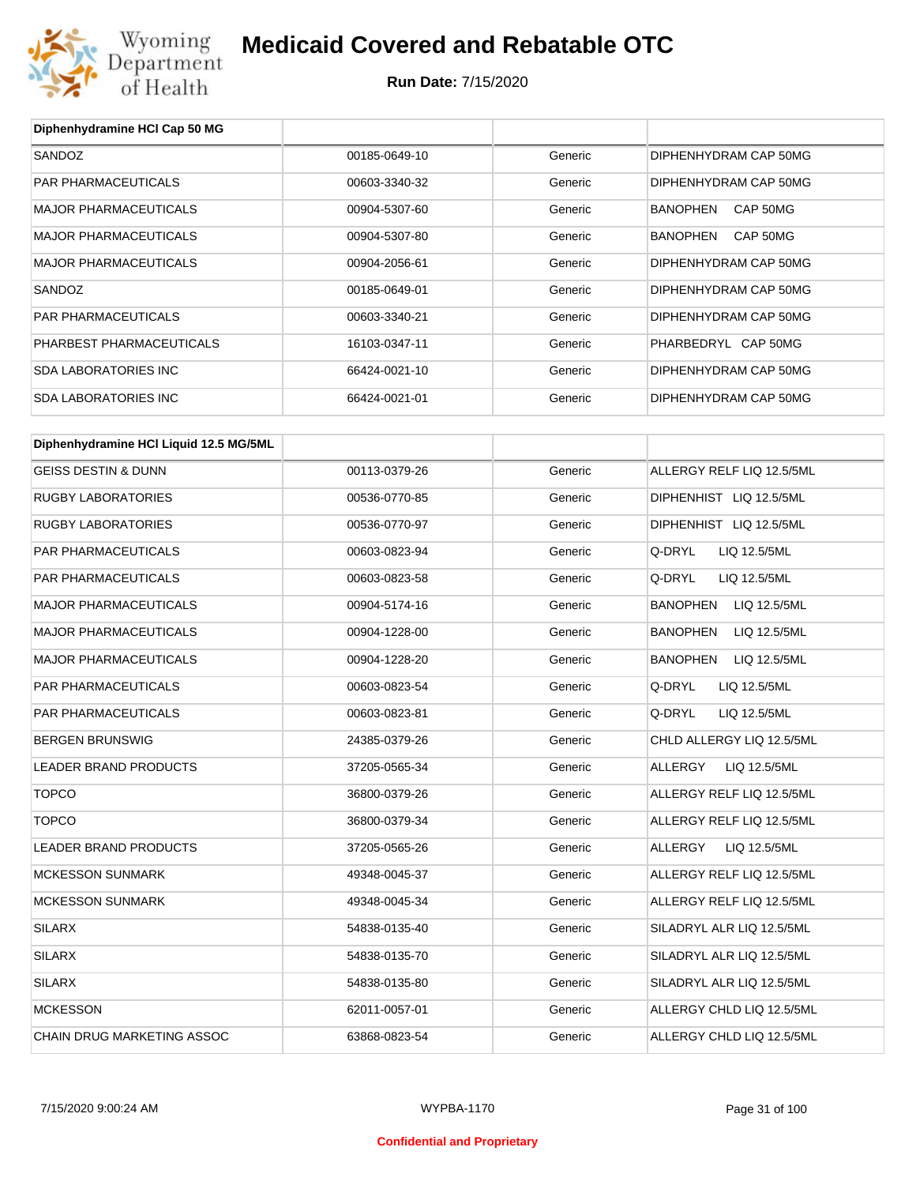

**Diphenhydramine HCl Cap 50 MG**

## **Medicaid Covered and Rebatable OTC**

| SANDOZ                                 | 00185-0649-10 | Generic | DIPHENHYDRAM CAP 50MG           |
|----------------------------------------|---------------|---------|---------------------------------|
| PAR PHARMACEUTICALS                    | 00603-3340-32 | Generic | DIPHENHYDRAM CAP 50MG           |
| <b>MAJOR PHARMACEUTICALS</b>           | 00904-5307-60 | Generic | BANOPHEN CAP 50MG               |
| <b>MAJOR PHARMACEUTICALS</b>           | 00904-5307-80 | Generic | BANOPHEN<br>CAP 50MG            |
| <b>MAJOR PHARMACEUTICALS</b>           | 00904-2056-61 | Generic | DIPHENHYDRAM CAP 50MG           |
| SANDOZ                                 | 00185-0649-01 | Generic | DIPHENHYDRAM CAP 50MG           |
| <b>PAR PHARMACEUTICALS</b>             | 00603-3340-21 | Generic | DIPHENHYDRAM CAP 50MG           |
| PHARBEST PHARMACEUTICALS               | 16103-0347-11 | Generic | PHARBEDRYL CAP 50MG             |
| <b>SDA LABORATORIES INC</b>            | 66424-0021-10 | Generic | DIPHENHYDRAM CAP 50MG           |
| <b>SDA LABORATORIES INC</b>            | 66424-0021-01 | Generic | DIPHENHYDRAM CAP 50MG           |
| Diphenhydramine HCI Liquid 12.5 MG/5ML |               |         |                                 |
|                                        |               |         |                                 |
| <b>GEISS DESTIN &amp; DUNN</b>         | 00113-0379-26 | Generic | ALLERGY RELF LIQ 12.5/5ML       |
| <b>RUGBY LABORATORIES</b>              | 00536-0770-85 | Generic | DIPHENHIST LIQ 12.5/5ML         |
| <b>RUGBY LABORATORIES</b>              | 00536-0770-97 | Generic | DIPHENHIST LIQ 12.5/5ML         |
| PAR PHARMACEUTICALS                    | 00603-0823-94 | Generic | Q-DRYL<br>LIQ 12.5/5ML          |
| PAR PHARMACEUTICALS                    | 00603-0823-58 | Generic | Q-DRYL<br>LIQ 12.5/5ML          |
| <b>MAJOR PHARMACEUTICALS</b>           | 00904-5174-16 | Generic | <b>BANOPHEN</b><br>LIQ 12.5/5ML |
| <b>MAJOR PHARMACEUTICALS</b>           | 00904-1228-00 | Generic | BANOPHEN<br>LIQ 12.5/5ML        |
| <b>MAJOR PHARMACEUTICALS</b>           | 00904-1228-20 | Generic | BANOPHEN<br>LIQ 12.5/5ML        |
| PAR PHARMACEUTICALS                    | 00603-0823-54 | Generic | Q-DRYL<br>LIQ 12.5/5ML          |
| PAR PHARMACEUTICALS                    | 00603-0823-81 | Generic | Q-DRYL<br>LIQ 12.5/5ML          |
| <b>BERGEN BRUNSWIG</b>                 | 24385-0379-26 | Generic | CHLD ALLERGY LIQ 12.5/5ML       |
| LEADER BRAND PRODUCTS                  | 37205-0565-34 | Generic | ALLERGY<br>LIQ 12.5/5ML         |
| <b>TOPCO</b>                           | 36800-0379-26 | Generic | ALLERGY RELF LIQ 12.5/5ML       |
| <b>TOPCO</b>                           | 36800-0379-34 | Generic | ALLERGY RELF LIQ 12.5/5ML       |
| LEADER BRAND PRODUCTS                  | 37205-0565-26 | Generic | ALLERGY<br>LIQ 12.5/5ML         |
| <b>MCKESSON SUNMARK</b>                | 49348-0045-37 | Generic | ALLERGY RELF LIQ 12.5/5ML       |
| <b>MCKESSON SUNMARK</b>                | 49348-0045-34 | Generic | ALLERGY RELF LIQ 12.5/5ML       |
| SILARX                                 | 54838-0135-40 | Generic | SILADRYL ALR LIQ 12.5/5ML       |
| <b>SILARX</b>                          | 54838-0135-70 | Generic | SILADRYL ALR LIQ 12.5/5ML       |
| <b>SILARX</b>                          | 54838-0135-80 | Generic | SILADRYL ALR LIQ 12.5/5ML       |
| <b>MCKESSON</b>                        | 62011-0057-01 | Generic | ALLERGY CHLD LIQ 12.5/5ML       |
| CHAIN DRUG MARKETING ASSOC             | 63868-0823-54 | Generic | ALLERGY CHLD LIQ 12.5/5ML       |
|                                        |               |         |                                 |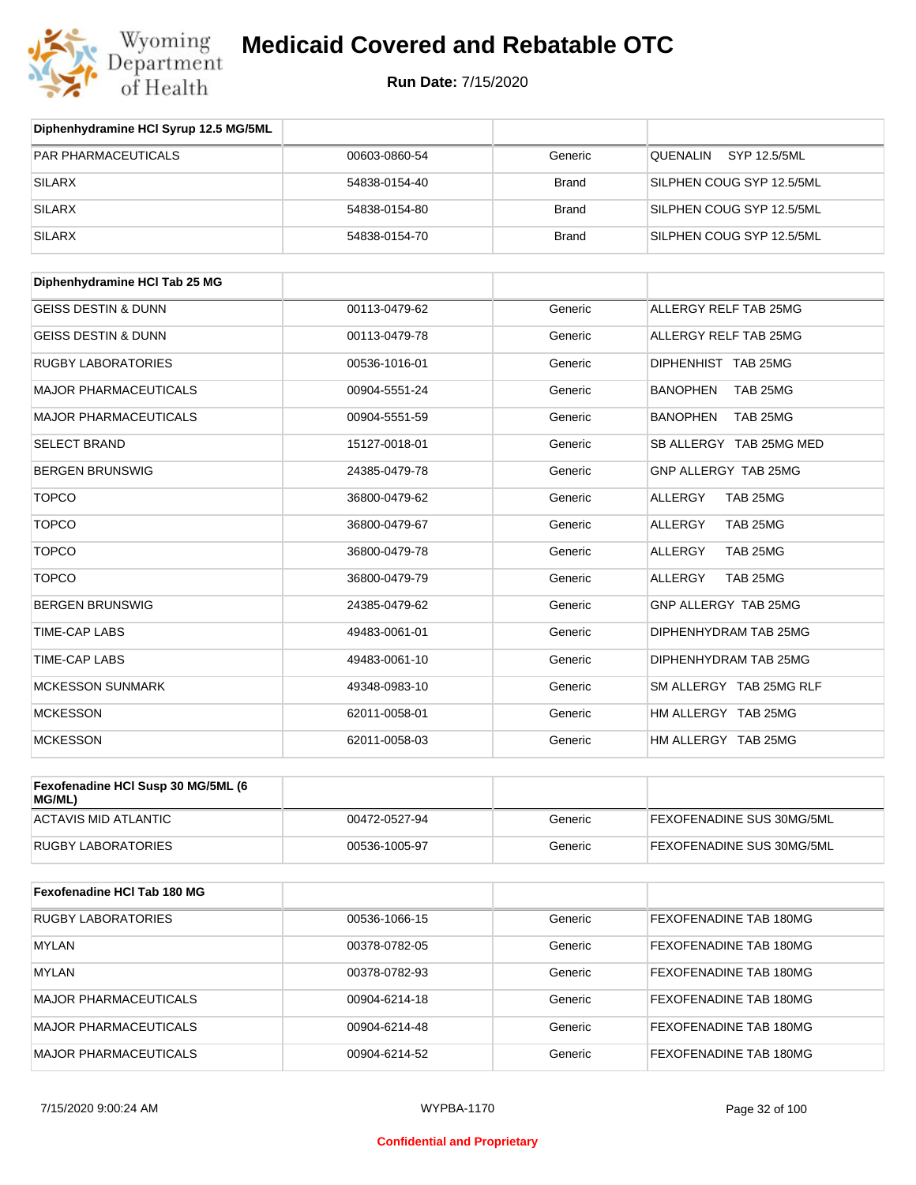

| Diphenhydramine HCI Syrup 12.5 MG/5ML |               |              |                               |
|---------------------------------------|---------------|--------------|-------------------------------|
| PAR PHARMACEUTICALS                   | 00603-0860-54 | Generic      | SYP 12.5/5ML<br>QUENALIN      |
| <b>SILARX</b>                         | 54838-0154-40 | <b>Brand</b> | SILPHEN COUG SYP 12.5/5ML     |
| <b>SILARX</b>                         | 54838-0154-80 | <b>Brand</b> | SILPHEN COUG SYP 12.5/5ML     |
| <b>SILARX</b>                         | 54838-0154-70 | <b>Brand</b> | SILPHEN COUG SYP 12.5/5ML     |
| Diphenhydramine HCI Tab 25 MG         |               |              |                               |
| <b>GEISS DESTIN &amp; DUNN</b>        | 00113-0479-62 | Generic      | ALLERGY RELF TAB 25MG         |
| <b>GEISS DESTIN &amp; DUNN</b>        | 00113-0479-78 | Generic      | ALLERGY RELF TAB 25MG         |
| <b>RUGBY LABORATORIES</b>             | 00536-1016-01 | Generic      | DIPHENHIST TAB 25MG           |
| <b>MAJOR PHARMACEUTICALS</b>          | 00904-5551-24 | Generic      | <b>BANOPHEN</b><br>TAB 25MG   |
| <b>MAJOR PHARMACEUTICALS</b>          | 00904-5551-59 | Generic      | <b>BANOPHEN</b><br>TAB 25MG   |
| <b>SELECT BRAND</b>                   | 15127-0018-01 | Generic      | SB ALLERGY TAB 25MG MED       |
| <b>BERGEN BRUNSWIG</b>                | 24385-0479-78 | Generic      | GNP ALLERGY TAB 25MG          |
| <b>TOPCO</b>                          | 36800-0479-62 | Generic      | ALLERGY<br>TAB 25MG           |
| <b>TOPCO</b>                          | 36800-0479-67 | Generic      | ALLERGY<br>TAB 25MG           |
| <b>TOPCO</b>                          | 36800-0479-78 | Generic      | ALLERGY<br>TAB 25MG           |
| <b>TOPCO</b>                          | 36800-0479-79 | Generic      | ALLERGY<br>TAB 25MG           |
| <b>BERGEN BRUNSWIG</b>                | 24385-0479-62 | Generic      | GNP ALLERGY TAB 25MG          |
| TIME-CAP LABS                         | 49483-0061-01 | Generic      | DIPHENHYDRAM TAB 25MG         |
| TIME-CAP LABS                         | 49483-0061-10 | Generic      | DIPHENHYDRAM TAB 25MG         |
| <b>MCKESSON SUNMARK</b>               | 49348-0983-10 | Generic      | SM ALLERGY TAB 25MG RLF       |
| <b>MCKESSON</b>                       | 62011-0058-01 | Generic      | HM ALLERGY TAB 25MG           |
| <b>MCKESSON</b>                       | 62011-0058-03 | Generic      | HM ALLERGY TAB 25MG           |
| Fexofenadine HCI Susp 30 MG/5ML (6    |               |              |                               |
| MG/ML)                                |               |              |                               |
| <b>ACTAVIS MID ATLANTIC</b>           | 00472-0527-94 | Generic      | FEXOFENADINE SUS 30MG/5ML     |
| <b>RUGBY LABORATORIES</b>             | 00536-1005-97 | Generic      | FEXOFENADINE SUS 30MG/5ML     |
| Fexofenadine HCI Tab 180 MG           |               |              |                               |
| <b>RUGBY LABORATORIES</b>             | 00536-1066-15 | Generic      | <b>FEXOFENADINE TAB 180MG</b> |
| <b>MYLAN</b>                          | 00378-0782-05 | Generic      | FEXOFENADINE TAB 180MG        |
| <b>MYLAN</b>                          | 00378-0782-93 | Generic      | FEXOFENADINE TAB 180MG        |
| <b>MAJOR PHARMACEUTICALS</b>          | 00904-6214-18 | Generic      | FEXOFENADINE TAB 180MG        |
| <b>MAJOR PHARMACEUTICALS</b>          | 00904-6214-48 | Generic      | FEXOFENADINE TAB 180MG        |
| <b>MAJOR PHARMACEUTICALS</b>          | 00904-6214-52 | Generic      | FEXOFENADINE TAB 180MG        |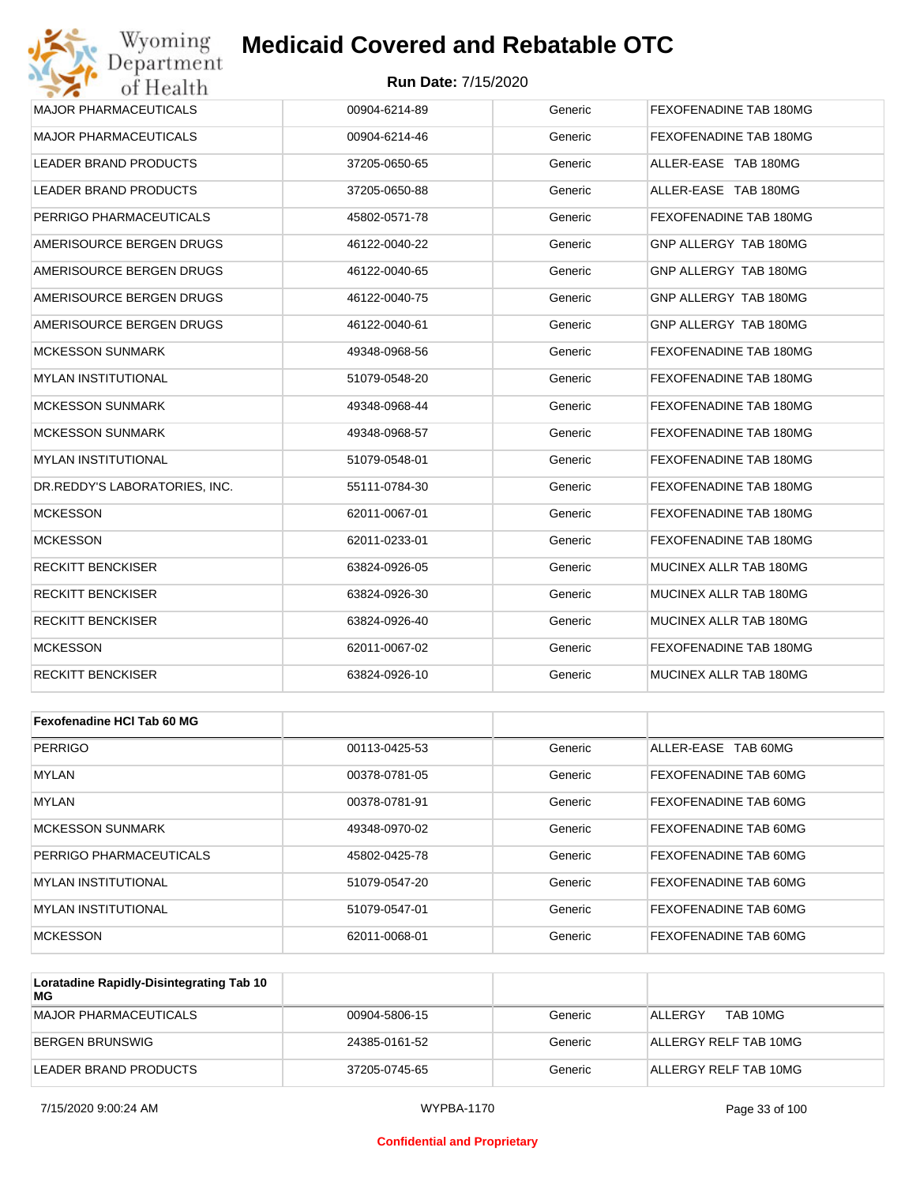#### **Run Date:** 7/15/2020

| Wyoming<br>Department         | <b>Medicaid Covered and Rebatable OTC</b> |         |                        |
|-------------------------------|-------------------------------------------|---------|------------------------|
| of Health                     | <b>Run Date: 7/15/2020</b>                |         |                        |
| <b>MAJOR PHARMACEUTICALS</b>  | 00904-6214-89                             | Generic | FEXOFENADINE TAB 180MG |
| <b>MAJOR PHARMACEUTICALS</b>  | 00904-6214-46                             | Generic | FEXOFENADINE TAB 180MG |
| LEADER BRAND PRODUCTS         | 37205-0650-65                             | Generic | ALLER-EASE TAB 180MG   |
| LEADER BRAND PRODUCTS         | 37205-0650-88                             | Generic | ALLER-EASE TAB 180MG   |
| PERRIGO PHARMACEUTICALS       | 45802-0571-78                             | Generic | FEXOFENADINE TAB 180MG |
| AMERISOURCE BERGEN DRUGS      | 46122-0040-22                             | Generic | GNP ALLERGY TAB 180MG  |
| AMERISOURCE BERGEN DRUGS      | 46122-0040-65                             | Generic | GNP ALLERGY TAB 180MG  |
| AMERISOURCE BERGEN DRUGS      | 46122-0040-75                             | Generic | GNP ALLERGY TAB 180MG  |
| AMERISOURCE BERGEN DRUGS      | 46122-0040-61                             | Generic | GNP ALLERGY TAB 180MG  |
| <b>MCKESSON SUNMARK</b>       | 49348-0968-56                             | Generic | FEXOFENADINE TAB 180MG |
| MYLAN INSTITUTIONAL           | 51079-0548-20                             | Generic | FEXOFENADINE TAB 180MG |
| <b>MCKESSON SUNMARK</b>       | 49348-0968-44                             | Generic | FEXOFENADINE TAB 180MG |
| <b>MCKESSON SUNMARK</b>       | 49348-0968-57                             | Generic | FEXOFENADINE TAB 180MG |
| <b>MYLAN INSTITUTIONAL</b>    | 51079-0548-01                             | Generic | FEXOFENADINE TAB 180MG |
| DR.REDDY'S LABORATORIES, INC. | 55111-0784-30                             | Generic | FEXOFENADINE TAB 180MG |
| <b>MCKESSON</b>               | 62011-0067-01                             | Generic | FEXOFENADINE TAB 180MG |
| <b>MCKESSON</b>               | 62011-0233-01                             | Generic | FEXOFENADINE TAB 180MG |
| <b>RECKITT BENCKISER</b>      | 63824-0926-05                             | Generic | MUCINEX ALLR TAB 180MG |
| <b>RECKITT BENCKISER</b>      | 63824-0926-30                             | Generic | MUCINEX ALLR TAB 180MG |
| <b>RECKITT BENCKISER</b>      | 63824-0926-40                             | Generic | MUCINEX ALLR TAB 180MG |
| <b>MCKESSON</b>               | 62011-0067-02                             | Generic | FEXOFENADINE TAB 180MG |
| <b>RECKITT BENCKISER</b>      | 63824-0926-10                             | Generic | MUCINEX ALLR TAB 180MG |
| Fexofenadine HCI Tab 60 MG    |                                           |         |                        |
| <b>PERRIGO</b>                | 00113-0425-53                             | Generic | ALLER-EASE TAB 60MG    |
| MYLAN                         | 00378-0781-05                             | Generic | FEXOFENADINE TAB 60MG  |
| <b>MYLAN</b>                  | 00378-0781-91                             | Generic | FEXOFENADINE TAB 60MG  |
| <b>MCKESSON SUNMARK</b>       | 49348-0970-02                             | Generic | FEXOFENADINE TAB 60MG  |
| PERRIGO PHARMACELITICALS      | 45802-0425-78                             | Generic | FEXOFENADINE TAR 60MG  |

| MCKESSON SUNMARK            | 49348-0970-02 | Generic | FEXOFENADINE TAB 60MG.       |
|-----------------------------|---------------|---------|------------------------------|
| PERRIGO PHARMACEUTICALS     | 45802-0425-78 | Generic | <b>FEXOFENADINE TAB 60MG</b> |
| <b>IMYLAN INSTITUTIONAL</b> | 51079-0547-20 | Generic | <b>FEXOFENADINE TAB 60MG</b> |
| <b>IMYLAN INSTITUTIONAL</b> | 51079-0547-01 | Generic | <b>FEXOFENADINE TAB 60MG</b> |
| <b>MCKESSON</b>             | 62011-0068-01 | Generic | <b>FEXOFENADINE TAB 60MG</b> |

| Loratadine Rapidly-Disintegrating Tab 10<br>MG |               |         |                       |
|------------------------------------------------|---------------|---------|-----------------------|
| MAJOR PHARMACEUTICALS                          | 00904-5806-15 | Generic | TAB 10MG<br>ALLERGY   |
| BERGEN BRUNSWIG                                | 24385-0161-52 | Generic | ALLERGY RELF TAB 10MG |
| LEADER BRAND PRODUCTS                          | 37205-0745-65 | Generic | ALLERGY RELF TAB 10MG |

#### **Confidential and Proprietary**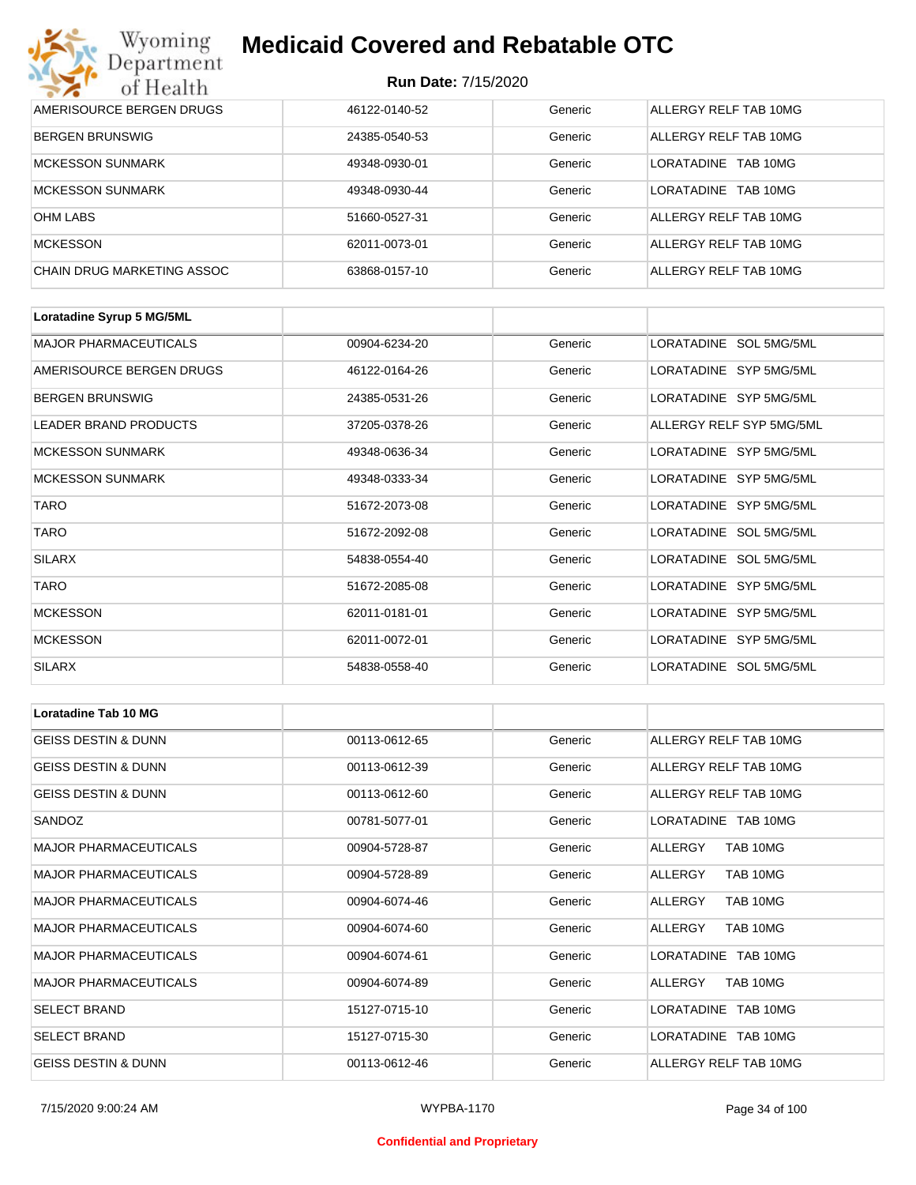| Wyoming<br>Department      | <b>Medicaid Covered and Rebatable OTC</b><br><b>Run Date: 7/15/2020</b> |         |                         |  |
|----------------------------|-------------------------------------------------------------------------|---------|-------------------------|--|
| of Health                  |                                                                         |         |                         |  |
| AMERISOURCE BERGEN DRUGS   | 46122-0140-52                                                           | Generic | ALLERGY RELF TAB 10MG   |  |
| <b>BERGEN BRUNSWIG</b>     | 24385-0540-53                                                           | Generic | ALLERGY RELF TAB 10MG   |  |
| <b>MCKESSON SUNMARK</b>    | 49348-0930-01                                                           | Generic | I ORATADINE<br>TAB 10MG |  |
| <b>MCKESSON SUNMARK</b>    | 49348-0930-44                                                           | Generic | LORATADINE<br>TAB 10MG  |  |
| <b>OHM LABS</b>            | 51660-0527-31                                                           | Generic | ALLERGY RELF TAB 10MG   |  |
| <b>MCKESSON</b>            | 62011-0073-01                                                           | Generic | ALLERGY RELF TAB 10MG   |  |
| CHAIN DRUG MARKETING ASSOC | 63868-0157-10                                                           | Generic | ALLERGY RELF TAB 10MG   |  |

| Loratadine Syrup 5 MG/5ML    |               |         |                          |
|------------------------------|---------------|---------|--------------------------|
| <b>MAJOR PHARMACEUTICALS</b> | 00904-6234-20 | Generic | LORATADINE SOL 5MG/5ML   |
| AMERISOURCE BERGEN DRUGS     | 46122-0164-26 | Generic | LORATADINE SYP 5MG/5ML   |
| <b>BERGEN BRUNSWIG</b>       | 24385-0531-26 | Generic | LORATADINE SYP 5MG/5ML   |
| <b>LEADER BRAND PRODUCTS</b> | 37205-0378-26 | Generic | ALLERGY RELF SYP 5MG/5ML |
| <b>MCKESSON SUNMARK</b>      | 49348-0636-34 | Generic | LORATADINE SYP 5MG/5ML   |
| <b>MCKESSON SUNMARK</b>      | 49348-0333-34 | Generic | LORATADINE SYP 5MG/5ML   |
| <b>TARO</b>                  | 51672-2073-08 | Generic | LORATADINE SYP 5MG/5ML   |
| <b>TARO</b>                  | 51672-2092-08 | Generic | LORATADINE SOL 5MG/5ML   |
| <b>SILARX</b>                | 54838-0554-40 | Generic | LORATADINE SOL 5MG/5ML   |
| <b>TARO</b>                  | 51672-2085-08 | Generic | LORATADINE SYP 5MG/5ML   |
| <b>MCKESSON</b>              | 62011-0181-01 | Generic | LORATADINE SYP 5MG/5ML   |
| <b>MCKESSON</b>              | 62011-0072-01 | Generic | LORATADINE SYP 5MG/5ML   |
| <b>SILARX</b>                | 54838-0558-40 | Generic | LORATADINE SOL 5MG/5ML   |

| <b>Loratadine Tab 10 MG</b>    |               |         |                       |  |
|--------------------------------|---------------|---------|-----------------------|--|
| <b>GEISS DESTIN &amp; DUNN</b> | 00113-0612-65 | Generic | ALLERGY RELF TAB 10MG |  |
| <b>GEISS DESTIN &amp; DUNN</b> | 00113-0612-39 | Generic | ALLERGY RELF TAB 10MG |  |
| <b>GEISS DESTIN &amp; DUNN</b> | 00113-0612-60 | Generic | ALLERGY RELF TAB 10MG |  |
| SANDOZ                         | 00781-5077-01 | Generic | LORATADINE TAB 10MG   |  |
| <b>MAJOR PHARMACEUTICALS</b>   | 00904-5728-87 | Generic | TAB 10MG<br>ALLERGY   |  |
| <b>MAJOR PHARMACEUTICALS</b>   | 00904-5728-89 | Generic | TAB 10MG<br>ALLERGY   |  |
| <b>MAJOR PHARMACEUTICALS</b>   | 00904-6074-46 | Generic | TAB 10MG<br>ALLERGY   |  |
| <b>MAJOR PHARMACEUTICALS</b>   | 00904-6074-60 | Generic | TAB 10MG<br>ALLERGY   |  |
| <b>MAJOR PHARMACEUTICALS</b>   | 00904-6074-61 | Generic | LORATADINE TAB 10MG   |  |
| <b>MAJOR PHARMACEUTICALS</b>   | 00904-6074-89 | Generic | TAB 10MG<br>ALLERGY   |  |
| <b>SELECT BRAND</b>            | 15127-0715-10 | Generic | LORATADINE TAB 10MG   |  |
| <b>SELECT BRAND</b>            | 15127-0715-30 | Generic | LORATADINE TAB 10MG   |  |
| <b>GEISS DESTIN &amp; DUNN</b> | 00113-0612-46 | Generic | ALLERGY RELF TAB 10MG |  |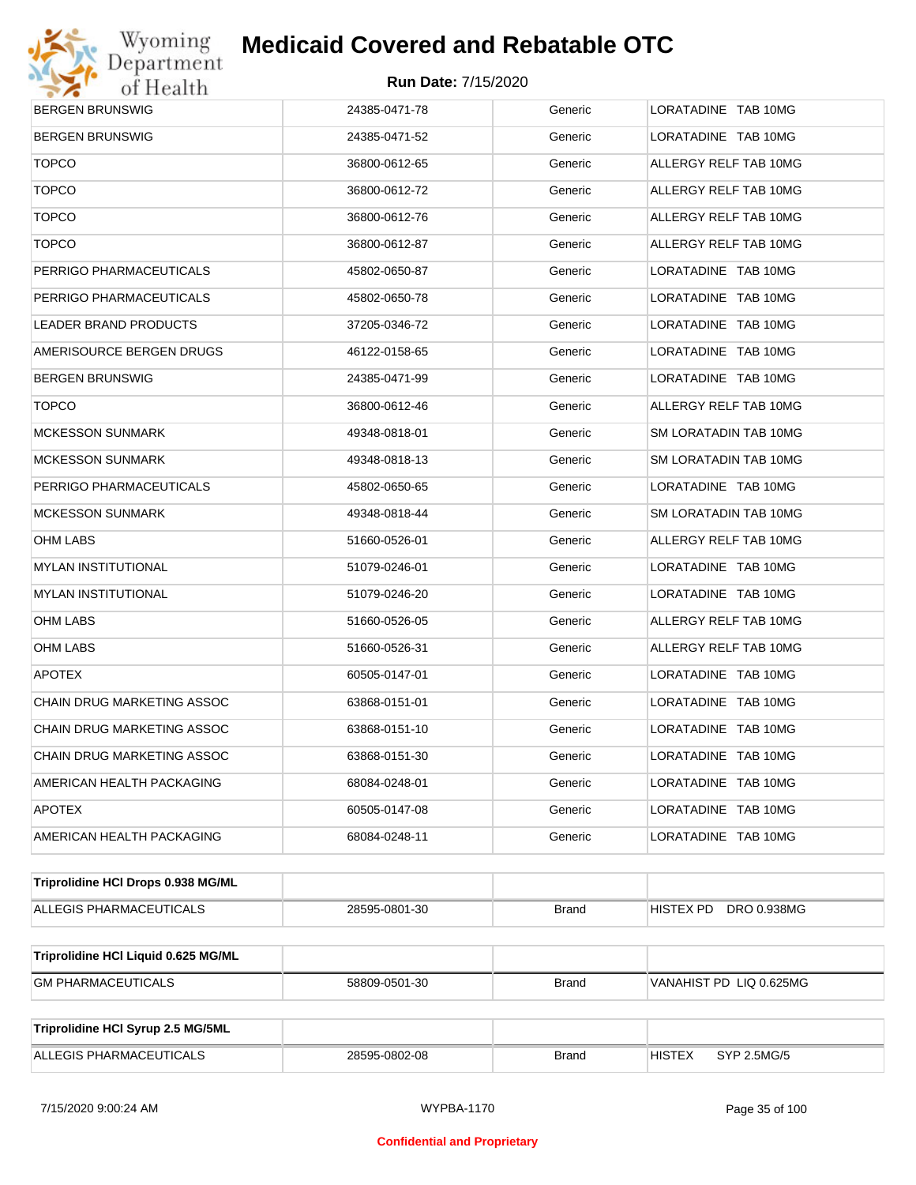

| <b>BERGEN BRUNSWIG</b>              | 24385-0471-78 | Generic      | LORATADINE TAB 10MG          |  |  |
|-------------------------------------|---------------|--------------|------------------------------|--|--|
| <b>BERGEN BRUNSWIG</b>              | 24385-0471-52 | Generic      | LORATADINE TAB 10MG          |  |  |
| <b>TOPCO</b>                        | 36800-0612-65 | Generic      | ALLERGY RELF TAB 10MG        |  |  |
| <b>TOPCO</b>                        | 36800-0612-72 | Generic      | ALLERGY RELF TAB 10MG        |  |  |
| <b>TOPCO</b>                        | 36800-0612-76 | Generic      | ALLERGY RELF TAB 10MG        |  |  |
| <b>TOPCO</b>                        | 36800-0612-87 | Generic      | ALLERGY RELF TAB 10MG        |  |  |
| PERRIGO PHARMACEUTICALS             | 45802-0650-87 | Generic      | LORATADINE TAB 10MG          |  |  |
| PERRIGO PHARMACEUTICALS             | 45802-0650-78 | Generic      | LORATADINE TAB 10MG          |  |  |
| LEADER BRAND PRODUCTS               | 37205-0346-72 | Generic      | LORATADINE TAB 10MG          |  |  |
| AMERISOURCE BERGEN DRUGS            | 46122-0158-65 | Generic      | LORATADINE TAB 10MG          |  |  |
| <b>BERGEN BRUNSWIG</b>              | 24385-0471-99 | Generic      | LORATADINE TAB 10MG          |  |  |
| <b>TOPCO</b>                        | 36800-0612-46 | Generic      | ALLERGY RELF TAB 10MG        |  |  |
| <b>MCKESSON SUNMARK</b>             | 49348-0818-01 | Generic      | SM LORATADIN TAB 10MG        |  |  |
| <b>MCKESSON SUNMARK</b>             | 49348-0818-13 | Generic      | SM LORATADIN TAB 10MG        |  |  |
| PERRIGO PHARMACEUTICALS             | 45802-0650-65 | Generic      | LORATADINE TAB 10MG          |  |  |
| <b>MCKESSON SUNMARK</b>             | 49348-0818-44 | Generic      | SM LORATADIN TAB 10MG        |  |  |
| OHM LABS                            | 51660-0526-01 | Generic      | ALLERGY RELF TAB 10MG        |  |  |
| <b>MYLAN INSTITUTIONAL</b>          | 51079-0246-01 | Generic      | LORATADINE TAB 10MG          |  |  |
| <b>MYLAN INSTITUTIONAL</b>          | 51079-0246-20 | Generic      | LORATADINE TAB 10MG          |  |  |
| <b>OHM LABS</b>                     | 51660-0526-05 | Generic      | ALLERGY RELF TAB 10MG        |  |  |
| OHM LABS                            | 51660-0526-31 | Generic      | ALLERGY RELF TAB 10MG        |  |  |
| <b>APOTEX</b>                       | 60505-0147-01 | Generic      | LORATADINE TAB 10MG          |  |  |
| CHAIN DRUG MARKETING ASSOC          | 63868-0151-01 | Generic      | LORATADINE TAB 10MG          |  |  |
| CHAIN DRUG MARKETING ASSOC          | 63868-0151-10 | Generic      | LORATADINE TAB 10MG          |  |  |
| CHAIN DRUG MARKETING ASSOC          | 63868-0151-30 | Generic      | LORATADINE TAB 10MG          |  |  |
| AMERICAN HEALTH PACKAGING           | 68084-0248-01 | Generic      | LORATADINE TAB 10MG          |  |  |
| <b>APOTEX</b>                       | 60505-0147-08 | Generic      | LORATADINE TAB 10MG          |  |  |
| AMERICAN HEALTH PACKAGING           | 68084-0248-11 | Generic      | LORATADINE TAB 10MG          |  |  |
| Triprolidine HCI Drops 0.938 MG/ML  |               |              |                              |  |  |
| ALLEGIS PHARMACEUTICALS             | 28595-0801-30 | <b>Brand</b> | DRO 0.938MG<br>HISTEX PD     |  |  |
| Triprolidine HCI Liquid 0.625 MG/ML |               |              |                              |  |  |
| <b>GM PHARMACEUTICALS</b>           | 58809-0501-30 | <b>Brand</b> | VANAHIST PD LIQ 0.625MG      |  |  |
| Triprolidine HCI Syrup 2.5 MG/5ML   |               |              |                              |  |  |
| ALLEGIS PHARMACEUTICALS             | 28595-0802-08 | <b>Brand</b> | <b>HISTEX</b><br>SYP 2.5MG/5 |  |  |
|                                     |               |              |                              |  |  |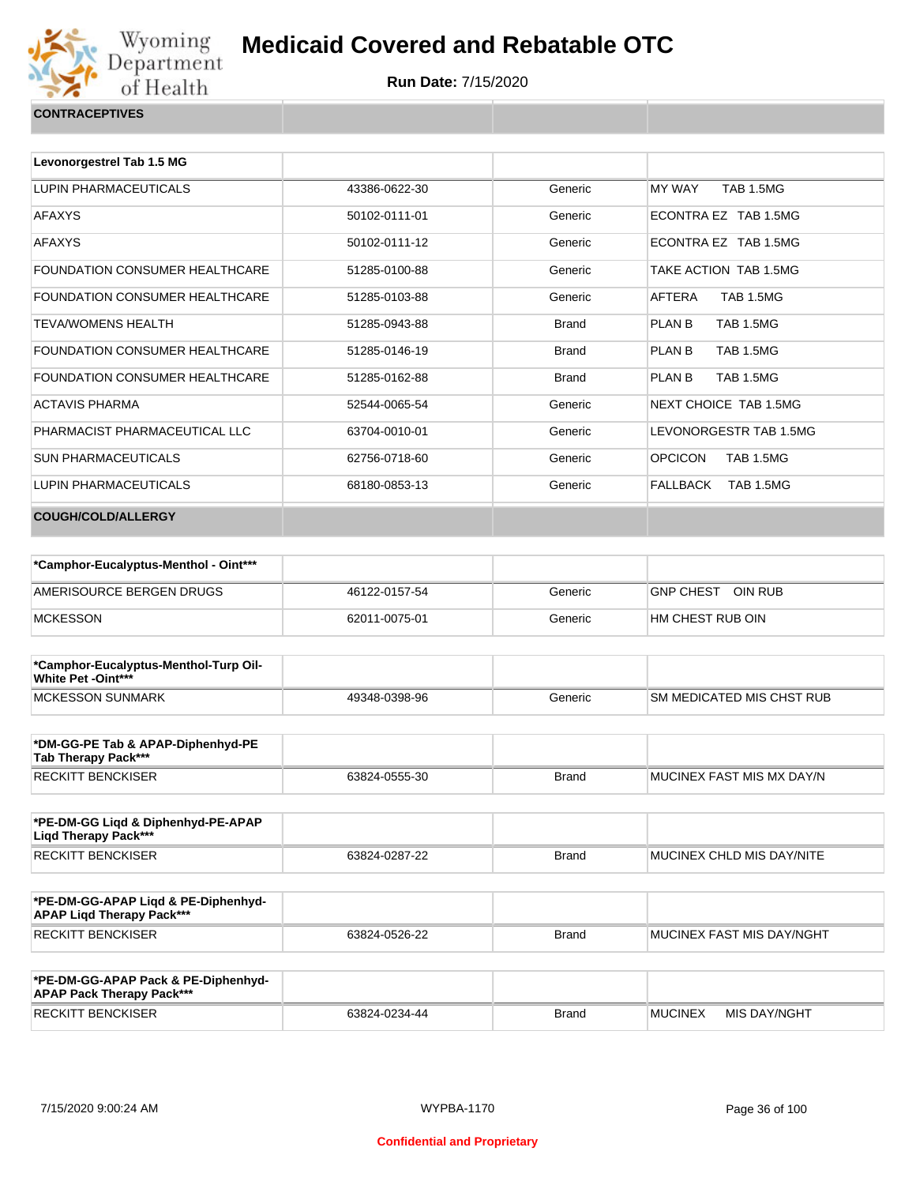

| <b>CONTRACEPTIVES</b> |  |
|-----------------------|--|
|                       |  |

| Levonorgestrel Tab 1.5 MG             |               |              |                                    |
|---------------------------------------|---------------|--------------|------------------------------------|
| LUPIN PHARMACEUTICALS                 | 43386-0622-30 | Generic      | <b>TAB 1.5MG</b><br>MY WAY         |
| <b>AFAXYS</b>                         | 50102-0111-01 | Generic      | FCONTRA FZ TAB 1.5MG               |
| <b>AFAXYS</b>                         | 50102-0111-12 | Generic      | ECONTRA EZ TAB 1.5MG               |
| FOUNDATION CONSUMER HEALTHCARE        | 51285-0100-88 | Generic      | TAKE ACTION TAB 1.5MG              |
| <b>FOUNDATION CONSUMER HEALTHCARE</b> | 51285-0103-88 | Generic      | <b>TAB 1.5MG</b><br>AFTERA         |
| <b>TEVA/WOMENS HEALTH</b>             | 51285-0943-88 | <b>Brand</b> | <b>TAB 1.5MG</b><br>PLAN B         |
| <b>FOUNDATION CONSUMER HEALTHCARE</b> | 51285-0146-19 | <b>Brand</b> | PLAN B<br><b>TAB 1.5MG</b>         |
| FOUNDATION CONSUMER HEALTHCARE        | 51285-0162-88 | <b>Brand</b> | <b>TAB 1.5MG</b><br>PLAN B         |
| <b>ACTAVIS PHARMA</b>                 | 52544-0065-54 | Generic      | NEXT CHOICE TAB 1.5MG              |
| PHARMACIST PHARMACEUTICAL LLC         | 63704-0010-01 | Generic      | LEVONORGESTR TAB 1.5MG             |
| <b>SUN PHARMACEUTICALS</b>            | 62756-0718-60 | Generic      | <b>OPCICON</b><br><b>TAB 1.5MG</b> |
| LUPIN PHARMACEUTICALS                 | 68180-0853-13 | Generic      | FALLBACK<br>TAB 1.5MG              |
| <b>COUGH/COLD/ALLERGY</b>             |               |              |                                    |

| *Camphor-Eucalyptus-Menthol - Oint*** |               |         |                   |
|---------------------------------------|---------------|---------|-------------------|
| AMERISOURCE BERGEN DRUGS              | 46122-0157-54 | Generic | GNP CHEST OIN RUB |
| <b>MCKESSON</b>                       | 62011-0075-01 | Generic | HM CHEST RUB OIN  |

| *Camphor-Eucalyptus-Menthol-Turp Oil-<br><b>White Pet -Oint***</b> |               |         |                                  |
|--------------------------------------------------------------------|---------------|---------|----------------------------------|
| MCKESSON SUNMARK                                                   | 49348-0398-96 | Generic | <b>SM MEDICATED MIS CHST RUB</b> |

| *DM-GG-PE Tab & APAP-Diphenhyd-PE<br>Tab Therapy Pack*** |               |       |                            |
|----------------------------------------------------------|---------------|-------|----------------------------|
| <b>RECKITT BENCKISER</b>                                 | 63824-0555-30 | Brand | IMUCINEX FAST MIS MX DAY/N |

| *PE-DM-GG Ligd & Diphenhyd-PE-APAP<br>Ligd Therapy Pack*** |               |              |                           |
|------------------------------------------------------------|---------------|--------------|---------------------------|
| <b>RECKITT BENCKISER</b>                                   | 63824-0287-22 | <b>Brand</b> | MUCINEX CHLD MIS DAY/NITE |

| *PE-DM-GG-APAP Ligd & PE-Diphenhyd-<br><b>APAP Ligd Therapy Pack***</b> |               |       |                           |
|-------------------------------------------------------------------------|---------------|-------|---------------------------|
| RECKITT BENCKISER                                                       | 63824-0526-22 | Brand | MUCINEX FAST MIS DAY/NGHT |

| *PE-DM-GG-APAP Pack & PE-Diphenhyd-<br><b>APAP Pack Therapy Pack***</b> |               |              |                |              |
|-------------------------------------------------------------------------|---------------|--------------|----------------|--------------|
| <b>RECKITT BENCKISER</b>                                                | 63824-0234-44 | <b>Brand</b> | <b>MUCINEX</b> | MIS DAY/NGHT |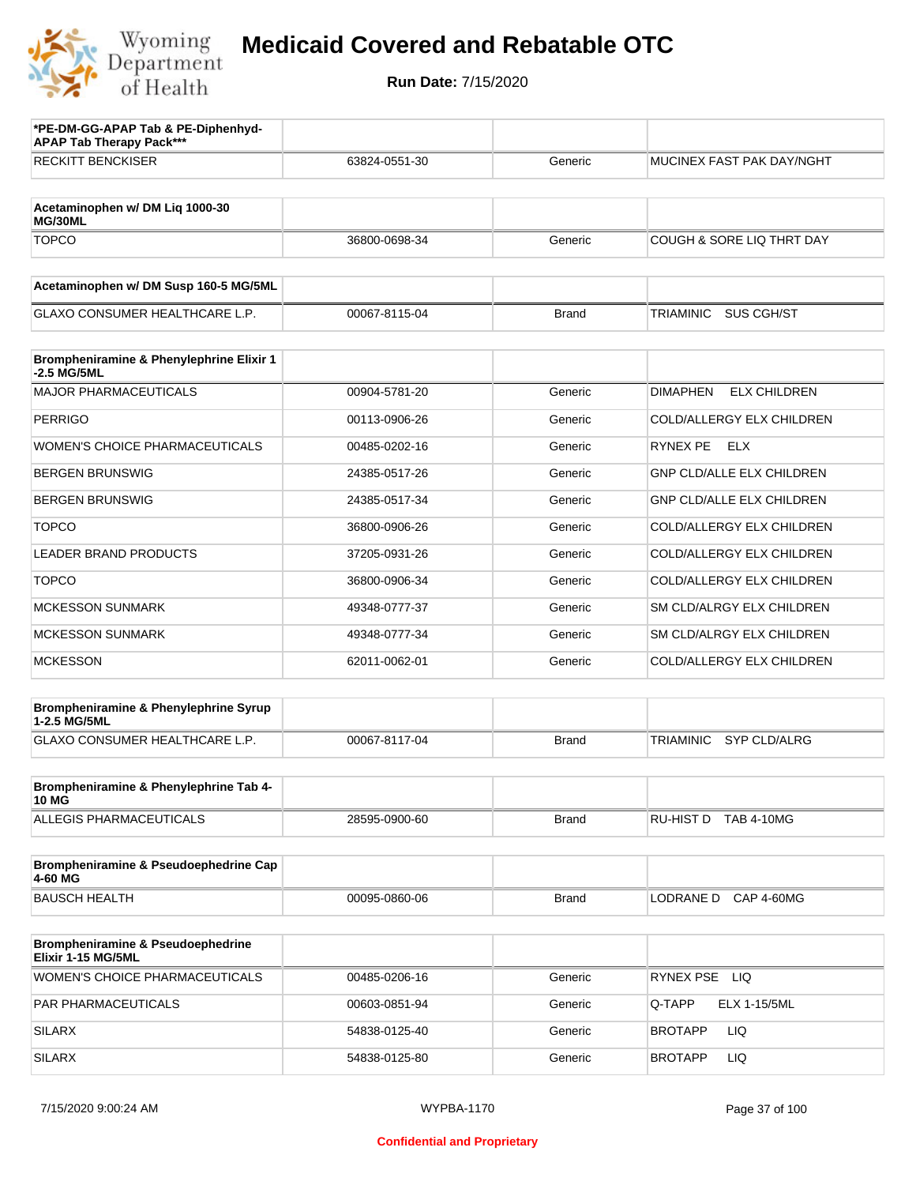

| *PE-DM-GG-APAP Tab & PE-Diphenhyd-<br><b>APAP Tab Therapy Pack***</b> |               |              |                                         |
|-----------------------------------------------------------------------|---------------|--------------|-----------------------------------------|
| <b>RECKITT BENCKISER</b>                                              | 63824-0551-30 | Generic      | MUCINEX FAST PAK DAY/NGHT               |
|                                                                       |               |              |                                         |
| Acetaminophen w/ DM Liq 1000-30<br>MG/30ML                            |               |              |                                         |
| <b>TOPCO</b>                                                          | 36800-0698-34 | Generic      | COUGH & SORE LIQ THRT DAY               |
| Acetaminophen w/ DM Susp 160-5 MG/5ML                                 |               |              |                                         |
| <b>GLAXO CONSUMER HEALTHCARE L.P.</b>                                 | 00067-8115-04 | <b>Brand</b> | <b>SUS CGH/ST</b><br>TRIAMINIC          |
|                                                                       |               |              |                                         |
| Brompheniramine & Phenylephrine Elixir 1<br>-2.5 MG/5ML               |               |              |                                         |
| <b>MAJOR PHARMACEUTICALS</b>                                          | 00904-5781-20 | Generic      | <b>DIMAPHEN</b><br><b>ELX CHILDREN</b>  |
| <b>PERRIGO</b>                                                        | 00113-0906-26 | Generic      | COLD/ALLERGY ELX CHILDREN               |
| <b>WOMEN'S CHOICE PHARMACEUTICALS</b>                                 | 00485-0202-16 | Generic      | RYNEX PE ELX                            |
| <b>BERGEN BRUNSWIG</b>                                                | 24385-0517-26 | Generic      | <b>GNP CLD/ALLE ELX CHILDREN</b>        |
| <b>BERGEN BRUNSWIG</b>                                                | 24385-0517-34 | Generic      | <b>GNP CLD/ALLE ELX CHILDREN</b>        |
| <b>TOPCO</b>                                                          | 36800-0906-26 | Generic      | COLD/ALLERGY ELX CHILDREN               |
| <b>LEADER BRAND PRODUCTS</b>                                          | 37205-0931-26 | Generic      | COLD/ALLERGY ELX CHILDREN               |
| <b>TOPCO</b>                                                          | 36800-0906-34 | Generic      | COLD/ALLERGY ELX CHILDREN               |
| <b>MCKESSON SUNMARK</b>                                               | 49348-0777-37 | Generic      | SM CLD/ALRGY ELX CHILDREN               |
| <b>MCKESSON SUNMARK</b>                                               | 49348-0777-34 | Generic      | SM CLD/ALRGY ELX CHILDREN               |
| <b>MCKESSON</b>                                                       | 62011-0062-01 | Generic      | COLD/ALLERGY ELX CHILDREN               |
| Brompheniramine & Phenylephrine Syrup                                 |               |              |                                         |
| 1-2.5 MG/5ML<br>GLAXO CONSUMER HEALTHCARE L.P.                        | 00067-8117-04 | <b>Brand</b> | <b>TRIAMINIC</b><br><b>SYP CLD/ALRG</b> |
|                                                                       |               |              |                                         |
| Brompheniramine & Phenylephrine Tab 4-<br><b>10 MG</b>                |               |              |                                         |
| ALLEGIS PHARMACEUTICALS                                               | 28595-0900-60 | <b>Brand</b> | RU-HIST D TAB 4-10MG                    |
| Brompheniramine & Pseudoephedrine Cap                                 |               |              |                                         |
| 4-60 MG<br><b>BAUSCH HEALTH</b>                                       | 00095-0860-06 | <b>Brand</b> | LODRANE D CAP 4-60MG                    |
|                                                                       |               |              |                                         |
| Brompheniramine & Pseudoephedrine<br>Elixir 1-15 MG/5ML               |               |              |                                         |
| <b>WOMEN'S CHOICE PHARMACEUTICALS</b>                                 | 00485-0206-16 | Generic      | RYNEX PSE LIQ                           |
| PAR PHARMACEUTICALS                                                   | 00603-0851-94 | Generic      | <b>ELX 1-15/5ML</b><br>Q-TAPP           |
| <b>SILARX</b>                                                         | 54838-0125-40 | Generic      | <b>BROTAPP</b><br>LIQ                   |
| <b>SILARX</b>                                                         | 54838-0125-80 | Generic      | <b>BROTAPP</b><br>LIQ                   |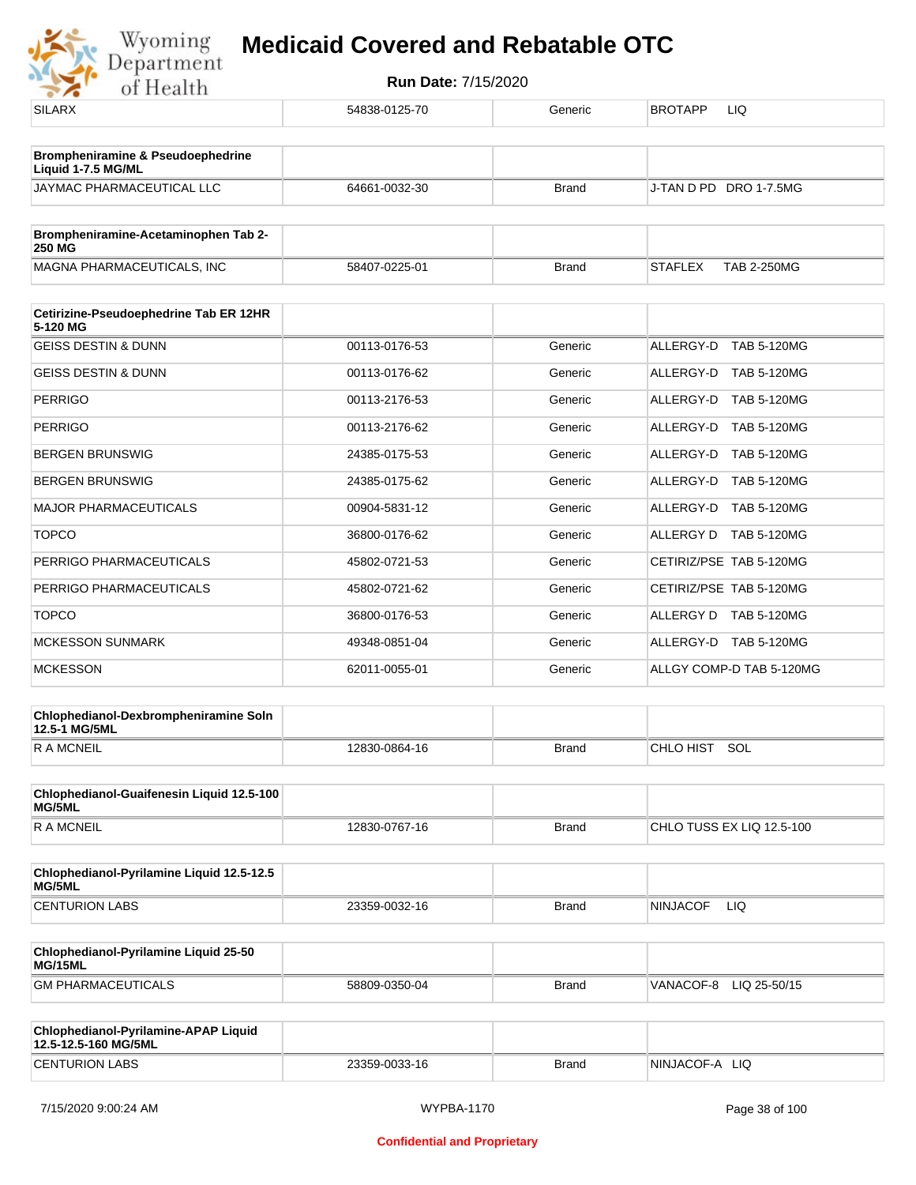| <b>CENTURION LABS</b>                                              | 23359-0033-16 | <b>Brand</b> | NINJACOF-A LIQ                       |
|--------------------------------------------------------------------|---------------|--------------|--------------------------------------|
| Chlophedianol-Pyrilamine-APAP Liquid<br>12.5-12.5-160 MG/5ML       |               |              |                                      |
| <b>GM PHARMACEUTICALS</b>                                          | 58809-0350-04 | <b>Brand</b> | VANACOF-8 LIQ 25-50/15               |
| Chlophedianol-Pyrilamine Liquid 25-50<br>MG/15ML                   |               |              |                                      |
| <b>CENTURION LABS</b>                                              | 23359-0032-16 | <b>Brand</b> | <b>NINJACOF</b><br>LIQ.              |
| Chlophedianol-Pyrilamine Liquid 12.5-12.5<br>MG/5ML                |               |              |                                      |
| R A MCNEIL                                                         | 12830-0767-16 | <b>Brand</b> | CHLO TUSS EX LIQ 12.5-100            |
| Chlophedianol-Guaifenesin Liquid 12.5-100<br>MG/5ML                |               |              |                                      |
| <b>RAMCNEIL</b>                                                    | 12830-0864-16 | <b>Brand</b> | CHLO HIST SOL                        |
| Chlophedianol-Dexbrompheniramine Soln<br>12.5-1 MG/5ML             |               |              |                                      |
| <b>MCKESSON</b>                                                    | 62011-0055-01 | Generic      | ALLGY COMP-D TAB 5-120MG             |
| <b>MCKESSON SUNMARK</b>                                            | 49348-0851-04 | Generic      | ALLERGY-D TAB 5-120MG                |
| <b>TOPCO</b>                                                       | 36800-0176-53 | Generic      | ALLERGY D TAB 5-120MG                |
| PERRIGO PHARMACEUTICALS                                            | 45802-0721-62 | Generic      | CETIRIZ/PSE TAB 5-120MG              |
| PERRIGO PHARMACEUTICALS                                            | 45802-0721-53 | Generic      | CETIRIZ/PSE TAB 5-120MG              |
| <b>TOPCO</b>                                                       | 36800-0176-62 | Generic      | ALLERGY D TAB 5-120MG                |
| <b>MAJOR PHARMACEUTICALS</b>                                       | 00904-5831-12 | Generic      | ALLERGY-D TAB 5-120MG                |
| <b>BERGEN BRUNSWIG</b>                                             | 24385-0175-62 | Generic      | ALLERGY-D TAB 5-120MG                |
| <b>BERGEN BRUNSWIG</b>                                             | 24385-0175-53 | Generic      | ALLERGY-D<br><b>TAB 5-120MG</b>      |
| <b>PERRIGO</b>                                                     | 00113-2176-62 | Generic      | ALLERGY-D TAB 5-120MG                |
| <b>PERRIGO</b>                                                     | 00113-2176-53 | Generic      | ALLERGY-D<br><b>TAB 5-120MG</b>      |
| <b>GEISS DESTIN &amp; DUNN</b>                                     | 00113-0176-62 | Generic      | ALLERGY-D TAB 5-120MG                |
| 5-120 MG<br><b>GEISS DESTIN &amp; DUNN</b>                         | 00113-0176-53 | Generic      | <b>TAB 5-120MG</b><br>ALLERGY-D      |
| Cetirizine-Pseudoephedrine Tab ER 12HR                             |               |              |                                      |
| MAGNA PHARMACEUTICALS, INC                                         | 58407-0225-01 | <b>Brand</b> | <b>STAFLEX</b><br><b>TAB 2-250MG</b> |
| Brompheniramine-Acetaminophen Tab 2-<br>250 MG                     |               |              |                                      |
| JAYMAC PHARMACEUTICAL LLC                                          | 64661-0032-30 | <b>Brand</b> | J-TAN D PD DRO 1-7.5MG               |
| <b>Brompheniramine &amp; Pseudoephedrine</b><br>Liquid 1-7.5 MG/ML |               |              |                                      |
| <b>SILARX</b>                                                      | 54838-0125-70 | Generic      | <b>BROTAPP</b><br>LIQ.               |
| $\bullet$<br>ui ricaith                                            |               |              |                                      |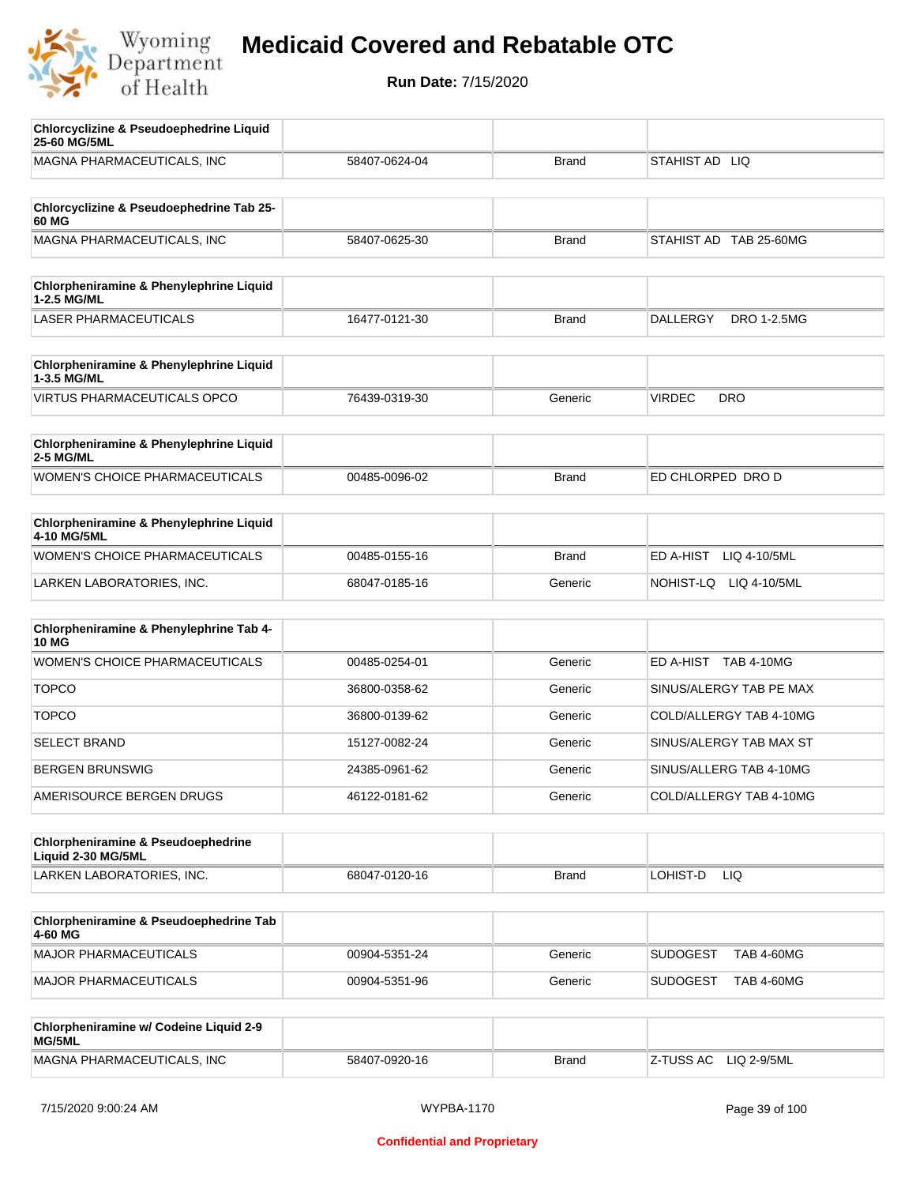

| <b>Chlorcyclizine &amp; Pseudoephedrine Liquid</b><br>25-60 MG/5ML |               |              |                                       |
|--------------------------------------------------------------------|---------------|--------------|---------------------------------------|
| MAGNA PHARMACEUTICALS, INC                                         | 58407-0624-04 | <b>Brand</b> | STAHIST AD LIQ                        |
| Chlorcyclizine & Pseudoephedrine Tab 25-                           |               |              |                                       |
| 60 MG                                                              |               |              |                                       |
| MAGNA PHARMACEUTICALS, INC                                         | 58407-0625-30 | <b>Brand</b> | STAHIST AD TAB 25-60MG                |
| Chlorpheniramine & Phenylephrine Liquid<br>1-2.5 MG/ML             |               |              |                                       |
| <b>LASER PHARMACEUTICALS</b>                                       | 16477-0121-30 | <b>Brand</b> | <b>DALLERGY</b><br><b>DRO 1-2.5MG</b> |
| Chlorpheniramine & Phenylephrine Liquid<br>1-3.5 MG/ML             |               |              |                                       |
| <b>VIRTUS PHARMACEUTICALS OPCO</b>                                 | 76439-0319-30 | Generic      | <b>VIRDEC</b><br><b>DRO</b>           |
| Chlorpheniramine & Phenylephrine Liquid<br><b>2-5 MG/ML</b>        |               |              |                                       |
| <b>WOMEN'S CHOICE PHARMACEUTICALS</b>                              | 00485-0096-02 | <b>Brand</b> | ED CHLORPED DRO D                     |
| <b>Chlorpheniramine &amp; Phenylephrine Liquid</b><br>4-10 MG/5ML  |               |              |                                       |
| WOMEN'S CHOICE PHARMACEUTICALS                                     | 00485-0155-16 | <b>Brand</b> | ED A-HIST<br>LIQ 4-10/5ML             |
| LARKEN LABORATORIES, INC.                                          | 68047-0185-16 | Generic      | NOHIST-LQ LIQ 4-10/5ML                |
| Chlorpheniramine & Phenylephrine Tab 4-<br><b>10 MG</b>            |               |              |                                       |
| <b>WOMEN'S CHOICE PHARMACEUTICALS</b>                              | 00485-0254-01 | Generic      | ED A-HIST TAB 4-10MG                  |
| <b>TOPCO</b>                                                       | 36800-0358-62 | Generic      | SINUS/ALERGY TAB PE MAX               |
| <b>TOPCO</b>                                                       | 36800-0139-62 | Generic      | COLD/ALLERGY TAB 4-10MG               |
| <b>SELECT BRAND</b>                                                | 15127-0082-24 | Generic      | SINUS/ALERGY TAB MAX ST               |
| <b>BERGEN BRUNSWIG</b>                                             | 24385-0961-62 | Generic      | SINUS/ALLERG TAB 4-10MG               |
| AMERISOURCE BERGEN DRUGS                                           | 46122-0181-62 | Generic      | COLD/ALLERGY TAB 4-10MG               |
| Chlorpheniramine & Pseudoephedrine<br>Liquid 2-30 MG/5ML           |               |              |                                       |
| LARKEN LABORATORIES, INC.                                          | 68047-0120-16 | <b>Brand</b> | LOHIST-D<br>LIQ.                      |
| Chlorpheniramine & Pseudoephedrine Tab<br>4-60 MG                  |               |              |                                       |
| <b>MAJOR PHARMACEUTICALS</b>                                       | 00904-5351-24 | Generic      | <b>SUDOGEST</b><br><b>TAB 4-60MG</b>  |
| <b>MAJOR PHARMACEUTICALS</b>                                       | 00904-5351-96 | Generic      | <b>SUDOGEST</b><br><b>TAB 4-60MG</b>  |
| Chlorpheniramine w/ Codeine Liquid 2-9<br>MG/5ML                   |               |              |                                       |
| MAGNA PHARMACEUTICALS, INC                                         | 58407-0920-16 | <b>Brand</b> | Z-TUSS AC<br>LIQ 2-9/5ML              |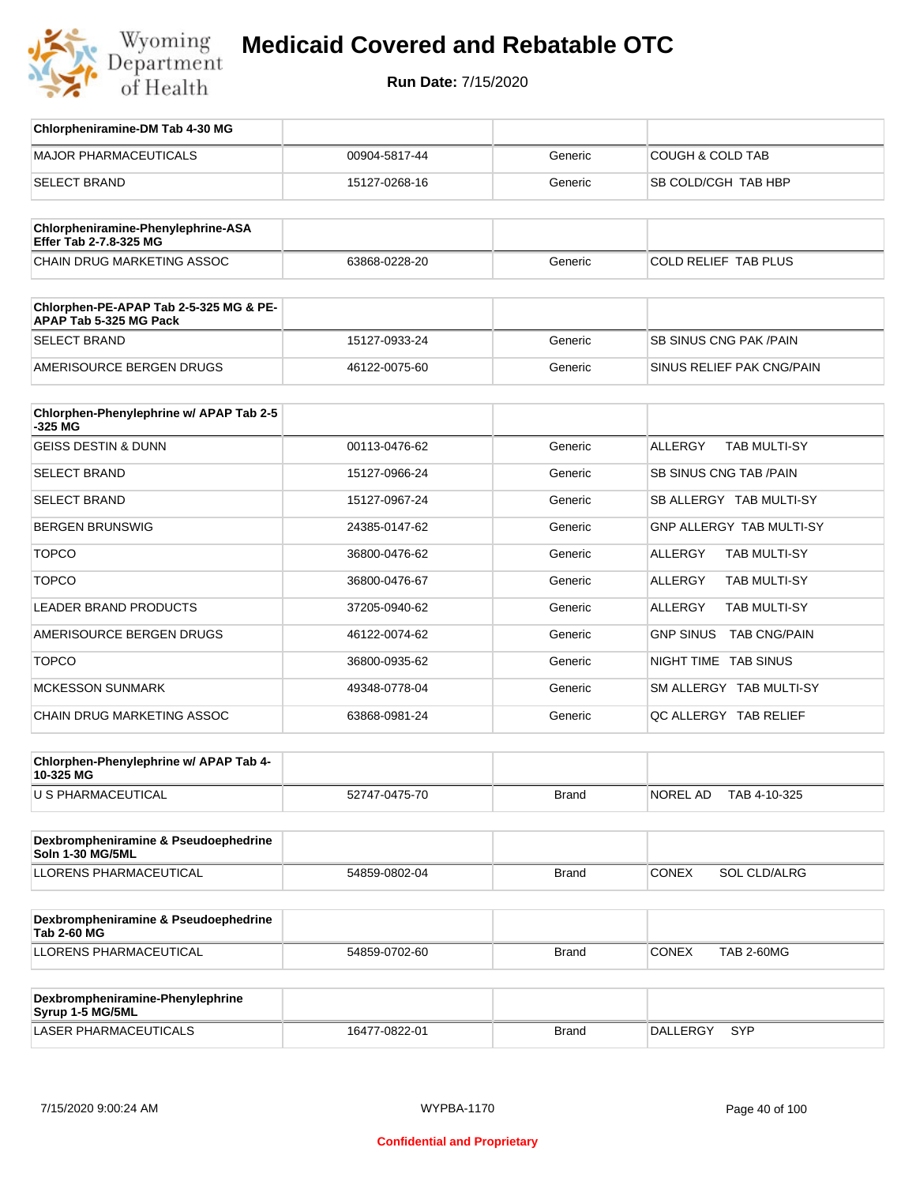

| Chlorpheniramine-DM Tab 4-30 MG                                  |               |              |                                       |
|------------------------------------------------------------------|---------------|--------------|---------------------------------------|
| <b>MAJOR PHARMACEUTICALS</b>                                     | 00904-5817-44 | Generic      | <b>COUGH &amp; COLD TAB</b>           |
| <b>SELECT BRAND</b>                                              | 15127-0268-16 | Generic      | SB COLD/CGH TAB HBP                   |
|                                                                  |               |              |                                       |
| Chlorpheniramine-Phenylephrine-ASA<br>Effer Tab 2-7.8-325 MG     |               |              |                                       |
| CHAIN DRUG MARKETING ASSOC                                       | 63868-0228-20 | Generic      | COLD RELIEF TAB PLUS                  |
|                                                                  |               |              |                                       |
| Chlorphen-PE-APAP Tab 2-5-325 MG & PE-<br>APAP Tab 5-325 MG Pack |               |              |                                       |
| <b>SELECT BRAND</b>                                              | 15127-0933-24 | Generic      | <b>SB SINUS CNG PAK/PAIN</b>          |
| AMERISOURCE BERGEN DRUGS                                         | 46122-0075-60 | Generic      | SINUS RELIEF PAK CNG/PAIN             |
| Chlorphen-Phenylephrine w/ APAP Tab 2-5                          |               |              |                                       |
| $-325$ MG                                                        |               |              |                                       |
| <b>GEISS DESTIN &amp; DUNN</b>                                   | 00113-0476-62 | Generic      | <b>ALLERGY</b><br><b>TAB MULTI-SY</b> |
| <b>SELECT BRAND</b>                                              | 15127-0966-24 | Generic      | SB SINUS CNG TAB / PAIN               |
| <b>SELECT BRAND</b>                                              | 15127-0967-24 | Generic      | SB ALLERGY TAB MULTI-SY               |
| <b>BERGEN BRUNSWIG</b>                                           | 24385-0147-62 | Generic      | <b>GNP ALLERGY TAB MULTI-SY</b>       |
| <b>TOPCO</b>                                                     | 36800-0476-62 | Generic      | <b>ALLERGY</b><br><b>TAB MULTI-SY</b> |
| <b>TOPCO</b>                                                     | 36800-0476-67 | Generic      | <b>ALLERGY</b><br>TAB MULTI-SY        |
| <b>LEADER BRAND PRODUCTS</b>                                     | 37205-0940-62 | Generic      | <b>ALLERGY</b><br><b>TAB MULTI-SY</b> |
| AMERISOURCE BERGEN DRUGS                                         | 46122-0074-62 | Generic      | GNP SINUS TAB CNG/PAIN                |
| <b>TOPCO</b>                                                     | 36800-0935-62 | Generic      | NIGHT TIME TAB SINUS                  |
| <b>MCKESSON SUNMARK</b>                                          | 49348-0778-04 | Generic      | SM ALLERGY TAB MULTI-SY               |
| CHAIN DRUG MARKETING ASSOC                                       | 63868-0981-24 | Generic      | QC ALLERGY TAB RELIEF                 |
|                                                                  |               |              |                                       |
| Chlorphen-Phenylephrine w/ APAP Tab 4-<br>10-325 MG              |               |              |                                       |
| U S PHARMACEUTICAL                                               | 52747-0475-70 | Brand        | NOREL AD<br>TAB 4-10-325              |
|                                                                  |               |              |                                       |
| Dexbrompheniramine & Pseudoephedrine<br>Soln 1-30 MG/5ML         |               |              |                                       |
| LLORENS PHARMACEUTICAL                                           | 54859-0802-04 | Brand        | <b>CONEX</b><br>SOL CLD/ALRG          |
|                                                                  |               |              |                                       |
| Dexbrompheniramine & Pseudoephedrine<br><b>Tab 2-60 MG</b>       |               |              |                                       |
| LLORENS PHARMACEUTICAL                                           | 54859-0702-60 | Brand        | <b>CONEX</b><br><b>TAB 2-60MG</b>     |
|                                                                  |               |              |                                       |
| Dexbrompheniramine-Phenylephrine<br>Syrup 1-5 MG/5ML             |               |              |                                       |
| LASER PHARMACEUTICALS                                            | 16477-0822-01 | <b>Brand</b> | DALLERGY<br>SYP                       |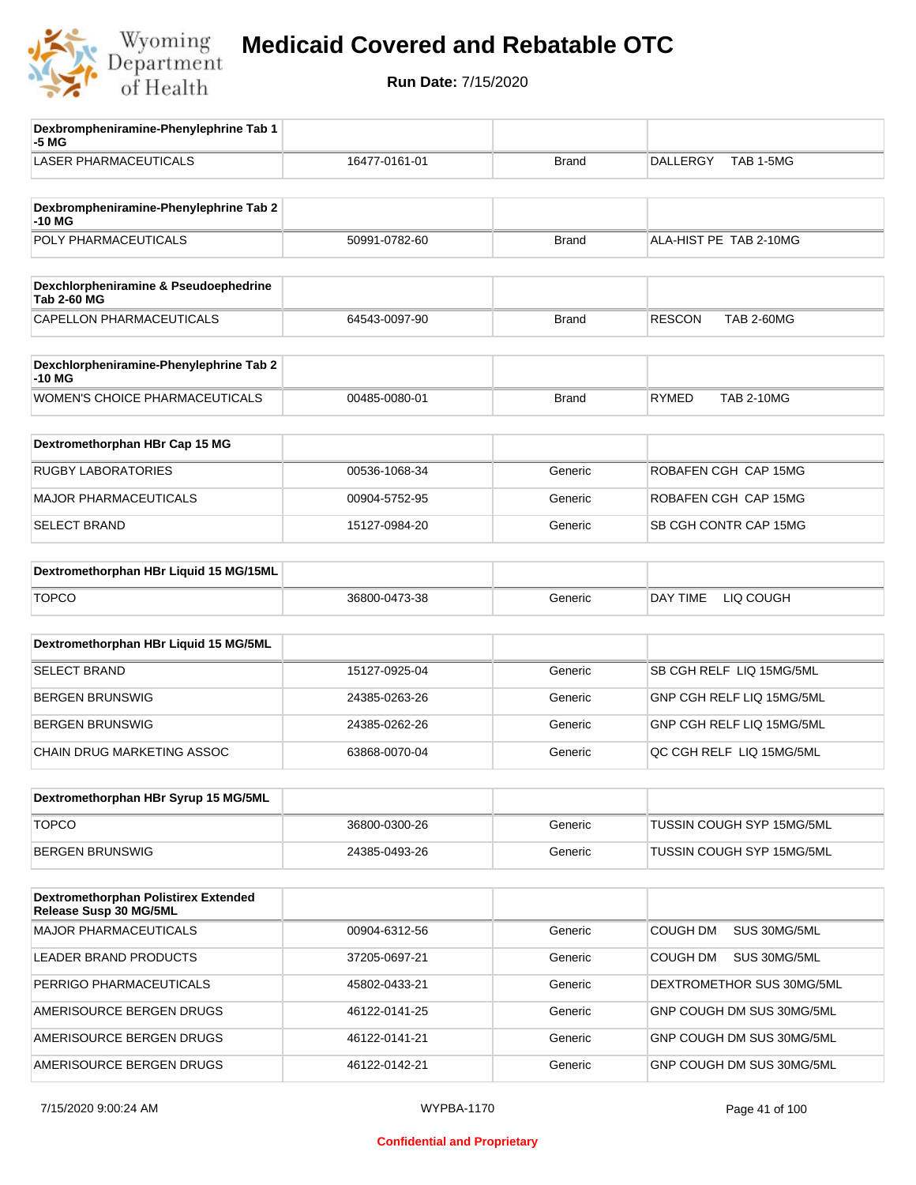

| Dexbrompheniramine-Phenylephrine Tab 1<br>-5 MG             |               |              |                                    |
|-------------------------------------------------------------|---------------|--------------|------------------------------------|
| <b>LASER PHARMACEUTICALS</b>                                | 16477-0161-01 | <b>Brand</b> | TAB 1-5MG<br>DALLERGY              |
| Dexbrompheniramine-Phenylephrine Tab 2<br>-10 MG            |               |              |                                    |
| POLY PHARMACEUTICALS                                        | 50991-0782-60 | <b>Brand</b> | ALA-HIST PE TAB 2-10MG             |
| Dexchlorpheniramine & Pseudoephedrine<br><b>Tab 2-60 MG</b> |               |              |                                    |
| <b>CAPELLON PHARMACEUTICALS</b>                             | 64543-0097-90 | <b>Brand</b> | <b>RESCON</b><br><b>TAB 2-60MG</b> |
| Dexchlorpheniramine-Phenylephrine Tab 2<br>-10 MG           |               |              |                                    |
| <b>WOMEN'S CHOICE PHARMACEUTICALS</b>                       | 00485-0080-01 | <b>Brand</b> | <b>RYMED</b><br><b>TAB 2-10MG</b>  |
| Dextromethorphan HBr Cap 15 MG                              |               |              |                                    |
| RUGBY LABORATORIES                                          | 00536-1068-34 | Generic      | ROBAFEN CGH CAP 15MG               |
| <b>MAJOR PHARMACEUTICALS</b>                                | 00904-5752-95 | Generic      | ROBAFEN CGH CAP 15MG               |
| <b>SELECT BRAND</b>                                         | 15127-0984-20 | Generic      | SB CGH CONTR CAP 15MG              |
| Dextromethorphan HBr Liquid 15 MG/15ML                      |               |              |                                    |
| <b>TOPCO</b>                                                | 36800-0473-38 | Generic      | LIQ COUGH<br>DAY TIME              |
| Dextromethorphan HBr Liquid 15 MG/5ML                       |               |              |                                    |
| <b>SELECT BRAND</b>                                         | 15127-0925-04 | Generic      | SB CGH RELF LIQ 15MG/5ML           |
| <b>BERGEN BRUNSWIG</b>                                      | 24385-0263-26 | Generic      | GNP CGH RELF LIQ 15MG/5ML          |
| <b>BERGEN BRUNSWIG</b>                                      | 24385-0262-26 | Generic      | GNP CGH RELF LIQ 15MG/5ML          |
| CHAIN DRUG MARKETING ASSOC                                  | 63868-0070-04 | Generic      | QC CGH RELF LIQ 15MG/5ML           |
| Dextromethorphan HBr Syrup 15 MG/5ML                        |               |              |                                    |
| <b>TOPCO</b>                                                | 36800-0300-26 | Generic      | TUSSIN COUGH SYP 15MG/5ML          |
| <b>BERGEN BRUNSWIG</b>                                      | 24385-0493-26 | Generic      | TUSSIN COUGH SYP 15MG/5ML          |
| Dextromethorphan Polistirex Extended                        |               |              |                                    |
| Release Susp 30 MG/5ML                                      |               |              |                                    |
| <b>MAJOR PHARMACEUTICALS</b>                                | 00904-6312-56 | Generic      | COUGH DM<br>SUS 30MG/5ML           |
| LEADER BRAND PRODUCTS                                       | 37205-0697-21 | Generic      | COUGH DM<br>SUS 30MG/5ML           |
| PERRIGO PHARMACEUTICALS                                     | 45802-0433-21 | Generic      | DEXTROMETHOR SUS 30MG/5ML          |
| AMERISOURCE BERGEN DRUGS                                    | 46122-0141-25 | Generic      | GNP COUGH DM SUS 30MG/5ML          |
| AMERISOURCE BERGEN DRUGS                                    | 46122-0141-21 | Generic      | GNP COUGH DM SUS 30MG/5ML          |
| AMERISOURCE BERGEN DRUGS                                    | 46122-0142-21 | Generic      | GNP COUGH DM SUS 30MG/5ML          |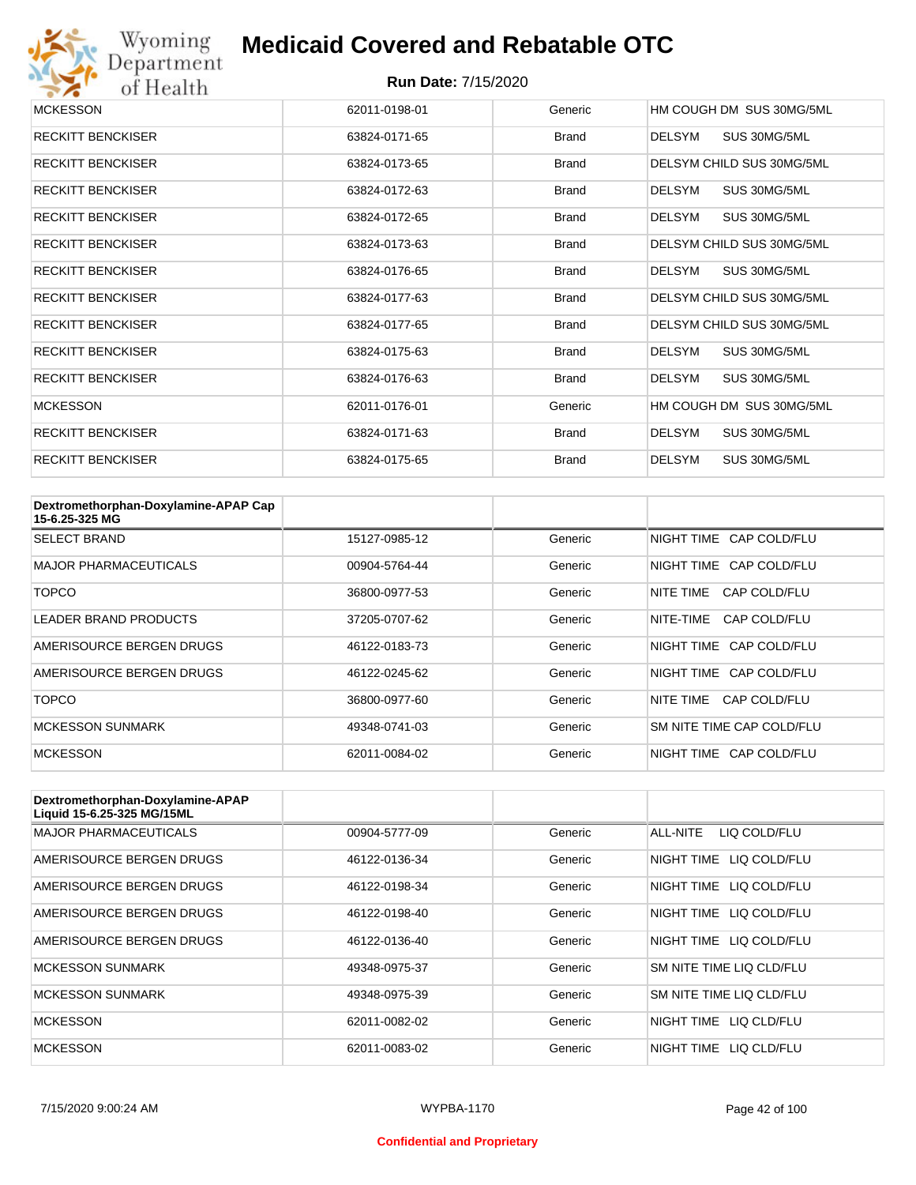

| <b>MCKESSON</b>          | 62011-0198-01 | Generic      | HM COUGH DM SUS 30MG/5ML      |
|--------------------------|---------------|--------------|-------------------------------|
| <b>RECKITT BENCKISER</b> | 63824-0171-65 | <b>Brand</b> | SUS 30MG/5ML<br>DELSYM        |
| <b>RECKITT BENCKISER</b> | 63824-0173-65 | <b>Brand</b> | DELSYM CHILD SUS 30MG/5ML     |
| <b>RECKITT BENCKISER</b> | 63824-0172-63 | <b>Brand</b> | SUS 30MG/5ML<br>DELSYM        |
| <b>RECKITT BENCKISER</b> | 63824-0172-65 | <b>Brand</b> | SUS 30MG/5ML<br>DELSYM        |
| <b>RECKITT BENCKISER</b> | 63824-0173-63 | <b>Brand</b> | DELSYM CHILD SUS 30MG/5ML     |
| <b>RECKITT BENCKISER</b> | 63824-0176-65 | <b>Brand</b> | DELSYM<br>SUS 30MG/5ML        |
| <b>RECKITT BENCKISER</b> | 63824-0177-63 | <b>Brand</b> | DELSYM CHILD SUS 30MG/5ML     |
| <b>RECKITT BENCKISER</b> | 63824-0177-65 | <b>Brand</b> | DELSYM CHILD SUS 30MG/5ML     |
| <b>RECKITT BENCKISER</b> | 63824-0175-63 | <b>Brand</b> | DELSYM<br>SUS 30MG/5ML        |
| <b>RECKITT BENCKISER</b> | 63824-0176-63 | <b>Brand</b> | <b>DELSYM</b><br>SUS 30MG/5ML |
| <b>MCKESSON</b>          | 62011-0176-01 | Generic      | HM COUGH DM SUS 30MG/5ML      |
| <b>RECKITT BENCKISER</b> | 63824-0171-63 | <b>Brand</b> | DELSYM<br>SUS 30MG/5ML        |
| <b>RECKITT BENCKISER</b> | 63824-0175-65 | <b>Brand</b> | <b>DELSYM</b><br>SUS 30MG/5ML |

| Dextromethorphan-Doxylamine-APAP Cap<br>15-6.25-325 MG |               |         |                           |
|--------------------------------------------------------|---------------|---------|---------------------------|
| <b>SELECT BRAND</b>                                    | 15127-0985-12 | Generic | NIGHT TIME CAP COLD/FLU   |
| <b>MAJOR PHARMACEUTICALS</b>                           | 00904-5764-44 | Generic | NIGHT TIME CAP COLD/FLU   |
| TOPCO                                                  | 36800-0977-53 | Generic | NITF TIMF<br>CAP COLD/FLU |
| <b>LEADER BRAND PRODUCTS</b>                           | 37205-0707-62 | Generic | NITE-TIME<br>CAP COLD/FLU |
| AMERISOURCE BERGEN DRUGS                               | 46122-0183-73 | Generic | NIGHT TIME CAP COLD/FLU   |
| AMERISOURCE BERGEN DRUGS                               | 46122-0245-62 | Generic | NIGHT TIME CAP COLD/FLU   |
| TOPCO                                                  | 36800-0977-60 | Generic | CAP COLD/FLU<br>NITE TIME |
| <b>MCKESSON SUNMARK</b>                                | 49348-0741-03 | Generic | SM NITE TIME CAP COLD/FLU |
| <b>MCKESSON</b>                                        | 62011-0084-02 | Generic | NIGHT TIME CAP COLD/FLU   |

| Dextromethorphan-Doxylamine-APAP<br>Liquid 15-6.25-325 MG/15ML |               |         |                            |
|----------------------------------------------------------------|---------------|---------|----------------------------|
| <b>MAJOR PHARMACEUTICALS</b>                                   | 00904-5777-09 | Generic | ALL-NITE<br>LIQ COLD/FLU   |
| AMERISOURCE BERGEN DRUGS                                       | 46122-0136-34 | Generic | NIGHT TIME<br>LIQ COLD/FLU |
| AMERISOURCE BERGEN DRUGS                                       | 46122-0198-34 | Generic | NIGHT TIME<br>LIQ COLD/FLU |
| AMERISOURCE BERGEN DRUGS                                       | 46122-0198-40 | Generic | NIGHT TIME<br>LIQ COLD/FLU |
| AMERISOURCE BERGEN DRUGS                                       | 46122-0136-40 | Generic | NIGHT TIME LIQ COLD/FLU    |
| <b>MCKESSON SUNMARK</b>                                        | 49348-0975-37 | Generic | SM NITE TIME LIQ CLD/FLU   |
| <b>MCKESSON SUNMARK</b>                                        | 49348-0975-39 | Generic | SM NITE TIME LIQ CLD/FLU   |
| <b>MCKESSON</b>                                                | 62011-0082-02 | Generic | NIGHT TIME LIQ CLD/FLU     |
| <b>MCKESSON</b>                                                | 62011-0083-02 | Generic | NIGHT TIME<br>LIO CLD/FLU  |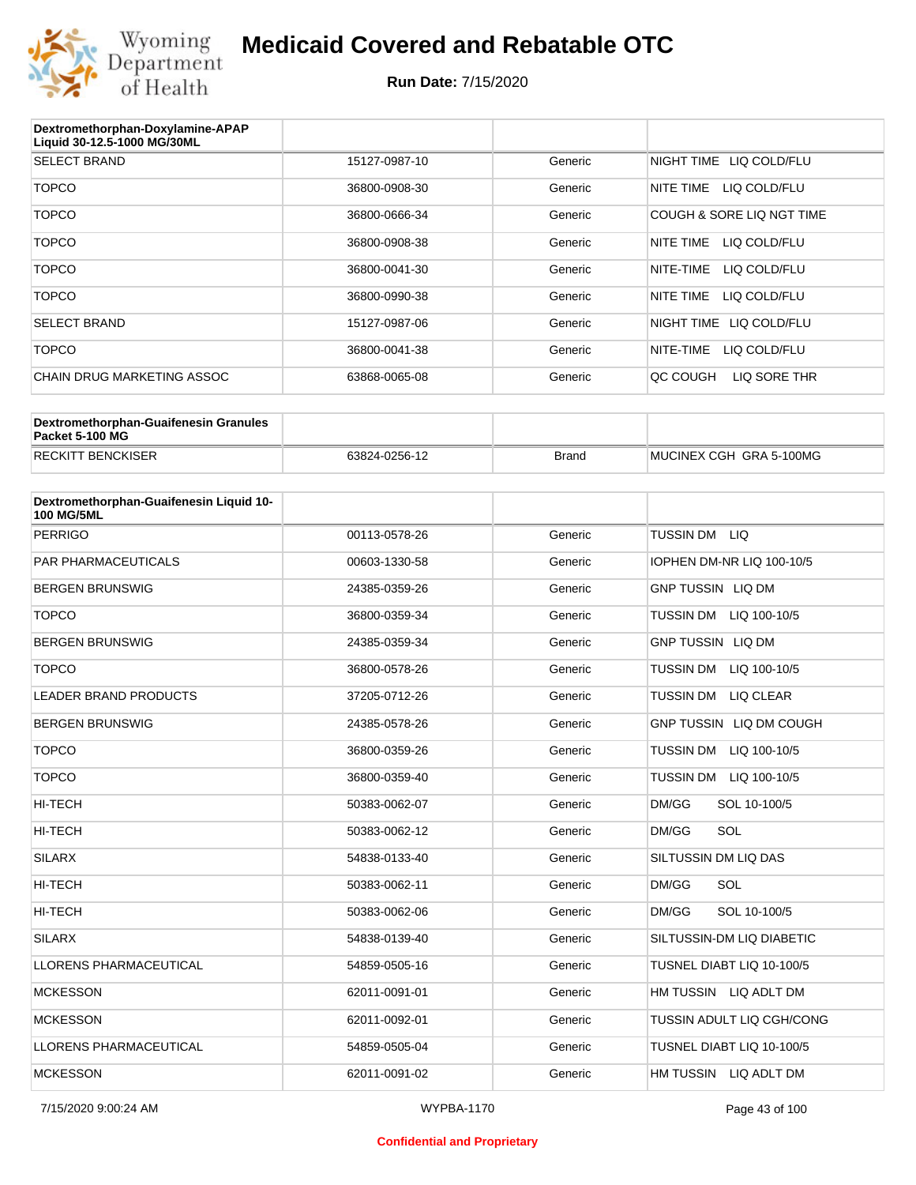

| Dextromethorphan-Doxylamine-APAP<br>Liquid 30-12.5-1000 MG/30ML |               |         |                            |
|-----------------------------------------------------------------|---------------|---------|----------------------------|
| <b>SELECT BRAND</b>                                             | 15127-0987-10 | Generic | NIGHT TIME LIQ COLD/FLU    |
| <b>TOPCO</b>                                                    | 36800-0908-30 | Generic | NITE TIME<br>LIQ COLD/FLU  |
| <b>TOPCO</b>                                                    | 36800-0666-34 | Generic | COUGH & SORE LIQ NGT TIME  |
| <b>TOPCO</b>                                                    | 36800-0908-38 | Generic | NITE TIME<br>LIQ COLD/FLU  |
| <b>TOPCO</b>                                                    | 36800-0041-30 | Generic | NITE-TIME<br>LIQ COLD/FLU  |
| <b>TOPCO</b>                                                    | 36800-0990-38 | Generic | LIQ COLD/FLU<br>NITE TIME  |
| <b>SELECT BRAND</b>                                             | 15127-0987-06 | Generic | NIGHT TIME<br>LIQ COLD/FLU |
| <b>TOPCO</b>                                                    | 36800-0041-38 | Generic | NITE-TIME<br>LIQ COLD/FLU  |
| CHAIN DRUG MARKETING ASSOC                                      | 63868-0065-08 | Generic | LIQ SORE THR<br>QC COUGH   |

| Dextromethorphan-Guaifenesin Granules<br>Packet 5-100 MG |               |              |                         |
|----------------------------------------------------------|---------------|--------------|-------------------------|
| <b>RECKITT BENCKISER</b>                                 | 63824-0256-12 | <b>Brand</b> | MUCINEX CGH GRA 5-100MG |

| Dextromethorphan-Guaifenesin Liquid 10-<br><b>100 MG/5ML</b> |               |         |                                  |
|--------------------------------------------------------------|---------------|---------|----------------------------------|
| <b>PERRIGO</b>                                               | 00113-0578-26 | Generic | TUSSIN DM LIQ                    |
| <b>PAR PHARMACEUTICALS</b>                                   | 00603-1330-58 | Generic | IOPHEN DM-NR LIQ 100-10/5        |
| <b>BERGEN BRUNSWIG</b>                                       | 24385-0359-26 | Generic | <b>GNP TUSSIN LIQ DM</b>         |
| <b>TOPCO</b>                                                 | 36800-0359-34 | Generic | <b>TUSSIN DM</b><br>LIQ 100-10/5 |
| <b>BERGEN BRUNSWIG</b>                                       | 24385-0359-34 | Generic | <b>GNP TUSSIN LIQ DM</b>         |
| <b>TOPCO</b>                                                 | 36800-0578-26 | Generic | <b>TUSSIN DM</b><br>LIQ 100-10/5 |
| <b>LEADER BRAND PRODUCTS</b>                                 | 37205-0712-26 | Generic | <b>TUSSIN DM</b><br>LIQ CLEAR    |
| <b>BERGEN BRUNSWIG</b>                                       | 24385-0578-26 | Generic | GNP TUSSIN LIQ DM COUGH          |
| <b>TOPCO</b>                                                 | 36800-0359-26 | Generic | <b>TUSSIN DM</b><br>LIQ 100-10/5 |
| <b>TOPCO</b>                                                 | 36800-0359-40 | Generic | <b>TUSSIN DM</b><br>LIQ 100-10/5 |
| <b>HI-TECH</b>                                               | 50383-0062-07 | Generic | DM/GG<br>SOL 10-100/5            |
| <b>HI-TECH</b>                                               | 50383-0062-12 | Generic | SOL<br>DM/GG                     |
| <b>SILARX</b>                                                | 54838-0133-40 | Generic | SILTUSSIN DM LIQ DAS             |
| HI-TECH                                                      | 50383-0062-11 | Generic | SOL<br>DM/GG                     |
| <b>HI-TECH</b>                                               | 50383-0062-06 | Generic | DM/GG<br>SOL 10-100/5            |
| <b>SILARX</b>                                                | 54838-0139-40 | Generic | SILTUSSIN-DM LIQ DIABETIC        |
| <b>LLORENS PHARMACEUTICAL</b>                                | 54859-0505-16 | Generic | TUSNEL DIABT LIQ 10-100/5        |
| <b>MCKESSON</b>                                              | 62011-0091-01 | Generic | HM TUSSIN LIQ ADLT DM            |
| <b>MCKESSON</b>                                              | 62011-0092-01 | Generic | TUSSIN ADULT LIQ CGH/CONG        |
| <b>LLORENS PHARMACEUTICAL</b>                                | 54859-0505-04 | Generic | TUSNEL DIABT LIQ 10-100/5        |
| <b>MCKESSON</b>                                              | 62011-0091-02 | Generic | HM TUSSIN LIQ ADLT DM            |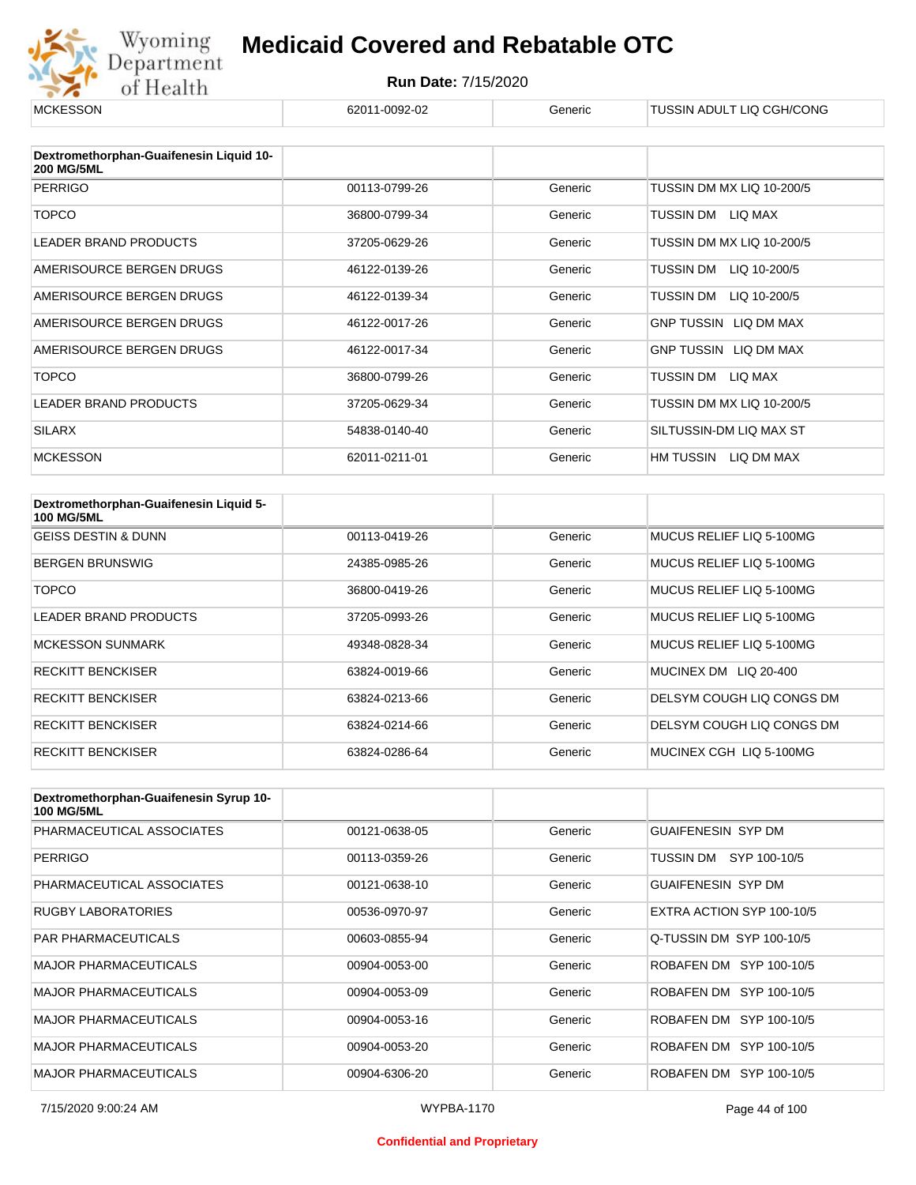

#### **Run Date:** 7/15/2020

| <b>MCKESSON</b>                                              | 62011-0092-02 | Generic | TUSSIN ADULT LIQ CGH/CONG    |
|--------------------------------------------------------------|---------------|---------|------------------------------|
|                                                              |               |         |                              |
| Dextromethorphan-Guaifenesin Liquid 10-<br><b>200 MG/5ML</b> |               |         |                              |
| <b>PERRIGO</b>                                               | 00113-0799-26 | Generic | TUSSIN DM MX LIQ 10-200/5    |
| <b>TOPCO</b>                                                 | 36800-0799-34 | Generic | TUSSIN DM<br>LIQ MAX         |
| <b>LEADER BRAND PRODUCTS</b>                                 | 37205-0629-26 | Generic | TUSSIN DM MX LIQ 10-200/5    |
| AMERISOURCE BERGEN DRUGS                                     | 46122-0139-26 | Generic | TUSSIN DM<br>LIQ 10-200/5    |
| AMERISOURCE BERGEN DRUGS                                     | 46122-0139-34 | Generic | TUSSIN DM<br>LIQ 10-200/5    |
| AMERISOURCE BERGEN DRUGS                                     | 46122-0017-26 | Generic | <b>GNP TUSSIN LIQ DM MAX</b> |
| AMERISOURCE BERGEN DRUGS                                     | 46122-0017-34 | Generic | <b>GNP TUSSIN LIQ DM MAX</b> |
| <b>TOPCO</b>                                                 | 36800-0799-26 | Generic | TUSSIN DM<br>LIQ MAX         |
| <b>LEADER BRAND PRODUCTS</b>                                 | 37205-0629-34 | Generic | TUSSIN DM MX LIQ 10-200/5    |
| <b>SILARX</b>                                                | 54838-0140-40 | Generic | SILTUSSIN-DM LIQ MAX ST      |
| <b>MCKESSON</b>                                              | 62011-0211-01 | Generic | HM TUSSIN<br>LIQ DM MAX      |

| Dextromethorphan-Guaifenesin Liquid 5-<br><b>100 MG/5ML</b> |               |         |                           |
|-------------------------------------------------------------|---------------|---------|---------------------------|
| <b>GEISS DESTIN &amp; DUNN</b>                              | 00113-0419-26 | Generic | MUCUS RELIEF LIQ 5-100MG  |
| <b>BERGEN BRUNSWIG</b>                                      | 24385-0985-26 | Generic | MUCUS RELIEF LIQ 5-100MG  |
| TOPCO                                                       | 36800-0419-26 | Generic | MUCUS RELIEF LIQ 5-100MG  |
| <b>LEADER BRAND PRODUCTS</b>                                | 37205-0993-26 | Generic | MUCUS RELIEF LIQ 5-100MG  |
| <b>MCKESSON SUNMARK</b>                                     | 49348-0828-34 | Generic | MUCUS RELIEF LIQ 5-100MG  |
| <b>RECKITT BENCKISER</b>                                    | 63824-0019-66 | Generic | MUCINEX DM LIQ 20-400     |
| <b>RECKITT BENCKISER</b>                                    | 63824-0213-66 | Generic | DELSYM COUGH LIQ CONGS DM |
| <b>RECKITT BENCKISER</b>                                    | 63824-0214-66 | Generic | DELSYM COUGH LIQ CONGS DM |
| <b>RECKITT BENCKISER</b>                                    | 63824-0286-64 | Generic | MUCINEX CGH LIQ 5-100MG   |

| Dextromethorphan-Guaifenesin Syrup 10-<br><b>100 MG/5ML</b> |               |         |                           |
|-------------------------------------------------------------|---------------|---------|---------------------------|
| PHARMACEUTICAL ASSOCIATES                                   | 00121-0638-05 | Generic | <b>GUAIFENESIN SYP DM</b> |
| <b>PERRIGO</b>                                              | 00113-0359-26 | Generic | TUSSIN DM SYP 100-10/5    |
| PHARMACEUTICAL ASSOCIATES                                   | 00121-0638-10 | Generic | <b>GUAIFENESIN SYP DM</b> |
| <b>RUGBY LABORATORIES</b>                                   | 00536-0970-97 | Generic | EXTRA ACTION SYP 100-10/5 |
| <b>PAR PHARMACEUTICALS</b>                                  | 00603-0855-94 | Generic | Q-TUSSIN DM SYP 100-10/5  |
| <b>MAJOR PHARMACEUTICALS</b>                                | 00904-0053-00 | Generic | ROBAFEN DM SYP 100-10/5   |
| <b>MAJOR PHARMACEUTICALS</b>                                | 00904-0053-09 | Generic | ROBAFEN DM SYP 100-10/5   |
| <b>MAJOR PHARMACEUTICALS</b>                                | 00904-0053-16 | Generic | ROBAFEN DM SYP 100-10/5   |
| <b>MAJOR PHARMACEUTICALS</b>                                | 00904-0053-20 | Generic | ROBAFEN DM SYP 100-10/5   |
| <b>MAJOR PHARMACEUTICALS</b>                                | 00904-6306-20 | Generic | ROBAFEN DM SYP 100-10/5   |

#### **Confidential and Proprietary**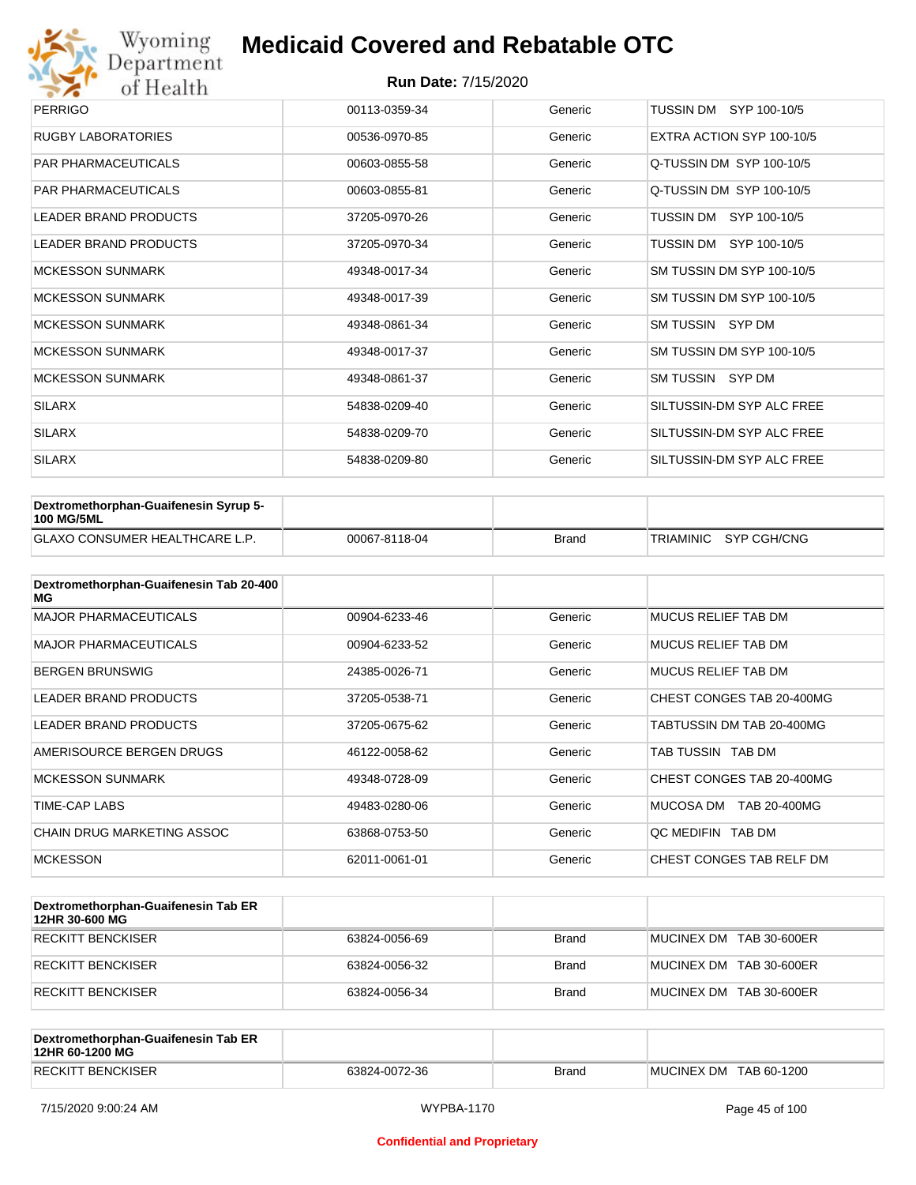

| <b>PERRIGO</b>               | 00113-0359-34 | Generic | TUSSIN DM SYP 100-10/5    |
|------------------------------|---------------|---------|---------------------------|
| RUGBY LABORATORIES           | 00536-0970-85 | Generic | EXTRA ACTION SYP 100-10/5 |
| <b>PAR PHARMACEUTICALS</b>   | 00603-0855-58 | Generic | Q-TUSSIN DM SYP 100-10/5  |
| <b>PAR PHARMACEUTICALS</b>   | 00603-0855-81 | Generic | Q-TUSSIN DM SYP 100-10/5  |
| <b>LEADER BRAND PRODUCTS</b> | 37205-0970-26 | Generic | TUSSIN DM SYP 100-10/5    |
| <b>LEADER BRAND PRODUCTS</b> | 37205-0970-34 | Generic | TUSSIN DM SYP 100-10/5    |
| <b>MCKESSON SUNMARK</b>      | 49348-0017-34 | Generic | SM TUSSIN DM SYP 100-10/5 |
| <b>MCKESSON SUNMARK</b>      | 49348-0017-39 | Generic | SM TUSSIN DM SYP 100-10/5 |
| <b>MCKESSON SUNMARK</b>      | 49348-0861-34 | Generic | SM TUSSIN SYP DM          |
| <b>MCKESSON SUNMARK</b>      | 49348-0017-37 | Generic | SM TUSSIN DM SYP 100-10/5 |
| <b>MCKESSON SUNMARK</b>      | 49348-0861-37 | Generic | SM TUSSIN SYP DM          |
| <b>SILARX</b>                | 54838-0209-40 | Generic | SILTUSSIN-DM SYP ALC FREE |
| <b>SILARX</b>                | 54838-0209-70 | Generic | SILTUSSIN-DM SYP ALC FREE |
| <b>SILARX</b>                | 54838-0209-80 | Generic | SILTUSSIN-DM SYP ALC FREE |

| Dextromethorphan-Guaifenesin Syrup 5-<br><b>100 MG/5ML</b> |               |       |                       |
|------------------------------------------------------------|---------------|-------|-----------------------|
| <b>GLAXO CONSUMER HEALTHCARE L.P.</b>                      | 00067-8118-04 | Brand | TRIAMINIC SYP CGH/CNG |

| Dextromethorphan-Guaifenesin Tab 20-400<br>MG |               |         |                           |
|-----------------------------------------------|---------------|---------|---------------------------|
| <b>MAJOR PHARMACEUTICALS</b>                  | 00904-6233-46 | Generic | MUCUS RELIEF TAB DM       |
| <b>MAJOR PHARMACEUTICALS</b>                  | 00904-6233-52 | Generic | MUCUS RELIEF TAB DM       |
| <b>BERGEN BRUNSWIG</b>                        | 24385-0026-71 | Generic | MUCUS RELIEF TAB DM       |
| <b>LEADER BRAND PRODUCTS</b>                  | 37205-0538-71 | Generic | CHEST CONGES TAB 20-400MG |
| <b>LEADER BRAND PRODUCTS</b>                  | 37205-0675-62 | Generic | TABTUSSIN DM TAB 20-400MG |
| AMERISOURCE BERGEN DRUGS                      | 46122-0058-62 | Generic | TAB TUSSIN TAB DM         |
| <b>MCKESSON SUNMARK</b>                       | 49348-0728-09 | Generic | CHEST CONGES TAB 20-400MG |
| TIME-CAP LABS                                 | 49483-0280-06 | Generic | MUCOSA DM<br>TAB 20-400MG |
| CHAIN DRUG MARKETING ASSOC                    | 63868-0753-50 | Generic | OC MEDIFIN TAB DM         |
| <b>MCKESSON</b>                               | 62011-0061-01 | Generic | CHEST CONGES TAB RELF DM  |

| Dextromethorphan-Guaifenesin Tab ER<br>12HR 30-600 MG |               |              |                         |
|-------------------------------------------------------|---------------|--------------|-------------------------|
| RECKITT BENCKISER                                     | 63824-0056-69 | <b>Brand</b> | MUCINEX DM TAB 30-600ER |
| RECKITT BENCKISER                                     | 63824-0056-32 | <b>Brand</b> | MUCINEX DM TAB 30-600ER |
| RECKITT BENCKISER                                     | 63824-0056-34 | <b>Brand</b> | MUCINEX DM TAB 30-600ER |

| Dextromethorphan-Guaifenesin Tab ER<br>12HR 60-1200 MG |               |              |                        |
|--------------------------------------------------------|---------------|--------------|------------------------|
| RECKITT BENCKISER                                      | 63824-0072-36 | <b>Brand</b> | MUCINEX DM TAB 60-1200 |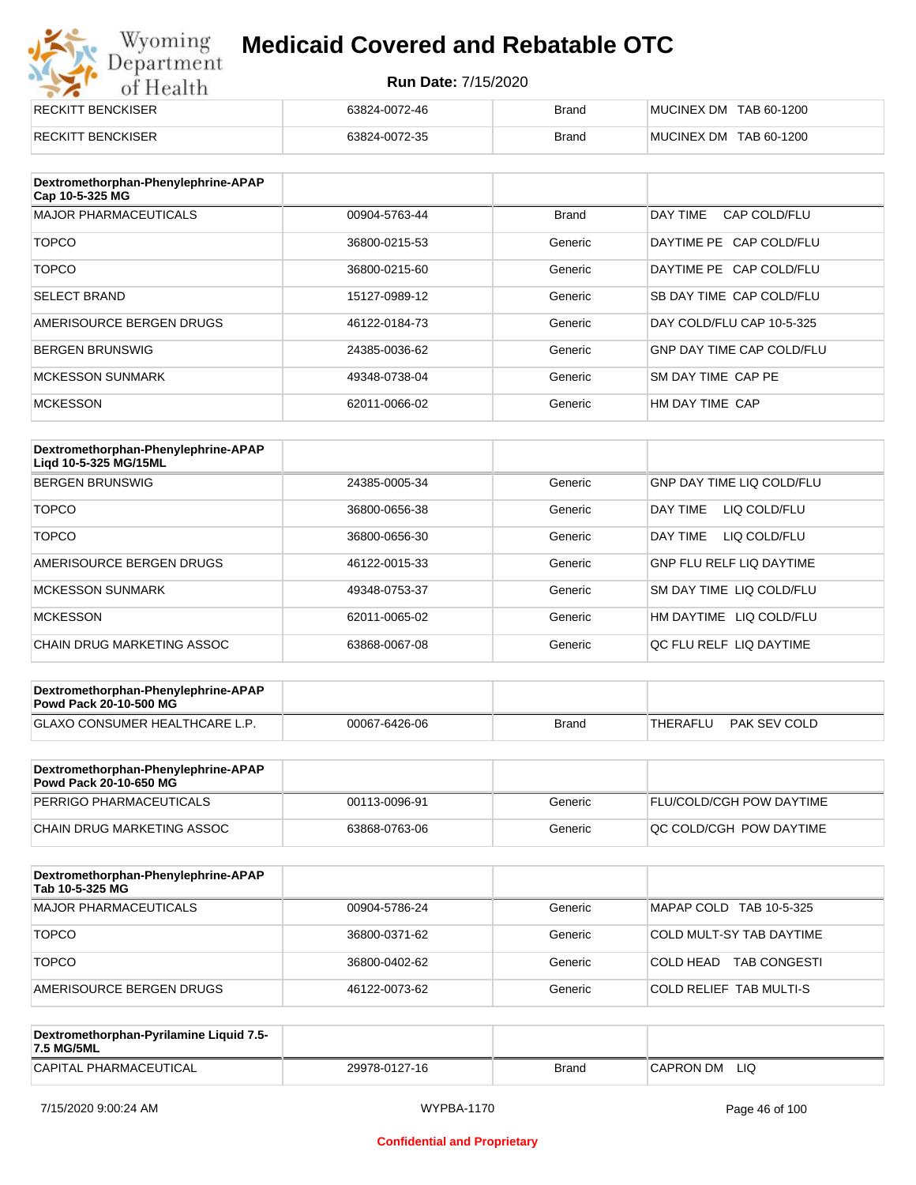# Wyoming<br>Department<br>of Health

## **Medicaid Covered and Rebatable OTC**

| <b>RECKITT BENCKISER</b> | 63824-0072-46 | <b>Brand</b> | MUCINEX DM TAB 60-1200 |
|--------------------------|---------------|--------------|------------------------|
| <b>RECKITT BENCKISER</b> | 63824-0072-35 | <b>Brand</b> | MUCINEX DM TAB 60-1200 |

| Dextromethorphan-Phenylephrine-APAP<br>Cap 10-5-325 MG |               |              |                                  |
|--------------------------------------------------------|---------------|--------------|----------------------------------|
| <b>MAJOR PHARMACEUTICALS</b>                           | 00904-5763-44 | <b>Brand</b> | DAY TIME<br>CAP COLD/FLU         |
| <b>TOPCO</b>                                           | 36800-0215-53 | Generic      | DAYTIME PE CAP COLD/FLU          |
| <b>TOPCO</b>                                           | 36800-0215-60 | Generic      | DAYTIME PE CAP COLD/FLU          |
| <b>SELECT BRAND</b>                                    | 15127-0989-12 | Generic      | SB DAY TIME CAP COLD/FLU         |
| AMERISOURCE BERGEN DRUGS                               | 46122-0184-73 | Generic      | DAY COLD/FLU CAP 10-5-325        |
| <b>BERGEN BRUNSWIG</b>                                 | 24385-0036-62 | Generic      | <b>GNP DAY TIME CAP COLD/FLU</b> |
| <b>MCKESSON SUNMARK</b>                                | 49348-0738-04 | Generic      | SM DAY TIME CAP PE               |
| <b>MCKESSON</b>                                        | 62011-0066-02 | Generic      | HM DAY TIME CAP                  |

| Dextromethorphan-Phenylephrine-APAP<br>Ligd 10-5-325 MG/15ML |               |         |                                  |
|--------------------------------------------------------------|---------------|---------|----------------------------------|
| <b>BERGEN BRUNSWIG</b>                                       | 24385-0005-34 | Generic | <b>GNP DAY TIME LIQ COLD/FLU</b> |
| <b>TOPCO</b>                                                 | 36800-0656-38 | Generic | LIQ COLD/FLU<br>DAY TIME         |
| <b>TOPCO</b>                                                 | 36800-0656-30 | Generic | DAY TIME<br>LIQ COLD/FLU         |
| AMERISOURCE BERGEN DRUGS                                     | 46122-0015-33 | Generic | <b>GNP FLU RELF LIQ DAYTIME</b>  |
| MCKESSON SUNMARK                                             | 49348-0753-37 | Generic | SM DAY TIME LIQ COLD/FLU         |
| <b>MCKESSON</b>                                              | 62011-0065-02 | Generic | LIQ COLD/FLU<br>HM DAYTIME       |
| CHAIN DRUG MARKETING ASSOC                                   | 63868-0067-08 | Generic | QC FLU RELF LIQ DAYTIME          |

| Dextromethorphan-Phenylephrine-APAP<br><b>Powd Pack 20-10-500 MG</b> |               |       |          |              |
|----------------------------------------------------------------------|---------------|-------|----------|--------------|
| <b>GLAXO CONSUMER HEALTHCARE L.P.</b>                                | 00067-6426-06 | Brand | THERAFLU | PAK SEV COLD |
|                                                                      |               |       |          |              |

| Dextromethorphan-Phenylephrine-APAP<br><b>Powd Pack 20-10-650 MG</b> |               |         |                                 |
|----------------------------------------------------------------------|---------------|---------|---------------------------------|
| PERRIGO PHARMACEUTICALS                                              | 00113-0096-91 | Generic | <b>FLU/COLD/CGH POW DAYTIME</b> |
| CHAIN DRUG MARKETING ASSOC                                           | 63868-0763-06 | Generic | IQC COLD/CGH POW DAYTIME        |

| Dextromethorphan-Phenylephrine-APAP<br>Tab 10-5-325 MG |               |         |                                  |
|--------------------------------------------------------|---------------|---------|----------------------------------|
| MAJOR PHARMACEUTICALS                                  | 00904-5786-24 | Generic | MAPAP COLD TAB 10-5-325          |
| <b>TOPCO</b>                                           | 36800-0371-62 | Generic | COLD MULT-SY TAB DAYTIME         |
| <b>TOPCO</b>                                           | 36800-0402-62 | Generic | <b>TAB CONGESTI</b><br>COLD HEAD |
| AMERISOURCE BERGEN DRUGS                               | 46122-0073-62 | Generic | COLD RELIEF TAB MULTI-S          |

| Dextromethorphan-Pyrilamine Liquid 7.5-<br>7.5 MG/5ML |               |       |                  |
|-------------------------------------------------------|---------------|-------|------------------|
| CAPITAL PHARMACEUTICAL                                | 29978-0127-16 | Brand | LIQ<br>CAPRON DM |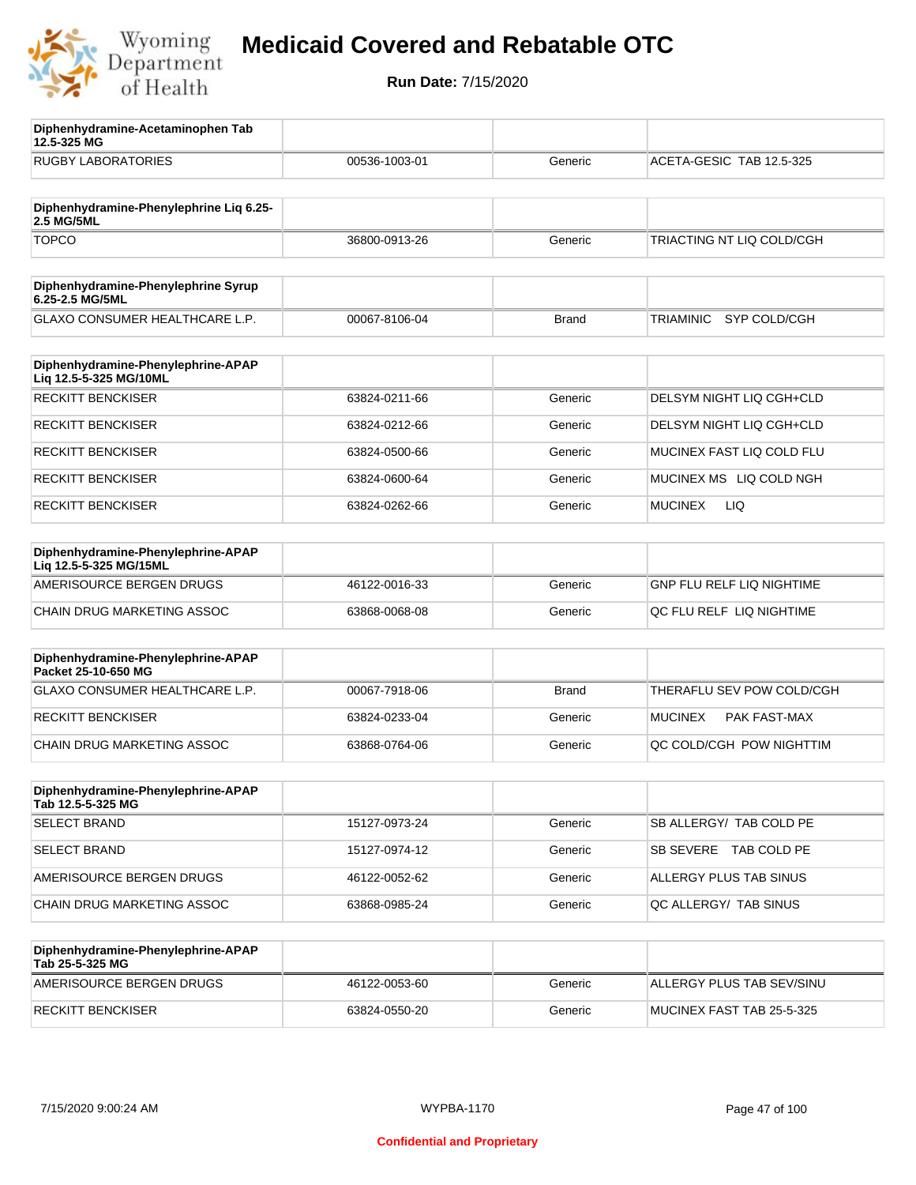

**12.5-325 MG**

**Diphenhydramine-Acetaminophen Tab** 

## **Medicaid Covered and Rebatable OTC**

| <b>RUGBY LABORATORIES</b>                                    | 00536-1003-01 | Generic      | ACETA-GESIC TAB 12.5-325  |
|--------------------------------------------------------------|---------------|--------------|---------------------------|
| Diphenhydramine-Phenylephrine Liq 6.25-<br>2.5 MG/5ML        |               |              |                           |
| <b>TOPCO</b>                                                 | 36800-0913-26 | Generic      | TRIACTING NT LIQ COLD/CGH |
| Diphenhydramine-Phenylephrine Syrup<br>6.25-2.5 MG/5ML       |               |              |                           |
| GLAXO CONSUMER HEALTHCARE L.P.                               | 00067-8106-04 | <b>Brand</b> | SYP COLD/CGH<br>TRIAMINIC |
| Diphenhydramine-Phenylephrine-APAP<br>Liq 12.5-5-325 MG/10ML |               |              |                           |
| <b>RECKITT BENCKISER</b>                                     | 63824-0211-66 | Generic      | DELSYM NIGHT LIQ CGH+CLD  |
| <b>RECKITT BENCKISER</b>                                     | 63824-0212-66 | Generic      | DELSYM NIGHT LIQ CGH+CLD  |
| <b>RECKITT BENCKISER</b>                                     | 63824-0500-66 | Generic      | MUCINEX FAST LIQ COLD FLU |
| <b>RECKITT BENCKISER</b>                                     | 63824-0600-64 | Generic      | MUCINEX MS LIQ COLD NGH   |
| <b>RECKITT BENCKISER</b>                                     | 63824-0262-66 | Generic      | LIQ.<br>MUCINEX           |
| Diphenhydramine-Phenylephrine-APAP<br>Lig 12.5-5-325 MG/15ML |               |              |                           |
| AMERISOURCE BERGEN DRUGS                                     | 46122-0016-33 | Generic      | GNP FLU RELF LIQ NIGHTIME |
| CHAIN DRUG MARKETING ASSOC                                   | 63868-0068-08 | Generic      | QC FLU RELF LIQ NIGHTIME  |
| Diphenhydramine-Phenylephrine-APAP<br>Packet 25-10-650 MG    |               |              |                           |
| GLAXO CONSUMER HEALTHCARE L.P.                               | 00067-7918-06 | <b>Brand</b> | THERAFLU SEV POW COLD/CGH |
| <b>RECKITT BENCKISER</b>                                     | 63824-0233-04 | Generic      | MUCINEX<br>PAK FAST-MAX   |
| CHAIN DRUG MARKETING ASSOC                                   | 63868-0764-06 | Generic      | QC COLD/CGH POW NIGHTTIM  |
| Diphenhydramine-Phenylephrine-APAP<br>Tab 12.5-5-325 MG      |               |              |                           |
| <b>SELECT BRAND</b>                                          | 15127-0973-24 | Generic      | SB ALLERGY/ TAB COLD PE   |
| <b>SELECT BRAND</b>                                          | 15127-0974-12 | Generic      | SB SEVERE TAB COLD PE     |
| AMERISOURCE BERGEN DRUGS                                     | 46122-0052-62 | Generic      | ALLERGY PLUS TAB SINUS    |
| CHAIN DRUG MARKETING ASSOC                                   | 63868-0985-24 | Generic      | QC ALLERGY/ TAB SINUS     |
| Diphenhydramine-Phenylephrine-APAP<br>Tab 25-5-325 MG        |               |              |                           |
| AMERISOURCE BERGEN DRUGS                                     | 46122-0053-60 | Generic      | ALLERGY PLUS TAB SEV/SINU |
| <b>RECKITT BENCKISER</b>                                     | 63824-0550-20 | Generic      | MUCINEX FAST TAB 25-5-325 |
|                                                              |               |              |                           |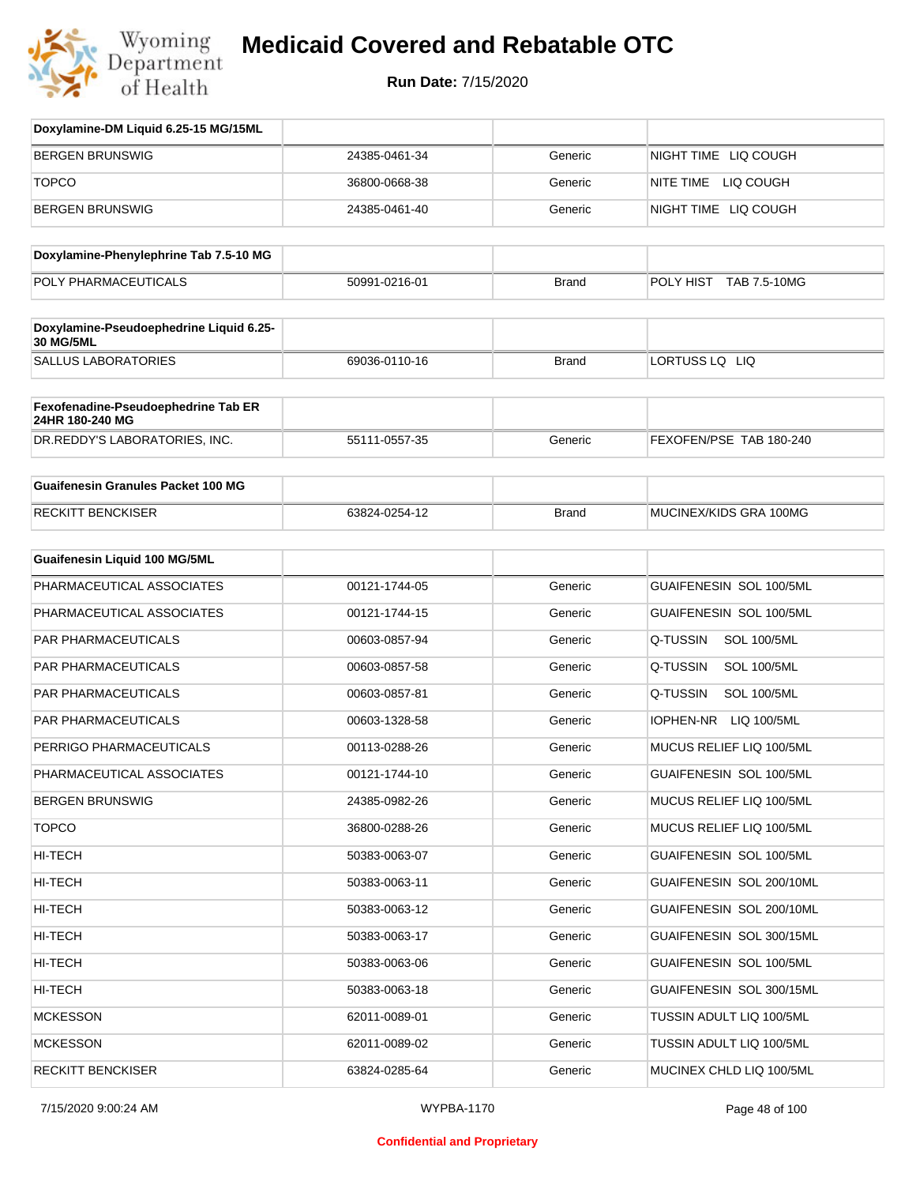

| Doxylamine-DM Liquid 6.25-15 MG/15ML                        |               |              |                                |
|-------------------------------------------------------------|---------------|--------------|--------------------------------|
| <b>BERGEN BRUNSWIG</b>                                      | 24385-0461-34 | Generic      | NIGHT TIME LIQ COUGH           |
| <b>TOPCO</b>                                                | 36800-0668-38 | Generic      | NITE TIME LIQ COUGH            |
| <b>BERGEN BRUNSWIG</b>                                      | 24385-0461-40 | Generic      | NIGHT TIME LIQ COUGH           |
| Doxylamine-Phenylephrine Tab 7.5-10 MG                      |               |              |                                |
| POLY PHARMACEUTICALS                                        | 50991-0216-01 | <b>Brand</b> | POLY HIST<br>TAB 7.5-10MG      |
| Doxylamine-Pseudoephedrine Liquid 6.25-<br><b>30 MG/5ML</b> |               |              |                                |
| <b>SALLUS LABORATORIES</b>                                  | 69036-0110-16 | <b>Brand</b> | LORTUSS LQ LIQ                 |
| Fexofenadine-Pseudoephedrine Tab ER<br>24HR 180-240 MG      |               |              |                                |
| DR.REDDY'S LABORATORIES, INC.                               | 55111-0557-35 | Generic      | FEXOFEN/PSE TAB 180-240        |
| <b>Guaifenesin Granules Packet 100 MG</b>                   |               |              |                                |
| <b>RECKITT BENCKISER</b>                                    | 63824-0254-12 | <b>Brand</b> | MUCINEX/KIDS GRA 100MG         |
| <b>Guaifenesin Liquid 100 MG/5ML</b>                        |               |              |                                |
| PHARMACEUTICAL ASSOCIATES                                   | 00121-1744-05 | Generic      | GUAIFENESIN SOL 100/5ML        |
| PHARMACEUTICAL ASSOCIATES                                   | 00121-1744-15 | Generic      | <b>GUAIFENESIN SOL 100/5ML</b> |
| PAR PHARMACEUTICALS                                         | 00603-0857-94 | Generic      | Q-TUSSIN<br><b>SOL 100/5ML</b> |
| PAR PHARMACEUTICALS                                         | 00603-0857-58 | Generic      | Q-TUSSIN<br><b>SOL 100/5ML</b> |
| PAR PHARMACEUTICALS                                         | 00603-0857-81 | Generic      | Q-TUSSIN<br><b>SOL 100/5ML</b> |
| PAR PHARMACEUTICALS                                         | 00603-1328-58 | Generic      | IOPHEN-NR LIQ 100/5ML          |
| PERRIGO PHARMACEUTICALS                                     | 00113-0288-26 | Generic      | MUCUS RELIEF LIQ 100/5ML       |
| PHARMACEUTICAL ASSOCIATES                                   | 00121-1744-10 | Generic      | GUAIFENESIN SOL 100/5ML        |
| <b>BERGEN BRUNSWIG</b>                                      | 24385-0982-26 | Generic      | MUCUS RELIEF LIQ 100/5ML       |
| <b>TOPCO</b>                                                | 36800-0288-26 | Generic      | MUCUS RELIEF LIQ 100/5ML       |
| HI-TECH                                                     | 50383-0063-07 | Generic      | GUAIFENESIN SOL 100/5ML        |
| HI-TECH                                                     | 50383-0063-11 | Generic      | GUAIFENESIN SOL 200/10ML       |
| HI-TECH                                                     | 50383-0063-12 | Generic      | GUAIFENESIN SOL 200/10ML       |
| HI-TECH                                                     | 50383-0063-17 | Generic      | GUAIFENESIN SOL 300/15ML       |
| HI-TECH                                                     | 50383-0063-06 | Generic      | GUAIFENESIN SOL 100/5ML        |
| HI-TECH                                                     | 50383-0063-18 | Generic      | GUAIFENESIN SOL 300/15ML       |
| <b>MCKESSON</b>                                             | 62011-0089-01 | Generic      | TUSSIN ADULT LIQ 100/5ML       |
| <b>MCKESSON</b>                                             | 62011-0089-02 | Generic      | TUSSIN ADULT LIQ 100/5ML       |
| RECKITT BENCKISER                                           | 63824-0285-64 | Generic      | MUCINEX CHLD LIQ 100/5ML       |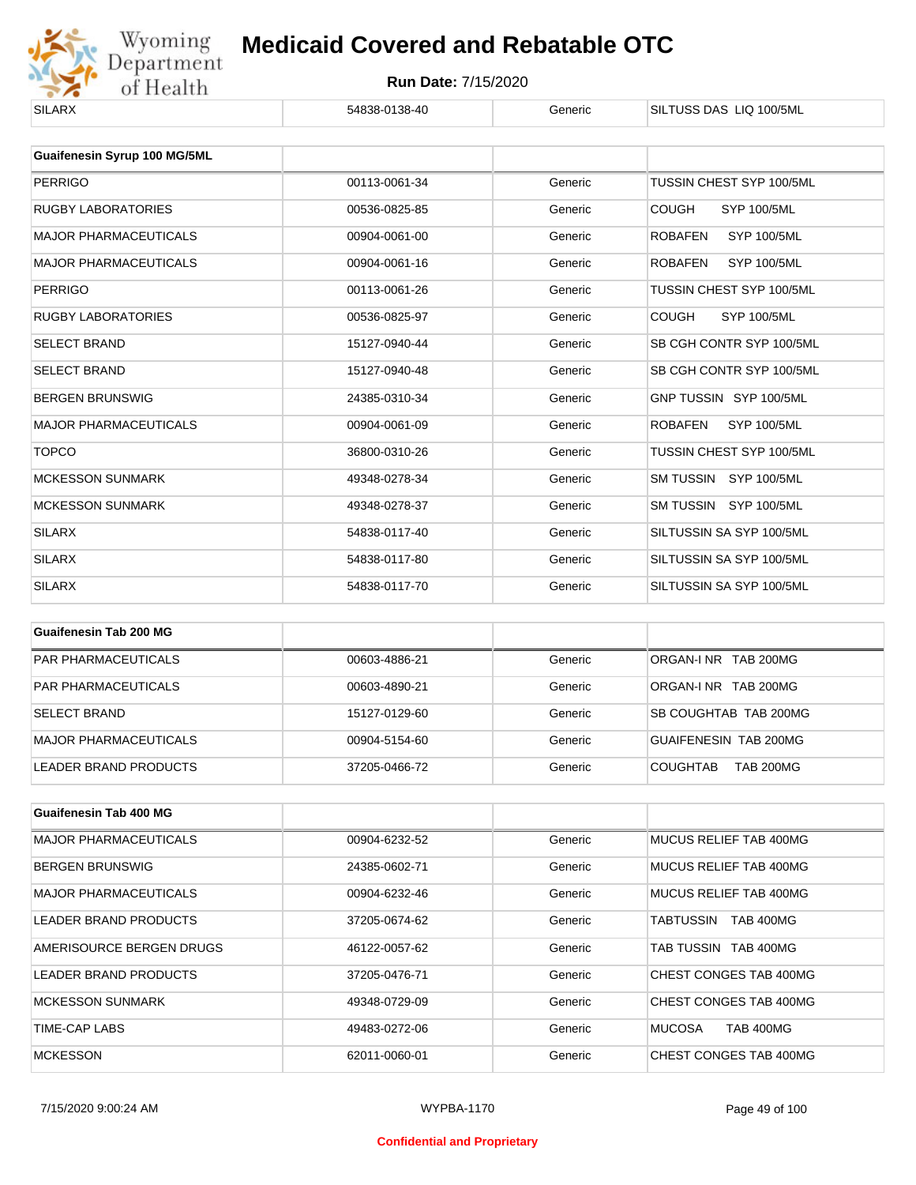

| <b>SILARX</b>                | 54838-0138-40 | Generic | SILTUSS DAS LIQ 100/5ML              |
|------------------------------|---------------|---------|--------------------------------------|
|                              |               |         |                                      |
| Guaifenesin Syrup 100 MG/5ML |               |         |                                      |
| <b>PERRIGO</b>               | 00113-0061-34 | Generic | TUSSIN CHEST SYP 100/5ML             |
| <b>RUGBY LABORATORIES</b>    | 00536-0825-85 | Generic | <b>COUGH</b><br>SYP 100/5ML          |
| <b>MAJOR PHARMACEUTICALS</b> | 00904-0061-00 | Generic | <b>SYP 100/5ML</b><br><b>ROBAFEN</b> |
| <b>MAJOR PHARMACEUTICALS</b> | 00904-0061-16 | Generic | <b>ROBAFEN</b><br>SYP 100/5ML        |
| <b>PERRIGO</b>               | 00113-0061-26 | Generic | TUSSIN CHEST SYP 100/5ML             |
| <b>RUGBY LABORATORIES</b>    | 00536-0825-97 | Generic | <b>COUGH</b><br>SYP 100/5ML          |
| <b>SELECT BRAND</b>          | 15127-0940-44 | Generic | SB CGH CONTR SYP 100/5ML             |
| <b>SELECT BRAND</b>          | 15127-0940-48 | Generic | SB CGH CONTR SYP 100/5ML             |
| <b>BERGEN BRUNSWIG</b>       | 24385-0310-34 | Generic | GNP TUSSIN SYP 100/5ML               |
| <b>MAJOR PHARMACEUTICALS</b> | 00904-0061-09 | Generic | <b>ROBAFEN</b><br><b>SYP 100/5ML</b> |
| <b>TOPCO</b>                 | 36800-0310-26 | Generic | TUSSIN CHEST SYP 100/5ML             |
| <b>MCKESSON SUNMARK</b>      | 49348-0278-34 | Generic | SM TUSSIN SYP 100/5ML                |
| <b>MCKESSON SUNMARK</b>      | 49348-0278-37 | Generic | SM TUSSIN SYP 100/5ML                |
| <b>SILARX</b>                | 54838-0117-40 | Generic | SILTUSSIN SA SYP 100/5ML             |
| <b>SILARX</b>                | 54838-0117-80 | Generic | SILTUSSIN SA SYP 100/5ML             |
| <b>SILARX</b>                | 54838-0117-70 | Generic | SILTUSSIN SA SYP 100/5ML             |

| Guaifenesin Tab 200 MG       |               |         |                                     |
|------------------------------|---------------|---------|-------------------------------------|
| <b>PAR PHARMACEUTICALS</b>   | 00603-4886-21 | Generic | ORGAN-INR TAB 200MG                 |
| <b>PAR PHARMACEUTICALS</b>   | 00603-4890-21 | Generic | ORGAN-INR TAB 200MG                 |
| <b>SELECT BRAND</b>          | 15127-0129-60 | Generic | SB COUGHTAB TAB 200MG               |
| <b>MAJOR PHARMACEUTICALS</b> | 00904-5154-60 | Generic | GUAIFENESIN TAB 200MG               |
| LEADER BRAND PRODUCTS        | 37205-0466-72 | Generic | <b>TAB 200MG</b><br><b>COUGHTAB</b> |

| <b>Guaifenesin Tab 400 MG</b> |               |         |                                   |
|-------------------------------|---------------|---------|-----------------------------------|
| <b>MAJOR PHARMACEUTICALS</b>  | 00904-6232-52 | Generic | MUCUS RELIEF TAB 400MG            |
| <b>BERGEN BRUNSWIG</b>        | 24385-0602-71 | Generic | MUCUS RELIEF TAB 400MG            |
| <b>MAJOR PHARMACEUTICALS</b>  | 00904-6232-46 | Generic | MUCUS RELIEF TAB 400MG            |
| LEADER BRAND PRODUCTS         | 37205-0674-62 | Generic | <b>TAB 400MG</b><br>TABTUSSIN     |
| AMERISOURCE BERGEN DRUGS      | 46122-0057-62 | Generic | TAB TUSSIN TAB 400MG              |
| LEADER BRAND PRODUCTS         | 37205-0476-71 | Generic | CHEST CONGES TAB 400MG            |
| <b>MCKESSON SUNMARK</b>       | 49348-0729-09 | Generic | CHEST CONGES TAB 400MG            |
| TIME-CAP LABS                 | 49483-0272-06 | Generic | <b>MUCOSA</b><br><b>TAB 400MG</b> |
| <b>MCKESSON</b>               | 62011-0060-01 | Generic | CHEST CONGES TAB 400MG            |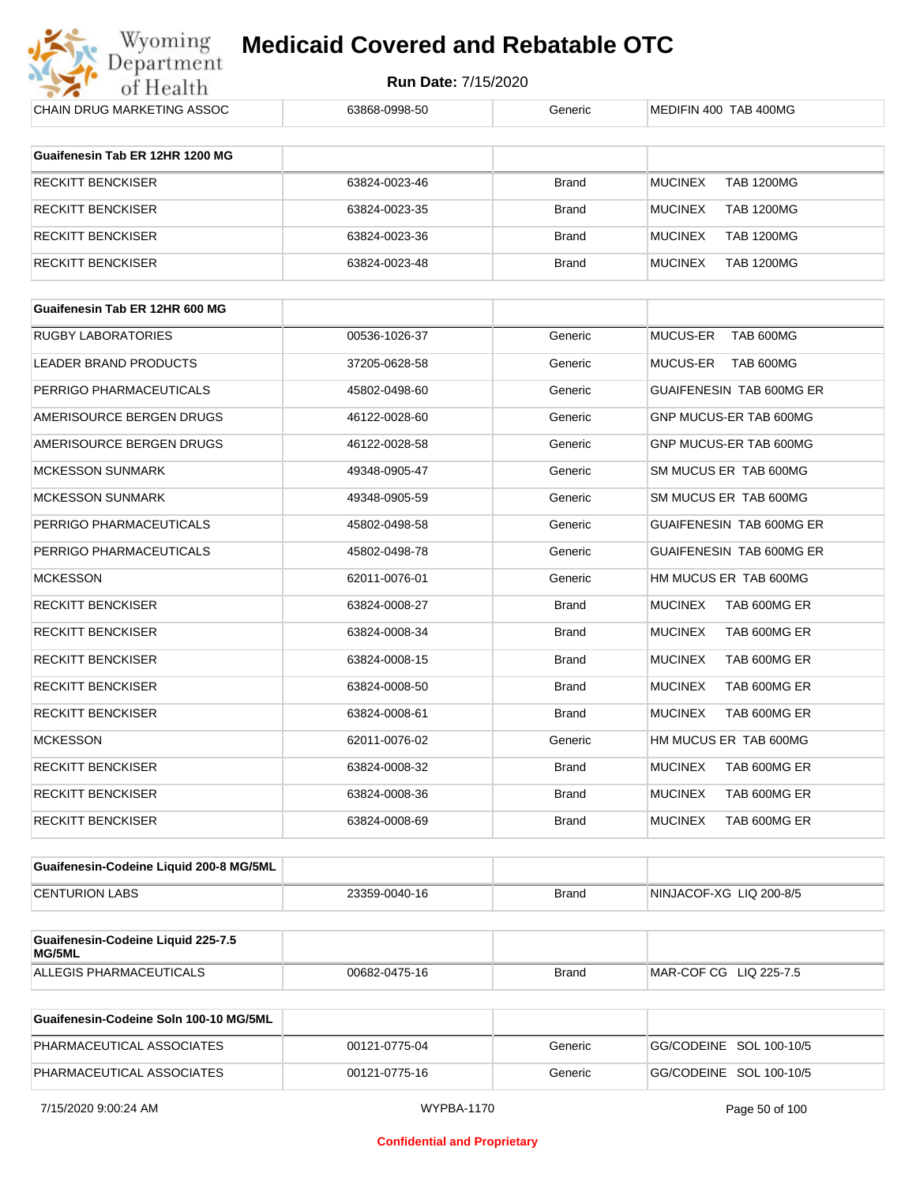

| <b>CHAIN DRUG MARKETING ASSOC</b>            | 63868-0998-50 | Generic      | MEDIFIN 400 TAB 400MG               |
|----------------------------------------------|---------------|--------------|-------------------------------------|
| Guaifenesin Tab ER 12HR 1200 MG              |               |              |                                     |
| <b>RECKITT BENCKISER</b>                     | 63824-0023-46 | Brand        | <b>TAB 1200MG</b><br><b>MUCINEX</b> |
| RECKITT BENCKISER                            | 63824-0023-35 | <b>Brand</b> | <b>MUCINEX</b><br><b>TAB 1200MG</b> |
| <b>RECKITT BENCKISER</b>                     | 63824-0023-36 | <b>Brand</b> | <b>MUCINEX</b><br><b>TAB 1200MG</b> |
| <b>RECKITT BENCKISER</b>                     | 63824-0023-48 | <b>Brand</b> | <b>MUCINEX</b><br><b>TAB 1200MG</b> |
|                                              |               |              |                                     |
| Guaifenesin Tab ER 12HR 600 MG               |               |              |                                     |
| <b>RUGBY LABORATORIES</b>                    | 00536-1026-37 | Generic      | MUCUS-ER<br>TAB 600MG               |
| LEADER BRAND PRODUCTS                        | 37205-0628-58 | Generic      | MUCUS-ER<br>TAB 600MG               |
| PERRIGO PHARMACEUTICALS                      | 45802-0498-60 | Generic      | GUAIFENESIN TAB 600MG ER            |
| AMERISOURCE BERGEN DRUGS                     | 46122-0028-60 | Generic      | GNP MUCUS-ER TAB 600MG              |
| AMERISOURCE BERGEN DRUGS                     | 46122-0028-58 | Generic      | GNP MUCUS-ER TAB 600MG              |
| <b>MCKESSON SUNMARK</b>                      | 49348-0905-47 | Generic      | SM MUCUS ER TAB 600MG               |
| <b>MCKESSON SUNMARK</b>                      | 49348-0905-59 | Generic      | SM MUCUS ER TAB 600MG               |
| PERRIGO PHARMACEUTICALS                      | 45802-0498-58 | Generic      | GUAIFENESIN TAB 600MG ER            |
| PERRIGO PHARMACEUTICALS                      | 45802-0498-78 | Generic      | <b>GUAIFENESIN TAB 600MG ER</b>     |
| <b>MCKESSON</b>                              | 62011-0076-01 | Generic      | HM MUCUS ER TAB 600MG               |
| <b>RECKITT BENCKISER</b>                     | 63824-0008-27 | <b>Brand</b> | <b>MUCINEX</b><br>TAB 600MG ER      |
| RECKITT BENCKISER                            | 63824-0008-34 | Brand        | <b>MUCINEX</b><br>TAB 600MG ER      |
| <b>RECKITT BENCKISER</b>                     | 63824-0008-15 | <b>Brand</b> | <b>MUCINEX</b><br>TAB 600MG ER      |
| RECKITT BENCKISER                            | 63824-0008-50 | Brand        | <b>MUCINEX</b><br>TAB 600MG ER      |
| <b>RECKITT BENCKISER</b>                     | 63824-0008-61 | <b>Brand</b> | <b>MUCINEX</b><br>TAB 600MG ER      |
| <b>MCKESSON</b>                              | 62011-0076-02 | Generic      | HM MUCUS ER TAB 600MG               |
| RECKITT BENCKISER                            | 63824-0008-32 | <b>Brand</b> | <b>MUCINEX</b><br>TAB 600MG ER      |
| <b>RECKITT BENCKISER</b>                     | 63824-0008-36 | <b>Brand</b> | <b>MUCINEX</b><br>TAB 600MG ER      |
| <b>RECKITT BENCKISER</b>                     | 63824-0008-69 | Brand        | <b>MUCINEX</b><br>TAB 600MG ER      |
|                                              |               |              |                                     |
| Guaifenesin-Codeine Liquid 200-8 MG/5ML      |               |              |                                     |
| <b>CENTURION LABS</b>                        | 23359-0040-16 | Brand        | NINJACOF-XG LIQ 200-8/5             |
| Guaifenesin-Codeine Liquid 225-7.5<br>MG/5ML |               |              |                                     |
| ALLEGIS PHARMACEUTICALS                      | 00682-0475-16 | Brand        | MAR-COF CG LIQ 225-7.5              |
|                                              |               |              |                                     |
| Guaifanasin-Cadaina Salp 100-10 MC/5ML       |               |              |                                     |

| Guaifenesin-Codeine Soln 100-10 MG/5ML |               |         |                         |
|----------------------------------------|---------------|---------|-------------------------|
| PHARMACEUTICAL ASSOCIATES              | 00121-0775-04 | Generic | GG/CODEINE SOL 100-10/5 |
| PHARMACEUTICAL ASSOCIATES              | 00121-0775-16 | Generic | GG/CODEINE SOL 100-10/5 |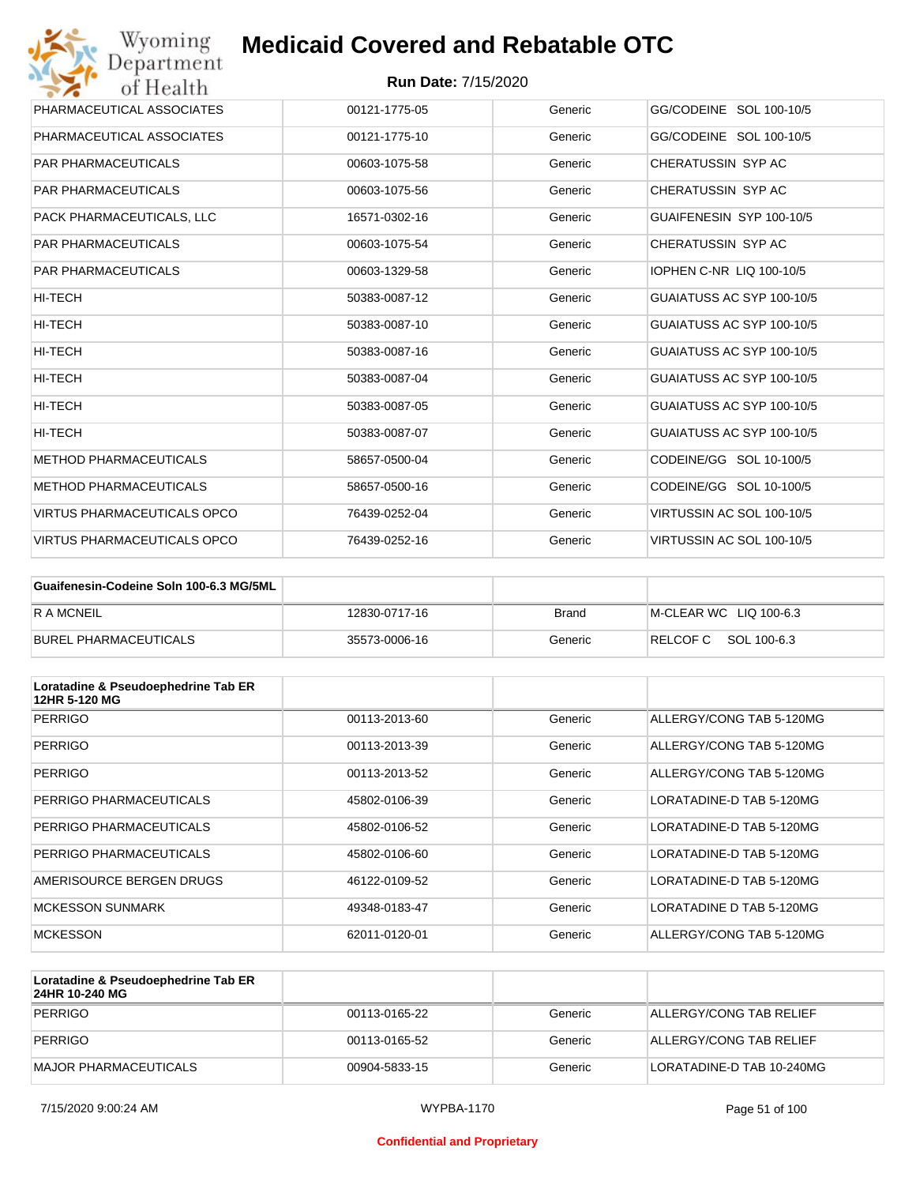| Wyoming<br>Department              | <b>Medicaid Covered and Rebatable OTC</b> |         |                           |
|------------------------------------|-------------------------------------------|---------|---------------------------|
| of Health                          | <b>Run Date: 7/15/2020</b>                |         |                           |
| PHARMACEUTICAL ASSOCIATES          | 00121-1775-05                             | Generic | GG/CODEINE SOL 100-10/5   |
| PHARMACEUTICAL ASSOCIATES          | 00121-1775-10                             | Generic | GG/CODEINE SOL 100-10/5   |
| <b>PAR PHARMACEUTICALS</b>         | 00603-1075-58                             | Generic | CHERATUSSIN SYP AC        |
| <b>PAR PHARMACEUTICALS</b>         | 00603-1075-56                             | Generic | CHERATUSSIN SYP AC        |
| PACK PHARMACEUTICALS, LLC          | 16571-0302-16                             | Generic | GUAIFENESIN SYP 100-10/5  |
| <b>PAR PHARMACEUTICALS</b>         | 00603-1075-54                             | Generic | CHERATUSSIN SYP AC        |
| <b>PAR PHARMACEUTICALS</b>         | 00603-1329-58                             | Generic | IOPHEN C-NR LIQ 100-10/5  |
| HI-TECH                            | 50383-0087-12                             | Generic | GUAIATUSS AC SYP 100-10/5 |
| HI-TECH                            | 50383-0087-10                             | Generic | GUAIATUSS AC SYP 100-10/5 |
| HI-TECH                            | 50383-0087-16                             | Generic | GUAIATUSS AC SYP 100-10/5 |
| HI-TECH                            | 50383-0087-04                             | Generic | GUAIATUSS AC SYP 100-10/5 |
| <b>HI-TECH</b>                     | 50383-0087-05                             | Generic | GUAIATUSS AC SYP 100-10/5 |
| HI-TECH                            | 50383-0087-07                             | Generic | GUAIATUSS AC SYP 100-10/5 |
| <b>METHOD PHARMACEUTICALS</b>      | 58657-0500-04                             | Generic | CODEINE/GG SOL 10-100/5   |
| <b>METHOD PHARMACEUTICALS</b>      | 58657-0500-16                             | Generic | CODEINE/GG SOL 10-100/5   |
| <b>VIRTUS PHARMACEUTICALS OPCO</b> | 76439-0252-04                             | Generic | VIRTUSSIN AC SOL 100-10/5 |
| VIRTUS PHARMACEUTICALS OPCO        | 76439-0252-16                             | Generic | VIRTUSSIN AC SOL 100-10/5 |

| Guaifenesin-Codeine Soln 100-6.3 MG/5ML |               |         |                        |
|-----------------------------------------|---------------|---------|------------------------|
| <b>RAMCNEIL</b>                         | 12830-0717-16 | Brand   | M-CLEAR WC LIQ 100-6.3 |
| BUREL PHARMACEUTICALS                   | 35573-0006-16 | Generic | RELCOFC SOL 100-6.3    |

| Loratadine & Pseudoephedrine Tab ER<br>12HR 5-120 MG |               |         |                          |
|------------------------------------------------------|---------------|---------|--------------------------|
| <b>PERRIGO</b>                                       | 00113-2013-60 | Generic | ALLERGY/CONG TAB 5-120MG |
| <b>PERRIGO</b>                                       | 00113-2013-39 | Generic | ALLERGY/CONG TAB 5-120MG |
| <b>PERRIGO</b>                                       | 00113-2013-52 | Generic | ALLERGY/CONG TAB 5-120MG |
| PERRIGO PHARMACEUTICALS                              | 45802-0106-39 | Generic | LORATADINE-D TAB 5-120MG |
| PERRIGO PHARMACEUTICALS                              | 45802-0106-52 | Generic | LORATADINE-D TAB 5-120MG |
| PERRIGO PHARMACEUTICALS                              | 45802-0106-60 | Generic | LORATADINE-D TAB 5-120MG |
| AMERISOURCE BERGEN DRUGS                             | 46122-0109-52 | Generic | LORATADINE-D TAB 5-120MG |
| <b>MCKESSON SUNMARK</b>                              | 49348-0183-47 | Generic | LORATADINE D TAB 5-120MG |
| <b>MCKESSON</b>                                      | 62011-0120-01 | Generic | ALLERGY/CONG TAB 5-120MG |

| Loratadine & Pseudoephedrine Tab ER<br>24HR 10-240 MG |               |         |                           |
|-------------------------------------------------------|---------------|---------|---------------------------|
| PERRIGO                                               | 00113-0165-22 | Generic | ALLERGY/CONG TAB RELIEF   |
| PERRIGO                                               | 00113-0165-52 | Generic | ALLERGY/CONG TAB RELIEF   |
| MAJOR PHARMACEUTICALS                                 | 00904-5833-15 | Generic | LORATADINE-D TAB 10-240MG |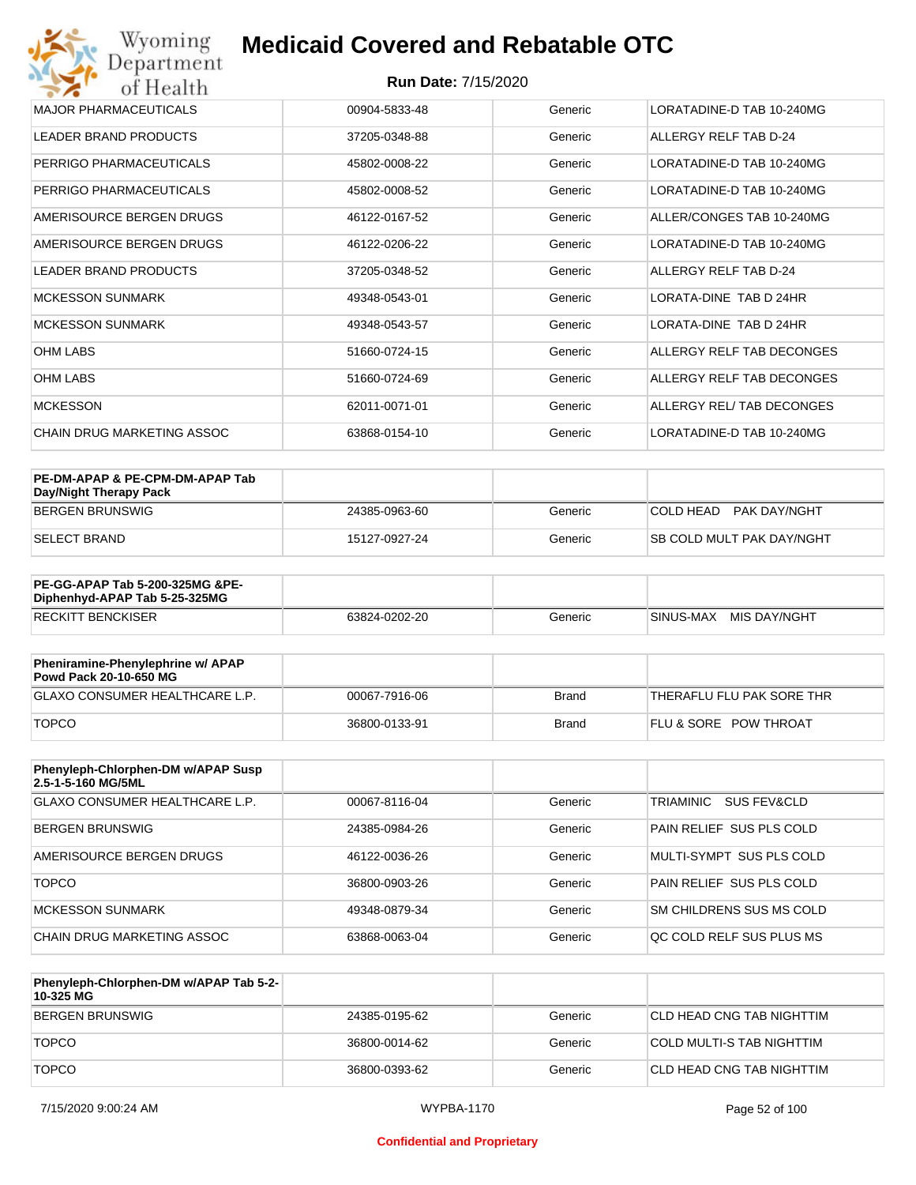#### **Run Date:** 7/15/2020

| Wyoming<br><b>Medicaid Covered and Rebatable OTC</b><br>Department |                            |         |                           |  |
|--------------------------------------------------------------------|----------------------------|---------|---------------------------|--|
| of Health                                                          | <b>Run Date: 7/15/2020</b> |         |                           |  |
| <b>MAJOR PHARMACEUTICALS</b>                                       | 00904-5833-48              | Generic | LORATADINE-D TAB 10-240MG |  |
| <b>LEADER BRAND PRODUCTS</b>                                       | 37205-0348-88              | Generic | ALLERGY RELF TAB D-24     |  |
| PERRIGO PHARMACEUTICALS                                            | 45802-0008-22              | Generic | LORATADINE-D TAB 10-240MG |  |
| PERRIGO PHARMACEUTICALS                                            | 45802-0008-52              | Generic | LORATADINE-D TAB 10-240MG |  |
| AMERISOURCE BERGEN DRUGS                                           | 46122-0167-52              | Generic | ALLER/CONGES TAB 10-240MG |  |
| AMERISOURCE BERGEN DRUGS                                           | 46122-0206-22              | Generic | LORATADINE-D TAB 10-240MG |  |
| <b>LEADER BRAND PRODUCTS</b>                                       | 37205-0348-52              | Generic | ALLERGY RELF TAB D-24     |  |
| <b>MCKESSON SUNMARK</b>                                            | 49348-0543-01              | Generic | LORATA-DINE TAB D 24HR    |  |
| <b>MCKESSON SUNMARK</b>                                            | 49348-0543-57              | Generic | LORATA-DINE TAB D 24HR    |  |
| <b>OHM LABS</b>                                                    | 51660-0724-15              | Generic | ALLERGY RELF TAB DECONGES |  |
| <b>OHM LABS</b>                                                    | 51660-0724-69              | Generic | ALLERGY RELF TAB DECONGES |  |
| <b>MCKESSON</b>                                                    | 62011-0071-01              | Generic | ALLERGY REL/ TAB DECONGES |  |
| <b>CHAIN DRUG MARKETING ASSOC</b>                                  | 63868-0154-10              | Generic | LORATADINE-D TAB 10-240MG |  |

| PE-DM-APAP & PE-CPM-DM-APAP Tab<br>Day/Night Therapy Pack |               |         |                                  |
|-----------------------------------------------------------|---------------|---------|----------------------------------|
| BERGEN BRUNSWIG                                           | 24385-0963-60 | Generic | COLD HEAD<br>PAK DAY/NGHT        |
| ISELECT BRAND                                             | 15127-0927-24 | Generic | <b>SB COLD MULT PAK DAY/NGHT</b> |

| <b>PE-GG-APAP Tab 5-200-325MG &amp;PE-</b><br>Diphenhyd-APAP Tab 5-25-325MG |               |         |                           |
|-----------------------------------------------------------------------------|---------------|---------|---------------------------|
| <b>RECKITT BENCKISER</b>                                                    | 63824-0202-20 | Generic | MIS DAY/NGHT<br>SINUS-MAX |

| Pheniramine-Phenylephrine w/ APAP<br>Powd Pack 20-10-650 MG |               |       |                                  |
|-------------------------------------------------------------|---------------|-------|----------------------------------|
| GLAXO CONSUMER HEALTHCARE L.P.                              | 00067-7916-06 | Brand | 'THERAFLU FLU PAK SORE THR       |
| <b>TOPCO</b>                                                | 36800-0133-91 | Brand | <b>FLU &amp; SORE POW THROAT</b> |

| Phenyleph-Chlorphen-DM w/APAP Susp<br>2.5-1-5-160 MG/5ML |               |         |                          |
|----------------------------------------------------------|---------------|---------|--------------------------|
| <b>GLAXO CONSUMER HEALTHCARE L.P.</b>                    | 00067-8116-04 | Generic | SUS FEV&CLD<br>TRIAMINIC |
| BERGEN BRUNSWIG                                          | 24385-0984-26 | Generic | PAIN RELIEF SUS PLS COLD |
| AMERISOURCE BERGEN DRUGS                                 | 46122-0036-26 | Generic | MULTI-SYMPT SUS PLS COLD |
| <b>TOPCO</b>                                             | 36800-0903-26 | Generic | PAIN RELIEF SUS PLS COLD |
| <b>MCKESSON SUNMARK</b>                                  | 49348-0879-34 | Generic | SM CHILDRENS SUS MS COLD |
| CHAIN DRUG MARKETING ASSOC                               | 63868-0063-04 | Generic | OC COLD RELF SUS PLUS MS |

| Phenyleph-Chlorphen-DM w/APAP Tab 5-2-<br>10-325 MG |               |         |                            |
|-----------------------------------------------------|---------------|---------|----------------------------|
| BERGEN BRUNSWIG                                     | 24385-0195-62 | Generic | ICLD HEAD CNG TAB NIGHTTIM |
| <b>TOPCO</b>                                        | 36800-0014-62 | Generic | COLD MULTI-S TAB NIGHTTIM  |
| <b>TOPCO</b>                                        | 36800-0393-62 | Generic | ICLD HEAD CNG TAB NIGHTTIM |

#### **Confidential and Proprietary**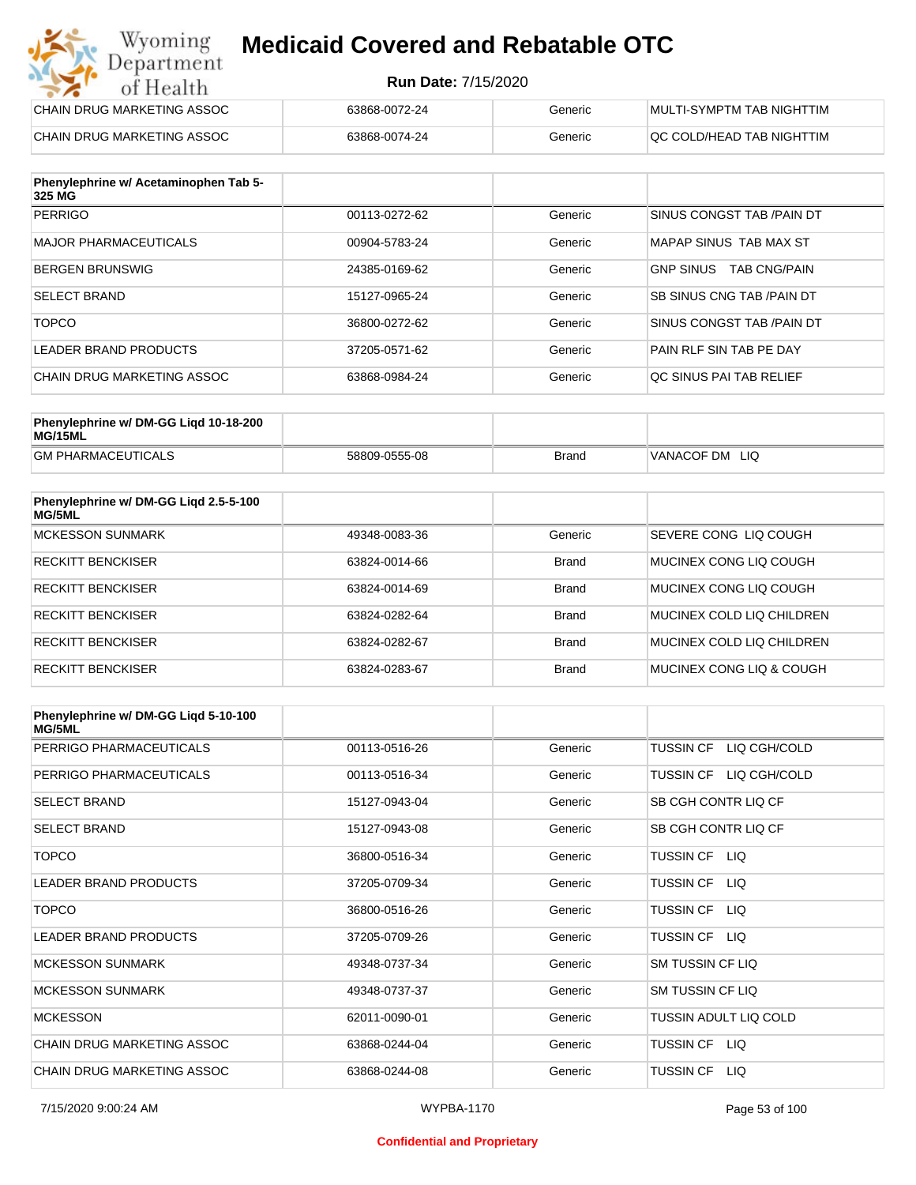#### **Run Date:** 7/15/2020

| Wyoming<br><b>Medicaid Covered and Rebatable OTC</b><br>Department |                            |         |                           |  |
|--------------------------------------------------------------------|----------------------------|---------|---------------------------|--|
| of Health                                                          | <b>Run Date: 7/15/2020</b> |         |                           |  |
| CHAIN DRUG MARKETING ASSOC                                         | 63868-0072-24              | Generic | MULTI-SYMPTM TAB NIGHTTIM |  |
| CHAIN DRUG MARKETING ASSOC                                         | 63868-0074-24              | Generic | OC COLD/HEAD TAB NIGHTTIM |  |

| Phenylephrine w/ Acetaminophen Tab 5-<br>325 MG |               |         |                                         |
|-------------------------------------------------|---------------|---------|-----------------------------------------|
| <b>PERRIGO</b>                                  | 00113-0272-62 | Generic | SINUS CONGST TAB /PAIN DT               |
| MAJOR PHARMACEUTICALS                           | 00904-5783-24 | Generic | MAPAP SINUS TAB MAX ST                  |
| <b>BERGEN BRUNSWIG</b>                          | 24385-0169-62 | Generic | <b>GNP SINUS</b><br><b>TAB CNG/PAIN</b> |
| <b>SELECT BRAND</b>                             | 15127-0965-24 | Generic | <b>SB SINUS CNG TAB / PAIN DT</b>       |
| <b>TOPCO</b>                                    | 36800-0272-62 | Generic | SINUS CONGST TAB /PAIN DT               |
| LEADER BRAND PRODUCTS                           | 37205-0571-62 | Generic | PAIN RLF SIN TAB PE DAY                 |
| CHAIN DRUG MARKETING ASSOC                      | 63868-0984-24 | Generic | OC SINUS PAI TAB RELIEF                 |

| Phenylephrine w/ DM-GG Ligd 10-18-200<br>MG/15ML |               |              |                |
|--------------------------------------------------|---------------|--------------|----------------|
| <b>GM PHARMACEUTICALS</b>                        | 58809-0555-08 | <b>Brand</b> | VANACOF DM LIQ |

| Phenylephrine w/ DM-GG Ligd 2.5-5-100<br>MG/5ML |               |              |                           |
|-------------------------------------------------|---------------|--------------|---------------------------|
| MCKESSON SUNMARK                                | 49348-0083-36 | Generic      | SEVERE CONG LIQ COUGH     |
| <b>RECKITT BENCKISER</b>                        | 63824-0014-66 | <b>Brand</b> | MUCINEX CONG LIO COUGH    |
| <b>RECKITT BENCKISER</b>                        | 63824-0014-69 | <b>Brand</b> | MUCINEX CONG LIO COUGH    |
| <b>RECKITT BENCKISER</b>                        | 63824-0282-64 | <b>Brand</b> | MUCINEX COLD LIQ CHILDREN |
| <b>RECKITT BENCKISER</b>                        | 63824-0282-67 | <b>Brand</b> | MUCINEX COLD LIQ CHILDREN |
| <b>RECKITT BENCKISER</b>                        | 63824-0283-67 | <b>Brand</b> | MUCINEX CONG LIO & COUGH  |

| Phenylephrine w/ DM-GG Ligd 5-10-100<br><b>MG/5ML</b> |               |         |                                  |
|-------------------------------------------------------|---------------|---------|----------------------------------|
| PERRIGO PHARMACEUTICALS                               | 00113-0516-26 | Generic | <b>TUSSIN CF</b><br>LIQ CGH/COLD |
| PERRIGO PHARMACEUTICALS                               | 00113-0516-34 | Generic | LIQ CGH/COLD<br><b>TUSSIN CF</b> |
| <b>SELECT BRAND</b>                                   | 15127-0943-04 | Generic | SB CGH CONTR LIQ CF              |
| <b>SELECT BRAND</b>                                   | 15127-0943-08 | Generic | SB CGH CONTR LIQ CF              |
| <b>TOPCO</b>                                          | 36800-0516-34 | Generic | <b>TUSSIN CF</b><br>LIQ.         |
| <b>LEADER BRAND PRODUCTS</b>                          | 37205-0709-34 | Generic | <b>TUSSIN CF</b><br>LIQ.         |
| <b>TOPCO</b>                                          | 36800-0516-26 | Generic | <b>TUSSIN CF</b><br>LIQ.         |
| <b>LEADER BRAND PRODUCTS</b>                          | 37205-0709-26 | Generic | LIQ.<br><b>TUSSIN CF</b>         |
| <b>MCKESSON SUNMARK</b>                               | 49348-0737-34 | Generic | SM TUSSIN CF LIQ                 |
| <b>MCKESSON SUNMARK</b>                               | 49348-0737-37 | Generic | SM TUSSIN CF LIQ                 |
| <b>MCKESSON</b>                                       | 62011-0090-01 | Generic | TUSSIN ADULT LIQ COLD            |
| <b>CHAIN DRUG MARKETING ASSOC</b>                     | 63868-0244-04 | Generic | <b>TUSSIN CF</b><br><b>LIQ</b>   |
| CHAIN DRUG MARKETING ASSOC                            | 63868-0244-08 | Generic | <b>TUSSIN CF</b><br>LIQ.         |

#### **Confidential and Proprietary**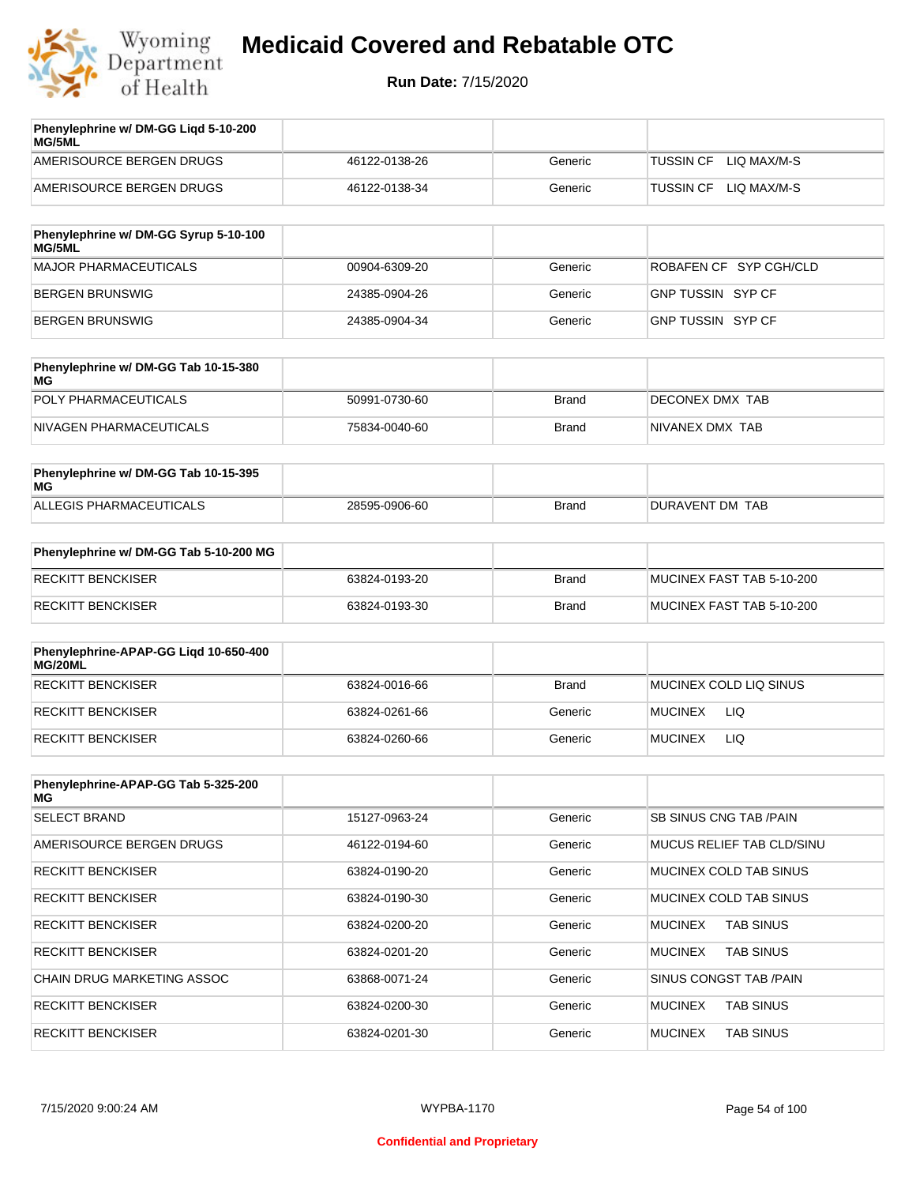

| Phenylephrine w/ DM-GG Ligd 5-10-200<br>MG/5ML |               |         |                                 |
|------------------------------------------------|---------------|---------|---------------------------------|
| AMERISOURCE BERGEN DRUGS                       | 46122-0138-26 | Generic | LIO MAX/M-S<br>TUSSIN CF        |
| AMERISOURCE BERGEN DRUGS                       | 46122-0138-34 | Generic | LIO MAX/M-S<br><b>TUSSIN CF</b> |
|                                                |               |         |                                 |

| Phenylephrine w/ DM-GG Syrup 5-10-100<br>MG/5ML |               |         |                          |
|-------------------------------------------------|---------------|---------|--------------------------|
| MAJOR PHARMACEUTICALS                           | 00904-6309-20 | Generic | ROBAFEN CF SYP CGH/CLD   |
| BERGEN BRUNSWIG                                 | 24385-0904-26 | Generic | <b>GNP TUSSIN SYP CF</b> |
| BERGEN BRUNSWIG                                 | 24385-0904-34 | Generic | GNP TUSSIN SYP CF        |

| Phenylephrine w/ DM-GG Tab 10-15-380<br>MG |               |       |                 |
|--------------------------------------------|---------------|-------|-----------------|
| POLY PHARMACEUTICALS                       | 50991-0730-60 | Brand | DECONEX DMX TAB |
| NIVAGEN PHARMACEUTICALS                    | 75834-0040-60 | Brand | NIVANEX DMX TAB |

| Phenylephrine w/ DM-GG Tab 10-15-395<br>MG |               |       |                 |
|--------------------------------------------|---------------|-------|-----------------|
| ALLEGIS PHARMACEUTICALS                    | 28595-0906-60 | Brand | DURAVENT DM TAB |

| Phenylephrine w/ DM-GG Tab 5-10-200 MG |               |       |                           |
|----------------------------------------|---------------|-------|---------------------------|
| RECKITT BENCKISER                      | 63824-0193-20 | Brand | MUCINEX FAST TAB 5-10-200 |
| RECKITT BENCKISER                      | 63824-0193-30 | Brand | MUCINEX FAST TAB 5-10-200 |

| Phenylephrine-APAP-GG Ligd 10-650-400<br>MG/20ML |               |              |                        |
|--------------------------------------------------|---------------|--------------|------------------------|
| RECKITT BENCKISER                                | 63824-0016-66 | <b>Brand</b> | MUCINEX COLD LIQ SINUS |
| RECKITT BENCKISER                                | 63824-0261-66 | Generic      | <b>MUCINEX</b><br>LIQ  |
| RECKITT BENCKISER                                | 63824-0260-66 | Generic      | LIQ<br><b>MUCINEX</b>  |

| Phenylephrine-APAP-GG Tab 5-325-200<br>MG |               |         |                                    |
|-------------------------------------------|---------------|---------|------------------------------------|
| <b>SELECT BRAND</b>                       | 15127-0963-24 | Generic | SB SINUS CNG TAB /PAIN             |
| AMERISOURCE BERGEN DRUGS                  | 46122-0194-60 | Generic | MUCUS RELIEF TAB CLD/SINU          |
| <b>RECKITT BENCKISER</b>                  | 63824-0190-20 | Generic | MUCINEX COLD TAB SINUS             |
| <b>RECKITT BENCKISER</b>                  | 63824-0190-30 | Generic | MUCINEX COLD TAB SINUS             |
| <b>RECKITT BENCKISER</b>                  | 63824-0200-20 | Generic | <b>TAB SINUS</b><br><b>MUCINEX</b> |
| <b>RECKITT BENCKISER</b>                  | 63824-0201-20 | Generic | <b>TAB SINUS</b><br><b>MUCINEX</b> |
| <b>CHAIN DRUG MARKETING ASSOC</b>         | 63868-0071-24 | Generic | SINUS CONGST TAB /PAIN             |
| <b>RECKITT BENCKISER</b>                  | 63824-0200-30 | Generic | <b>MUCINEX</b><br><b>TAB SINUS</b> |
| <b>RECKITT BENCKISER</b>                  | 63824-0201-30 | Generic | <b>MUCINEX</b><br><b>TAB SINUS</b> |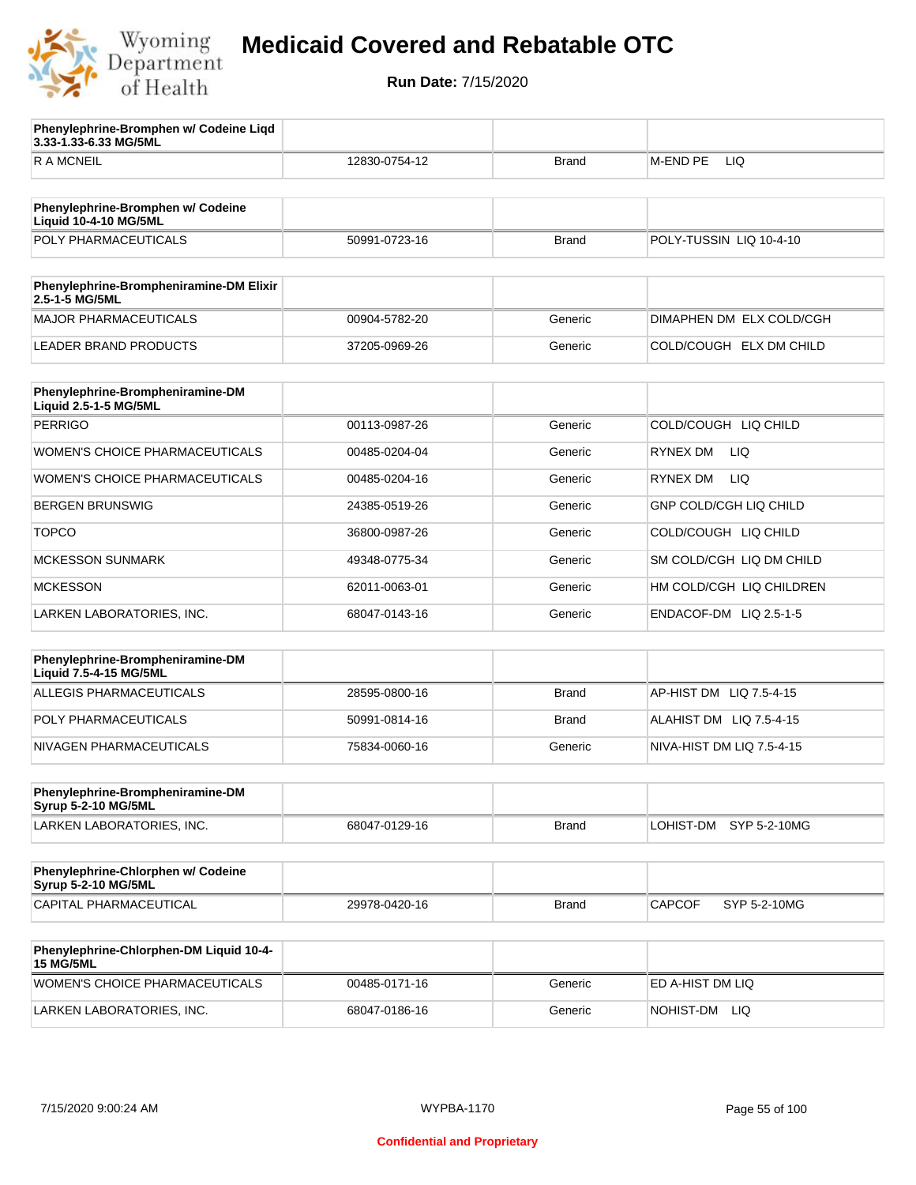

**3.33-1.33-6.33 MG/5ML**

**Phenylephrine-Bromphen w/ Codeine Liqd** 

## **Medicaid Covered and Rebatable OTC**

**Run Date:** 7/15/2020

| <b>RAMCNEIL</b>                                                | 12830-0754-12 | Brand        | M-END PE<br>LIQ               |
|----------------------------------------------------------------|---------------|--------------|-------------------------------|
|                                                                |               |              |                               |
| Phenylephrine-Bromphen w/ Codeine<br>Liquid 10-4-10 MG/5ML     |               |              |                               |
| POLY PHARMACEUTICALS                                           | 50991-0723-16 | <b>Brand</b> | POLY-TUSSIN LIQ 10-4-10       |
|                                                                |               |              |                               |
| Phenylephrine-Brompheniramine-DM Elixir<br>2.5-1-5 MG/5ML      |               |              |                               |
| <b>MAJOR PHARMACEUTICALS</b>                                   | 00904-5782-20 | Generic      | DIMAPHEN DM ELX COLD/CGH      |
| <b>LEADER BRAND PRODUCTS</b>                                   | 37205-0969-26 | Generic      | COLD/COUGH ELX DM CHILD       |
| Phenylephrine-Brompheniramine-DM<br>Liquid 2.5-1-5 MG/5ML      |               |              |                               |
| <b>PERRIGO</b>                                                 | 00113-0987-26 | Generic      | COLD/COUGH LIQ CHILD          |
| <b>WOMEN'S CHOICE PHARMACEUTICALS</b>                          | 00485-0204-04 | Generic      | <b>RYNEX DM</b><br><b>LIQ</b> |
| WOMEN'S CHOICE PHARMACEUTICALS                                 | 00485-0204-16 | Generic      | <b>RYNEX DM</b><br><b>LIQ</b> |
| <b>BERGEN BRUNSWIG</b>                                         | 24385-0519-26 | Generic      | GNP COLD/CGH LIQ CHILD        |
| <b>TOPCO</b>                                                   | 36800-0987-26 | Generic      | COLD/COUGH LIQ CHILD          |
| <b>MCKESSON SUNMARK</b>                                        | 49348-0775-34 | Generic      | SM COLD/CGH LIQ DM CHILD      |
| <b>MCKESSON</b>                                                | 62011-0063-01 | Generic      | HM COLD/CGH LIQ CHILDREN      |
| LARKEN LABORATORIES, INC.                                      | 68047-0143-16 | Generic      | ENDACOF-DM LIQ 2.5-1-5        |
|                                                                |               |              |                               |
| Phenylephrine-Brompheniramine-DM<br>Liquid 7.5-4-15 MG/5ML     |               |              |                               |
| <b>ALLEGIS PHARMACEUTICALS</b>                                 | 28595-0800-16 | <b>Brand</b> | AP-HIST DM LIQ 7.5-4-15       |
| POLY PHARMACEUTICALS                                           | 50991-0814-16 | <b>Brand</b> | ALAHIST DM LIQ 7.5-4-15       |
| NIVAGEN PHARMACEUTICALS                                        | 75834-0060-16 | Generic      | NIVA-HIST DM LIQ 7.5-4-15     |
|                                                                |               |              |                               |
| Phenylephrine-Brompheniramine-DM<br><b>Syrup 5-2-10 MG/5ML</b> |               |              |                               |
| LARKEN LABORATORIES, INC.                                      | 68047-0129-16 | Brand        | LOHIST-DM SYP 5-2-10MG        |
|                                                                |               |              |                               |
| Phenylephrine-Chlorphen w/ Codeine<br>Syrup 5-2-10 MG/5ML      |               |              |                               |
| CAPITAL PHARMACEUTICAL                                         | 29978-0420-16 | <b>Brand</b> | <b>CAPCOF</b><br>SYP 5-2-10MG |
|                                                                |               |              |                               |
| Phenylephrine-Chlorphen-DM Liquid 10-4-<br><b>15 MG/5ML</b>    |               |              |                               |
| WOMEN'S CHOICE PHARMACEUTICALS                                 | 00485-0171-16 | Generic      | ED A-HIST DM LIQ              |

LARKEN LABORATORIES, INC. 68047-0186-16 Generic NOHIST-DM LIQ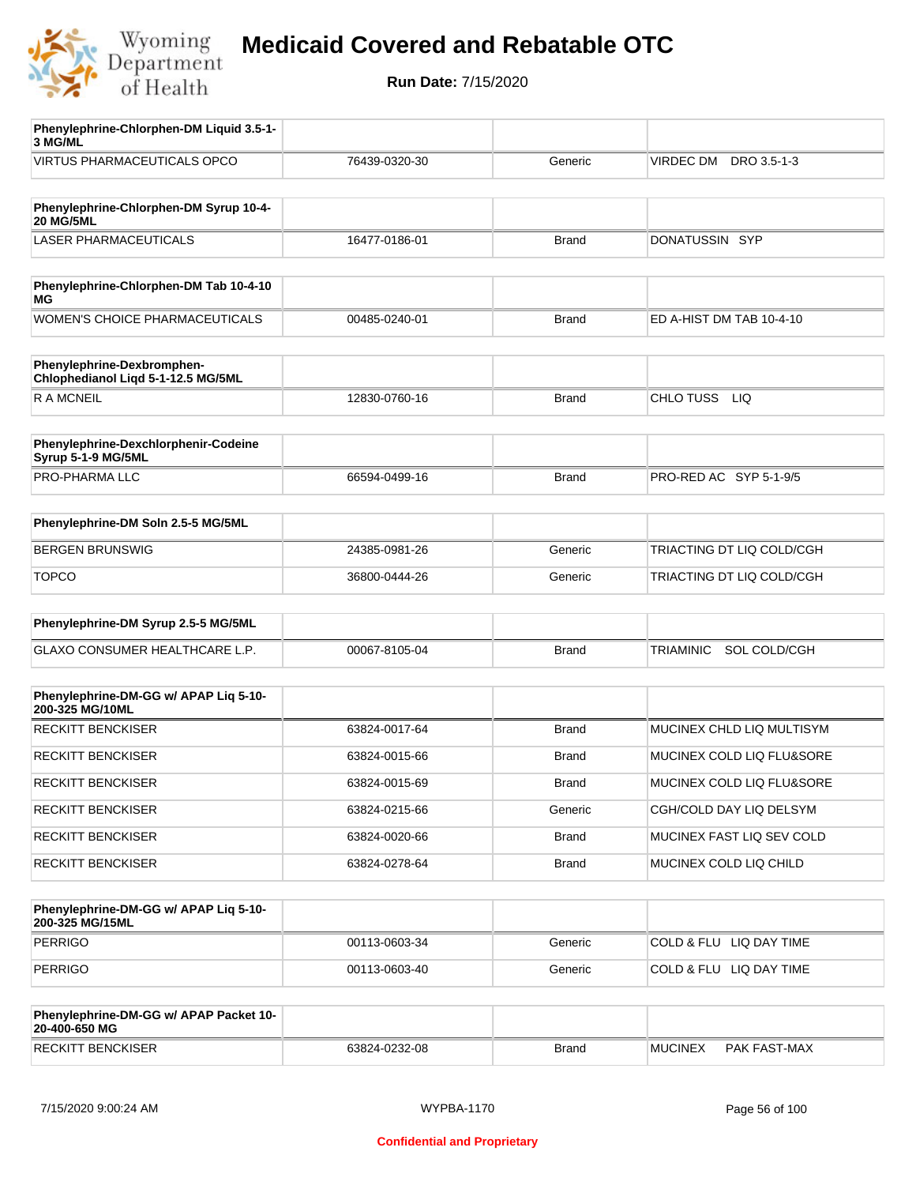

| Phenylephrine-Chlorphen-DM Liquid 3.5-1-                         |               |              |                                  |
|------------------------------------------------------------------|---------------|--------------|----------------------------------|
| 3 MG/ML                                                          |               |              |                                  |
| <b>VIRTUS PHARMACEUTICALS OPCO</b>                               | 76439-0320-30 | Generic      | VIRDEC DM DRO 3.5-1-3            |
|                                                                  |               |              |                                  |
| Phenylephrine-Chlorphen-DM Syrup 10-4-<br><b>20 MG/5ML</b>       |               |              |                                  |
| <b>LASER PHARMACEUTICALS</b>                                     | 16477-0186-01 | <b>Brand</b> | DONATUSSIN SYP                   |
|                                                                  |               |              |                                  |
| Phenylephrine-Chlorphen-DM Tab 10-4-10<br>ΜG                     |               |              |                                  |
| WOMEN'S CHOICE PHARMACEUTICALS                                   | 00485-0240-01 | <b>Brand</b> | ED A-HIST DM TAB 10-4-10         |
| Phenylephrine-Dexbromphen-<br>Chlophedianol Liqd 5-1-12.5 MG/5ML |               |              |                                  |
| R A MCNEIL                                                       | 12830-0760-16 | <b>Brand</b> | CHLO TUSS<br>LIQ                 |
|                                                                  |               |              |                                  |
| Phenylephrine-Dexchlorphenir-Codeine<br>Syrup 5-1-9 MG/5ML       |               |              |                                  |
| PRO-PHARMA LLC                                                   | 66594-0499-16 | <b>Brand</b> | PRO-RED AC SYP 5-1-9/5           |
|                                                                  |               |              |                                  |
| Phenylephrine-DM Soln 2.5-5 MG/5ML                               |               |              |                                  |
| <b>BERGEN BRUNSWIG</b>                                           | 24385-0981-26 | Generic      | TRIACTING DT LIQ COLD/CGH        |
| <b>TOPCO</b>                                                     | 36800-0444-26 | Generic      | TRIACTING DT LIQ COLD/CGH        |
|                                                                  |               |              |                                  |
| Phenylephrine-DM Syrup 2.5-5 MG/5ML                              |               |              |                                  |
| GLAXO CONSUMER HEALTHCARE L.P.                                   | 00067-8105-04 | <b>Brand</b> | SOL COLD/CGH<br><b>TRIAMINIC</b> |
|                                                                  |               |              |                                  |
| Phenylephrine-DM-GG w/ APAP Liq 5-10-<br>200-325 MG/10ML         |               |              |                                  |
| <b>RECKITT BENCKISER</b>                                         | 63824-0017-64 | <b>Brand</b> | MUCINEX CHLD LIQ MULTISYM        |
| <b>RECKITT BENCKISER</b>                                         | 63824-0015-66 | <b>Brand</b> | MUCINEX COLD LIQ FLU&SORE        |
| <b>RECKITT BENCKISER</b>                                         | 63824-0015-69 | Brand        | MUCINEX COLD LIQ FLU&SORE        |
| <b>RECKITT BENCKISER</b>                                         | 63824-0215-66 | Generic      | CGH/COLD DAY LIQ DELSYM          |
| <b>RECKITT BENCKISER</b>                                         | 63824-0020-66 | <b>Brand</b> | MUCINEX FAST LIQ SEV COLD        |
| RECKITT BENCKISER                                                | 63824-0278-64 | <b>Brand</b> | MUCINEX COLD LIQ CHILD           |
|                                                                  |               |              |                                  |
| Phenylephrine-DM-GG w/ APAP Liq 5-10-<br>200-325 MG/15ML         |               |              |                                  |
| <b>PERRIGO</b>                                                   | 00113-0603-34 | Generic      | COLD & FLU LIQ DAY TIME          |
| <b>PERRIGO</b>                                                   | 00113-0603-40 | Generic      | COLD & FLU LIQ DAY TIME          |
|                                                                  |               |              |                                  |
| Phenylephrine-DM-GG w/ APAP Packet 10-<br>20-400-650 MG          |               |              |                                  |

| 20-400-650 MG                    |                        |       |      |                                    |
|----------------------------------|------------------------|-------|------|------------------------------------|
| <b>BENCKISER</b><br><b>RECKI</b> | $0232 - 08$<br>33824-0 | Brand | ∶IN⊩ | <b>MAX</b><br>. AST<br><b>PAKF</b> |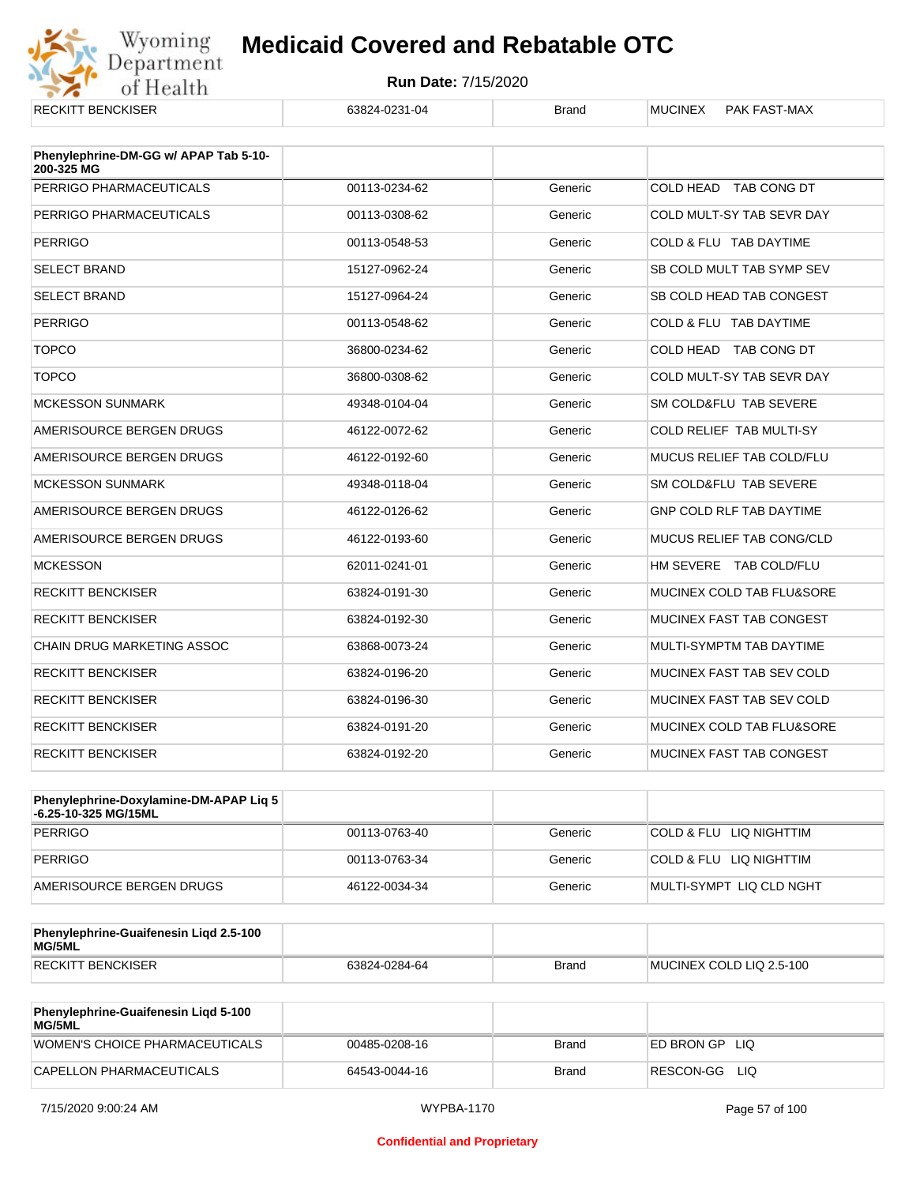

| <b>RECKITT BENCKISER</b>                            | 63824-0231-04 | <b>Brand</b> | <b>MUCINEX</b><br>PAK FAST-MAX  |
|-----------------------------------------------------|---------------|--------------|---------------------------------|
| Phenylephrine-DM-GG w/ APAP Tab 5-10-<br>200-325 MG |               |              |                                 |
| PERRIGO PHARMACEUTICALS                             | 00113-0234-62 | Generic      | COLD HEAD TAB CONG DT           |
| PERRIGO PHARMACEUTICALS                             | 00113-0308-62 | Generic      | COLD MULT-SY TAB SEVR DAY       |
| <b>PERRIGO</b>                                      | 00113-0548-53 | Generic      | COLD & FLU TAB DAYTIME          |
| <b>SELECT BRAND</b>                                 | 15127-0962-24 | Generic      | SB COLD MULT TAB SYMP SEV       |
| <b>SELECT BRAND</b>                                 | 15127-0964-24 | Generic      | SB COLD HEAD TAB CONGEST        |
| <b>PERRIGO</b>                                      | 00113-0548-62 | Generic      | COLD & FLU TAB DAYTIME          |
| <b>TOPCO</b>                                        | 36800-0234-62 | Generic      | COLD HEAD TAB CONG DT           |
| <b>TOPCO</b>                                        | 36800-0308-62 | Generic      | COLD MULT-SY TAB SEVR DAY       |
| <b>MCKESSON SUNMARK</b>                             | 49348-0104-04 | Generic      | SM COLD&FLU TAB SEVERE          |
| AMERISOURCE BERGEN DRUGS                            | 46122-0072-62 | Generic      | <b>COLD RELIEF TAB MULTI-SY</b> |
| AMERISOURCE BERGEN DRUGS                            | 46122-0192-60 | Generic      | MUCUS RELIEF TAB COLD/FLU       |
| <b>MCKESSON SUNMARK</b>                             | 49348-0118-04 | Generic      | SM COLD&FLU TAB SEVERE          |
| AMERISOURCE BERGEN DRUGS                            | 46122-0126-62 | Generic      | <b>GNP COLD RLF TAB DAYTIME</b> |
| AMERISOURCE BERGEN DRUGS                            | 46122-0193-60 | Generic      | MUCUS RELIEF TAB CONG/CLD       |
| <b>MCKESSON</b>                                     | 62011-0241-01 | Generic      | HM SEVERE TAB COLD/FLU          |
| <b>RECKITT BENCKISER</b>                            | 63824-0191-30 | Generic      | MUCINEX COLD TAB FLU&SORE       |
| <b>RECKITT BENCKISER</b>                            | 63824-0192-30 | Generic      | MUCINEX FAST TAB CONGEST        |
| <b>CHAIN DRUG MARKETING ASSOC</b>                   | 63868-0073-24 | Generic      | MULTI-SYMPTM TAB DAYTIME        |
| <b>RECKITT BENCKISER</b>                            | 63824-0196-20 | Generic      | MUCINEX FAST TAB SEV COLD       |
| <b>RECKITT BENCKISER</b>                            | 63824-0196-30 | Generic      | MUCINEX FAST TAB SEV COLD       |
| <b>RECKITT BENCKISER</b>                            | 63824-0191-20 | Generic      | MUCINEX COLD TAB FLU&SORE       |
| <b>RECKITT BENCKISER</b>                            | 63824-0192-20 | Generic      | MUCINEX FAST TAB CONGEST        |

| <b>Phenylephrine-Doxylamine-DM-APAP Lig 5</b><br>-6.25-10-325 MG/15ML |               |         |                          |
|-----------------------------------------------------------------------|---------------|---------|--------------------------|
| PERRIGO                                                               | 00113-0763-40 | Generic | COLD & FLU LIQ NIGHTTIM  |
| PERRIGO                                                               | 00113-0763-34 | Generic | COLD & FLU LIQ NIGHTTIM  |
| AMERISOURCE BERGEN DRUGS                                              | 46122-0034-34 | Generic | MULTI-SYMPT LIQ CLD NGHT |

| Phenylephrine-Guaifenesin Ligd 2.5-100<br>MG/5ML |               |              |                          |
|--------------------------------------------------|---------------|--------------|--------------------------|
| <b>RECKITT BENCKISER</b>                         | 63824-0284-64 | <b>Brand</b> | MUCINEX COLD LIQ 2.5-100 |

| <b>Phenylephrine-Guaifenesin Ligd 5-100</b><br><b>MG/5ML</b> |               |       |                  |
|--------------------------------------------------------------|---------------|-------|------------------|
| WOMEN'S CHOICE PHARMACEUTICALS                               | 00485-0208-16 | Brand | ED BRON GPLIO    |
| CAPELLON PHARMACEUTICALS                                     | 64543-0044-16 | Brand | RESCON-GG<br>LIQ |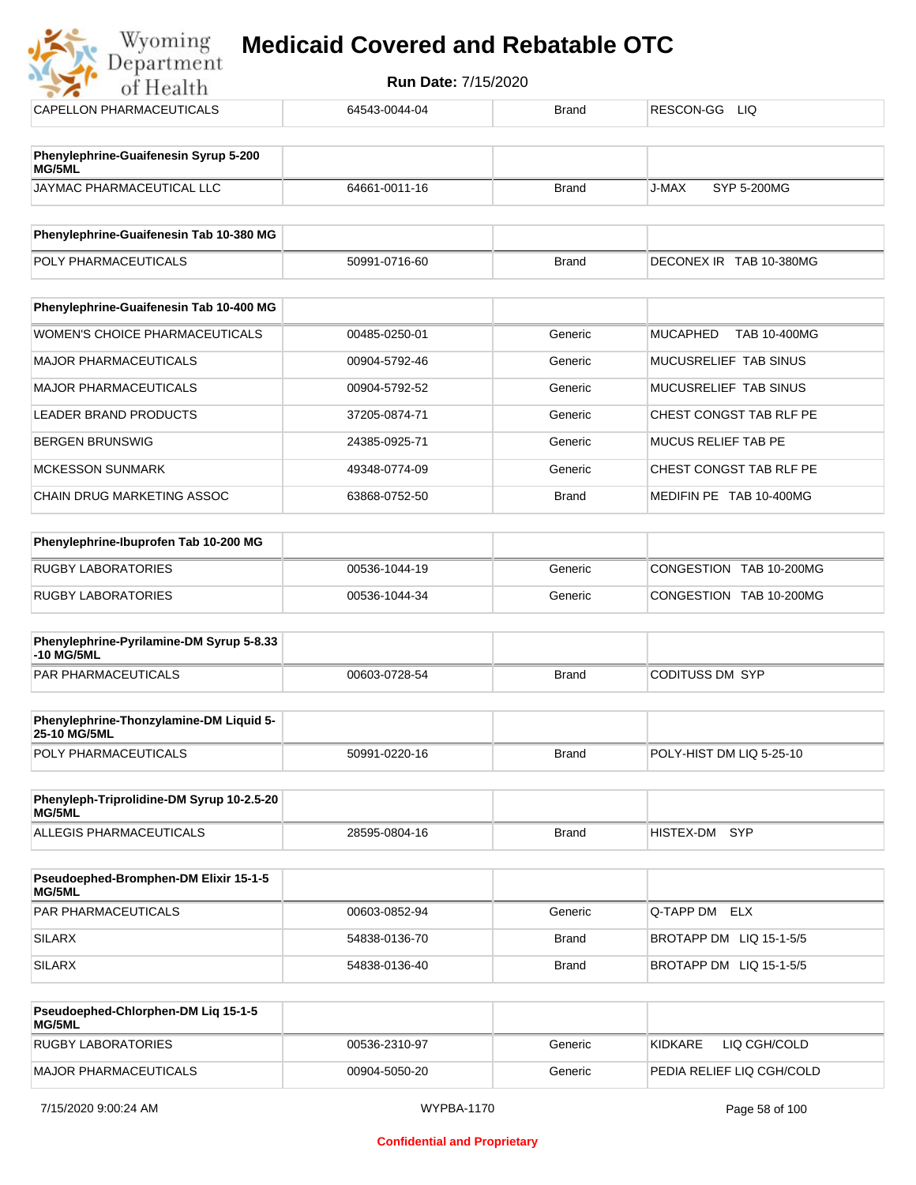| Department<br>of Health                                    | Run Date: 7/15/2020 |              |                                 |
|------------------------------------------------------------|---------------------|--------------|---------------------------------|
| CAPELLON PHARMACEUTICALS                                   | 64543-0044-04       | <b>Brand</b> | RESCON-GG<br>LIQ                |
| Phenylephrine-Guaifenesin Syrup 5-200<br>MG/5ML            |                     |              |                                 |
| JAYMAC PHARMACEUTICAL LLC                                  | 64661-0011-16       | <b>Brand</b> | SYP 5-200MG<br>J-MAX            |
| Phenylephrine-Guaifenesin Tab 10-380 MG                    |                     |              |                                 |
| POLY PHARMACEUTICALS                                       | 50991-0716-60       | <b>Brand</b> | DECONEX IR TAB 10-380MG         |
| Phenylephrine-Guaifenesin Tab 10-400 MG                    |                     |              |                                 |
| WOMEN'S CHOICE PHARMACEUTICALS                             | 00485-0250-01       | Generic      | <b>MUCAPHED</b><br>TAB 10-400MG |
| <b>MAJOR PHARMACEUTICALS</b>                               | 00904-5792-46       | Generic      | MUCUSRELIEF TAB SINUS           |
| <b>MAJOR PHARMACEUTICALS</b>                               | 00904-5792-52       | Generic      | MUCUSRELIEF TAB SINUS           |
| <b>LEADER BRAND PRODUCTS</b>                               | 37205-0874-71       | Generic      | CHEST CONGST TAB RLF PE         |
| <b>BERGEN BRUNSWIG</b>                                     | 24385-0925-71       | Generic      | <b>MUCUS RELIEF TAB PE</b>      |
| <b>MCKESSON SUNMARK</b>                                    | 49348-0774-09       | Generic      | CHEST CONGST TAB RLF PE         |
| CHAIN DRUG MARKETING ASSOC                                 | 63868-0752-50       | <b>Brand</b> | MEDIFIN PE TAB 10-400MG         |
| Phenylephrine-Ibuprofen Tab 10-200 MG                      |                     |              |                                 |
| <b>RUGBY LABORATORIES</b>                                  | 00536-1044-19       | Generic      | CONGESTION TAB 10-200MG         |
| RUGBY LABORATORIES                                         | 00536-1044-34       | Generic      | CONGESTION TAB 10-200MG         |
| Phenylephrine-Pyrilamine-DM Syrup 5-8.33<br>-10 MG/5ML     |                     |              |                                 |
| <b>PAR PHARMACEUTICALS</b>                                 | 00603-0728-54       | <b>Brand</b> | <b>CODITUSS DM SYP</b>          |
| Phenylephrine-Thonzylamine-DM Liquid 5-<br>25-10 MG/5ML    |                     |              |                                 |
| POLY PHARMACEUTICALS                                       | 50991-0220-16       | <b>Brand</b> | POLY-HIST DM LIQ 5-25-10        |
| Phenyleph-Triprolidine-DM Syrup 10-2.5-20<br><b>MG/5ML</b> |                     |              |                                 |
| ALLEGIS PHARMACEUTICALS                                    | 28595-0804-16       | <b>Brand</b> | HISTEX-DM SYP                   |

| <b>MG/5ML</b>              |               |              |                         |
|----------------------------|---------------|--------------|-------------------------|
| <b>PAR PHARMACEUTICALS</b> | 00603-0852-94 | Generic      | Q-TAPP DM ELX           |
| <b>SILARX</b>              | 54838-0136-70 | <b>Brand</b> | BROTAPP DM LIQ 15-1-5/5 |
| <b>SILARX</b>              | 54838-0136-40 | <b>Brand</b> | BROTAPP DM LIQ 15-1-5/5 |

| Pseudoephed-Chlorphen-DM Lig 15-1-5<br><b>MG/5ML</b> |               |         |                           |
|------------------------------------------------------|---------------|---------|---------------------------|
| RUGBY LABORATORIES                                   | 00536-2310-97 | Generic | LIQ CGH/COLD<br>KIDKARE   |
| MAJOR PHARMACEUTICALS                                | 00904-5050-20 | Generic | PEDIA RELIEF LIQ CGH/COLD |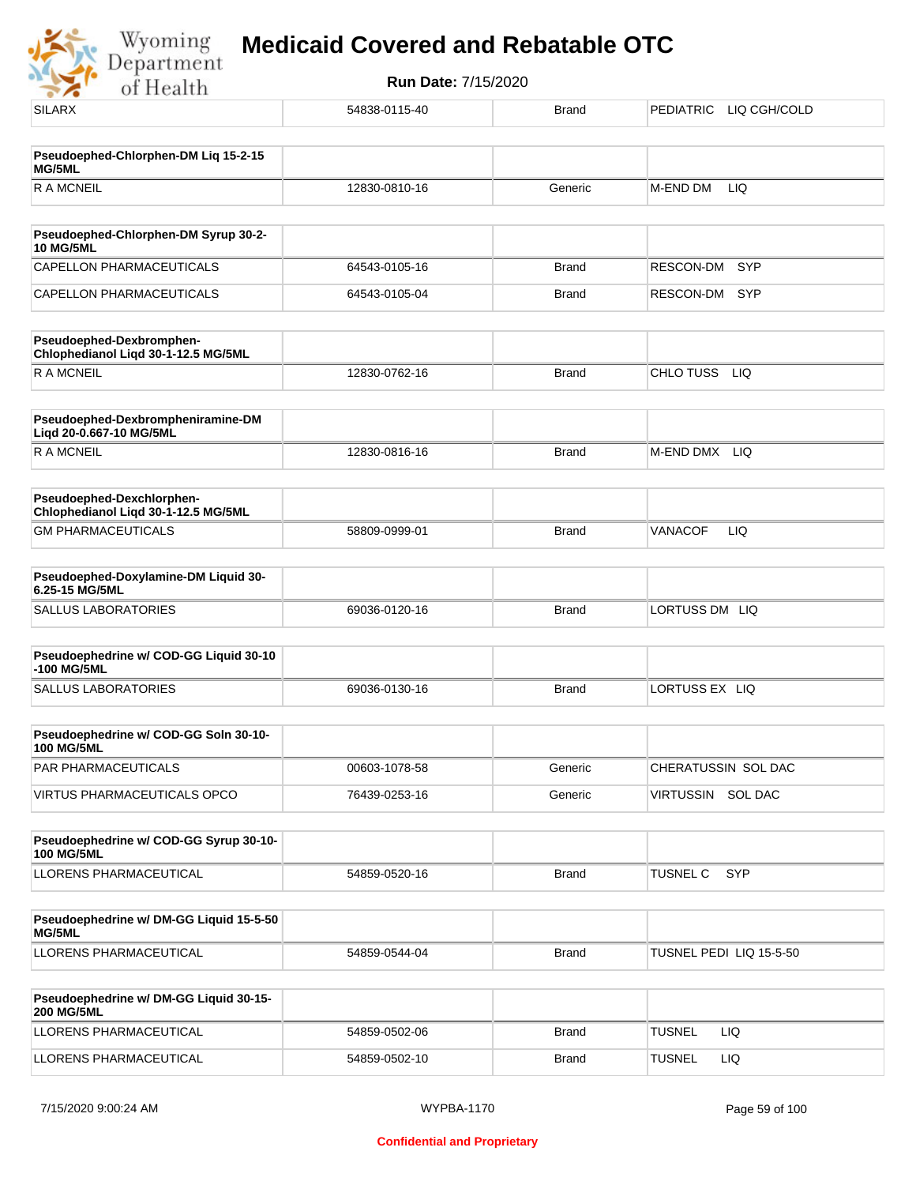

| <b>SILARX</b>                                                    | 54838-0115-40 | <b>Brand</b> | PEDIATRIC LIQ CGH/COLD  |
|------------------------------------------------------------------|---------------|--------------|-------------------------|
|                                                                  |               |              |                         |
| Pseudoephed-Chlorphen-DM Liq 15-2-15<br>MG/5ML                   |               |              |                         |
| <b>RAMCNEIL</b>                                                  | 12830-0810-16 | Generic      | M-END DM<br>LIQ         |
| Pseudoephed-Chlorphen-DM Syrup 30-2-                             |               |              |                         |
| <b>10 MG/5ML</b>                                                 |               |              |                         |
| <b>CAPELLON PHARMACEUTICALS</b>                                  | 64543-0105-16 | <b>Brand</b> | <b>SYP</b><br>RESCON-DM |
| CAPELLON PHARMACEUTICALS                                         | 64543-0105-04 | <b>Brand</b> | RESCON-DM<br><b>SYP</b> |
| Pseudoephed-Dexbromphen-<br>Chlophedianol Liqd 30-1-12.5 MG/5ML  |               |              |                         |
| <b>RAMCNEIL</b>                                                  | 12830-0762-16 | <b>Brand</b> | CHLO TUSS<br>LIQ        |
| Pseudoephed-Dexbrompheniramine-DM<br>Liqd 20-0.667-10 MG/5ML     |               |              |                         |
| <b>RAMCNEIL</b>                                                  | 12830-0816-16 | <b>Brand</b> | M-END DMX LIQ           |
| Pseudoephed-Dexchlorphen-<br>Chlophedianol Liqd 30-1-12.5 MG/5ML |               |              |                         |
| <b>GM PHARMACEUTICALS</b>                                        | 58809-0999-01 | <b>Brand</b> | VANACOF<br>LIQ          |
| Pseudoephed-Doxylamine-DM Liquid 30-<br>6.25-15 MG/5ML           |               |              |                         |
| <b>SALLUS LABORATORIES</b>                                       | 69036-0120-16 | <b>Brand</b> | LORTUSS DM LIQ          |
| Pseudoephedrine w/ COD-GG Liquid 30-10                           |               |              |                         |
| -100 MG/5ML                                                      |               |              |                         |
| <b>SALLUS LABORATORIES</b>                                       | 69036-0130-16 | <b>Brand</b> | LORTUSS EX LIQ          |
| Pseudoephedrine w/ COD-GG Soln 30-10-<br><b>100 MG/5ML</b>       |               |              |                         |
| PAR PHARMACEUTICALS                                              | 00603-1078-58 | Generic      | CHERATUSSIN SOL DAC     |
| <b>VIRTUS PHARMACEUTICALS OPCO</b>                               | 76439-0253-16 | Generic      | VIRTUSSIN SOL DAC       |
|                                                                  |               |              |                         |
| Pseudoephedrine w/ COD-GG Syrup 30-10-<br><b>100 MG/5ML</b>      |               |              |                         |
| LLORENS PHARMACEUTICAL                                           | 54859-0520-16 | <b>Brand</b> | TUSNEL C<br><b>SYP</b>  |
| Pseudoephedrine w/ DM-GG Liquid 15-5-50<br>MG/5ML                |               |              |                         |
| LLORENS PHARMACEUTICAL                                           | 54859-0544-04 | <b>Brand</b> | TUSNEL PEDI LIQ 15-5-50 |
| Pseudoephedrine w/ DM-GG Liquid 30-15-<br><b>200 MG/5ML</b>      |               |              |                         |
| LLORENS PHARMACEUTICAL                                           | 54859-0502-06 | <b>Brand</b> | <b>TUSNEL</b><br>LIQ    |
| LLORENS PHARMACEUTICAL                                           | 54859-0502-10 | <b>Brand</b> | <b>TUSNEL</b><br>LIQ    |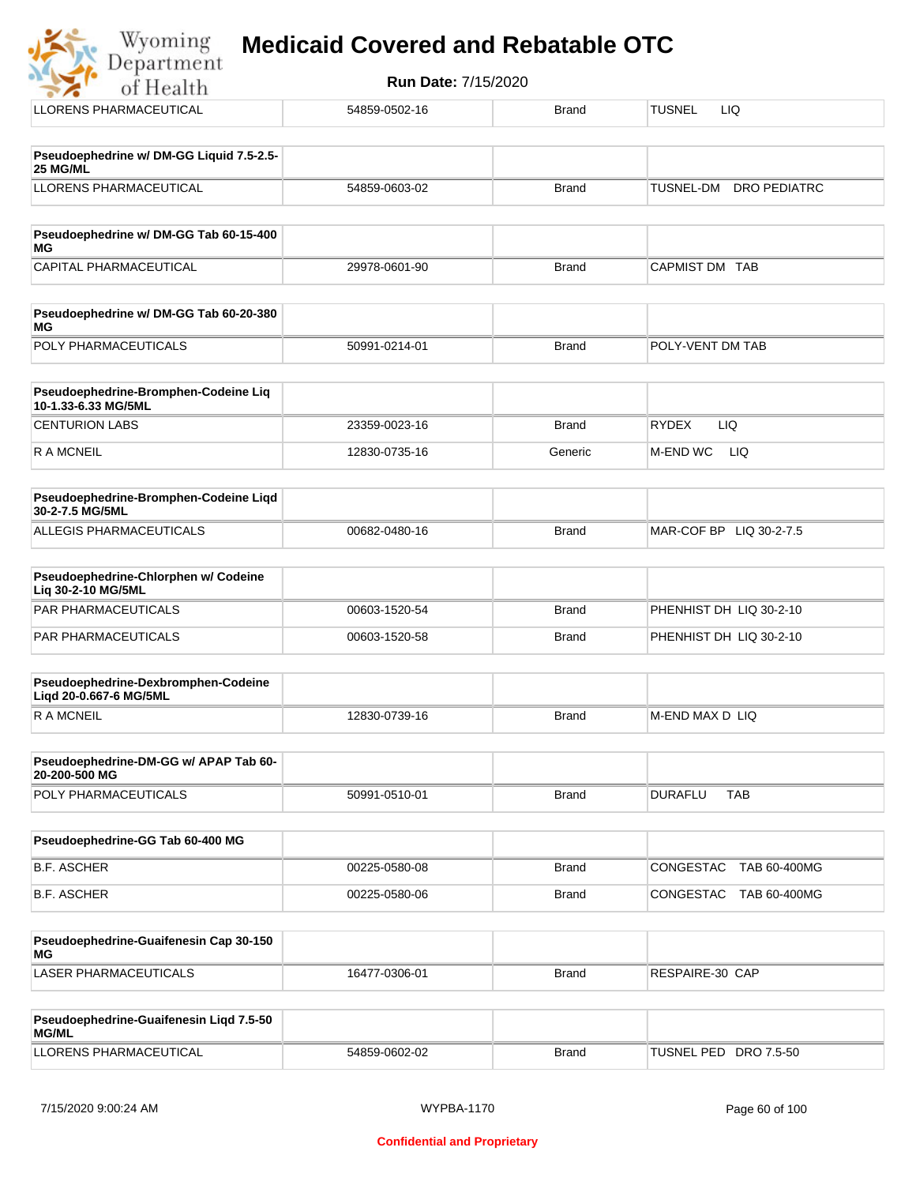| Wyoming Medicaid Covered and Rebatable OTC |
|--------------------------------------------|
|                                            |

| of Health                                                     | Run Date: //15/2020 |              |                                  |
|---------------------------------------------------------------|---------------------|--------------|----------------------------------|
| <b>LLORENS PHARMACEUTICAL</b>                                 | 54859-0502-16       | <b>Brand</b> | LIQ<br><b>TUSNEL</b>             |
| Pseudoephedrine w/ DM-GG Liquid 7.5-2.5-                      |                     |              |                                  |
| 25 MG/ML                                                      |                     |              |                                  |
| <b>LLORENS PHARMACEUTICAL</b>                                 | 54859-0603-02       | <b>Brand</b> | <b>DRO PEDIATRC</b><br>TUSNEL-DM |
| Pseudoephedrine w/ DM-GG Tab 60-15-400<br>МG                  |                     |              |                                  |
| CAPITAL PHARMACEUTICAL                                        | 29978-0601-90       | <b>Brand</b> | CAPMIST DM TAB                   |
| Pseudoephedrine w/ DM-GG Tab 60-20-380<br>МG                  |                     |              |                                  |
| POLY PHARMACEUTICALS                                          | 50991-0214-01       | <b>Brand</b> | POLY-VENT DM TAB                 |
| Pseudoephedrine-Bromphen-Codeine Liq<br>10-1.33-6.33 MG/5ML   |                     |              |                                  |
| <b>CENTURION LABS</b>                                         | 23359-0023-16       | <b>Brand</b> | <b>RYDEX</b><br>LIQ              |
| R A MCNEIL                                                    | 12830-0735-16       | Generic      | <b>M-END WC</b><br>LIQ           |
| Pseudoephedrine-Bromphen-Codeine Liqd<br>30-2-7.5 MG/5ML      |                     |              |                                  |
| ALLEGIS PHARMACEUTICALS                                       | 00682-0480-16       | <b>Brand</b> | MAR-COF BP LIQ 30-2-7.5          |
| Pseudoephedrine-Chlorphen w/ Codeine<br>Liq 30-2-10 MG/5ML    |                     |              |                                  |
| PAR PHARMACEUTICALS                                           | 00603-1520-54       | <b>Brand</b> | PHENHIST DH LIQ 30-2-10          |
| PAR PHARMACEUTICALS                                           | 00603-1520-58       | <b>Brand</b> | PHENHIST DH LIQ 30-2-10          |
| Pseudoephedrine-Dexbromphen-Codeine<br>Ligd 20-0.667-6 MG/5ML |                     |              |                                  |
| <b>RAMCNEIL</b>                                               | 12830-0739-16       | <b>Brand</b> | M-END MAX D LIQ                  |
| Pseudoephedrine-DM-GG w/ APAP Tab 60-<br>20-200-500 MG        |                     |              |                                  |
| POLY PHARMACEUTICALS                                          | 50991-0510-01       | <b>Brand</b> | <b>DURAFLU</b><br><b>TAB</b>     |
| Pseudoephedrine-GG Tab 60-400 MG                              |                     |              |                                  |
| <b>B.F. ASCHER</b>                                            | 00225-0580-08       | <b>Brand</b> | CONGESTAC<br>TAB 60-400MG        |
| <b>B.F. ASCHER</b>                                            | 00225-0580-06       | <b>Brand</b> | TAB 60-400MG<br>CONGESTAC        |
| Pseudoephedrine-Guaifenesin Cap 30-150<br>ΜG                  |                     |              |                                  |
| <b>LASER PHARMACEUTICALS</b>                                  | 16477-0306-01       | <b>Brand</b> | RESPAIRE-30 CAP                  |

| Pseudoephedrine-Guaifenesin Ligd 7.5-50<br>MG/ML |               |              |                       |
|--------------------------------------------------|---------------|--------------|-----------------------|
| LLORENS PHARMACEUTICAL                           | 54859-0602-02 | <b>Brand</b> | TUSNEL PED DRO 7.5-50 |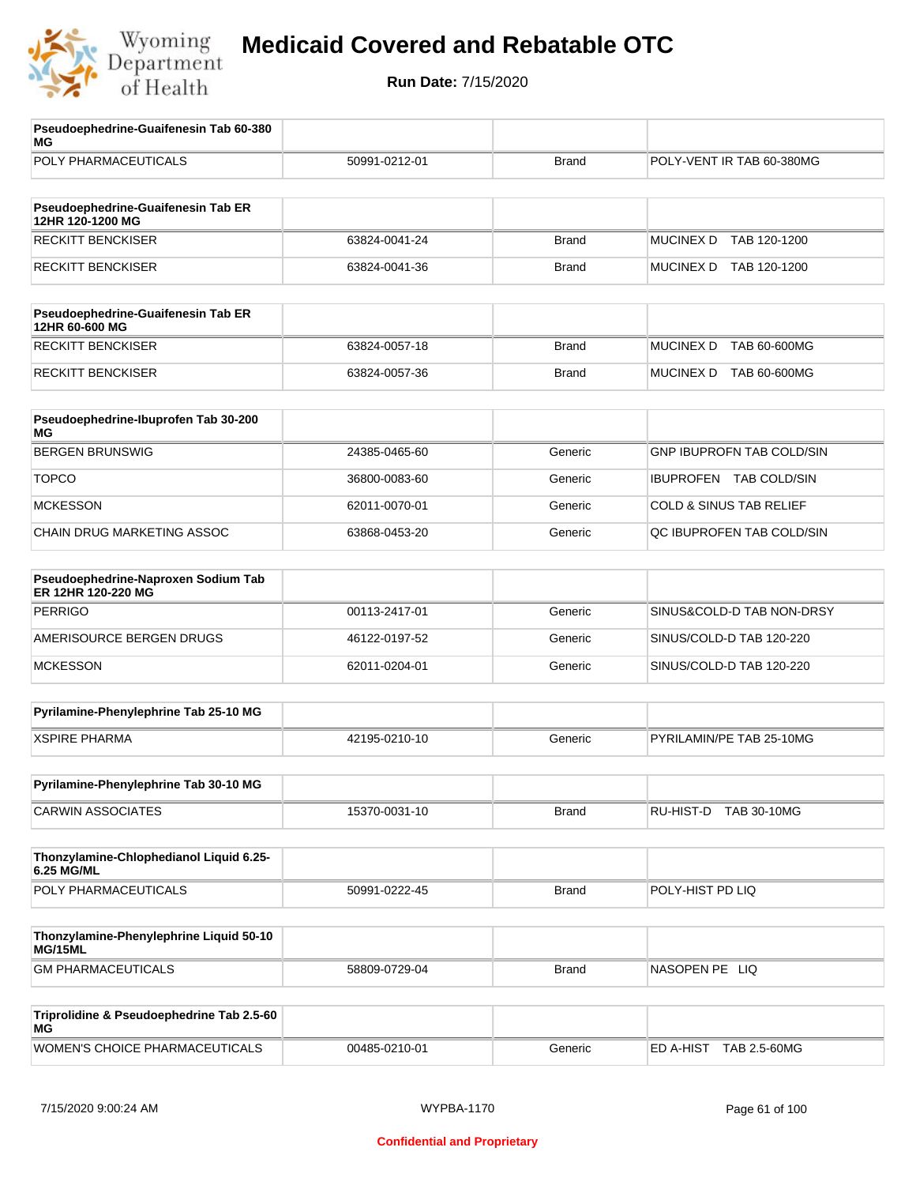

| Pseudoephedrine-Guaifenesin Tab 60-380<br>MG              |               |              |                                    |
|-----------------------------------------------------------|---------------|--------------|------------------------------------|
| POLY PHARMACEUTICALS                                      | 50991-0212-01 | <b>Brand</b> | POLY-VENT IR TAB 60-380MG          |
| Pseudoephedrine-Guaifenesin Tab ER<br>12HR 120-1200 MG    |               |              |                                    |
| <b>RECKITT BENCKISER</b>                                  | 63824-0041-24 | <b>Brand</b> | <b>MUCINEX D</b><br>TAB 120-1200   |
| <b>RECKITT BENCKISER</b>                                  | 63824-0041-36 | <b>Brand</b> | MUCINEX D TAB 120-1200             |
| Pseudoephedrine-Guaifenesin Tab ER<br>12HR 60-600 MG      |               |              |                                    |
| <b>RECKITT BENCKISER</b>                                  | 63824-0057-18 | <b>Brand</b> | <b>MUCINEX D</b><br>TAB 60-600MG   |
| <b>RECKITT BENCKISER</b>                                  | 63824-0057-36 | <b>Brand</b> | MUCINEX D TAB 60-600MG             |
| Pseudoephedrine-Ibuprofen Tab 30-200<br>МG                |               |              |                                    |
| <b>BERGEN BRUNSWIG</b>                                    | 24385-0465-60 | Generic      | <b>GNP IBUPROFN TAB COLD/SIN</b>   |
| <b>TOPCO</b>                                              | 36800-0083-60 | Generic      | IBUPROFEN TAB COLD/SIN             |
| <b>MCKESSON</b>                                           | 62011-0070-01 | Generic      | <b>COLD &amp; SINUS TAB RELIEF</b> |
| CHAIN DRUG MARKETING ASSOC                                | 63868-0453-20 | Generic      | QC IBUPROFEN TAB COLD/SIN          |
| Pseudoephedrine-Naproxen Sodium Tab<br>ER 12HR 120-220 MG |               |              |                                    |
| <b>PERRIGO</b>                                            | 00113-2417-01 | Generic      | SINUS&COLD-D TAB NON-DRSY          |
| AMERISOURCE BERGEN DRUGS                                  | 46122-0197-52 | Generic      | SINUS/COLD-D TAB 120-220           |
| <b>MCKESSON</b>                                           | 62011-0204-01 | Generic      | SINUS/COLD-D TAB 120-220           |
| Pyrilamine-Phenylephrine Tab 25-10 MG                     |               |              |                                    |
| <b>XSPIRE PHARMA</b>                                      | 42195-0210-10 | Generic      | PYRILAMIN/PE TAB 25-10MG           |
| Pyrilamine-Phenylephrine Tab 30-10 MG                     |               |              |                                    |
| <b>CARWIN ASSOCIATES</b>                                  | 15370-0031-10 | <b>Brand</b> | RU-HIST-D<br><b>TAB 30-10MG</b>    |
| Thonzylamine-Chlophedianol Liquid 6.25-<br>6.25 MG/ML     |               |              |                                    |
| POLY PHARMACEUTICALS                                      | 50991-0222-45 | <b>Brand</b> | POLY-HIST PD LIQ                   |
| Thonzylamine-Phenylephrine Liquid 50-10<br>MG/15ML        |               |              |                                    |
| <b>GM PHARMACEUTICALS</b>                                 | 58809-0729-04 | <b>Brand</b> | NASOPEN PE LIQ                     |
| Triprolidine & Pseudoephedrine Tab 2.5-60<br>МG           |               |              |                                    |
| WOMEN'S CHOICE PHARMACEUTICALS                            | 00485-0210-01 | Generic      | ED A-HIST TAB 2.5-60MG             |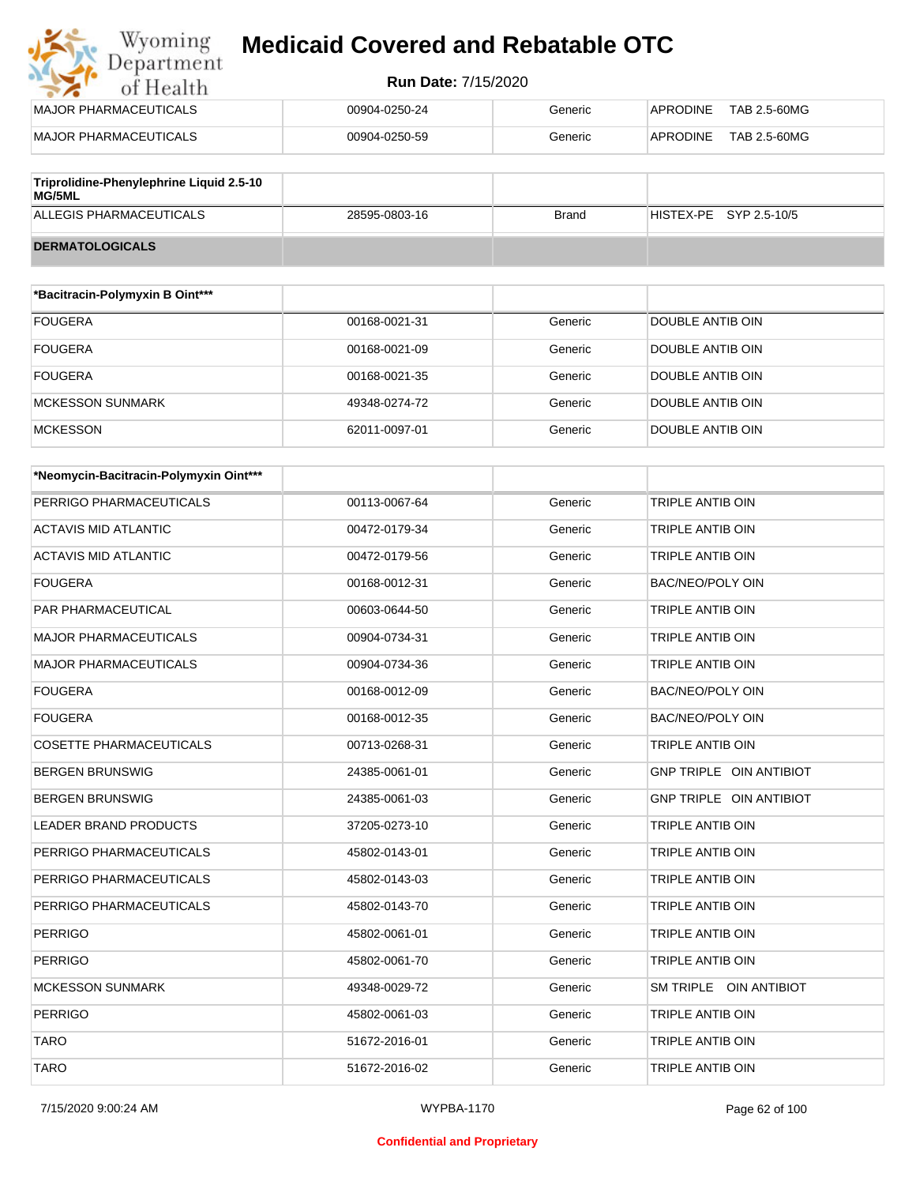## Wyoming<br>Department<br>of Health **Medicaid Covered and Rebatable OTC**

#### **Run Date:** 7/15/2020

| MAJOR PHARMACEUTICALS                                     | 00904-0250-24 | Generic      | TAB 2.5-60MG<br>APRODINE I |
|-----------------------------------------------------------|---------------|--------------|----------------------------|
| MAJOR PHARMACEUTICALS                                     | 00904-0250-59 | Generic      | TAB 2.5-60MG<br>APRODINE   |
|                                                           |               |              |                            |
| Triprolidine-Phenylephrine Liquid 2.5-10<br><b>MG/5ML</b> |               |              |                            |
| ALLEGIS PHARMACEUTICALS                                   | 28595-0803-16 | <b>Brand</b> | HISTEX-PE SYP 2.5-10/5     |

| <b>DERMATOLOGICALS</b>          |               |         |                  |  |
|---------------------------------|---------------|---------|------------------|--|
|                                 |               |         |                  |  |
| *Bacitracin-Polymyxin B Oint*** |               |         |                  |  |
| <b>FOUGERA</b>                  | 00168-0021-31 | Generic | DOUBLE ANTIB OIN |  |
| <b>FOUGERA</b>                  | 00168-0021-09 | Generic | DOUBLE ANTIB OIN |  |
| <b>FOUGERA</b>                  | 00168-0021-35 | Generic | DOUBLE ANTIB OIN |  |
| MCKESSON SUNMARK                | 49348-0274-72 | Generic | DOUBLE ANTIB OIN |  |

MCKESSON 62011-0097-01 Generic DOUBLE ANTIB OIN

| *Neomycin-Bacitracin-Polymyxin Oint*** |               |         |                                |
|----------------------------------------|---------------|---------|--------------------------------|
| PERRIGO PHARMACEUTICALS                | 00113-0067-64 | Generic | <b>TRIPLE ANTIB OIN</b>        |
| <b>ACTAVIS MID ATLANTIC</b>            | 00472-0179-34 | Generic | TRIPLE ANTIB OIN               |
| <b>ACTAVIS MID ATLANTIC</b>            | 00472-0179-56 | Generic | TRIPLE ANTIB OIN               |
| <b>FOUGERA</b>                         | 00168-0012-31 | Generic | <b>BAC/NEO/POLY OIN</b>        |
| PAR PHARMACEUTICAL                     | 00603-0644-50 | Generic | TRIPLE ANTIB OIN               |
| <b>MAJOR PHARMACEUTICALS</b>           | 00904-0734-31 | Generic | TRIPLE ANTIB OIN               |
| <b>MAJOR PHARMACEUTICALS</b>           | 00904-0734-36 | Generic | TRIPLE ANTIB OIN               |
| <b>FOUGERA</b>                         | 00168-0012-09 | Generic | <b>BAC/NEO/POLY OIN</b>        |
| <b>FOUGERA</b>                         | 00168-0012-35 | Generic | <b>BAC/NEO/POLY OIN</b>        |
| <b>COSETTE PHARMACEUTICALS</b>         | 00713-0268-31 | Generic | TRIPLE ANTIB OIN               |
| <b>BERGEN BRUNSWIG</b>                 | 24385-0061-01 | Generic | <b>GNP TRIPLE OIN ANTIBIOT</b> |
| <b>BERGEN BRUNSWIG</b>                 | 24385-0061-03 | Generic | <b>GNP TRIPLE OIN ANTIBIOT</b> |
| <b>LEADER BRAND PRODUCTS</b>           | 37205-0273-10 | Generic | <b>TRIPLE ANTIB OIN</b>        |
| PERRIGO PHARMACEUTICALS                | 45802-0143-01 | Generic | TRIPLE ANTIB OIN               |
| PERRIGO PHARMACEUTICALS                | 45802-0143-03 | Generic | TRIPLE ANTIB OIN               |
| PERRIGO PHARMACEUTICALS                | 45802-0143-70 | Generic | <b>TRIPLE ANTIB OIN</b>        |
| <b>PERRIGO</b>                         | 45802-0061-01 | Generic | TRIPLE ANTIB OIN               |
| <b>PERRIGO</b>                         | 45802-0061-70 | Generic | TRIPLE ANTIB OIN               |
| <b>MCKESSON SUNMARK</b>                | 49348-0029-72 | Generic | SM TRIPLE OIN ANTIBIOT         |
| <b>PERRIGO</b>                         | 45802-0061-03 | Generic | TRIPLE ANTIB OIN               |
| <b>TARO</b>                            | 51672-2016-01 | Generic | TRIPLE ANTIB OIN               |
| <b>TARO</b>                            | 51672-2016-02 | Generic | TRIPLE ANTIB OIN               |

#### **Confidential and Proprietary**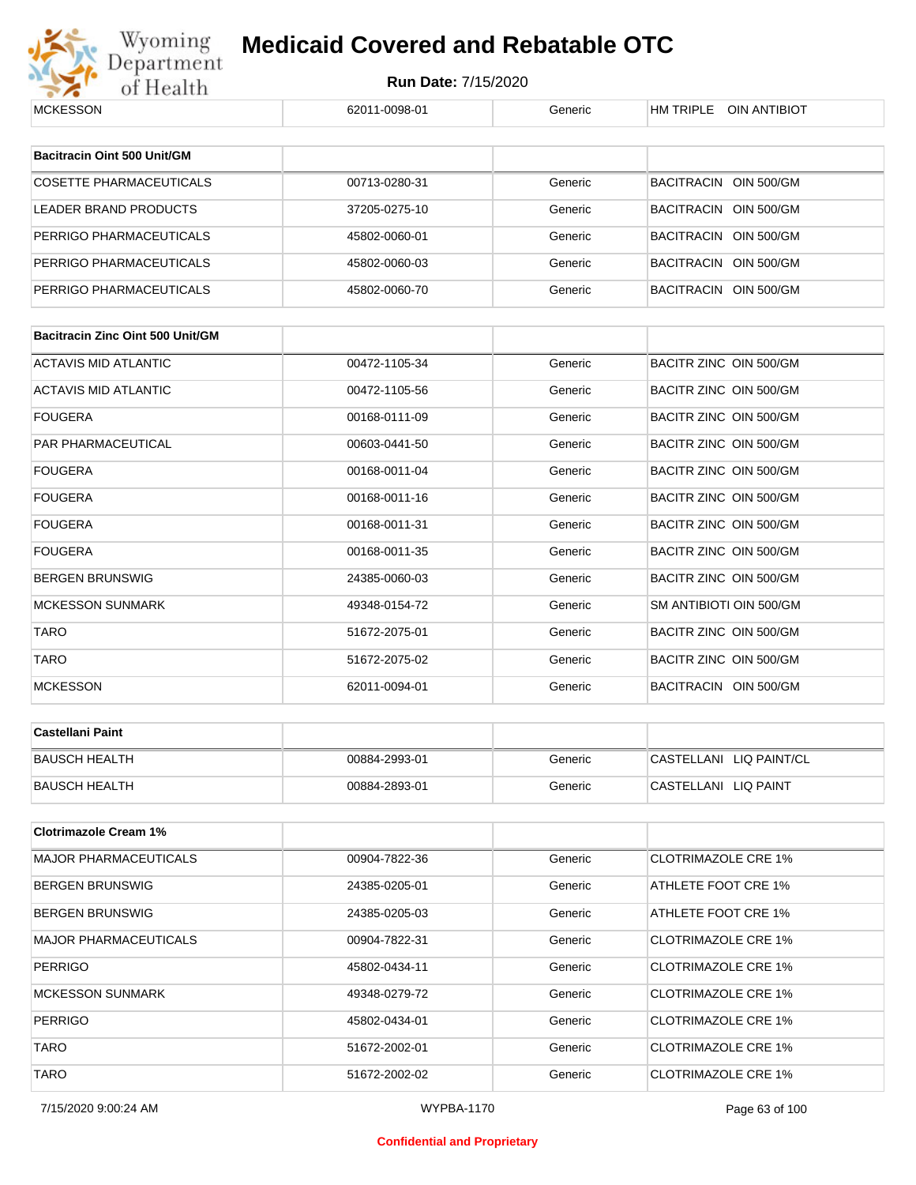

| <b>MCKESSON</b>                         | 62011-0098-01 | Generic | HM TRIPLE OIN ANTIBIOT     |
|-----------------------------------------|---------------|---------|----------------------------|
|                                         |               |         |                            |
| Bacitracin Oint 500 Unit/GM             |               |         |                            |
| <b>COSETTE PHARMACEUTICALS</b>          | 00713-0280-31 | Generic | BACITRACIN OIN 500/GM      |
| <b>LEADER BRAND PRODUCTS</b>            | 37205-0275-10 | Generic | BACITRACIN OIN 500/GM      |
| PERRIGO PHARMACEUTICALS                 | 45802-0060-01 | Generic | BACITRACIN OIN 500/GM      |
| PERRIGO PHARMACEUTICALS                 | 45802-0060-03 | Generic | BACITRACIN OIN 500/GM      |
| PERRIGO PHARMACEUTICALS                 | 45802-0060-70 | Generic | BACITRACIN OIN 500/GM      |
|                                         |               |         |                            |
| <b>Bacitracin Zinc Oint 500 Unit/GM</b> |               |         |                            |
| <b>ACTAVIS MID ATLANTIC</b>             | 00472-1105-34 | Generic | BACITR ZINC OIN 500/GM     |
| ACTAVIS MID ATLANTIC                    | 00472-1105-56 | Generic | BACITR ZINC OIN 500/GM     |
| <b>FOUGERA</b>                          | 00168-0111-09 | Generic | BACITR ZINC OIN 500/GM     |
| PAR PHARMACEUTICAL                      | 00603-0441-50 | Generic | BACITR ZINC OIN 500/GM     |
| <b>FOUGERA</b>                          | 00168-0011-04 | Generic | BACITR ZINC OIN 500/GM     |
| <b>FOUGERA</b>                          | 00168-0011-16 | Generic | BACITR ZINC OIN 500/GM     |
| <b>FOUGERA</b>                          | 00168-0011-31 | Generic | BACITR ZINC OIN 500/GM     |
| <b>FOUGERA</b>                          | 00168-0011-35 | Generic | BACITR ZINC OIN 500/GM     |
| <b>BERGEN BRUNSWIG</b>                  | 24385-0060-03 | Generic | BACITR ZINC OIN 500/GM     |
| <b>MCKESSON SUNMARK</b>                 | 49348-0154-72 | Generic | SM ANTIBIOTI OIN 500/GM    |
| <b>TARO</b>                             | 51672-2075-01 | Generic | BACITR ZINC OIN 500/GM     |
| TARO                                    | 51672-2075-02 | Generic | BACITR ZINC OIN 500/GM     |
| <b>MCKESSON</b>                         | 62011-0094-01 | Generic | BACITRACIN OIN 500/GM      |
|                                         |               |         |                            |
| <b>Castellani Paint</b>                 |               |         |                            |
| <b>BAUSCH HEALTH</b>                    | 00884-2993-01 | Generic | CASTELLANI LIQ PAINT/CL    |
| <b>BAUSCH HEALTH</b>                    | 00884-2893-01 | Generic | CASTELLANI LIQ PAINT       |
|                                         |               |         |                            |
| <b>Clotrimazole Cream 1%</b>            |               |         |                            |
| <b>MAJOR PHARMACEUTICALS</b>            | 00904-7822-36 | Generic | <b>CLOTRIMAZOLE CRE 1%</b> |
| <b>BERGEN BRUNSWIG</b>                  | 24385-0205-01 | Generic | ATHLETE FOOT CRE 1%        |
| <b>BERGEN BRUNSWIG</b>                  | 24385-0205-03 | Generic | ATHLETE FOOT CRE 1%        |
| <b>MAJOR PHARMACEUTICALS</b>            | 00904-7822-31 | Generic | <b>CLOTRIMAZOLE CRE 1%</b> |
| <b>PERRIGO</b>                          | 45802-0434-11 | Generic | <b>CLOTRIMAZOLE CRE 1%</b> |
| <b>MCKESSON SUNMARK</b>                 | 49348-0279-72 | Generic | <b>CLOTRIMAZOLE CRE 1%</b> |
| <b>PERRIGO</b>                          | 45802-0434-01 | Generic | <b>CLOTRIMAZOLE CRE 1%</b> |
| <b>TARO</b>                             | 51672-2002-01 | Generic | <b>CLOTRIMAZOLE CRE 1%</b> |
| <b>TARO</b>                             | 51672-2002-02 | Generic | <b>CLOTRIMAZOLE CRE 1%</b> |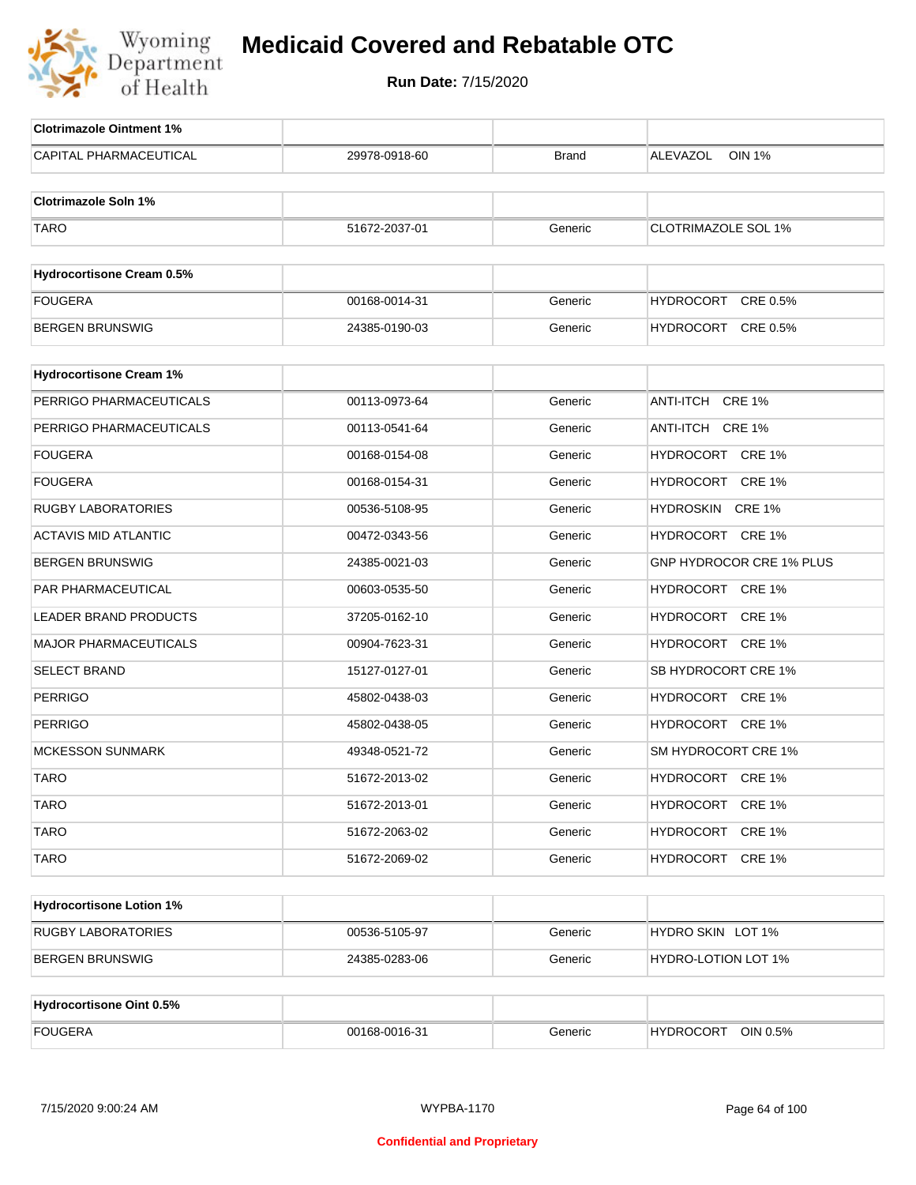

| <b>Clotrimazole Ointment 1%</b>  |               |              |                                  |
|----------------------------------|---------------|--------------|----------------------------------|
| <b>CAPITAL PHARMACEUTICAL</b>    | 29978-0918-60 | <b>Brand</b> | <b>ALEVAZOL</b><br><b>OIN 1%</b> |
|                                  |               |              |                                  |
| <b>Clotrimazole Soln 1%</b>      |               |              |                                  |
| <b>TARO</b>                      | 51672-2037-01 | Generic      | <b>CLOTRIMAZOLE SOL 1%</b>       |
|                                  |               |              |                                  |
| <b>Hydrocortisone Cream 0.5%</b> |               |              |                                  |
| <b>FOUGERA</b>                   | 00168-0014-31 | Generic      | CRE 0.5%<br>HYDROCORT            |
| BERGEN BRUNSWIG                  | 24385-0190-03 | Generic      | HYDROCORT CRE 0.5%               |
| <b>Hydrocortisone Cream 1%</b>   |               |              |                                  |
| PERRIGO PHARMACEUTICALS          | 00113-0973-64 | Generic      | ANTI-ITCH CRE 1%                 |
| PERRIGO PHARMACEUTICALS          | 00113-0541-64 | Generic      | ANTI-ITCH CRE 1%                 |
|                                  |               |              | HYDROCORT CRE 1%                 |
| FOUGERA                          | 00168-0154-08 | Generic      |                                  |
| FOUGERA                          | 00168-0154-31 | Generic      | HYDROCORT CRE 1%                 |
| <b>RUGBY LABORATORIES</b>        | 00536-5108-95 | Generic      | HYDROSKIN CRE 1%                 |
| <b>ACTAVIS MID ATLANTIC</b>      | 00472-0343-56 | Generic      | HYDROCORT CRE 1%                 |
| <b>BERGEN BRUNSWIG</b>           | 24385-0021-03 | Generic      | GNP HYDROCOR CRE 1% PLUS         |
| PAR PHARMACEUTICAL               | 00603-0535-50 | Generic      | HYDROCORT CRE 1%                 |
| LEADER BRAND PRODUCTS            | 37205-0162-10 | Generic      | HYDROCORT CRE 1%                 |
| MAJOR PHARMACEUTICALS            | 00904-7623-31 | Generic      | HYDROCORT CRE 1%                 |
| <b>SELECT BRAND</b>              | 15127-0127-01 | Generic      | SB HYDROCORT CRE 1%              |
| <b>PERRIGO</b>                   | 45802-0438-03 | Generic      | HYDROCORT CRE 1%                 |
| <b>PERRIGO</b>                   | 45802-0438-05 | Generic      | HYDROCORT CRE 1%                 |
| <b>MCKESSON SUNMARK</b>          | 49348-0521-72 | Generic      | SM HYDROCORT CRE 1%              |
| <b>TARO</b>                      | 51672-2013-02 | Generic      | HYDROCORT CRE 1%                 |
| <b>TARO</b>                      | 51672-2013-01 | Generic      | HYDROCORT CRE 1%                 |
| <b>TARO</b>                      | 51672-2063-02 | Generic      | HYDROCORT CRE 1%                 |
| <b>TARO</b>                      | 51672-2069-02 | Generic      | HYDROCORT CRE 1%                 |
|                                  |               |              |                                  |
| <b>Hydrocortisone Lotion 1%</b>  |               |              |                                  |
| RUGBY LABORATORIES               | 00536-5105-97 | Generic      | HYDRO SKIN LOT 1%                |
| <b>BERGEN BRUNSWIG</b>           | 24385-0283-06 | Generic      | <b>HYDRO-LOTION LOT 1%</b>       |
|                                  |               |              |                                  |
| Hydrocortisone Oint 0.5%         |               |              |                                  |
| <b>FOUGERA</b>                   | 00168-0016-31 | Generic      | HYDROCORT OIN 0.5%               |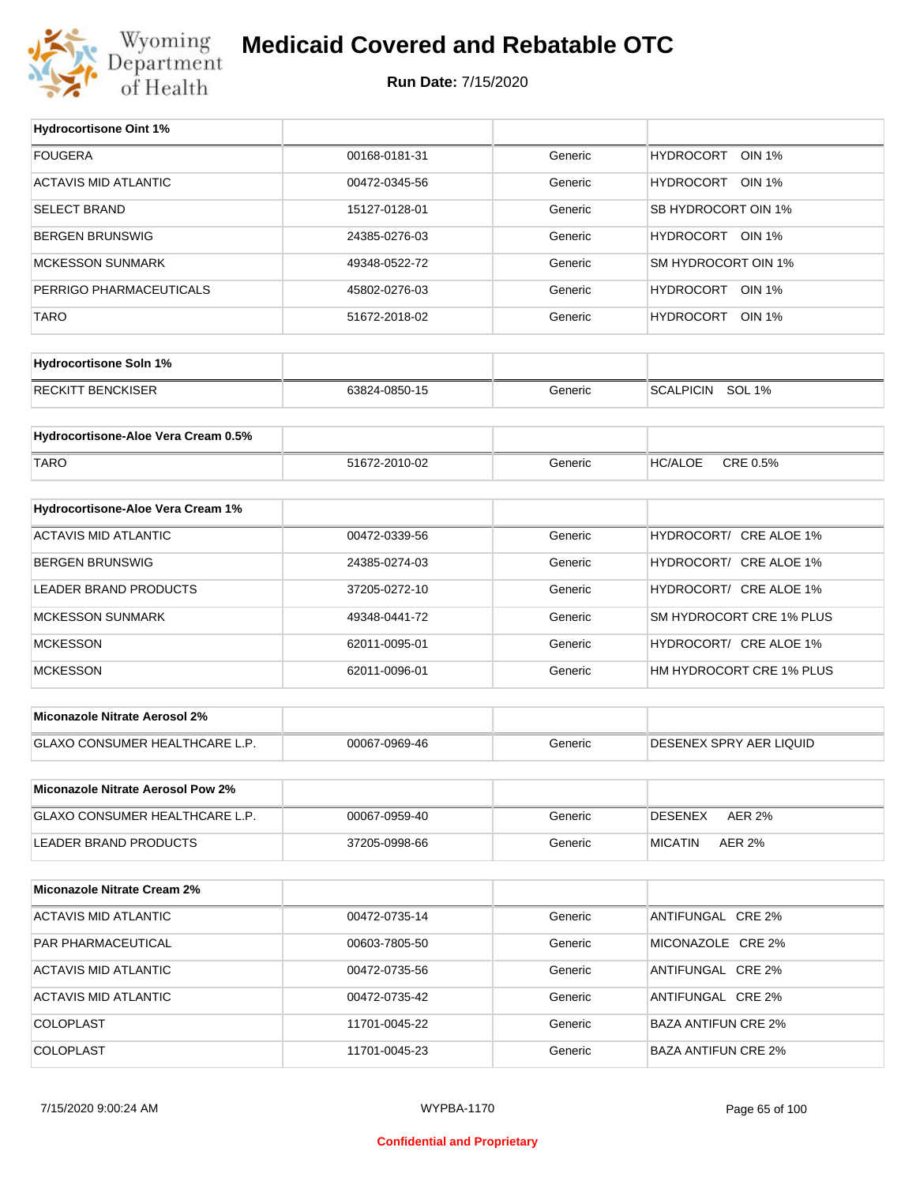

## **Medicaid Covered and Rebatable OTC**

**Run Date:** 7/15/2020

T

| <b>Hydrocortisone Oint 1%</b>            |               |         |                                   |
|------------------------------------------|---------------|---------|-----------------------------------|
| <b>FOUGERA</b>                           | 00168-0181-31 | Generic | <b>HYDROCORT</b><br><b>OIN 1%</b> |
| <b>ACTAVIS MID ATLANTIC</b>              | 00472-0345-56 | Generic | HYDROCORT<br>OIN 1%               |
| <b>SELECT BRAND</b>                      | 15127-0128-01 | Generic | SB HYDROCORT OIN 1%               |
| <b>BERGEN BRUNSWIG</b>                   | 24385-0276-03 | Generic | HYDROCORT OIN 1%                  |
| <b>MCKESSON SUNMARK</b>                  | 49348-0522-72 | Generic | SM HYDROCORT OIN 1%               |
| PERRIGO PHARMACEUTICALS                  | 45802-0276-03 | Generic | HYDROCORT OIN 1%                  |
| TARO                                     | 51672-2018-02 | Generic | HYDROCORT OIN 1%                  |
|                                          |               |         |                                   |
| <b>Hydrocortisone Soln 1%</b>            |               |         |                                   |
| <b>RECKITT BENCKISER</b>                 | 63824-0850-15 | Generic | <b>SCALPICIN</b><br><b>SOL 1%</b> |
|                                          |               |         |                                   |
| Hydrocortisone-Aloe Vera Cream 0.5%      |               |         |                                   |
| <b>TARO</b>                              | 51672-2010-02 | Generic | CRE 0.5%<br><b>HC/ALOE</b>        |
| Hydrocortisone-Aloe Vera Cream 1%        |               |         |                                   |
| <b>ACTAVIS MID ATLANTIC</b>              | 00472-0339-56 | Generic | HYDROCORT/ CRE ALOE 1%            |
|                                          |               |         |                                   |
| <b>BERGEN BRUNSWIG</b>                   | 24385-0274-03 | Generic | HYDROCORT/ CRE ALOE 1%            |
| <b>LEADER BRAND PRODUCTS</b>             | 37205-0272-10 | Generic | HYDROCORT/ CRE ALOE 1%            |
| <b>MCKESSON SUNMARK</b>                  | 49348-0441-72 | Generic | SM HYDROCORT CRE 1% PLUS          |
| <b>MCKESSON</b>                          | 62011-0095-01 | Generic | HYDROCORT/ CRE ALOE 1%            |
| <b>MCKESSON</b>                          | 62011-0096-01 | Generic | HM HYDROCORT CRE 1% PLUS          |
| <b>Miconazole Nitrate Aerosol 2%</b>     |               |         |                                   |
|                                          |               |         |                                   |
| <b>GLAXO CONSUMER HEALTHCARE L.P.</b>    | 00067-0969-46 | Generic | DESENEX SPRY AER LIQUID           |
| <b>Miconazole Nitrate Aerosol Pow 2%</b> |               |         |                                   |
| GLAXO CONSUMER HEALTHCARE L.P.           | 00067-0959-40 | Generic | <b>DESENEX</b><br><b>AER 2%</b>   |
| LEADER BRAND PRODUCTS                    | 37205-0998-66 | Generic | <b>AER 2%</b><br><b>MICATIN</b>   |
|                                          |               |         |                                   |
| <b>Miconazole Nitrate Cream 2%</b>       |               |         |                                   |
| <b>ACTAVIS MID ATLANTIC</b>              | 00472-0735-14 | Generic | ANTIFUNGAL CRE 2%                 |
| PAR PHARMACEUTICAL                       | 00603-7805-50 | Generic | MICONAZOLE CRE 2%                 |
| <b>ACTAVIS MID ATLANTIC</b>              | 00472-0735-56 | Generic | ANTIFUNGAL CRE 2%                 |
| <b>ACTAVIS MID ATLANTIC</b>              | 00472-0735-42 | Generic | ANTIFUNGAL CRE 2%                 |
| <b>COLOPLAST</b>                         | 11701-0045-22 | Generic | <b>BAZA ANTIFUN CRE 2%</b>        |
| <b>COLOPLAST</b>                         | 11701-0045-23 | Generic | <b>BAZA ANTIFUN CRE 2%</b>        |
|                                          |               |         |                                   |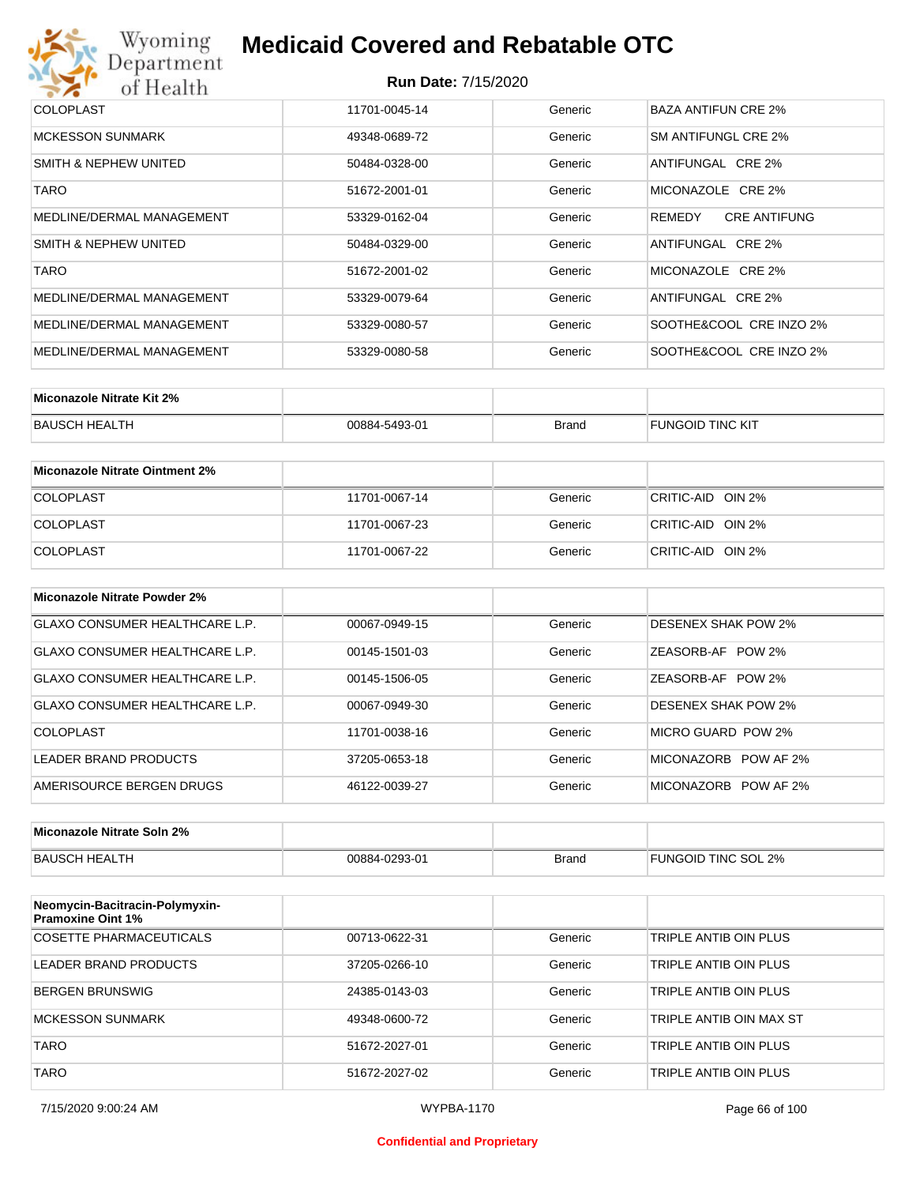## Wyoming<br>Department<br>of Health **Medicaid Covered and Rebatable OTC**

#### **Run Date:** 7/15/2020

| <b>COLOPLAST</b>          | 11701-0045-14 | Generic | BAZA ANTIFUN CRE 2%           |
|---------------------------|---------------|---------|-------------------------------|
| <b>MCKESSON SUNMARK</b>   | 49348-0689-72 | Generic | SM ANTIFUNGL CRE 2%           |
| SMITH & NEPHEW UNITED     | 50484-0328-00 | Generic | ANTIFUNGAL CRE 2%             |
| <b>TARO</b>               | 51672-2001-01 | Generic | MICONAZOLE CRE 2%             |
| MEDLINE/DERMAL MANAGEMENT | 53329-0162-04 | Generic | REMEDY<br><b>CRE ANTIFUNG</b> |
| SMITH & NEPHEW UNITED     | 50484-0329-00 | Generic | ANTIFUNGAL CRE 2%             |
| <b>TARO</b>               | 51672-2001-02 | Generic | MICONAZOLE CRE 2%             |
| MEDLINE/DERMAL MANAGEMENT | 53329-0079-64 | Generic | ANTIFUNGAL CRE 2%             |
| MEDLINE/DERMAL MANAGEMENT | 53329-0080-57 | Generic | SOOTHE&COOL CRE INZO 2%       |
| MEDLINE/DERMAL MANAGEMENT | 53329-0080-58 | Generic | SOOTHE&COOL CRE INZO 2%       |

| Miconazole Nitrate Kit 2% |               |              |                         |
|---------------------------|---------------|--------------|-------------------------|
| BAUSCH HEALTH             | 00884-5493-01 | <b>Brand</b> | <b>FUNGOID TINC KIT</b> |

| Miconazole Nitrate Ointment 2% |               |         |                   |
|--------------------------------|---------------|---------|-------------------|
| <b>COLOPLAST</b>               | 11701-0067-14 | Generic | CRITIC-AID OIN 2% |
| <b>COLOPLAST</b>               | 11701-0067-23 | Generic | CRITIC-AID OIN 2% |
| <b>COLOPLAST</b>               | 11701-0067-22 | Generic | CRITIC-AID OIN 2% |

| Miconazole Nitrate Powder 2%   |               |         |                             |
|--------------------------------|---------------|---------|-----------------------------|
| GLAXO CONSUMER HEALTHCARE L.P. | 00067-0949-15 | Generic | <b>DESENEX SHAK POW 2%</b>  |
| GLAXO CONSUMER HEALTHCARE L.P. | 00145-1501-03 | Generic | <b>POW 2%</b><br>ZEASORB-AF |
| GLAXO CONSUMER HEALTHCARE L.P. | 00145-1506-05 | Generic | <b>POW 2%</b><br>ZEASORB-AF |
| GLAXO CONSUMER HEALTHCARE L.P. | 00067-0949-30 | Generic | <b>DESENEX SHAK POW 2%</b>  |
| COLOPLAST                      | 11701-0038-16 | Generic | MICRO GUARD POW 2%          |
| <b>LEADER BRAND PRODUCTS</b>   | 37205-0653-18 | Generic | MICONAZORB POW AF 2%        |
| AMERISOURCE BERGEN DRUGS       | 46122-0039-27 | Generic | MICONAZORB POW AF 2%        |

| Miconazole Nitrate Soln 2% |               |       |                     |
|----------------------------|---------------|-------|---------------------|
| BAUSCH HEALTH              | 00884-0293-01 | Brand | FUNGOID TINC SOL 2% |

| Neomycin-Bacitracin-Polymyxin-<br><b>Pramoxine Oint 1%</b> |               |         |                         |
|------------------------------------------------------------|---------------|---------|-------------------------|
| COSETTE PHARMACEUTICALS                                    | 00713-0622-31 | Generic | TRIPLE ANTIB OIN PLUS   |
| LEADER BRAND PRODUCTS                                      | 37205-0266-10 | Generic | TRIPLE ANTIB OIN PLUS   |
| <b>BERGEN BRUNSWIG</b>                                     | 24385-0143-03 | Generic | TRIPLE ANTIB OIN PLUS   |
| <b>MCKESSON SUNMARK</b>                                    | 49348-0600-72 | Generic | TRIPLE ANTIB OIN MAX ST |
| <b>TARO</b>                                                | 51672-2027-01 | Generic | TRIPLE ANTIB OIN PLUS   |
| <b>TARO</b>                                                | 51672-2027-02 | Generic | TRIPLE ANTIB OIN PLUS   |

#### **Confidential and Proprietary**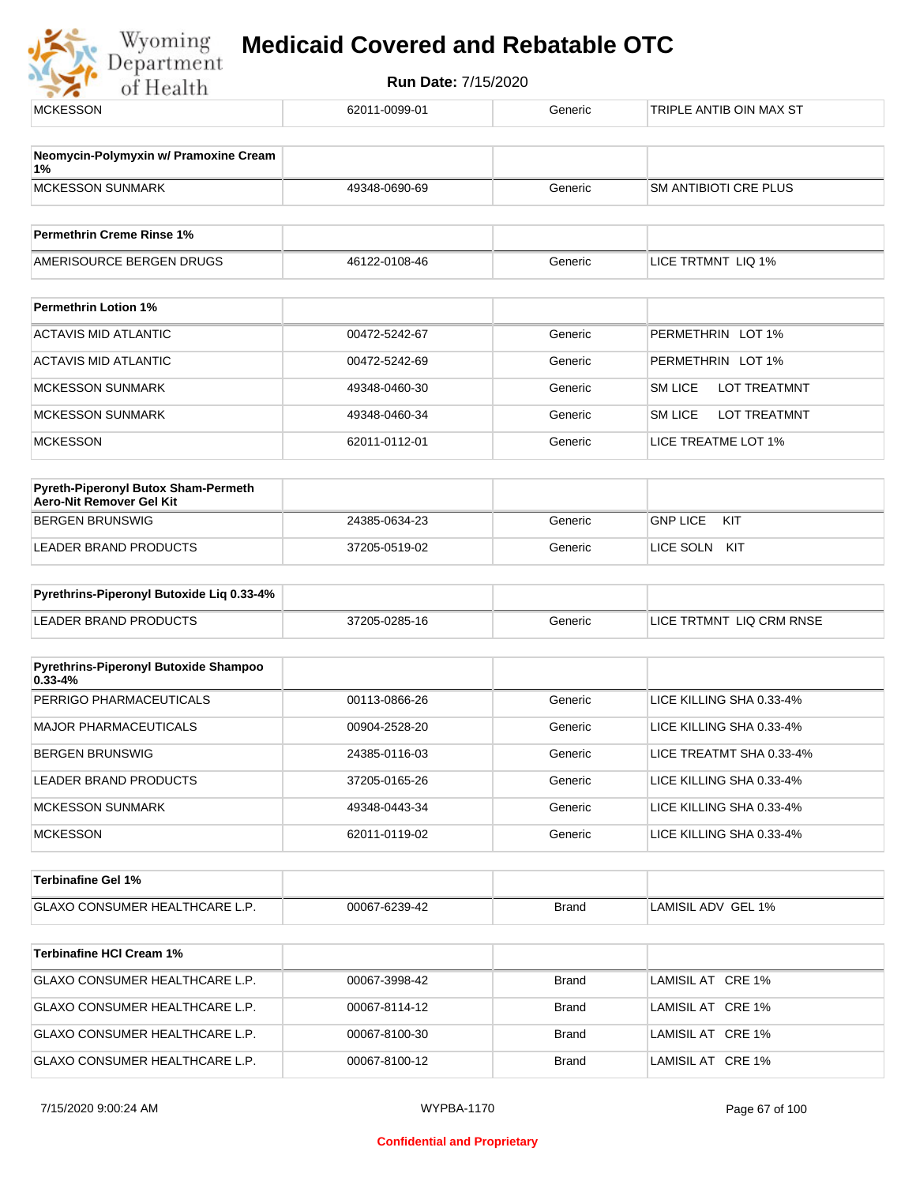

| 62011-0099-01 | Generic                                                                           | TRIPLE ANTIB OIN MAX ST                       |
|---------------|-----------------------------------------------------------------------------------|-----------------------------------------------|
|               |                                                                                   |                                               |
|               |                                                                                   |                                               |
|               | Generic                                                                           | <b>SM ANTIBIOTI CRE PLUS</b>                  |
|               |                                                                                   |                                               |
| 46122-0108-46 | Generic                                                                           | LICE TRTMNT LIQ 1%                            |
|               |                                                                                   |                                               |
|               |                                                                                   | PERMETHRIN LOT 1%                             |
|               |                                                                                   |                                               |
|               |                                                                                   | PERMETHRIN LOT 1%                             |
|               |                                                                                   | <b>SM LICE</b><br>LOT TREATMNT                |
| 49348-0460-34 | Generic                                                                           | <b>SM LICE</b><br>LOT TREATMNT                |
| 62011-0112-01 | Generic                                                                           | LICE TREATME LOT 1%                           |
|               |                                                                                   |                                               |
|               |                                                                                   |                                               |
| 24385-0634-23 | Generic                                                                           | <b>GNP LICE</b><br>KIT                        |
| 37205-0519-02 | Generic                                                                           | LICE SOLN<br>KIT                              |
|               |                                                                                   |                                               |
| 37205-0285-16 | Generic                                                                           | LICE TRTMNT LIQ CRM RNSE                      |
|               |                                                                                   |                                               |
|               |                                                                                   |                                               |
| 00113-0866-26 | Generic                                                                           | LICE KILLING SHA 0.33-4%                      |
| 00904-2528-20 | Generic                                                                           | LICE KILLING SHA 0.33-4%                      |
| 24385-0116-03 | Generic                                                                           | LICE TREATMT SHA 0.33-4%                      |
| 37205-0165-26 | Generic                                                                           | LICE KILLING SHA 0.33-4%                      |
| 49348-0443-34 | Generic                                                                           | LICE KILLING SHA 0.33-4%                      |
| 62011-0119-02 | Generic                                                                           | LICE KILLING SHA 0.33-4%                      |
|               |                                                                                   |                                               |
|               |                                                                                   |                                               |
|               |                                                                                   | LAMISIL ADV GEL 1%                            |
|               |                                                                                   |                                               |
| 00067-3998-42 | <b>Brand</b>                                                                      | LAMISIL AT CRE 1%                             |
| 00067-8114-12 | <b>Brand</b>                                                                      | LAMISIL AT CRE 1%                             |
| 00067-8100-30 | <b>Brand</b>                                                                      | LAMISIL AT CRE 1%                             |
| 00067-8100-12 | <b>Brand</b>                                                                      | LAMISIL AT CRE 1%                             |
|               | 49348-0690-69<br>00472-5242-67<br>00472-5242-69<br>49348-0460-30<br>00067-6239-42 | Generic<br>Generic<br>Generic<br><b>Brand</b> |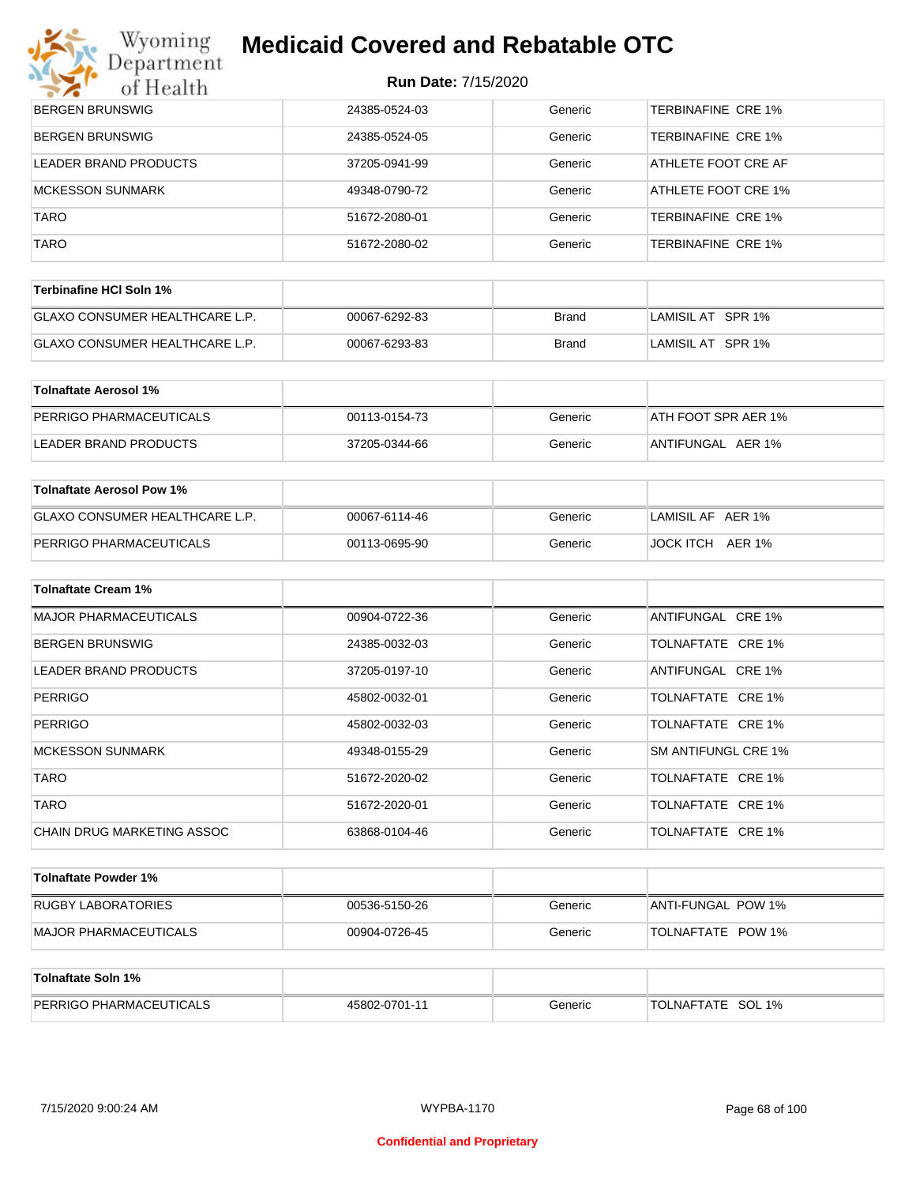# Wyoming<br>Department

## **Medicaid Covered and Rebatable OTC**

| $\mathcal{L}$<br>of Health       | $N$ uli Dalg. $111012020$ |         |                           |
|----------------------------------|---------------------------|---------|---------------------------|
| <b>BERGEN BRUNSWIG</b>           | 24385-0524-03             | Generic | <b>TERBINAFINE CRE 1%</b> |
| <b>BERGEN BRUNSWIG</b>           | 24385-0524-05             | Generic | <b>TERBINAFINE CRE 1%</b> |
| LEADER BRAND PRODUCTS            | 37205-0941-99             | Generic | ATHLETE FOOT CRE AF       |
| <b>MCKESSON SUNMARK</b>          | 49348-0790-72             | Generic | ATHLETE FOOT CRE 1%       |
| <b>TARO</b>                      | 51672-2080-01             | Generic | TERBINAFINE CRE 1%        |
| <b>TARO</b>                      | 51672-2080-02             | Generic | TERBINAFINE CRE 1%        |
| <b>Terbinafine HCI Soln 1%</b>   |                           |         |                           |
|                                  |                           |         |                           |
| GLAXO CONSUMER HEALTHCARE L.P.   | 00067-6292-83             | Brand   | LAMISIL AT SPR 1%         |
| GLAXO CONSUMER HEALTHCARE L.P.   | 00067-6293-83             | Brand   | LAMISIL AT SPR 1%         |
| <b>Tolnaftate Aerosol 1%</b>     |                           |         |                           |
| PERRIGO PHARMACEUTICALS          | 00113-0154-73             | Generic | ATH FOOT SPR AER 1%       |
| LEADER BRAND PRODUCTS            | 37205-0344-66             | Generic | ANTIFUNGAL AER 1%         |
|                                  |                           |         |                           |
| <b>Tolnaftate Aerosol Pow 1%</b> |                           |         |                           |
| GLAXO CONSUMER HEALTHCARE L.P.   | 00067-6114-46             | Generic | LAMISIL AF AER 1%         |
| PERRIGO PHARMACEUTICALS          | 00113-0695-90             | Generic | JOCK ITCH AER 1%          |
| <b>Tolnaftate Cream 1%</b>       |                           |         |                           |
|                                  |                           |         |                           |
| <b>MAJOR PHARMACEUTICALS</b>     | 00904-0722-36             | Generic | ANTIFUNGAL CRE 1%         |
| <b>BERGEN BRUNSWIG</b>           | 24385-0032-03             | Generic | TOLNAFTATE CRE 1%         |
| LEADER BRAND PRODUCTS            | 37205-0197-10             | Generic | ANTIFUNGAL CRE 1%         |
| <b>PERRIGO</b>                   | 45802-0032-01             | Generic | TOLNAFTATE CRE 1%         |
| <b>PERRIGO</b>                   | 45802-0032-03             | Generic | TOLNAFTATE CRE 1%         |
| <b>MCKESSON SUNMARK</b>          | 49348-0155-29             | Generic | SM ANTIFUNGL CRE 1%       |
| <b>TARO</b>                      | 51672-2020-02             | Generic | TOLNAFTATE CRE 1%         |
| <b>TARO</b>                      | 51672-2020-01             | Generic | TOLNAFTATE CRE 1%         |
| CHAIN DRUG MARKETING ASSOC       | 63868-0104-46             | Generic | TOLNAFTATE CRE 1%         |
| <b>Tolnaftate Powder 1%</b>      |                           |         |                           |
|                                  |                           |         |                           |
| RUGBY LABORATORIES               | 00536-5150-26             | Generic | ANTI-FUNGAL POW 1%        |
| <b>MAJOR PHARMACEUTICALS</b>     | 00904-0726-45             | Generic | TOLNAFTATE POW 1%         |
| <b>Tolnaftate Soln 1%</b>        |                           |         |                           |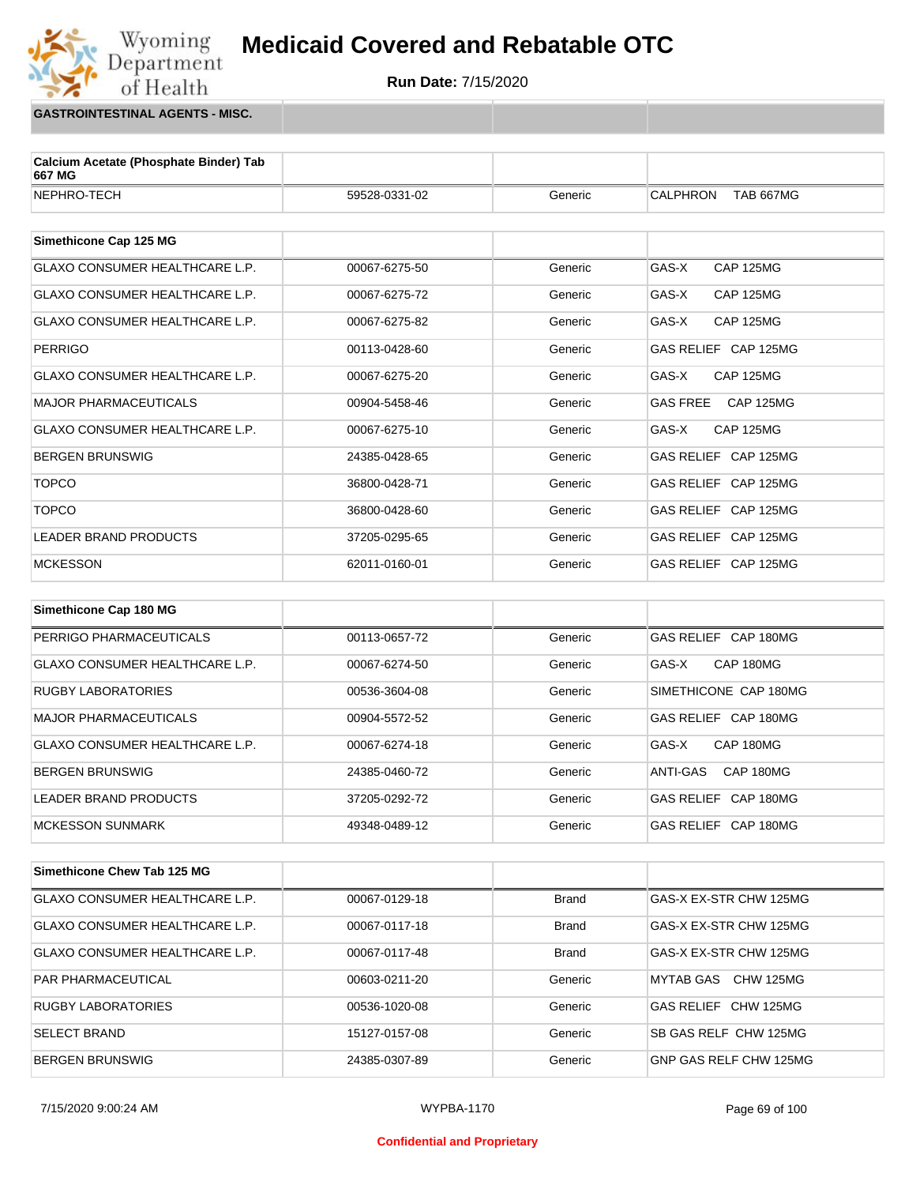

**GASTROINTESTINAL AGENTS - MISC.**

Wyoming<br>Department

of Health

| 59528-0331-02 | Generic | <b>CALPHRON</b><br><b>TAB 667MG</b> |
|---------------|---------|-------------------------------------|
|               |         |                                     |
|               |         |                                     |
| 00067-6275-50 | Generic | GAS-X<br><b>CAP 125MG</b>           |
| 00067-6275-72 | Generic | GAS-X<br><b>CAP 125MG</b>           |
| 00067-6275-82 | Generic | GAS-X<br><b>CAP 125MG</b>           |
| 00113-0428-60 | Generic | GAS RELIEF CAP 125MG                |
| 00067-6275-20 | Generic | GAS-X<br><b>CAP 125MG</b>           |
| 00904-5458-46 | Generic | <b>GAS FREE</b><br>CAP 125MG        |
| 00067-6275-10 | Generic | GAS-X<br><b>CAP 125MG</b>           |
| 24385-0428-65 | Generic | GAS RELIEF CAP 125MG                |
| 36800-0428-71 | Generic | GAS RELIEF CAP 125MG                |
| 36800-0428-60 | Generic | GAS RELIEF CAP 125MG                |
| 37205-0295-65 | Generic | GAS RELIEF CAP 125MG                |
| 62011-0160-01 | Generic | GAS RELIEF CAP 125MG                |
|               |         |                                     |
|               |         |                                     |
| 00113-0657-72 | Generic | GAS RELIEF CAP 180MG                |
| 00067-6274-50 | Generic | GAS-X<br>CAP 180MG                  |
| 00536-3604-08 | Generic | SIMETHICONE CAP 180MG               |
| 00904-5572-52 | Generic | GAS RELIEF CAP 180MG                |
| 00067-6274-18 | Generic | CAP 180MG<br>GAS-X                  |
| 24385-0460-72 | Generic | CAP 180MG<br>ANTI-GAS               |
| 37205-0292-72 | Generic | GAS RELIEF CAP 180MG                |
| 49348-0489-12 | Generic | GAS RELIEF CAP 180MG                |
|               |         |                                     |

| Simethicone Chew Tab 125 MG    |               |              |                                |
|--------------------------------|---------------|--------------|--------------------------------|
| GLAXO CONSUMER HEALTHCARE L.P. | 00067-0129-18 | <b>Brand</b> | GAS-X EX-STR CHW 125MG         |
| GLAXO CONSUMER HEALTHCARE L.P. | 00067-0117-18 | <b>Brand</b> | GAS-X EX-STR CHW 125MG         |
| GLAXO CONSUMER HEALTHCARE L.P. | 00067-0117-48 | <b>Brand</b> | GAS-X EX-STR CHW 125MG         |
| <b>PAR PHARMACEUTICAL</b>      | 00603-0211-20 | Generic      | CHW 125MG<br>MYTAB GAS         |
| <b>RUGBY LABORATORIES</b>      | 00536-1020-08 | Generic      | CHW 125MG<br><b>GAS RELIEF</b> |
| <b>SELECT BRAND</b>            | 15127-0157-08 | Generic      | SB GAS RELF CHW 125MG          |
| <b>BERGEN BRUNSWIG</b>         | 24385-0307-89 | Generic      | GNP GAS RELF CHW 125MG         |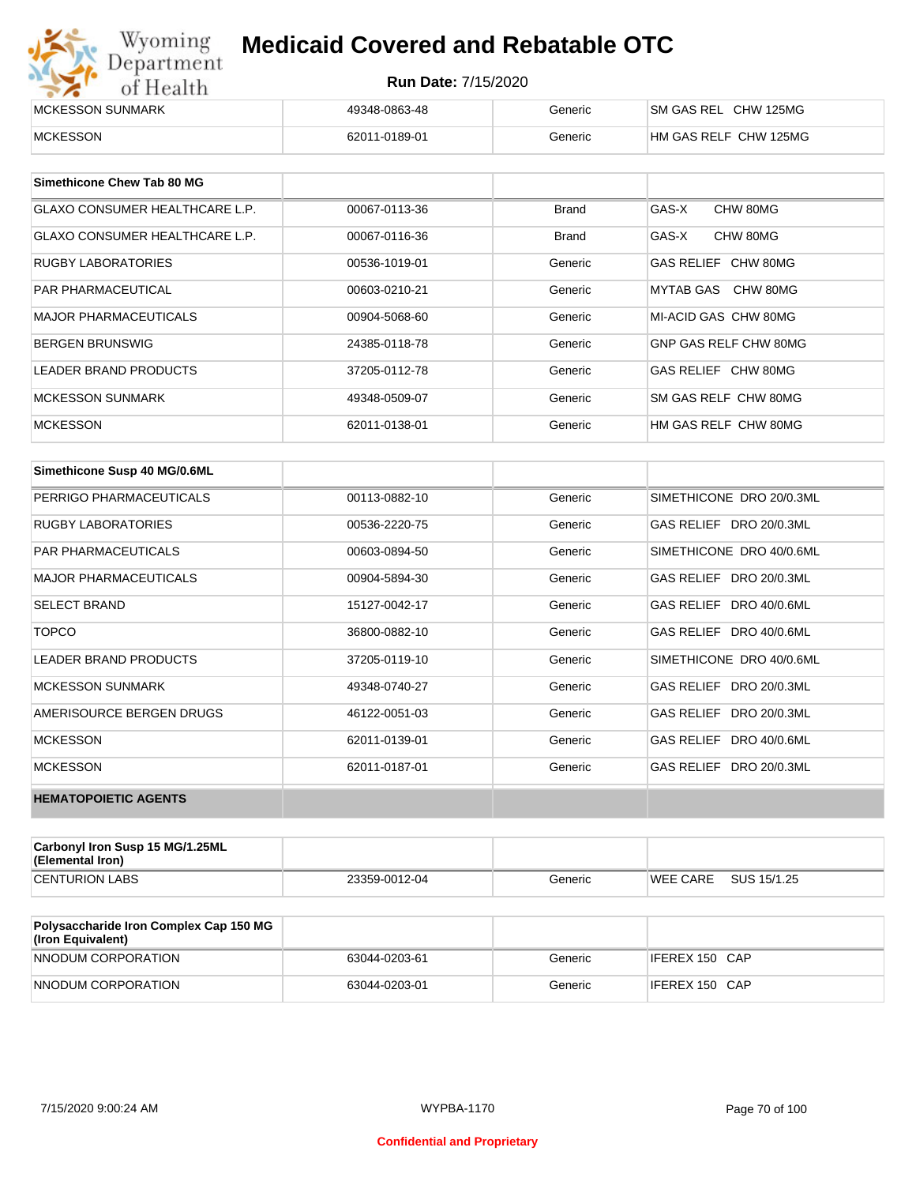| Wyoming<br><b>Medicaid Covered and Rebatable OTC</b><br>Department |                            |         |                       |  |
|--------------------------------------------------------------------|----------------------------|---------|-----------------------|--|
| of Health                                                          | <b>Run Date: 7/15/2020</b> |         |                       |  |
| MCKESSON SUNMARK                                                   | 49348-0863-48              | Generic | SM GAS REL CHW 125MG  |  |
| <b>MCKESSON</b>                                                    | 62011-0189-01              | Generic | HM GAS RELF CHW 125MG |  |

| Simethicone Chew Tab 80 MG            |               |              |                       |
|---------------------------------------|---------------|--------------|-----------------------|
| <b>GLAXO CONSUMER HEALTHCARE L.P.</b> | 00067-0113-36 | <b>Brand</b> | GAS-X<br>CHW 80MG     |
| <b>GLAXO CONSUMER HEALTHCARE L.P.</b> | 00067-0116-36 | <b>Brand</b> | GAS-X<br>CHW 80MG     |
| <b>RUGBY LABORATORIES</b>             | 00536-1019-01 | Generic      | GAS RELIEF CHW 80MG   |
| <b>PAR PHARMACEUTICAL</b>             | 00603-0210-21 | Generic      | MYTAB GAS CHW 80MG    |
| <b>MAJOR PHARMACEUTICALS</b>          | 00904-5068-60 | Generic      | MI-ACID GAS CHW 80MG  |
| <b>BERGEN BRUNSWIG</b>                | 24385-0118-78 | Generic      | GNP GAS RELF CHW 80MG |
| <b>LEADER BRAND PRODUCTS</b>          | 37205-0112-78 | Generic      | GAS RELIEF CHW 80MG   |
| MCKESSON SUNMARK                      | 49348-0509-07 | Generic      | SM GAS RELF CHW 80MG  |
| <b>MCKESSON</b>                       | 62011-0138-01 | Generic      | HM GAS RELF CHW 80MG  |

| Simethicone Susp 40 MG/0.6ML |               |         |                          |
|------------------------------|---------------|---------|--------------------------|
| PERRIGO PHARMACEUTICALS      | 00113-0882-10 | Generic | SIMETHICONE DRO 20/0.3ML |
| <b>RUGBY LABORATORIES</b>    | 00536-2220-75 | Generic | GAS RELIEF DRO 20/0.3ML  |
| <b>PAR PHARMACEUTICALS</b>   | 00603-0894-50 | Generic | SIMETHICONE DRO 40/0.6ML |
| <b>MAJOR PHARMACEUTICALS</b> | 00904-5894-30 | Generic | GAS RELIEF DRO 20/0.3ML  |
| <b>SELECT BRAND</b>          | 15127-0042-17 | Generic | GAS RELIEF DRO 40/0.6ML  |
| <b>TOPCO</b>                 | 36800-0882-10 | Generic | GAS RELIEF DRO 40/0.6ML  |
| <b>LEADER BRAND PRODUCTS</b> | 37205-0119-10 | Generic | SIMETHICONE DRO 40/0.6ML |
| <b>MCKESSON SUNMARK</b>      | 49348-0740-27 | Generic | GAS RELIEF DRO 20/0.3ML  |
| AMERISOURCE BERGEN DRUGS     | 46122-0051-03 | Generic | GAS RELIEF DRO 20/0.3ML  |
| <b>MCKESSON</b>              | 62011-0139-01 | Generic | GAS RELIEF DRO 40/0.6ML  |
| <b>MCKESSON</b>              | 62011-0187-01 | Generic | GAS RELIEF DRO 20/0.3ML  |
| <b>HEMATOPOIETIC AGENTS</b>  |               |         |                          |

| Carbonyl Iron Susp 15 MG/1.25ML<br>(Elemental Iron) |               |         |                 |             |
|-----------------------------------------------------|---------------|---------|-----------------|-------------|
| <b>CENTURION LABS</b>                               | 23359-0012-04 | Generic | <b>WEE CARE</b> | SUS 15/1.25 |

| <b>Polysaccharide Iron Complex Cap 150 MG</b><br>(Iron Equivalent) |               |         |                |
|--------------------------------------------------------------------|---------------|---------|----------------|
| NNODUM CORPORATION                                                 | 63044-0203-61 | Generic | IFEREX 150 CAP |
| NNODUM CORPORATION                                                 | 63044-0203-01 | Generic | IFEREX 150 CAP |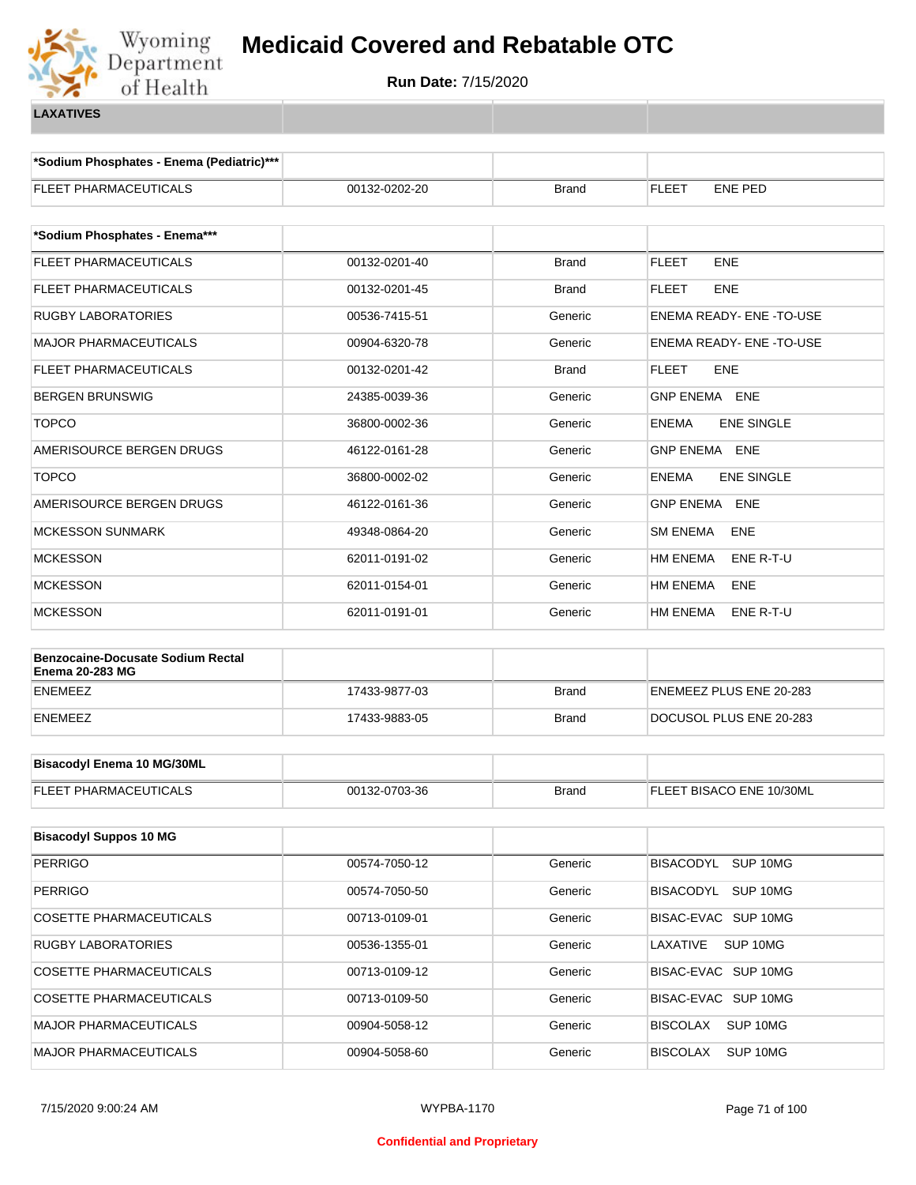

**\*Sodium Phosphates - Enema (Pediatric)\*\*\***

| FLEET PHARMACEUTICALS                                              | 00132-0202-20 | <b>Brand</b> | <b>FLEET</b><br>ENE PED           |  |
|--------------------------------------------------------------------|---------------|--------------|-----------------------------------|--|
|                                                                    |               |              |                                   |  |
| *Sodium Phosphates - Enema***                                      |               |              |                                   |  |
| FLEET PHARMACEUTICALS                                              | 00132-0201-40 | <b>Brand</b> | <b>FLEET</b><br><b>ENE</b>        |  |
| FLEET PHARMACEUTICALS                                              | 00132-0201-45 | <b>Brand</b> | <b>FLEET</b><br><b>ENE</b>        |  |
| RUGBY LABORATORIES                                                 | 00536-7415-51 | Generic      | ENEMA READY- ENE-TO-USE           |  |
| <b>MAJOR PHARMACEUTICALS</b>                                       | 00904-6320-78 | Generic      | ENEMA READY- ENE -TO-USE          |  |
| <b>FLEET PHARMACEUTICALS</b>                                       | 00132-0201-42 | <b>Brand</b> | <b>FLEET</b><br><b>ENE</b>        |  |
| BERGEN BRUNSWIG                                                    | 24385-0039-36 | Generic      | GNP ENEMA ENE                     |  |
| <b>TOPCO</b>                                                       | 36800-0002-36 | Generic      | <b>ENEMA</b><br><b>ENE SINGLE</b> |  |
| AMERISOURCE BERGEN DRUGS                                           | 46122-0161-28 | Generic      | GNP ENEMA ENE                     |  |
| <b>TOPCO</b>                                                       | 36800-0002-02 | Generic      | <b>ENEMA</b><br><b>ENE SINGLE</b> |  |
| AMERISOURCE BERGEN DRUGS                                           | 46122-0161-36 | Generic      | GNP ENEMA ENE                     |  |
| <b>MCKESSON SUNMARK</b>                                            | 49348-0864-20 | Generic      | <b>SM ENEMA</b><br>ENE            |  |
| <b>MCKESSON</b>                                                    | 62011-0191-02 | Generic      | <b>HM ENEMA</b><br>ENE R-T-U      |  |
| <b>MCKESSON</b>                                                    | 62011-0154-01 | Generic      | HM ENEMA<br>ENE                   |  |
| MCKESSON                                                           | 62011-0191-01 | Generic      | HM ENEMA<br>ENE R-T-U             |  |
|                                                                    |               |              |                                   |  |
| <b>Benzocaine-Docusate Sodium Rectal</b><br><b>Enema 20-283 MG</b> |               |              |                                   |  |
| ENEMEEZ                                                            | 17433-9877-03 | <b>Brand</b> | ENEMEEZ PLUS ENE 20-283           |  |
| ENEMEEZ                                                            | 17433-9883-05 | <b>Brand</b> | DOCUSOL PLUS ENE 20-283           |  |
|                                                                    |               |              |                                   |  |
| <b>Bisacodyl Enema 10 MG/30ML</b>                                  |               |              |                                   |  |
| FLEET PHARMACEUTICALS                                              | 00132-0703-36 | <b>Brand</b> | FLEET BISACO ENE 10/30ML          |  |
|                                                                    |               |              |                                   |  |
| <b>Bisacodyl Suppos 10 MG</b>                                      |               |              |                                   |  |
| <b>PERRIGO</b>                                                     | 00574-7050-12 | Generic      | BISACODYL SUP 10MG                |  |
| <b>PERRIGO</b>                                                     | 00574-7050-50 | Generic      | BISACODYL SUP 10MG                |  |
| <b>COSETTE PHARMACEUTICALS</b>                                     | 00713-0109-01 | Generic      | BISAC-EVAC SUP 10MG               |  |
| RUGBY LABORATORIES                                                 | 00536-1355-01 | Generic      | LAXATIVE<br>SUP 10MG              |  |
| COSETTE PHARMACEUTICALS                                            | 00713-0109-12 | Generic      | BISAC-EVAC SUP 10MG               |  |
| COSETTE PHARMACEUTICALS                                            | 00713-0109-50 | Generic      | BISAC-EVAC SUP 10MG               |  |
| MAJOR PHARMACEUTICALS                                              | 00904-5058-12 | Generic      | <b>BISCOLAX</b><br>SUP 10MG       |  |
| MAJOR PHARMACEUTICALS                                              | 00904-5058-60 | Generic      | <b>BISCOLAX</b><br>SUP 10MG       |  |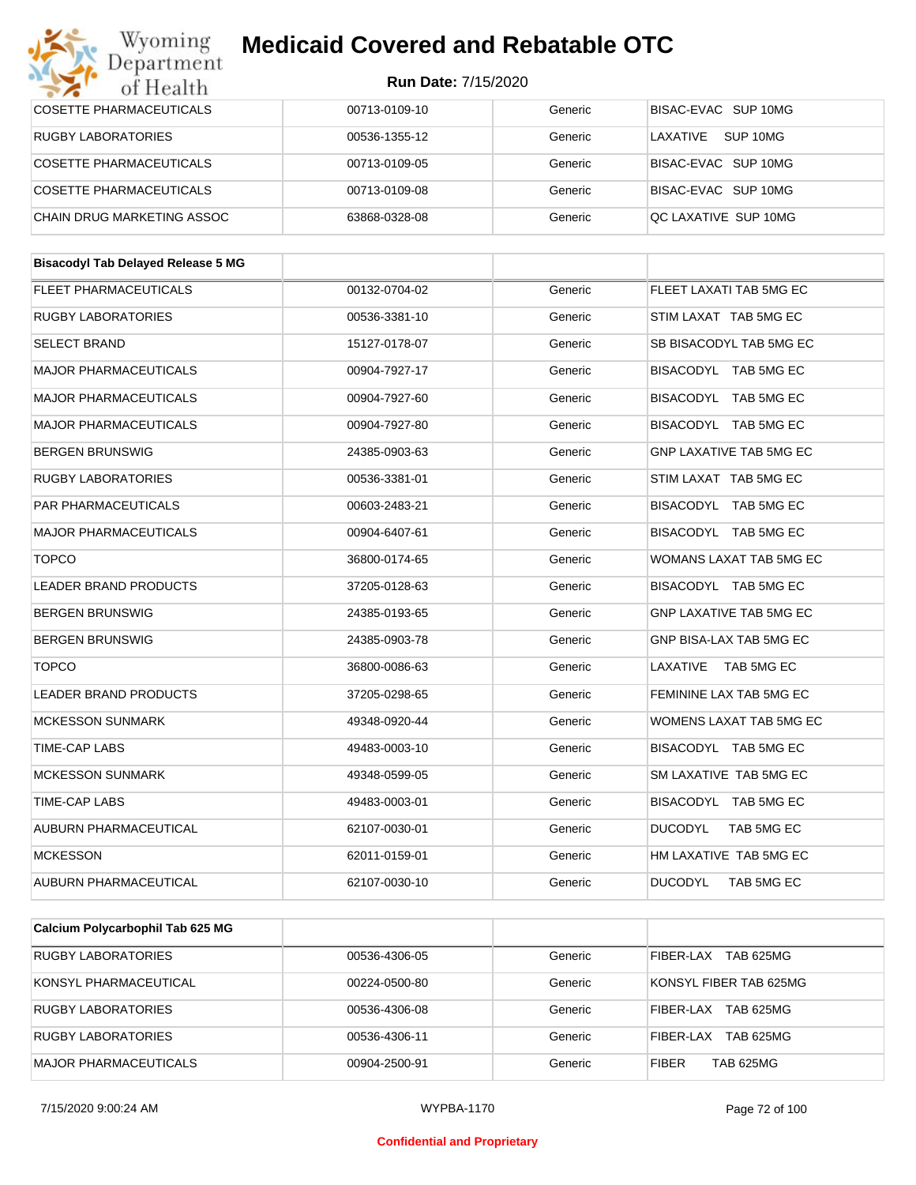#### Wyoming<br>Department **Medicaid Covered and Rebatable OTC**

| of Health                                 |               |         |                                |
|-------------------------------------------|---------------|---------|--------------------------------|
| COSETTE PHARMACEUTICALS                   | 00713-0109-10 | Generic | BISAC-EVAC SUP 10MG            |
| RUGBY LABORATORIES                        | 00536-1355-12 | Generic | LAXATIVE SUP 10MG              |
| COSETTE PHARMACEUTICALS                   | 00713-0109-05 | Generic | BISAC-EVAC SUP 10MG            |
| COSETTE PHARMACEUTICALS                   | 00713-0109-08 | Generic | BISAC-EVAC SUP 10MG            |
| CHAIN DRUG MARKETING ASSOC                | 63868-0328-08 | Generic | QC LAXATIVE SUP 10MG           |
|                                           |               |         |                                |
| <b>Bisacodyl Tab Delayed Release 5 MG</b> |               |         |                                |
| <b>FLEET PHARMACEUTICALS</b>              | 00132-0704-02 | Generic | FLEET LAXATI TAB 5MG EC        |
| <b>RUGBY LABORATORIES</b>                 | 00536-3381-10 | Generic | STIM LAXAT TAB 5MG EC          |
| <b>SELECT BRAND</b>                       | 15127-0178-07 | Generic | SB BISACODYL TAB 5MG EC        |
| <b>MAJOR PHARMACEUTICALS</b>              | 00904-7927-17 | Generic | BISACODYL TAB 5MG EC           |
| <b>MAJOR PHARMACEUTICALS</b>              | 00904-7927-60 | Generic | BISACODYL TAB 5MG EC           |
| <b>MAJOR PHARMACEUTICALS</b>              | 00904-7927-80 | Generic | BISACODYL TAB 5MG EC           |
| <b>BERGEN BRUNSWIG</b>                    | 24385-0903-63 | Generic | <b>GNP LAXATIVE TAB 5MG EC</b> |
| <b>RUGBY LABORATORIES</b>                 | 00536-3381-01 | Generic | STIM LAXAT TAB 5MG EC          |
| PAR PHARMACEUTICALS                       | 00603-2483-21 | Generic | BISACODYL TAB 5MG EC           |
| <b>MAJOR PHARMACEUTICALS</b>              | 00904-6407-61 | Generic | BISACODYL TAB 5MG EC           |
| <b>TOPCO</b>                              | 36800-0174-65 | Generic | WOMANS LAXAT TAB 5MG EC        |
| LEADER BRAND PRODUCTS                     | 37205-0128-63 | Generic | BISACODYL TAB 5MG EC           |
| <b>BERGEN BRUNSWIG</b>                    | 24385-0193-65 | Generic | <b>GNP LAXATIVE TAB 5MG EC</b> |
| <b>BERGEN BRUNSWIG</b>                    | 24385-0903-78 | Generic | GNP BISA-LAX TAB 5MG EC        |
| <b>TOPCO</b>                              | 36800-0086-63 | Generic | LAXATIVE TAB 5MG EC            |
| <b>LEADER BRAND PRODUCTS</b>              | 37205-0298-65 | Generic | FEMININE LAX TAB 5MG EC        |
| <b>MCKESSON SUNMARK</b>                   | 49348-0920-44 | Generic | WOMENS LAXAT TAB 5MG EC        |
| TIME-CAP LABS                             | 49483-0003-10 | Generic | BISACODYL TAB 5MG EC           |
| <b>MCKESSON SUNMARK</b>                   | 49348-0599-05 | Generic | SM LAXATIVE TAB 5MG EC         |
| TIME-CAP LABS                             | 49483-0003-01 | Generic | BISACODYL TAB 5MG EC           |
| AUBURN PHARMACEUTICAL                     | 62107-0030-01 | Generic | <b>DUCODYL</b><br>TAB 5MG EC   |
| <b>MCKESSON</b>                           | 62011-0159-01 | Generic | HM LAXATIVE TAB 5MG EC         |
| AUBURN PHARMACEUTICAL                     | 62107-0030-10 | Generic | <b>DUCODYL</b><br>TAB 5MG EC   |
|                                           |               |         |                                |

| Calcium Polycarbophil Tab 625 MG |               |         |                                  |
|----------------------------------|---------------|---------|----------------------------------|
| <b>RUGBY LABORATORIES</b>        | 00536-4306-05 | Generic | TAB 625MG<br>FIBER-LAX           |
| KONSYL PHARMACEUTICAL            | 00224-0500-80 | Generic | KONSYL FIBER TAB 625MG           |
| <b>RUGBY LABORATORIES</b>        | 00536-4306-08 | Generic | TAB 625MG<br>FIBER-LAX           |
| <b>RUGBY LABORATORIES</b>        | 00536-4306-11 | Generic | TAB 625MG<br>FIBER-LAX           |
| MAJOR PHARMACEUTICALS            | 00904-2500-91 | Generic | <b>TAB 625MG</b><br><b>FIBER</b> |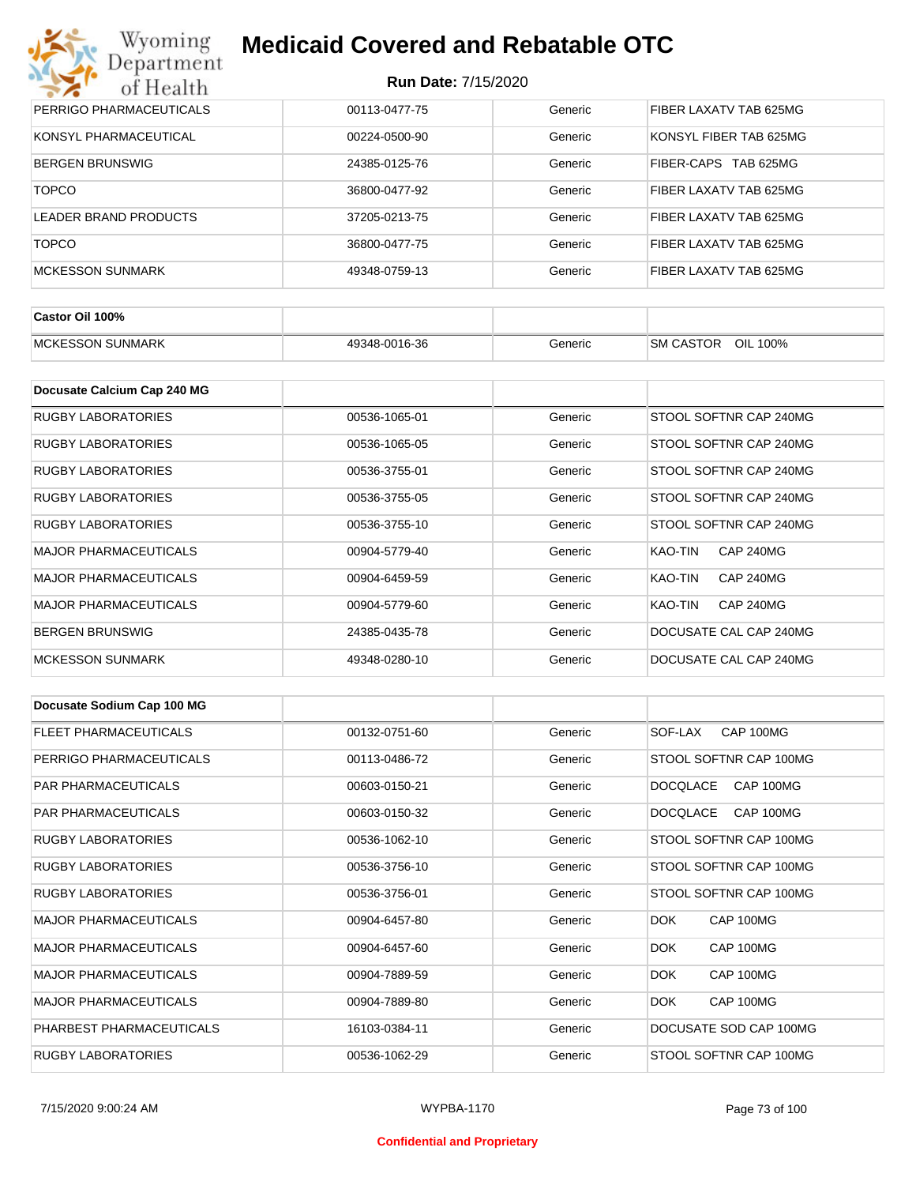| Wyoming<br><b>Medicaid Covered and Rebatable OTC</b><br>Department |                            |         |                                |  |
|--------------------------------------------------------------------|----------------------------|---------|--------------------------------|--|
| of Health                                                          | <b>Run Date: 7/15/2020</b> |         |                                |  |
| PERRIGO PHARMACEUTICALS                                            | 00113-0477-75              | Generic | FIBER LAXATV TAB 625MG         |  |
| KONSYL PHARMACEUTICAL                                              | 00224-0500-90              | Generic | KONSYL FIBER TAB 625MG         |  |
| <b>BERGEN BRUNSWIG</b>                                             | 24385-0125-76              | Generic | FIBER-CAPS<br><b>TAB 625MG</b> |  |
| <b>TOPCO</b>                                                       | 36800-0477-92              | Generic | FIBER LAXATV TAB 625MG         |  |
| LEADER BRAND PRODUCTS                                              | 37205-0213-75              | Generic | FIBER LAXATV TAB 625MG         |  |
| <b>TOPCO</b>                                                       | 36800-0477-75              | Generic | FIBER LAXATV TAB 625MG         |  |
| <b>MCKESSON SUNMARK</b>                                            | 49348-0759-13              | Generic | FIBER LAXATV TAB 625MG         |  |

| Castor Oil 100%            |               |         |                                        |
|----------------------------|---------------|---------|----------------------------------------|
| SUNMARK<br><b>MCKESSON</b> | 49348-0016-36 | Generic | <b>OIL</b><br><b>SM CASTOR</b><br>100% |

| Docusate Calcium Cap 240 MG  |               |         |                             |
|------------------------------|---------------|---------|-----------------------------|
| <b>RUGBY LABORATORIES</b>    | 00536-1065-01 | Generic | STOOL SOFTNR CAP 240MG      |
| RUGBY LABORATORIES           | 00536-1065-05 | Generic | STOOL SOFTNR CAP 240MG      |
| RUGBY LABORATORIES           | 00536-3755-01 | Generic | STOOL SOFTNR CAP 240MG      |
| RUGBY LABORATORIES           | 00536-3755-05 | Generic | STOOL SOFTNR CAP 240MG      |
| RUGBY LABORATORIES           | 00536-3755-10 | Generic | STOOL SOFTNR CAP 240MG      |
| <b>MAJOR PHARMACEUTICALS</b> | 00904-5779-40 | Generic | CAP 240MG<br>KAO-TIN        |
| <b>MAJOR PHARMACEUTICALS</b> | 00904-6459-59 | Generic | KAO-TIN<br><b>CAP 240MG</b> |
| <b>MAJOR PHARMACEUTICALS</b> | 00904-5779-60 | Generic | KAO-TIN<br><b>CAP 240MG</b> |
| <b>BERGEN BRUNSWIG</b>       | 24385-0435-78 | Generic | DOCUSATE CAL CAP 240MG      |
| <b>MCKESSON SUNMARK</b>      | 49348-0280-10 | Generic | DOCUSATE CAL CAP 240MG      |

| Docusate Sodium Cap 100 MG   |               |         |                              |
|------------------------------|---------------|---------|------------------------------|
| <b>FLEET PHARMACEUTICALS</b> | 00132-0751-60 | Generic | CAP 100MG<br>SOF-LAX         |
| PERRIGO PHARMACEUTICALS      | 00113-0486-72 | Generic | STOOL SOFTNR CAP 100MG       |
| <b>PAR PHARMACEUTICALS</b>   | 00603-0150-21 | Generic | CAP 100MG<br><b>DOCOLACE</b> |
| <b>PAR PHARMACEUTICALS</b>   | 00603-0150-32 | Generic | CAP 100MG<br>DOCOLACE        |
| <b>RUGBY LABORATORIES</b>    | 00536-1062-10 | Generic | STOOL SOFTNR CAP 100MG       |
| <b>RUGBY LABORATORIES</b>    | 00536-3756-10 | Generic | STOOL SOFTNR CAP 100MG       |
| <b>RUGBY LABORATORIES</b>    | 00536-3756-01 | Generic | STOOL SOFTNR CAP 100MG       |
| <b>MAJOR PHARMACEUTICALS</b> | 00904-6457-80 | Generic | <b>DOK</b><br>CAP 100MG      |
| <b>MAJOR PHARMACEUTICALS</b> | 00904-6457-60 | Generic | <b>DOK</b><br>CAP 100MG      |
| <b>MAJOR PHARMACEUTICALS</b> | 00904-7889-59 | Generic | DOK.<br>CAP 100MG            |
| <b>MAJOR PHARMACEUTICALS</b> | 00904-7889-80 | Generic | DOK.<br>CAP 100MG            |
| PHARBEST PHARMACEUTICALS     | 16103-0384-11 | Generic | DOCUSATE SOD CAP 100MG       |
| <b>RUGBY LABORATORIES</b>    | 00536-1062-29 | Generic | STOOL SOFTNR CAP 100MG       |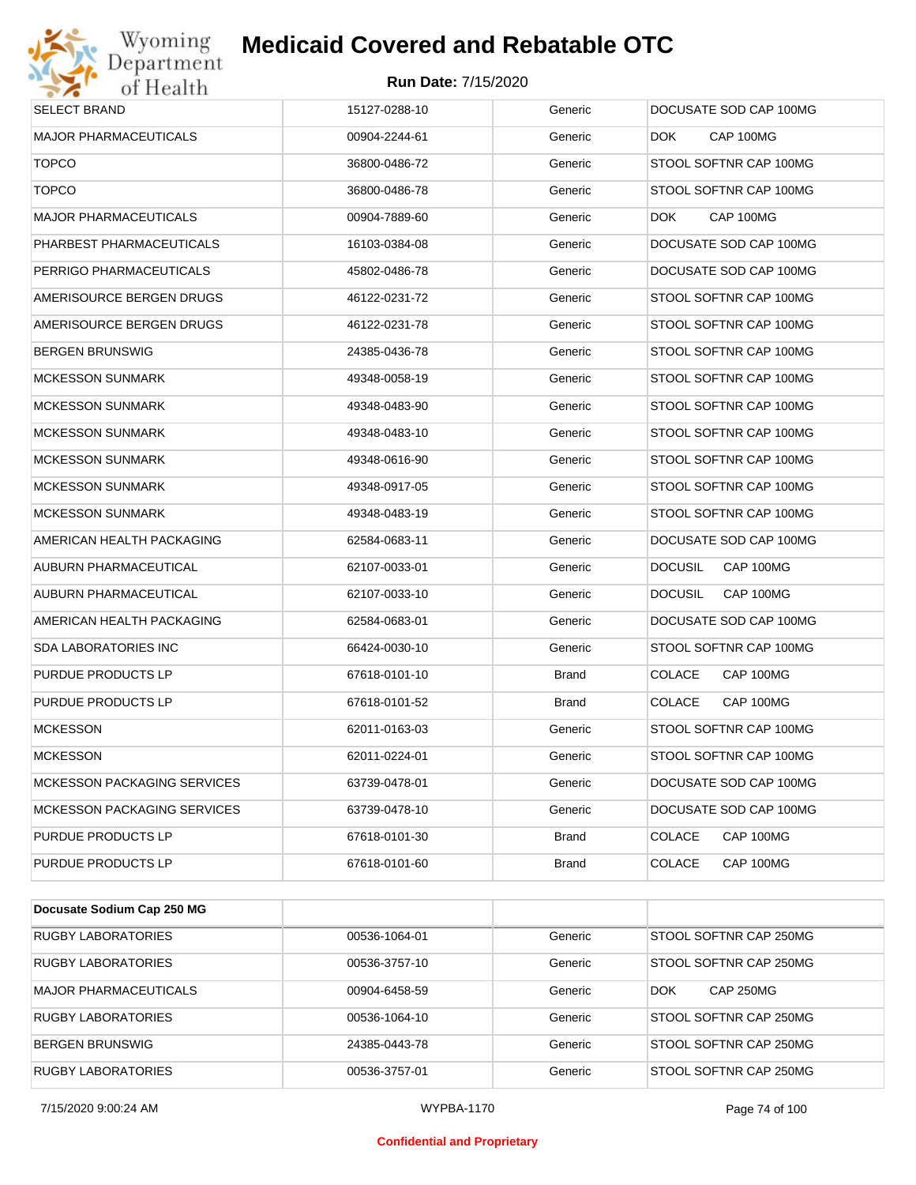

| <b>SELECT BRAND</b>                | 15127-0288-10 | Generic      | DOCUSATE SOD CAP 100MG      |
|------------------------------------|---------------|--------------|-----------------------------|
| <b>MAJOR PHARMACEUTICALS</b>       | 00904-2244-61 | Generic      | CAP 100MG<br>DOK.           |
| <b>TOPCO</b>                       | 36800-0486-72 | Generic      | STOOL SOFTNR CAP 100MG      |
| <b>TOPCO</b>                       | 36800-0486-78 | Generic      | STOOL SOFTNR CAP 100MG      |
| <b>MAJOR PHARMACEUTICALS</b>       | 00904-7889-60 | Generic      | CAP 100MG<br>DOK.           |
| PHARBEST PHARMACEUTICALS           | 16103-0384-08 | Generic      | DOCUSATE SOD CAP 100MG      |
| PERRIGO PHARMACEUTICALS            | 45802-0486-78 | Generic      | DOCUSATE SOD CAP 100MG      |
| AMERISOURCE BERGEN DRUGS           | 46122-0231-72 | Generic      | STOOL SOFTNR CAP 100MG      |
| AMERISOURCE BERGEN DRUGS           | 46122-0231-78 | Generic      | STOOL SOFTNR CAP 100MG      |
| <b>BERGEN BRUNSWIG</b>             | 24385-0436-78 | Generic      | STOOL SOFTNR CAP 100MG      |
| <b>MCKESSON SUNMARK</b>            | 49348-0058-19 | Generic      | STOOL SOFTNR CAP 100MG      |
| <b>MCKESSON SUNMARK</b>            | 49348-0483-90 | Generic      | STOOL SOFTNR CAP 100MG      |
| <b>MCKESSON SUNMARK</b>            | 49348-0483-10 | Generic      | STOOL SOFTNR CAP 100MG      |
| <b>MCKESSON SUNMARK</b>            | 49348-0616-90 | Generic      | STOOL SOFTNR CAP 100MG      |
| <b>MCKESSON SUNMARK</b>            | 49348-0917-05 | Generic      | STOOL SOFTNR CAP 100MG      |
| <b>MCKESSON SUNMARK</b>            | 49348-0483-19 | Generic      | STOOL SOFTNR CAP 100MG      |
| AMERICAN HEALTH PACKAGING          | 62584-0683-11 | Generic      | DOCUSATE SOD CAP 100MG      |
| AUBURN PHARMACEUTICAL              | 62107-0033-01 | Generic      | <b>DOCUSIL</b><br>CAP 100MG |
| AUBURN PHARMACEUTICAL              | 62107-0033-10 | Generic      | <b>DOCUSIL</b><br>CAP 100MG |
| AMERICAN HEALTH PACKAGING          | 62584-0683-01 | Generic      | DOCUSATE SOD CAP 100MG      |
| <b>SDA LABORATORIES INC</b>        | 66424-0030-10 | Generic      | STOOL SOFTNR CAP 100MG      |
| PURDUE PRODUCTS LP                 | 67618-0101-10 | <b>Brand</b> | <b>COLACE</b><br>CAP 100MG  |
| PURDUE PRODUCTS LP                 | 67618-0101-52 | <b>Brand</b> | <b>COLACE</b><br>CAP 100MG  |
| <b>MCKESSON</b>                    | 62011-0163-03 | Generic      | STOOL SOFTNR CAP 100MG      |
| <b>MCKESSON</b>                    | 62011-0224-01 | Generic      | STOOL SOFTNR CAP 100MG      |
| MCKESSON PACKAGING SERVICES        | 63739-0478-01 | Generic      | DOCUSATE SOD CAP 100MG      |
| <b>MCKESSON PACKAGING SERVICES</b> | 63739-0478-10 | Generic      | DOCUSATE SOD CAP 100MG      |
| PURDUE PRODUCTS LP                 | 67618-0101-30 | <b>Brand</b> | COLACE<br>CAP 100MG         |
| PURDUE PRODUCTS LP                 | 67618-0101-60 | <b>Brand</b> | COLACE<br>CAP 100MG         |

| Docusate Sodium Cap 250 MG   |               |         |                                |
|------------------------------|---------------|---------|--------------------------------|
| <b>RUGBY LABORATORIES</b>    | 00536-1064-01 | Generic | STOOL SOFTNR CAP 250MG         |
| <b>RUGBY LABORATORIES</b>    | 00536-3757-10 | Generic | STOOL SOFTNR CAP 250MG         |
| <b>MAJOR PHARMACEUTICALS</b> | 00904-6458-59 | Generic | <b>CAP 250MG</b><br><b>DOK</b> |
| <b>RUGBY LABORATORIES</b>    | 00536-1064-10 | Generic | STOOL SOFTNR CAP 250MG         |
| <b>BERGEN BRUNSWIG</b>       | 24385-0443-78 | Generic | STOOL SOFTNR CAP 250MG         |
| <b>RUGBY LABORATORIES</b>    | 00536-3757-01 | Generic | STOOL SOFTNR CAP 250MG         |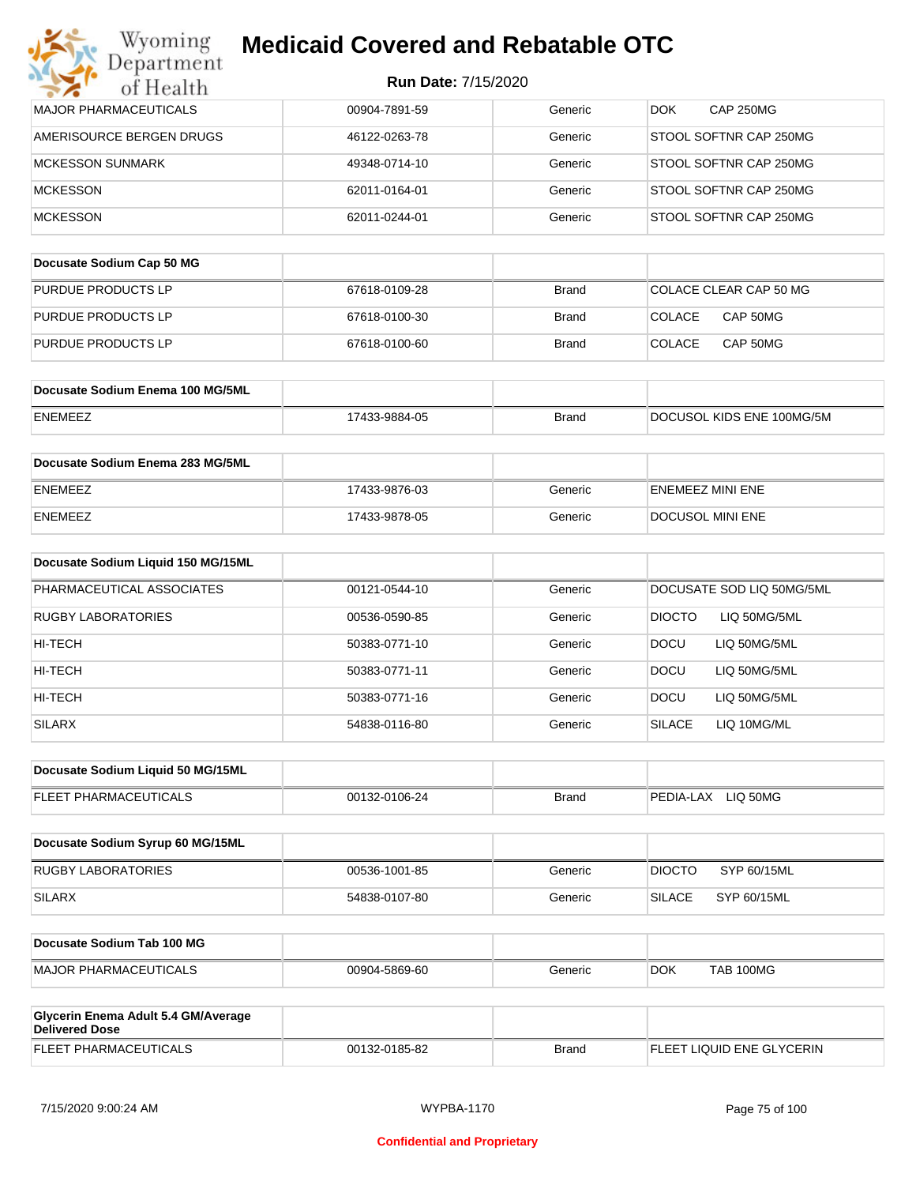| Department<br>of Health                                      | <b>Run Date: 7/15/2020</b> |              |                                |
|--------------------------------------------------------------|----------------------------|--------------|--------------------------------|
| <b>MAJOR PHARMACEUTICALS</b>                                 | 00904-7891-59              | Generic      | <b>CAP 250MG</b><br><b>DOK</b> |
| AMERISOURCE BERGEN DRUGS                                     | 46122-0263-78              | Generic      | STOOL SOFTNR CAP 250MG         |
| <b>MCKESSON SUNMARK</b>                                      | 49348-0714-10              | Generic      | STOOL SOFTNR CAP 250MG         |
| <b>MCKESSON</b>                                              | 62011-0164-01              | Generic      | STOOL SOFTNR CAP 250MG         |
| <b>MCKESSON</b>                                              | 62011-0244-01              | Generic      | STOOL SOFTNR CAP 250MG         |
| Docusate Sodium Cap 50 MG                                    |                            |              |                                |
| PURDUE PRODUCTS LP                                           | 67618-0109-28              | <b>Brand</b> | COLACE CLEAR CAP 50 MG         |
| PURDUE PRODUCTS LP                                           | 67618-0100-30              | Brand        | COLACE<br>CAP 50MG             |
| PURDUE PRODUCTS LP                                           | 67618-0100-60              | Brand        | <b>COLACE</b><br>CAP 50MG      |
|                                                              |                            |              |                                |
| Docusate Sodium Enema 100 MG/5ML                             |                            |              |                                |
| ENEMEEZ                                                      | 17433-9884-05              | <b>Brand</b> | DOCUSOL KIDS ENE 100MG/5M      |
| Docusate Sodium Enema 283 MG/5ML                             |                            |              |                                |
| ENEMEEZ                                                      | 17433-9876-03              | Generic      | <b>ENEMEEZ MINI ENE</b>        |
| ENEMEEZ                                                      | 17433-9878-05              | Generic      | DOCUSOL MINI ENE               |
| Docusate Sodium Liquid 150 MG/15ML                           |                            |              |                                |
| PHARMACEUTICAL ASSOCIATES                                    | 00121-0544-10              | Generic      | DOCUSATE SOD LIQ 50MG/5ML      |
| RUGBY LABORATORIES                                           | 00536-0590-85              | Generic      | <b>DIOCTO</b><br>LIQ 50MG/5ML  |
| HI-TECH                                                      | 50383-0771-10              | Generic      | <b>DOCU</b><br>LIQ 50MG/5ML    |
| HI-TECH                                                      | 50383-0771-11              | Generic      | <b>DOCU</b><br>LIQ 50MG/5ML    |
| HI-TECH                                                      | 50383-0771-16              | Generic      | DOCU<br>LIQ 50MG/5ML           |
| <b>SILARX</b>                                                | 54838-0116-80              | Generic      | <b>SILACE</b><br>LIQ 10MG/ML   |
| Docusate Sodium Liquid 50 MG/15ML                            |                            |              |                                |
| FLEET PHARMACEUTICALS                                        | 00132-0106-24              | <b>Brand</b> | PEDIA-LAX LIQ 50MG             |
| Docusate Sodium Syrup 60 MG/15ML                             |                            |              |                                |
| <b>RUGBY LABORATORIES</b>                                    | 00536-1001-85              | Generic      | SYP 60/15ML<br><b>DIOCTO</b>   |
| <b>SILARX</b>                                                | 54838-0107-80              | Generic      | <b>SILACE</b><br>SYP 60/15ML   |
|                                                              |                            |              |                                |
| Docusate Sodium Tab 100 MG                                   |                            |              |                                |
| <b>MAJOR PHARMACEUTICALS</b>                                 | 00904-5869-60              | Generic      | <b>DOK</b><br>TAB 100MG        |
| Glycerin Enema Adult 5.4 GM/Average<br><b>Delivered Dose</b> |                            |              |                                |
| FLEET PHARMACEUTICALS                                        | 00132-0185-82              | <b>Brand</b> | FLEET LIQUID ENE GLYCERIN      |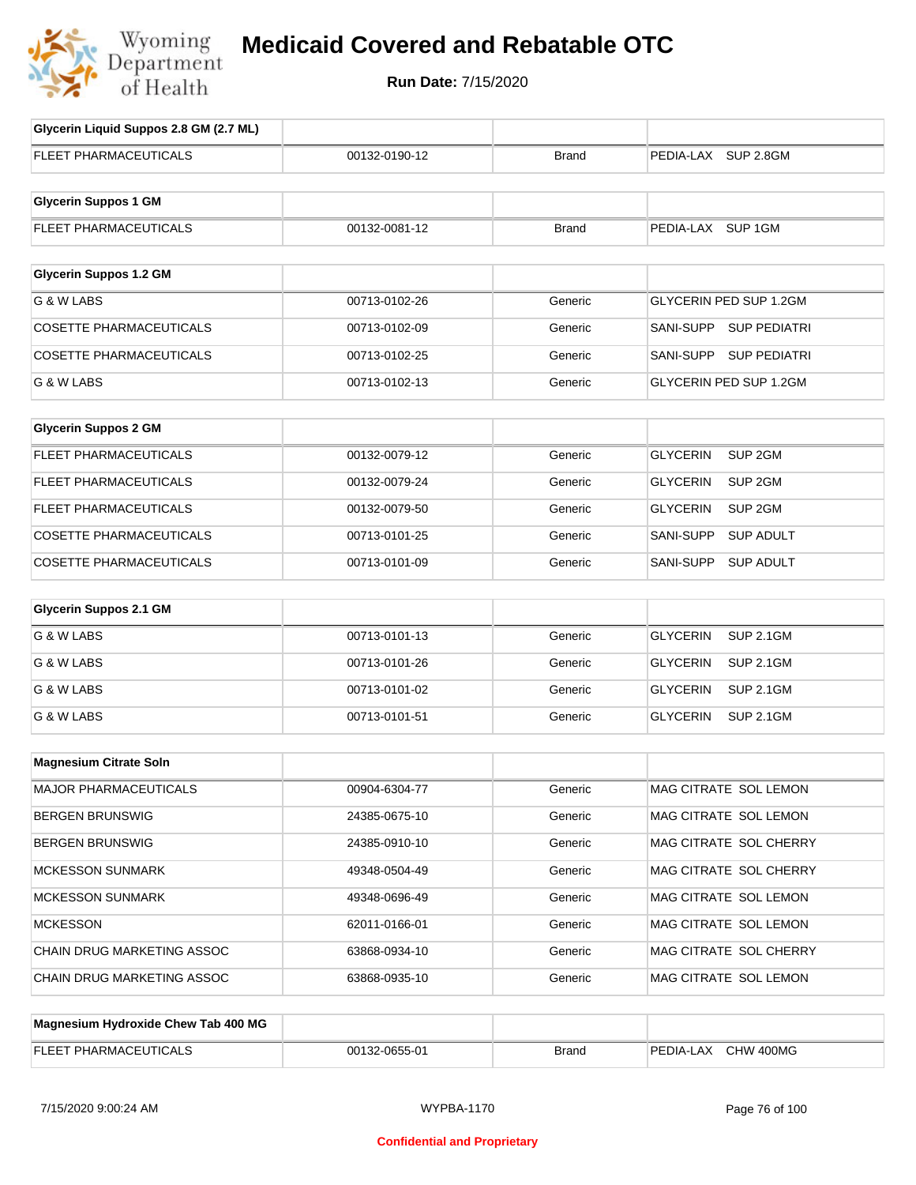

# **Medicaid Covered and Rebatable OTC**

**Run Date:** 7/15/2020

 $\top$ 

| Glycerin Liquid Suppos 2.8 GM (2.7 ML) |               |              |                                       |
|----------------------------------------|---------------|--------------|---------------------------------------|
| <b>FLEET PHARMACEUTICALS</b>           | 00132-0190-12 | <b>Brand</b> | PEDIA-LAX SUP 2.8GM                   |
|                                        |               |              |                                       |
| <b>Glycerin Suppos 1 GM</b>            |               |              |                                       |
| FLEET PHARMACEUTICALS                  | 00132-0081-12 | <b>Brand</b> | PEDIA-LAX SUP 1GM                     |
|                                        |               |              |                                       |
| <b>Glycerin Suppos 1.2 GM</b>          |               |              |                                       |
| G & W LABS                             | 00713-0102-26 | Generic      | GLYCERIN PED SUP 1.2GM                |
| <b>COSETTE PHARMACEUTICALS</b>         | 00713-0102-09 | Generic      | SANI-SUPP SUP PEDIATRI                |
| <b>COSETTE PHARMACEUTICALS</b>         | 00713-0102-25 | Generic      | SANI-SUPP<br><b>SUP PEDIATRI</b>      |
| G & W LABS                             | 00713-0102-13 | Generic      | GLYCERIN PED SUP 1.2GM                |
| <b>Glycerin Suppos 2 GM</b>            |               |              |                                       |
|                                        |               |              |                                       |
| FLEET PHARMACEUTICALS                  | 00132-0079-12 | Generic      | <b>GLYCERIN</b><br>SUP <sub>2GM</sub> |
| <b>FLEET PHARMACEUTICALS</b>           | 00132-0079-24 | Generic      | <b>GLYCERIN</b><br>SUP <sub>2GM</sub> |
| <b>FLEET PHARMACEUTICALS</b>           | 00132-0079-50 | Generic      | <b>GLYCERIN</b><br>SUP <sub>2GM</sub> |
| <b>COSETTE PHARMACEUTICALS</b>         | 00713-0101-25 | Generic      | SANI-SUPP<br><b>SUP ADULT</b>         |
| <b>COSETTE PHARMACEUTICALS</b>         | 00713-0101-09 | Generic      | SANI-SUPP<br><b>SUP ADULT</b>         |
| <b>Glycerin Suppos 2.1 GM</b>          |               |              |                                       |
| G & W LABS                             | 00713-0101-13 | Generic      | <b>GLYCERIN</b><br><b>SUP 2.1GM</b>   |
| G & W LABS                             | 00713-0101-26 | Generic      | <b>GLYCERIN</b><br><b>SUP 2.1GM</b>   |
| G & W LABS                             | 00713-0101-02 | Generic      | <b>GLYCERIN</b><br><b>SUP 2.1GM</b>   |
| G & W LABS                             | 00713-0101-51 | Generic      | <b>GLYCERIN</b><br><b>SUP 2.1GM</b>   |
|                                        |               |              |                                       |
| <b>Magnesium Citrate Soln</b>          |               |              |                                       |
| MAJOR PHARMACEUTICALS                  | 00904-6304-77 | Generic      | MAG CITRATE SOL LEMON                 |
| <b>BERGEN BRUNSWIG</b>                 | 24385-0675-10 | Generic      | MAG CITRATE SOL LEMON                 |
| <b>BERGEN BRUNSWIG</b>                 | 24385-0910-10 | Generic      | MAG CITRATE SOL CHERRY                |
| <b>MCKESSON SUNMARK</b>                | 49348-0504-49 | Generic      | MAG CITRATE SOL CHERRY                |
| <b>MCKESSON SUNMARK</b>                | 49348-0696-49 | Generic      | MAG CITRATE SOL LEMON                 |
| <b>MCKESSON</b>                        | 62011-0166-01 | Generic      | MAG CITRATE SOL LEMON                 |
| CHAIN DRUG MARKETING ASSOC             | 63868-0934-10 | Generic      | MAG CITRATE SOL CHERRY                |
| CHAIN DRUG MARKETING ASSOC             | 63868-0935-10 | Generic      | MAG CITRATE SOL LEMON                 |
|                                        |               |              |                                       |
| Magnesium Hydroxide Chew Tab 400 MG    |               |              |                                       |
| FLEET PHARMACEUTICALS                  | 00132-0655-01 | <b>Brand</b> | PEDIA-LAX CHW 400MG                   |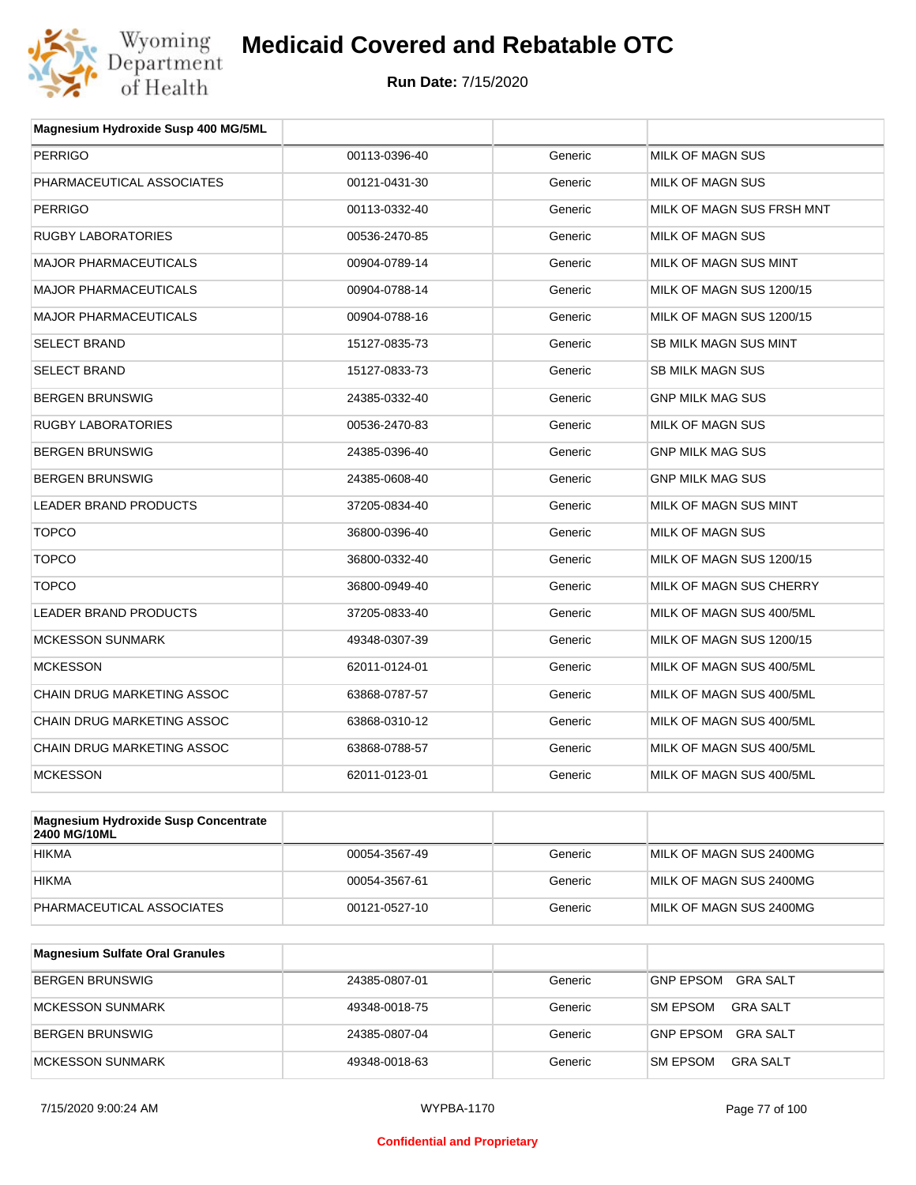

| Magnesium Hydroxide Susp 400 MG/5ML |               |         |                           |
|-------------------------------------|---------------|---------|---------------------------|
| <b>PERRIGO</b>                      | 00113-0396-40 | Generic | <b>MILK OF MAGN SUS</b>   |
| PHARMACEUTICAL ASSOCIATES           | 00121-0431-30 | Generic | MILK OF MAGN SUS          |
| <b>PERRIGO</b>                      | 00113-0332-40 | Generic | MILK OF MAGN SUS FRSH MNT |
| <b>RUGBY LABORATORIES</b>           | 00536-2470-85 | Generic | MILK OF MAGN SUS          |
| <b>MAJOR PHARMACEUTICALS</b>        | 00904-0789-14 | Generic | MILK OF MAGN SUS MINT     |
| <b>MAJOR PHARMACEUTICALS</b>        | 00904-0788-14 | Generic | MILK OF MAGN SUS 1200/15  |
| <b>MAJOR PHARMACEUTICALS</b>        | 00904-0788-16 | Generic | MILK OF MAGN SUS 1200/15  |
| <b>SELECT BRAND</b>                 | 15127-0835-73 | Generic | SB MILK MAGN SUS MINT     |
| <b>SELECT BRAND</b>                 | 15127-0833-73 | Generic | <b>SB MILK MAGN SUS</b>   |
| <b>BERGEN BRUNSWIG</b>              | 24385-0332-40 | Generic | <b>GNP MILK MAG SUS</b>   |
| <b>RUGBY LABORATORIES</b>           | 00536-2470-83 | Generic | MILK OF MAGN SUS          |
| <b>BERGEN BRUNSWIG</b>              | 24385-0396-40 | Generic | <b>GNP MILK MAG SUS</b>   |
| <b>BERGEN BRUNSWIG</b>              | 24385-0608-40 | Generic | <b>GNP MILK MAG SUS</b>   |
| <b>LEADER BRAND PRODUCTS</b>        | 37205-0834-40 | Generic | MILK OF MAGN SUS MINT     |
| <b>TOPCO</b>                        | 36800-0396-40 | Generic | <b>MILK OF MAGN SUS</b>   |
| <b>TOPCO</b>                        | 36800-0332-40 | Generic | MILK OF MAGN SUS 1200/15  |
| <b>TOPCO</b>                        | 36800-0949-40 | Generic | MILK OF MAGN SUS CHERRY   |
| <b>LEADER BRAND PRODUCTS</b>        | 37205-0833-40 | Generic | MILK OF MAGN SUS 400/5ML  |
| <b>MCKESSON SUNMARK</b>             | 49348-0307-39 | Generic | MILK OF MAGN SUS 1200/15  |
| <b>MCKESSON</b>                     | 62011-0124-01 | Generic | MILK OF MAGN SUS 400/5ML  |
| <b>CHAIN DRUG MARKETING ASSOC</b>   | 63868-0787-57 | Generic | MILK OF MAGN SUS 400/5ML  |
| CHAIN DRUG MARKETING ASSOC          | 63868-0310-12 | Generic | MILK OF MAGN SUS 400/5ML  |
| <b>CHAIN DRUG MARKETING ASSOC</b>   | 63868-0788-57 | Generic | MILK OF MAGN SUS 400/5ML  |
| <b>MCKESSON</b>                     | 62011-0123-01 | Generic | MILK OF MAGN SUS 400/5ML  |
|                                     |               |         |                           |

| <b>Magnesium Hydroxide Susp Concentrate</b><br>2400 MG/10ML |               |         |                         |
|-------------------------------------------------------------|---------------|---------|-------------------------|
| <b>HIKMA</b>                                                | 00054-3567-49 | Generic | MILK OF MAGN SUS 2400MG |
| <b>HIKMA</b>                                                | 00054-3567-61 | Generic | MILK OF MAGN SUS 2400MG |
| PHARMACEUTICAL ASSOCIATES                                   | 00121-0527-10 | Generic | MILK OF MAGN SUS 2400MG |

| <b>Magnesium Sulfate Oral Granules</b> |               |         |                                    |
|----------------------------------------|---------------|---------|------------------------------------|
| BERGEN BRUNSWIG                        | 24385-0807-01 | Generic | GRA SALT<br><b>GNP EPSOM</b>       |
| MCKESSON SUNMARK                       | 49348-0018-75 | Generic | <b>GRA SALT</b><br><b>SM EPSOM</b> |
| BERGEN BRUNSWIG                        | 24385-0807-04 | Generic | GRA SALT<br><b>GNP EPSOM</b>       |
| MCKESSON SUNMARK                       | 49348-0018-63 | Generic | <b>SM EPSOM</b><br><b>GRA SALT</b> |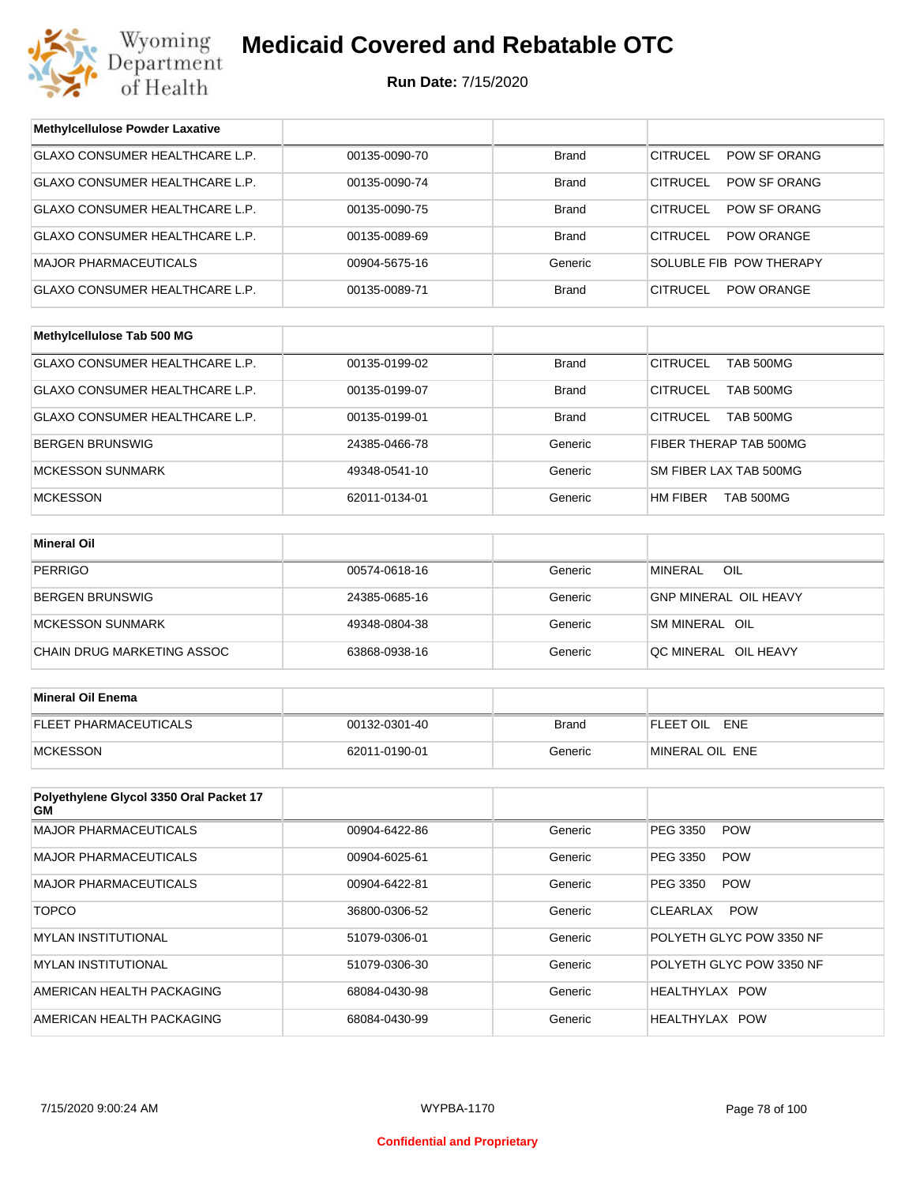

| <b>Methylcellulose Powder Laxative</b>        |               |              |                                      |
|-----------------------------------------------|---------------|--------------|--------------------------------------|
| GLAXO CONSUMER HEALTHCARE L.P.                | 00135-0090-70 | <b>Brand</b> | <b>CITRUCEL</b><br>POW SF ORANG      |
| GLAXO CONSUMER HEALTHCARE L.P.                | 00135-0090-74 | <b>Brand</b> | <b>CITRUCEL</b><br>POW SF ORANG      |
| GLAXO CONSUMER HEALTHCARE L.P.                | 00135-0090-75 | <b>Brand</b> | <b>CITRUCEL</b><br>POW SF ORANG      |
| GLAXO CONSUMER HEALTHCARE L.P.                | 00135-0089-69 | <b>Brand</b> | <b>CITRUCEL</b><br><b>POW ORANGE</b> |
| <b>MAJOR PHARMACEUTICALS</b>                  | 00904-5675-16 | Generic      | SOLUBLE FIB POW THERAPY              |
| GLAXO CONSUMER HEALTHCARE L.P.                | 00135-0089-71 | <b>Brand</b> | <b>CITRUCEL</b><br><b>POW ORANGE</b> |
|                                               |               |              |                                      |
| Methylcellulose Tab 500 MG                    |               |              |                                      |
| GLAXO CONSUMER HEALTHCARE L.P.                | 00135-0199-02 | <b>Brand</b> | <b>CITRUCEL</b><br>TAB 500MG         |
| GLAXO CONSUMER HEALTHCARE L.P.                | 00135-0199-07 | <b>Brand</b> | <b>CITRUCEL</b><br>TAB 500MG         |
| GLAXO CONSUMER HEALTHCARE L.P.                | 00135-0199-01 | <b>Brand</b> | <b>CITRUCEL</b><br>TAB 500MG         |
| <b>BERGEN BRUNSWIG</b>                        | 24385-0466-78 | Generic      | FIBER THERAP TAB 500MG               |
| <b>MCKESSON SUNMARK</b>                       | 49348-0541-10 | Generic      | SM FIBER LAX TAB 500MG               |
| <b>MCKESSON</b>                               | 62011-0134-01 | Generic      | HM FIBER<br>TAB 500MG                |
|                                               |               |              |                                      |
| <b>Mineral Oil</b>                            |               |              |                                      |
| <b>PERRIGO</b>                                | 00574-0618-16 | Generic      | <b>MINERAL</b><br>OIL                |
| <b>BERGEN BRUNSWIG</b>                        | 24385-0685-16 | Generic      | <b>GNP MINERAL OIL HEAVY</b>         |
| <b>MCKESSON SUNMARK</b>                       | 49348-0804-38 | Generic      | SM MINERAL OIL                       |
| CHAIN DRUG MARKETING ASSOC                    | 63868-0938-16 | Generic      | QC MINERAL OIL HEAVY                 |
|                                               |               |              |                                      |
| <b>Mineral Oil Enema</b>                      |               |              |                                      |
| FLEET PHARMACEUTICALS                         | 00132-0301-40 | Brand        | FLEET OIL ENE                        |
| <b>MCKESSON</b>                               | 62011-0190-01 | Generic      | MINERAL OIL ENE                      |
|                                               |               |              |                                      |
| Polyethylene Glycol 3350 Oral Packet 17<br>GМ |               |              |                                      |
| <b>MAJOR PHARMACEUTICALS</b>                  | 00904-6422-86 | Generic      | PEG 3350<br><b>POW</b>               |
| <b>MAJOR PHARMACEUTICALS</b>                  | 00904-6025-61 | Generic      | PEG 3350<br><b>POW</b>               |
| <b>MAJOR PHARMACEUTICALS</b>                  | 00904-6422-81 | Generic      | PEG 3350<br><b>POW</b>               |
| <b>TOPCO</b>                                  | 36800-0306-52 | Generic      | CLEARLAX<br><b>POW</b>               |
| <b>MYLAN INSTITUTIONAL</b>                    | 51079-0306-01 | Generic      | POLYETH GLYC POW 3350 NF             |
| <b>MYLAN INSTITUTIONAL</b>                    | 51079-0306-30 | Generic      | POLYETH GLYC POW 3350 NF             |
| AMERICAN HEALTH PACKAGING                     | 68084-0430-98 | Generic      | HEALTHYLAX POW                       |
| AMERICAN HEALTH PACKAGING                     | 68084-0430-99 | Generic      | HEALTHYLAX POW                       |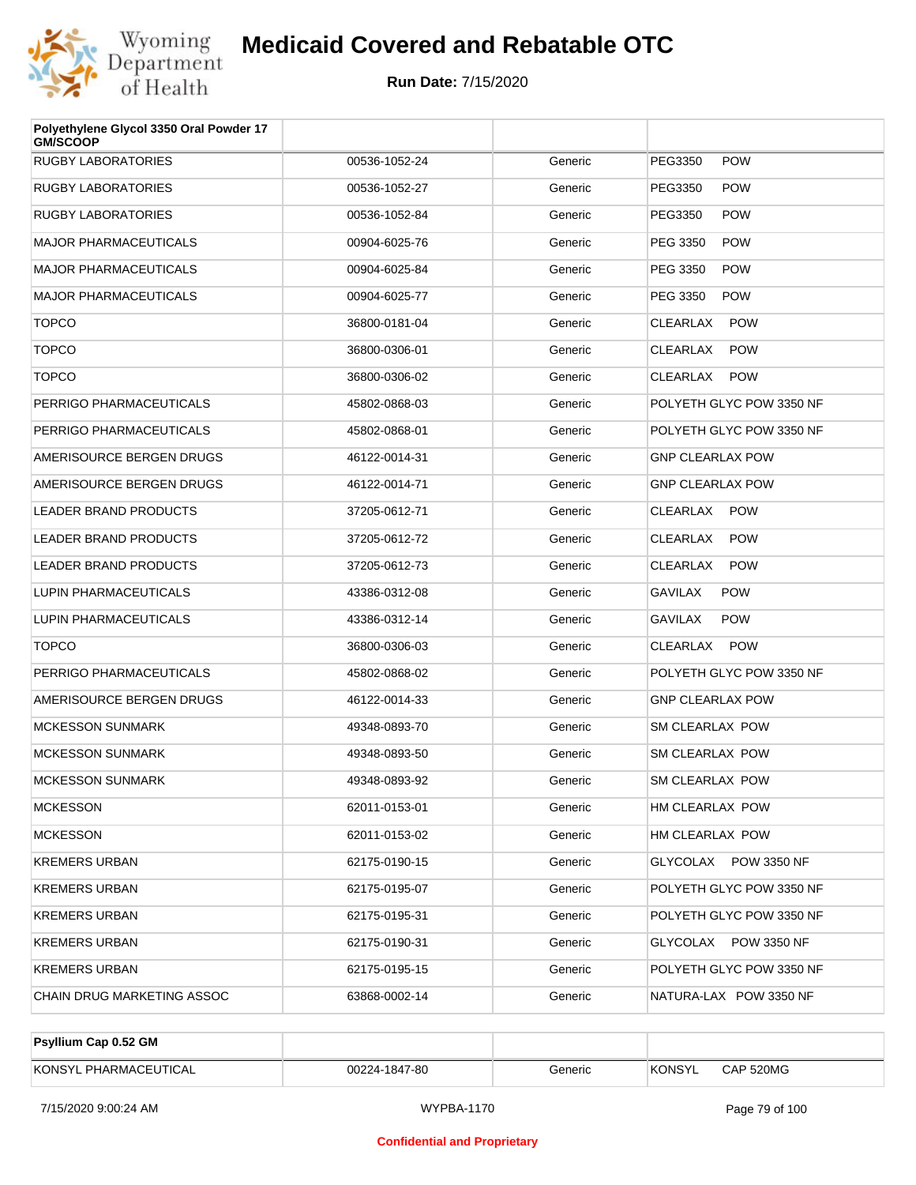

| Polyethylene Glycol 3350 Oral Powder 17<br><b>GM/SCOOP</b> |               |         |                          |
|------------------------------------------------------------|---------------|---------|--------------------------|
| RUGBY LABORATORIES                                         | 00536-1052-24 | Generic | <b>POW</b><br>PEG3350    |
| RUGBY LABORATORIES                                         | 00536-1052-27 | Generic | <b>POW</b><br>PEG3350    |
| RUGBY LABORATORIES                                         | 00536-1052-84 | Generic | <b>POW</b><br>PEG3350    |
| <b>MAJOR PHARMACEUTICALS</b>                               | 00904-6025-76 | Generic | <b>POW</b><br>PEG 3350   |
| <b>MAJOR PHARMACEUTICALS</b>                               | 00904-6025-84 | Generic | <b>POW</b><br>PEG 3350   |
| <b>MAJOR PHARMACEUTICALS</b>                               | 00904-6025-77 | Generic | <b>POW</b><br>PEG 3350   |
| <b>TOPCO</b>                                               | 36800-0181-04 | Generic | <b>POW</b><br>CLEARLAX   |
| <b>TOPCO</b>                                               | 36800-0306-01 | Generic | <b>POW</b><br>CLEARLAX   |
| <b>TOPCO</b>                                               | 36800-0306-02 | Generic | <b>POW</b><br>CLEARLAX   |
| PERRIGO PHARMACEUTICALS                                    | 45802-0868-03 | Generic | POLYETH GLYC POW 3350 NF |
| PERRIGO PHARMACEUTICALS                                    | 45802-0868-01 | Generic | POLYETH GLYC POW 3350 NF |
| AMERISOURCE BERGEN DRUGS                                   | 46122-0014-31 | Generic | <b>GNP CLEARLAX POW</b>  |
| AMERISOURCE BERGEN DRUGS                                   | 46122-0014-71 | Generic | <b>GNP CLEARLAX POW</b>  |
| LEADER BRAND PRODUCTS                                      | 37205-0612-71 | Generic | <b>POW</b><br>CLEARLAX   |
| LEADER BRAND PRODUCTS                                      | 37205-0612-72 | Generic | CLEARLAX<br><b>POW</b>   |
| <b>LEADER BRAND PRODUCTS</b>                               | 37205-0612-73 | Generic | <b>POW</b><br>CLEARLAX   |
| LUPIN PHARMACEUTICALS                                      | 43386-0312-08 | Generic | GAVILAX<br><b>POW</b>    |
| LUPIN PHARMACEUTICALS                                      | 43386-0312-14 | Generic | <b>POW</b><br>GAVILAX    |
| <b>TOPCO</b>                                               | 36800-0306-03 | Generic | <b>POW</b><br>CLEARLAX   |
| PERRIGO PHARMACEUTICALS                                    | 45802-0868-02 | Generic | POLYETH GLYC POW 3350 NF |
| AMERISOURCE BERGEN DRUGS                                   | 46122-0014-33 | Generic | <b>GNP CLEARLAX POW</b>  |
| <b>MCKESSON SUNMARK</b>                                    | 49348-0893-70 | Generic | SM CLEARLAX POW          |
| <b>MCKESSON SUNMARK</b>                                    | 49348-0893-50 | Generic | SM CLEARLAX POW          |
| <b>MCKESSON SUNMARK</b>                                    | 49348-0893-92 | Generic | <b>SM CLEARLAX POW</b>   |
| <b>MCKESSON</b>                                            | 62011-0153-01 | Generic | HM CLEARLAX POW          |
| <b>MCKESSON</b>                                            | 62011-0153-02 | Generic | HM CLEARLAX POW          |
| KREMERS URBAN                                              | 62175-0190-15 | Generic | GLYCOLAX POW 3350 NF     |
| KREMERS URBAN                                              | 62175-0195-07 | Generic | POLYETH GLYC POW 3350 NF |
| KREMERS URBAN                                              | 62175-0195-31 | Generic | POLYETH GLYC POW 3350 NF |
| KREMERS URBAN                                              | 62175-0190-31 | Generic | GLYCOLAX POW 3350 NF     |
| KREMERS URBAN                                              | 62175-0195-15 | Generic | POLYETH GLYC POW 3350 NF |
| CHAIN DRUG MARKETING ASSOC                                 | 63868-0002-14 | Generic | NATURA-LAX POW 3350 NF   |

| <b>Psyllium Cap 0.52 GM</b> |               |         |         |           |
|-----------------------------|---------------|---------|---------|-----------|
| KONSYL PHARMACEUTICAL       | 00224-1847-80 | Generic | 'KONSYL | CAP 520MG |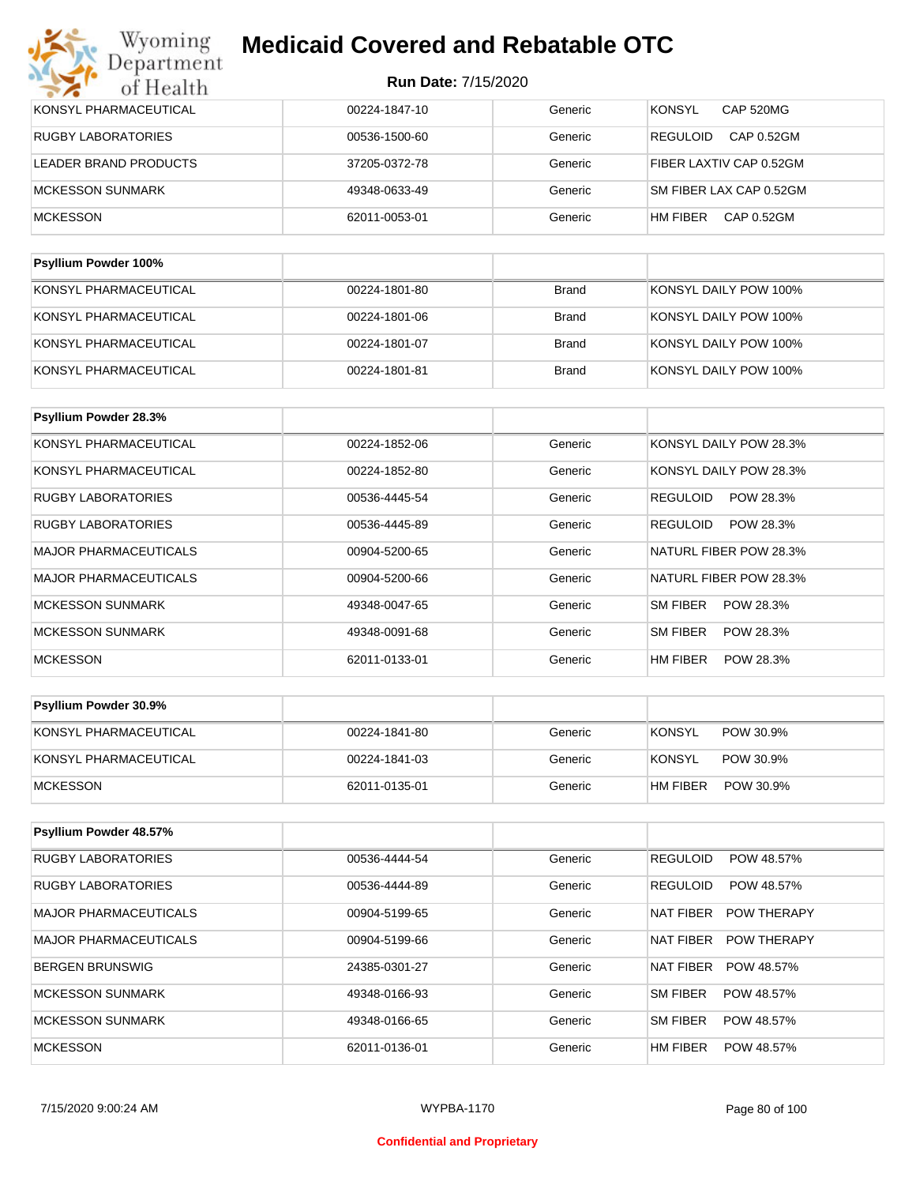| Wyoming<br>Department        | <b>Medicaid Covered and Rebatable OTC</b> |                            |                                      |  |
|------------------------------|-------------------------------------------|----------------------------|--------------------------------------|--|
| of Health                    |                                           | <b>Run Date: 7/15/2020</b> |                                      |  |
| KONSYL PHARMACEUTICAL        | 00224-1847-10                             | Generic                    | <b>KONSYL</b><br><b>CAP 520MG</b>    |  |
| <b>RUGBY LABORATORIES</b>    | 00536-1500-60                             | Generic                    | <b>REGULOID</b><br><b>CAP 0.52GM</b> |  |
| <b>LEADER BRAND PRODUCTS</b> | 37205-0372-78                             | Generic                    | FIBER LAXTIV CAP 0.52GM              |  |
| <b>MCKESSON SUNMARK</b>      | 49348-0633-49                             | Generic                    | SM FIBER LAX CAP 0.52GM              |  |
| <b>MCKESSON</b>              | 62011-0053-01                             | Generic                    | HM FIBER<br>CAP 0.52GM               |  |
| <b>Psyllium Powder 100%</b>  |                                           |                            |                                      |  |
| KONSYL PHARMACEUTICAL        | 00224-1801-80                             | <b>Brand</b>               | KONSYL DAILY POW 100%                |  |
| KONSYL PHARMACEUTICAL        | 00224-1801-06                             | <b>Brand</b>               | KONSYL DAILY POW 100%                |  |
| KONSYL PHARMACEUTICAL        | 00224-1801-07                             | <b>Brand</b>               | KONSYL DAILY POW 100%                |  |
| KONSYL PHARMACEUTICAL        | 00224-1801-81                             | <b>Brand</b>               | KONSYL DAILY POW 100%                |  |

| <b>Psyllium Powder 28.3%</b> |               |         |                              |
|------------------------------|---------------|---------|------------------------------|
| KONSYL PHARMACEUTICAL        | 00224-1852-06 | Generic | KONSYL DAILY POW 28.3%       |
| KONSYL PHARMACEUTICAL        | 00224-1852-80 | Generic | KONSYL DAILY POW 28.3%       |
| <b>RUGBY LABORATORIES</b>    | 00536-4445-54 | Generic | <b>REGULOID</b><br>POW 28.3% |
| <b>RUGBY LABORATORIES</b>    | 00536-4445-89 | Generic | POW 28.3%<br><b>REGULOID</b> |
| <b>MAJOR PHARMACEUTICALS</b> | 00904-5200-65 | Generic | NATURL FIBER POW 28.3%       |
| <b>MAJOR PHARMACEUTICALS</b> | 00904-5200-66 | Generic | NATURL FIBER POW 28.3%       |
| <b>MCKESSON SUNMARK</b>      | 49348-0047-65 | Generic | <b>SM FIBER</b><br>POW 28.3% |
| <b>MCKESSON SUNMARK</b>      | 49348-0091-68 | Generic | SM FIBER<br>POW 28.3%        |
| <b>MCKESSON</b>              | 62011-0133-01 | Generic | HM FIBER<br>POW 28.3%        |

| <b>Psyllium Powder 30.9%</b> |               |         |                            |
|------------------------------|---------------|---------|----------------------------|
| KONSYL PHARMACEUTICAL        | 00224-1841-80 | Generic | <b>KONSYL</b><br>POW 30.9% |
| KONSYL PHARMACEUTICAL        | 00224-1841-03 | Generic | KONSYL<br>POW 30.9%        |
| MCKESSON                     | 62011-0135-01 | Generic | HM FIBER<br>POW 30.9%      |

| <b>Psyllium Powder 48.57%</b> |               |         |                                 |
|-------------------------------|---------------|---------|---------------------------------|
| <b>RUGBY LABORATORIES</b>     | 00536-4444-54 | Generic | <b>REGULOID</b><br>POW 48.57%   |
| <b>RUGBY LABORATORIES</b>     | 00536-4444-89 | Generic | <b>REGULOID</b><br>POW 48.57%   |
| <b>MAJOR PHARMACEUTICALS</b>  | 00904-5199-65 | Generic | NAT FIBER<br><b>POW THERAPY</b> |
| <b>MAJOR PHARMACEUTICALS</b>  | 00904-5199-66 | Generic | NAT FIBER<br><b>POW THERAPY</b> |
| <b>BERGEN BRUNSWIG</b>        | 24385-0301-27 | Generic | <b>NAT FIBER</b><br>POW 48.57%  |
| <b>MCKESSON SUNMARK</b>       | 49348-0166-93 | Generic | SM FIBER<br>POW 48.57%          |
| <b>MCKESSON SUNMARK</b>       | 49348-0166-65 | Generic | SM FIBER<br>POW 48.57%          |
| <b>MCKESSON</b>               | 62011-0136-01 | Generic | HM FIBER<br>POW 48.57%          |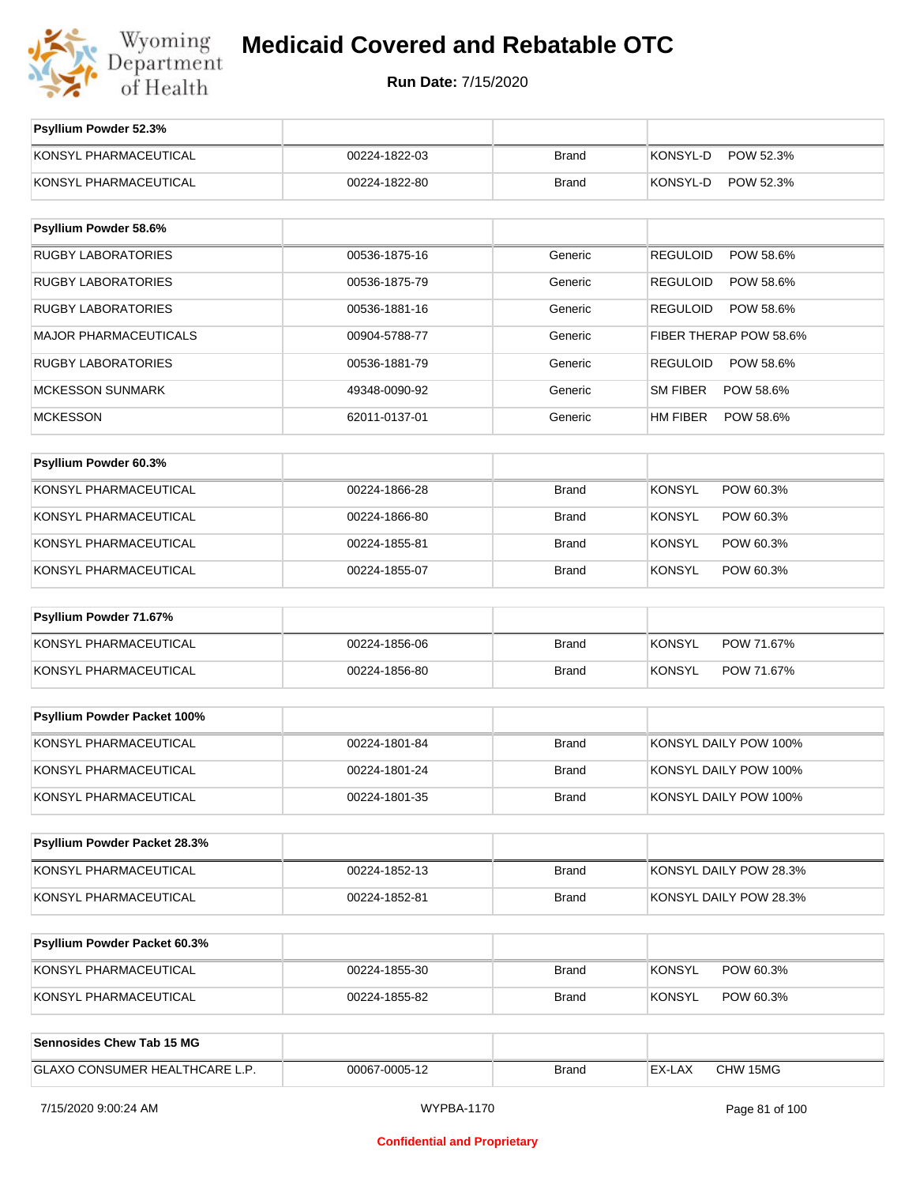

**Run Date:** 7/15/2020

| Psyllium Powder 52.3%               |               |              |                              |
|-------------------------------------|---------------|--------------|------------------------------|
| KONSYL PHARMACEUTICAL               | 00224-1822-03 | <b>Brand</b> | KONSYL-D<br>POW 52.3%        |
| KONSYL PHARMACEUTICAL               | 00224-1822-80 | <b>Brand</b> | KONSYL-D<br>POW 52.3%        |
|                                     |               |              |                              |
| Psyllium Powder 58.6%               |               |              |                              |
| <b>RUGBY LABORATORIES</b>           | 00536-1875-16 | Generic      | <b>REGULOID</b><br>POW 58.6% |
| <b>RUGBY LABORATORIES</b>           | 00536-1875-79 | Generic      | <b>REGULOID</b><br>POW 58.6% |
| <b>RUGBY LABORATORIES</b>           | 00536-1881-16 | Generic      | <b>REGULOID</b><br>POW 58.6% |
| <b>MAJOR PHARMACEUTICALS</b>        | 00904-5788-77 | Generic      | FIBER THERAP POW 58.6%       |
| <b>RUGBY LABORATORIES</b>           | 00536-1881-79 | Generic      | <b>REGULOID</b><br>POW 58.6% |
| <b>MCKESSON SUNMARK</b>             | 49348-0090-92 | Generic      | <b>SM FIBER</b><br>POW 58.6% |
| <b>MCKESSON</b>                     | 62011-0137-01 | Generic      | HM FIBER<br>POW 58.6%        |
|                                     |               |              |                              |
| Psyllium Powder 60.3%               |               |              |                              |
| KONSYL PHARMACEUTICAL               | 00224-1866-28 | <b>Brand</b> | <b>KONSYL</b><br>POW 60.3%   |
| KONSYL PHARMACEUTICAL               | 00224-1866-80 | <b>Brand</b> | <b>KONSYL</b><br>POW 60.3%   |
| KONSYL PHARMACEUTICAL               | 00224-1855-81 | <b>Brand</b> | <b>KONSYL</b><br>POW 60.3%   |
| KONSYL PHARMACEUTICAL               | 00224-1855-07 | <b>Brand</b> | <b>KONSYL</b><br>POW 60.3%   |
| Psyllium Powder 71.67%              |               |              |                              |
| KONSYL PHARMACEUTICAL               | 00224-1856-06 | <b>Brand</b> | <b>KONSYL</b><br>POW 71.67%  |
| KONSYL PHARMACEUTICAL               | 00224-1856-80 | <b>Brand</b> | <b>KONSYL</b><br>POW 71.67%  |
|                                     |               |              |                              |
| Psyllium Powder Packet 100%         |               |              |                              |
| KONSYL PHARMACEUTICAL               | 00224-1801-84 | <b>Brand</b> | KONSYL DAILY POW 100%        |
| KONSYL PHARMACEUTICAL               | 00224-1801-24 | <b>Brand</b> | KONSYL DAILY POW 100%        |
| KONSYL PHARMACEUTICAL               | 00224-1801-35 | <b>Brand</b> | KONSYL DAILY POW 100%        |
|                                     |               |              |                              |
| Psyllium Powder Packet 28.3%        |               |              |                              |
| KONSYL PHARMACEUTICAL               | 00224-1852-13 | <b>Brand</b> | KONSYL DAILY POW 28.3%       |
| KONSYL PHARMACEUTICAL               | 00224-1852-81 | <b>Brand</b> | KONSYL DAILY POW 28.3%       |
|                                     |               |              |                              |
| <b>Psyllium Powder Packet 60.3%</b> |               |              |                              |
| KONSYL PHARMACEUTICAL               | 00224-1855-30 | <b>Brand</b> | <b>KONSYL</b><br>POW 60.3%   |
| KONSYL PHARMACEUTICAL               | 00224-1855-82 | <b>Brand</b> | <b>KONSYL</b><br>POW 60.3%   |
|                                     |               |              |                              |
| <b>Sennosides Chew Tab 15 MG</b>    |               |              |                              |
| GLAXO CONSUMER HEALTHCARE L.P.      | 00067-0005-12 | <b>Brand</b> | EX-LAX<br>CHW 15MG           |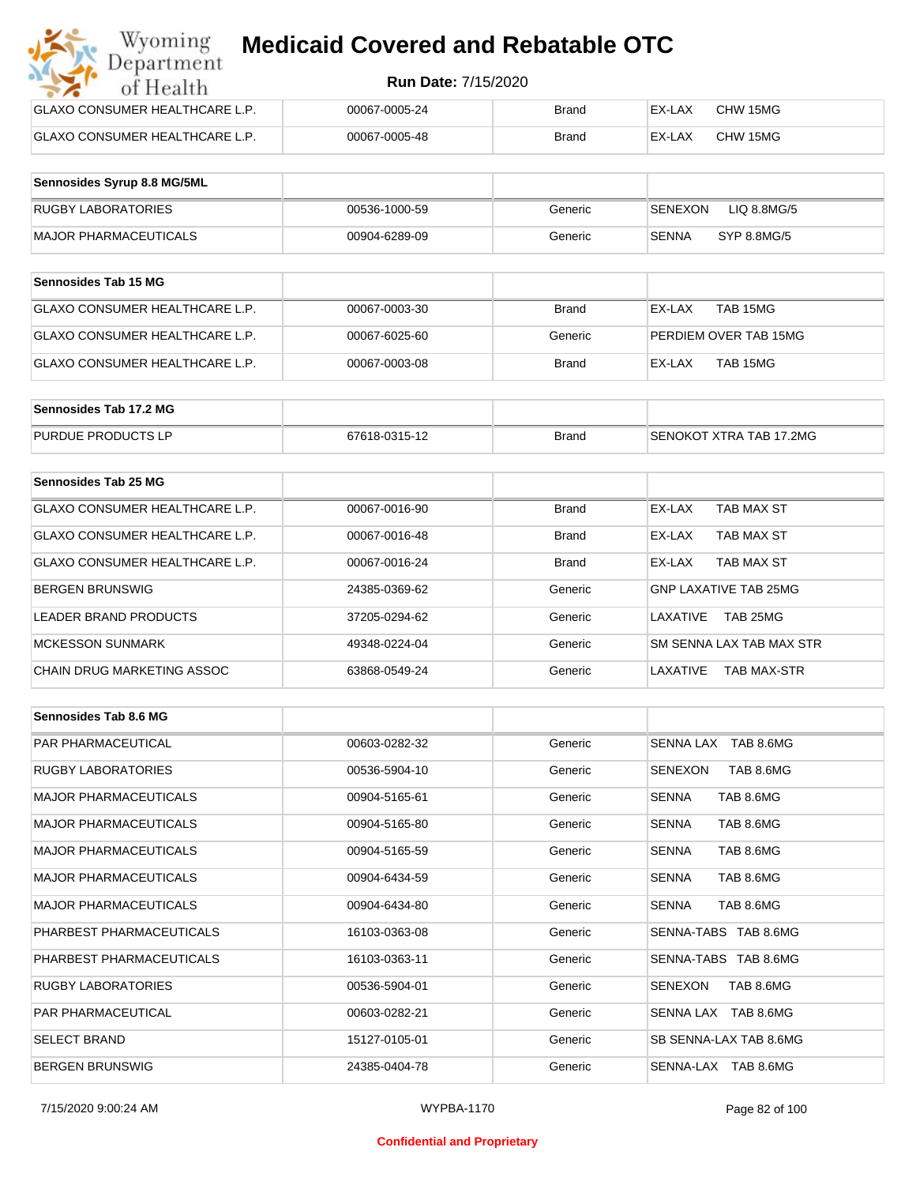| Wyoming<br><b>Medicaid Covered and Rebatable OTC</b><br>Department |                            |              |        |          |  |  |
|--------------------------------------------------------------------|----------------------------|--------------|--------|----------|--|--|
| of Health                                                          | <b>Run Date: 7/15/2020</b> |              |        |          |  |  |
| <b>GLAXO CONSUMER HEALTHCARE L.P.</b>                              | 00067-0005-24              | Brand        | EX-LAX | CHW 15MG |  |  |
| GLAXO CONSUMER HEALTHCARE L.P.                                     | 00067-0005-48              | <b>Brand</b> | EX-LAX | CHW 15MG |  |  |

| Sennosides Syrup 8.8 MG/5ML |               |         |                        |
|-----------------------------|---------------|---------|------------------------|
| <b>RUGBY LABORATORIES</b>   | 00536-1000-59 | Generic | SENEXON<br>LIQ 8.8MG/5 |
| MAJOR PHARMACEUTICALS       | 00904-6289-09 | Generic | SYP 8.8MG/5<br>SENNA   |

| <b>Sennosides Tab 15 MG</b>    |               |         |                       |
|--------------------------------|---------------|---------|-----------------------|
| GLAXO CONSUMER HEALTHCARE L.P. | 00067-0003-30 | Brand   | TAB 15MG<br>EX-LAX    |
| GLAXO CONSUMER HEALTHCARE L.P. | 00067-6025-60 | Generic | PERDIEM OVER TAB 15MG |
| GLAXO CONSUMER HEALTHCARE L.P. | 00067-0003-08 | Brand   | TAB 15MG<br>EX-LAX    |

| Sennosides Tab 17.2 MG    |               |              |                         |
|---------------------------|---------------|--------------|-------------------------|
| <b>PURDUE PRODUCTS LP</b> | 67618-0315-12 | <b>Brand</b> | SENOKOT XTRA TAB 17.2MG |

| Sennosides Tab 25 MG           |               |              |                                |
|--------------------------------|---------------|--------------|--------------------------------|
| GLAXO CONSUMER HEALTHCARE L.P. | 00067-0016-90 | Brand        | EX-LAX<br>TAB MAX ST           |
| GLAXO CONSUMER HEALTHCARE L.P. | 00067-0016-48 | <b>Brand</b> | TAB MAX ST<br>EX-LAX           |
| GLAXO CONSUMER HEALTHCARE L.P. | 00067-0016-24 | <b>Brand</b> | <b>TAB MAX ST</b><br>EX-LAX    |
| <b>BERGEN BRUNSWIG</b>         | 24385-0369-62 | Generic      | GNP LAXATIVE TAB 25MG          |
| LEADER BRAND PRODUCTS          | 37205-0294-62 | Generic      | TAB 25MG<br>LAXATIVE           |
| <b>MCKESSON SUNMARK</b>        | 49348-0224-04 | Generic      | SM SENNA LAX TAB MAX STR       |
| CHAIN DRUG MARKETING ASSOC     | 63868-0549-24 | Generic      | LAXATIVE<br><b>TAB MAX-STR</b> |

| Sennosides Tab 8.6 MG        |               |         |                             |
|------------------------------|---------------|---------|-----------------------------|
| <b>PAR PHARMACEUTICAL</b>    | 00603-0282-32 | Generic | SENNA LAX TAB 8.6MG         |
| <b>RUGBY LABORATORIES</b>    | 00536-5904-10 | Generic | TAB 8.6MG<br>SENEXON        |
| <b>MAJOR PHARMACEUTICALS</b> | 00904-5165-61 | Generic | TAB 8.6MG<br><b>SENNA</b>   |
| <b>MAJOR PHARMACEUTICALS</b> | 00904-5165-80 | Generic | <b>SENNA</b><br>TAB 8.6MG   |
| <b>MAJOR PHARMACEUTICALS</b> | 00904-5165-59 | Generic | <b>SENNA</b><br>TAB 8.6MG   |
| <b>MAJOR PHARMACEUTICALS</b> | 00904-6434-59 | Generic | <b>SENNA</b><br>TAB 8.6MG   |
| <b>MAJOR PHARMACEUTICALS</b> | 00904-6434-80 | Generic | TAB 8.6MG<br><b>SENNA</b>   |
| PHARBEST PHARMACEUTICALS     | 16103-0363-08 | Generic | SENNA-TABS TAB 8.6MG        |
| PHARBEST PHARMACEUTICALS     | 16103-0363-11 | Generic | SENNA-TABS TAB 8.6MG        |
| <b>RUGBY LABORATORIES</b>    | 00536-5904-01 | Generic | <b>SENEXON</b><br>TAB 8.6MG |
| <b>PAR PHARMACEUTICAL</b>    | 00603-0282-21 | Generic | SENNA LAX TAB 8.6MG         |
| <b>SELECT BRAND</b>          | 15127-0105-01 | Generic | SB SENNA-LAX TAB 8.6MG      |
| <b>BERGEN BRUNSWIG</b>       | 24385-0404-78 | Generic | SENNA-LAX TAB 8.6MG         |

#### **Confidential and Proprietary**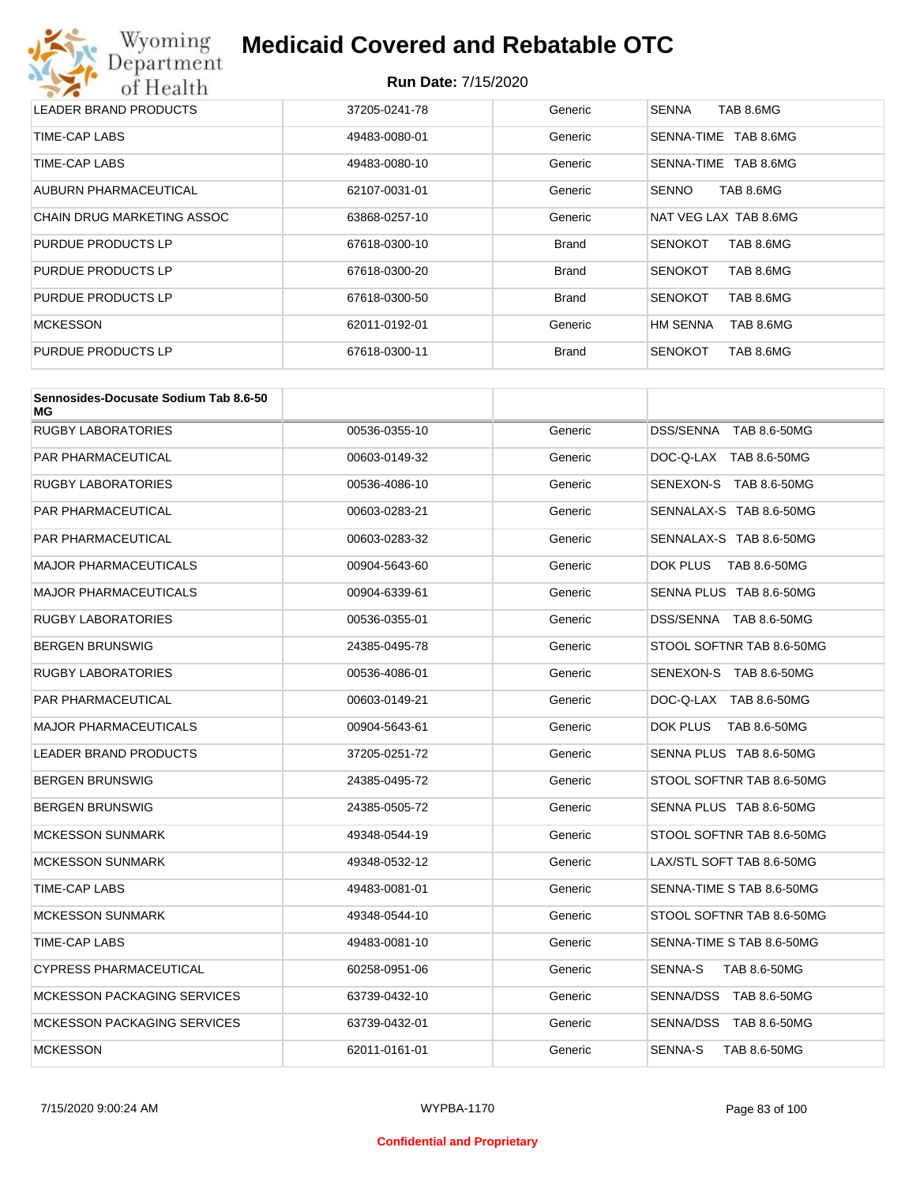# Wyoming<br>Department<br>of Health **Medicaid Covered and Rebatable OTC**

| LEADER BRAND PRODUCTS      | 37205-0241-78 | Generic      | <b>SENNA</b><br>TAB 8.6MG    |
|----------------------------|---------------|--------------|------------------------------|
| TIME-CAP LABS              | 49483-0080-01 | Generic      | TAB 8.6MG<br>SENNA-TIME      |
| TIME-CAP LABS              | 49483-0080-10 | Generic      | SENNA-TIME TAB 8.6MG         |
| AUBURN PHARMACEUTICAL      | 62107-0031-01 | Generic      | TAB 8.6MG<br><b>SENNO</b>    |
| CHAIN DRUG MARKETING ASSOC | 63868-0257-10 | Generic      | NAT VEG LAX TAB 8.6MG        |
| PURDUE PRODUCTS LP         | 67618-0300-10 | <b>Brand</b> | TAB 8.6MG<br><b>SENOKOT</b>  |
| PURDUE PRODUCTS LP         | 67618-0300-20 | <b>Brand</b> | TAB 8.6MG<br><b>SENOKOT</b>  |
| PURDUE PRODUCTS LP         | 67618-0300-50 | <b>Brand</b> | TAB 8.6MG<br><b>SENOKOT</b>  |
| <b>MCKESSON</b>            | 62011-0192-01 | Generic      | <b>HM SENNA</b><br>TAB 8.6MG |
| PURDUE PRODUCTS LP         | 67618-0300-11 | <b>Brand</b> | <b>SENOKOT</b><br>TAB 8.6MG  |

| Sennosides-Docusate Sodium Tab 8.6-50<br>МG |               |         |                           |
|---------------------------------------------|---------------|---------|---------------------------|
| <b>RUGBY LABORATORIES</b>                   | 00536-0355-10 | Generic | DSS/SENNA TAB 8.6-50MG    |
| PAR PHARMACEUTICAL                          | 00603-0149-32 | Generic | DOC-Q-LAX TAB 8.6-50MG    |
| <b>RUGBY LABORATORIES</b>                   | 00536-4086-10 | Generic | SENEXON-S TAB 8.6-50MG    |
| <b>PAR PHARMACEUTICAL</b>                   | 00603-0283-21 | Generic | SENNALAX-S TAB 8.6-50MG   |
| PAR PHARMACEUTICAL                          | 00603-0283-32 | Generic | SENNALAX-S TAB 8.6-50MG   |
| <b>MAJOR PHARMACEUTICALS</b>                | 00904-5643-60 | Generic | DOK PLUS TAB 8.6-50MG     |
| <b>MAJOR PHARMACEUTICALS</b>                | 00904-6339-61 | Generic | SENNA PLUS TAB 8.6-50MG   |
| <b>RUGBY LABORATORIES</b>                   | 00536-0355-01 | Generic | DSS/SENNA TAB 8.6-50MG    |
| <b>BERGEN BRUNSWIG</b>                      | 24385-0495-78 | Generic | STOOL SOFTNR TAB 8.6-50MG |
| RUGBY LABORATORIES                          | 00536-4086-01 | Generic | SENEXON-S TAB 8.6-50MG    |
| <b>PAR PHARMACEUTICAL</b>                   | 00603-0149-21 | Generic | DOC-Q-LAX TAB 8.6-50MG    |
| <b>MAJOR PHARMACEUTICALS</b>                | 00904-5643-61 | Generic | DOK PLUS<br>TAB 8.6-50MG  |
| <b>LEADER BRAND PRODUCTS</b>                | 37205-0251-72 | Generic | SENNA PLUS TAB 8.6-50MG   |
| <b>BERGEN BRUNSWIG</b>                      | 24385-0495-72 | Generic | STOOL SOFTNR TAB 8.6-50MG |
| <b>BERGEN BRUNSWIG</b>                      | 24385-0505-72 | Generic | SENNA PLUS TAB 8.6-50MG   |
| <b>MCKESSON SUNMARK</b>                     | 49348-0544-19 | Generic | STOOL SOFTNR TAB 8.6-50MG |
| <b>MCKESSON SUNMARK</b>                     | 49348-0532-12 | Generic | LAX/STL SOFT TAB 8.6-50MG |
| TIME-CAP LABS                               | 49483-0081-01 | Generic | SENNA-TIME S TAB 8.6-50MG |
| <b>MCKESSON SUNMARK</b>                     | 49348-0544-10 | Generic | STOOL SOFTNR TAB 8.6-50MG |
| TIME-CAP LABS                               | 49483-0081-10 | Generic | SENNA-TIME S TAB 8.6-50MG |
| CYPRESS PHARMACEUTICAL                      | 60258-0951-06 | Generic | SENNA-S<br>TAB 8.6-50MG   |
| <b>MCKESSON PACKAGING SERVICES</b>          | 63739-0432-10 | Generic | SENNA/DSS TAB 8.6-50MG    |
| <b>MCKESSON PACKAGING SERVICES</b>          | 63739-0432-01 | Generic | SENNA/DSS TAB 8.6-50MG    |
| <b>MCKESSON</b>                             | 62011-0161-01 | Generic | SENNA-S<br>TAB 8.6-50MG   |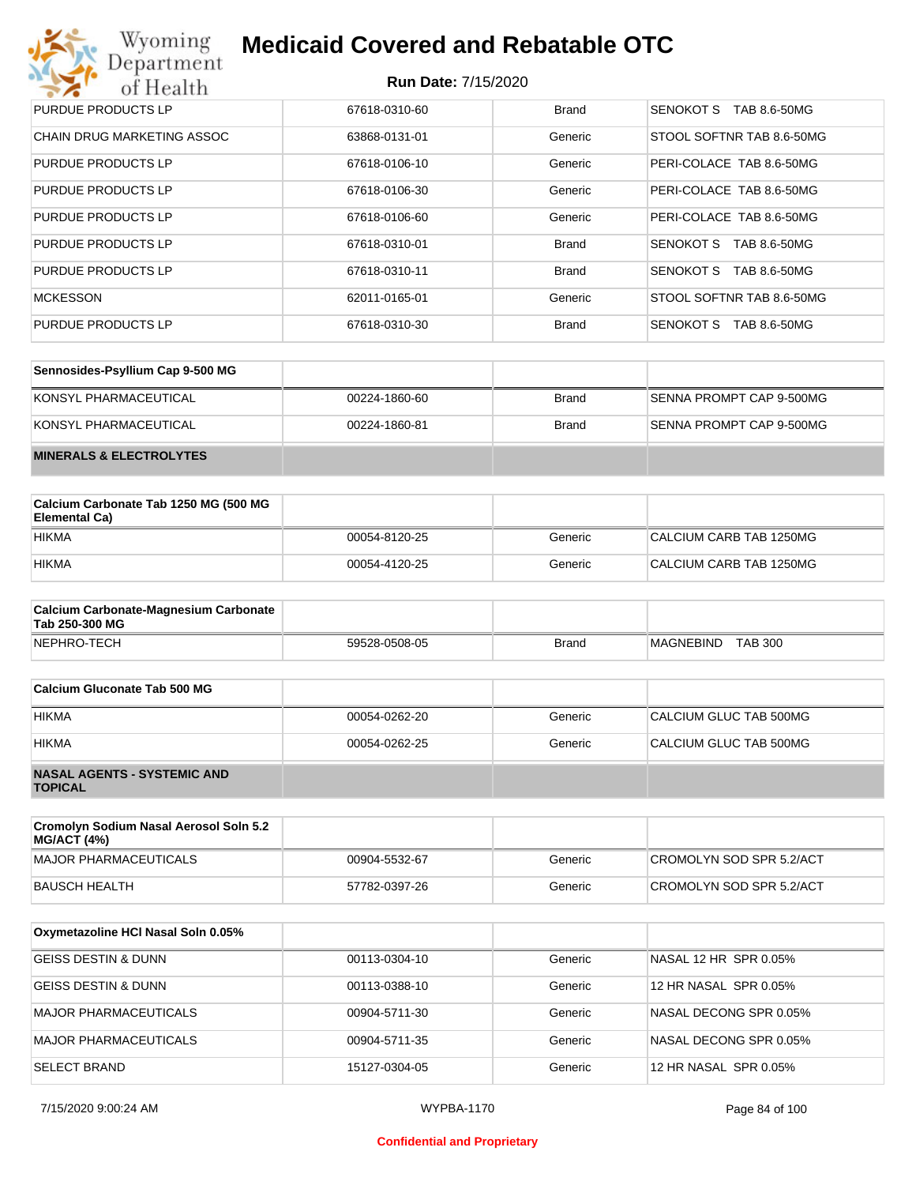| Wyoming<br><b>Medicaid Covered and Rebatable OTC</b><br>Department |                            |              |                           |  |
|--------------------------------------------------------------------|----------------------------|--------------|---------------------------|--|
| of Health                                                          | <b>Run Date: 7/15/2020</b> |              |                           |  |
| PURDUE PRODUCTS LP                                                 | 67618-0310-60              | <b>Brand</b> | SENOKOT S<br>TAB 8.6-50MG |  |
| <b>CHAIN DRUG MARKETING ASSOC</b>                                  | 63868-0131-01              | Generic      | STOOL SOFTNR TAB 8.6-50MG |  |
| PURDUE PRODUCTS LP                                                 | 67618-0106-10              | Generic      | PERI-COLACE TAB 8.6-50MG  |  |
| PURDUE PRODUCTS LP                                                 | 67618-0106-30              | Generic      | PERI-COLACE TAB 8.6-50MG  |  |
| PURDUE PRODUCTS LP                                                 | 67618-0106-60              | Generic      | PERI-COLACE TAB 8.6-50MG  |  |
| PURDUE PRODUCTS LP                                                 | 67618-0310-01              | <b>Brand</b> | SENOKOT S<br>TAB 8.6-50MG |  |
| PURDUE PRODUCTS LP                                                 | 67618-0310-11              | <b>Brand</b> | SENOKOT S<br>TAB 8.6-50MG |  |
| <b>MCKESSON</b>                                                    | 62011-0165-01              | Generic      | STOOL SOFTNR TAB 8.6-50MG |  |
| PURDUE PRODUCTS LP                                                 | 67618-0310-30              | <b>Brand</b> | SENOKOT S<br>TAB 8.6-50MG |  |

| Sennosides-Psyllium Cap 9-500 MG   |               |       |                          |
|------------------------------------|---------------|-------|--------------------------|
| KONSYL PHARMACEUTICAL              | 00224-1860-60 | Brand | SENNA PROMPT CAP 9-500MG |
| KONSYL PHARMACEUTICAL              | 00224-1860-81 | Brand | SENNA PROMPT CAP 9-500MG |
| <b>MINERALS &amp; ELECTROLYTES</b> |               |       |                          |

| Calcium Carbonate Tab 1250 MG (500 MG<br>Elemental Ca) |               |         |                         |
|--------------------------------------------------------|---------------|---------|-------------------------|
| <b>HIKMA</b>                                           | 00054-8120-25 | Generic | CALCIUM CARB TAB 1250MG |
| <b>HIKMA</b>                                           | 00054-4120-25 | Generic | CALCIUM CARB TAB 1250MG |

| <b>Calcium Carbonate-Magnesium Carbonate</b><br>Tab 250-300 MG |               |              |                             |
|----------------------------------------------------------------|---------------|--------------|-----------------------------|
| NEPHRO-TECH                                                    | 59528-0508-05 | <b>Brand</b> | <b>TAB 300</b><br>MAGNEBIND |

| Calcium Gluconate Tab 500 MG                         |               |         |                        |
|------------------------------------------------------|---------------|---------|------------------------|
| <b>HIKMA</b>                                         | 00054-0262-20 | Generic | CALCIUM GLUC TAB 500MG |
| <b>HIKMA</b>                                         | 00054-0262-25 | Generic | CALCIUM GLUC TAB 500MG |
| <b>NASAL AGENTS - SYSTEMIC AND</b><br><b>TOPICAL</b> |               |         |                        |

| Cromolyn Sodium Nasal Aerosol Soln 5.2<br><b>MG/ACT (4%)</b> |               |         |                          |
|--------------------------------------------------------------|---------------|---------|--------------------------|
| MAJOR PHARMACEUTICALS                                        | 00904-5532-67 | Generic | CROMOLYN SOD SPR 5.2/ACT |
| BAUSCH HEALTH                                                | 57782-0397-26 | Generic | CROMOLYN SOD SPR 5.2/ACT |

| Oxymetazoline HCI Nasal Soln 0.05% |               |         |                        |
|------------------------------------|---------------|---------|------------------------|
| GEISS DESTIN & DUNN                | 00113-0304-10 | Generic | NASAL 12 HR SPR 0.05%  |
| <b>GEISS DESTIN &amp; DUNN</b>     | 00113-0388-10 | Generic | 12 HR NASAL SPR 0.05%  |
| <b>MAJOR PHARMACEUTICALS</b>       | 00904-5711-30 | Generic | NASAL DECONG SPR 0.05% |
| <b>MAJOR PHARMACEUTICALS</b>       | 00904-5711-35 | Generic | NASAL DECONG SPR 0.05% |
| <b>SELECT BRAND</b>                | 15127-0304-05 | Generic | 12 HR NASAL SPR 0.05%  |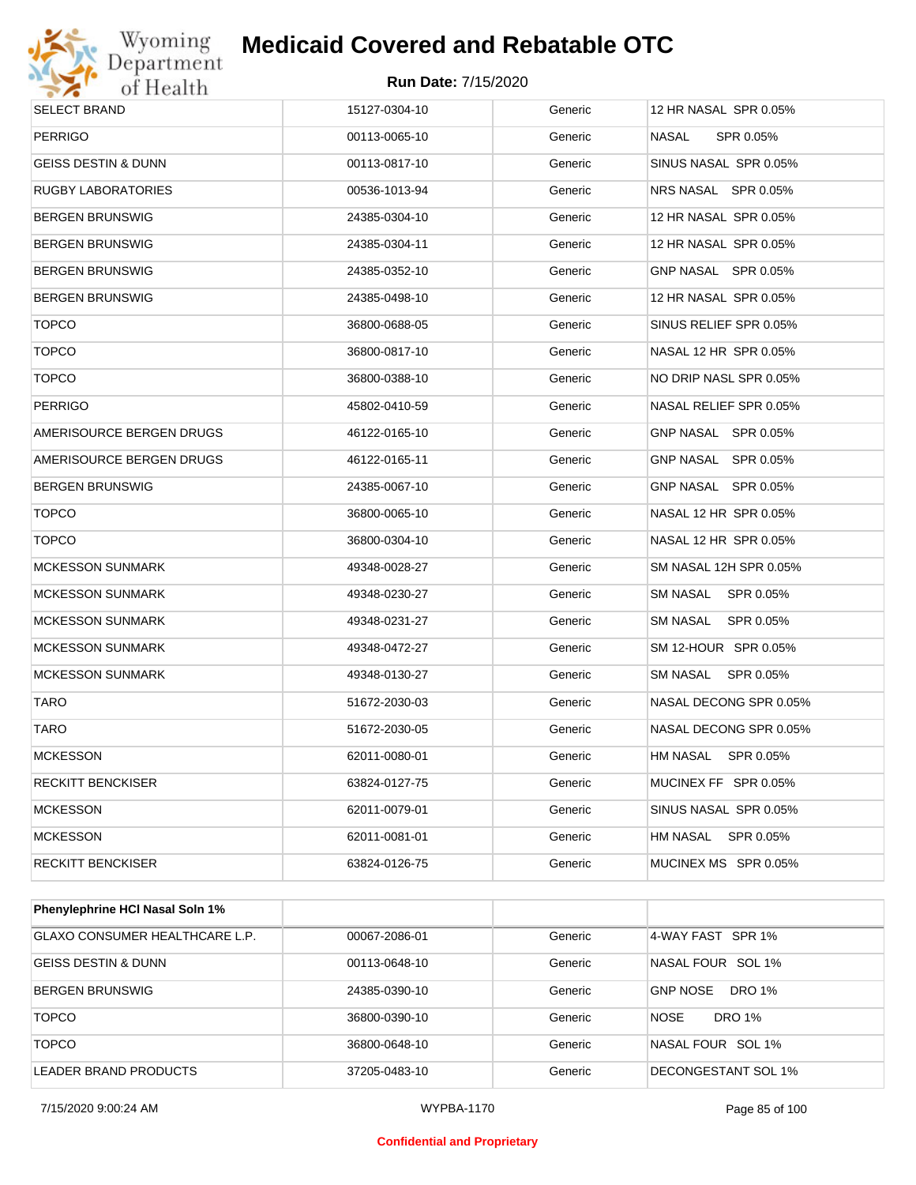

### **Run Date:** 7/15/2020

| <b>SELECT BRAND</b>      | 15127-0304-10 | Generic | 12 HR NASAL SPR 0.05%  |
|--------------------------|---------------|---------|------------------------|
| <b>PERRIGO</b>           | 00113-0065-10 | Generic | NASAL<br>SPR 0.05%     |
| GEISS DESTIN & DUNN      | 00113-0817-10 | Generic | SINUS NASAL SPR 0.05%  |
| RUGBY LABORATORIES       | 00536-1013-94 | Generic | NRS NASAL SPR 0.05%    |
| BERGEN BRUNSWIG          | 24385-0304-10 | Generic | 12 HR NASAL SPR 0.05%  |
| BERGEN BRUNSWIG          | 24385-0304-11 | Generic | 12 HR NASAL SPR 0.05%  |
| BERGEN BRUNSWIG          | 24385-0352-10 | Generic | GNP NASAL SPR 0.05%    |
| BERGEN BRUNSWIG          | 24385-0498-10 | Generic | 12 HR NASAL SPR 0.05%  |
| <b>TOPCO</b>             | 36800-0688-05 | Generic | SINUS RELIEF SPR 0.05% |
| <b>TOPCO</b>             | 36800-0817-10 | Generic | NASAL 12 HR SPR 0.05%  |
| <b>TOPCO</b>             | 36800-0388-10 | Generic | NO DRIP NASL SPR 0.05% |
| <b>PERRIGO</b>           | 45802-0410-59 | Generic | NASAL RELIEF SPR 0.05% |
| AMERISOURCE BERGEN DRUGS | 46122-0165-10 | Generic | GNP NASAL SPR 0.05%    |
| AMERISOURCE BERGEN DRUGS | 46122-0165-11 | Generic | GNP NASAL SPR 0.05%    |
| BERGEN BRUNSWIG          | 24385-0067-10 | Generic | GNP NASAL SPR 0.05%    |
| <b>TOPCO</b>             | 36800-0065-10 | Generic | NASAL 12 HR SPR 0.05%  |
| <b>TOPCO</b>             | 36800-0304-10 | Generic | NASAL 12 HR SPR 0.05%  |
| <b>MCKESSON SUNMARK</b>  | 49348-0028-27 | Generic | SM NASAL 12H SPR 0.05% |
| <b>MCKESSON SUNMARK</b>  | 49348-0230-27 | Generic | SM NASAL SPR 0.05%     |
| <b>MCKESSON SUNMARK</b>  | 49348-0231-27 | Generic | SM NASAL SPR 0.05%     |
| <b>MCKESSON SUNMARK</b>  | 49348-0472-27 | Generic | SM 12-HOUR SPR 0.05%   |
| <b>MCKESSON SUNMARK</b>  | 49348-0130-27 | Generic | SM NASAL SPR 0.05%     |
| <b>TARO</b>              | 51672-2030-03 | Generic | NASAL DECONG SPR 0.05% |
| <b>TARO</b>              | 51672-2030-05 | Generic | NASAL DECONG SPR 0.05% |
| <b>MCKESSON</b>          | 62011-0080-01 | Generic | HM NASAL SPR 0.05%     |
| RECKITT BENCKISER        | 63824-0127-75 | Generic | MUCINEX FF SPR 0.05%   |
| <b>MCKESSON</b>          | 62011-0079-01 | Generic | SINUS NASAL SPR 0.05%  |
| <b>MCKESSON</b>          | 62011-0081-01 | Generic | HM NASAL SPR 0.05%     |
| <b>RECKITT BENCKISER</b> | 63824-0126-75 | Generic | MUCINEX MS SPR 0.05%   |
|                          |               |         |                        |

| Phenylephrine HCI Nasal Soln 1%       |               |         |                                  |
|---------------------------------------|---------------|---------|----------------------------------|
| <b>GLAXO CONSUMER HEALTHCARE L.P.</b> | 00067-2086-01 | Generic | 4-WAY FAST SPR 1%                |
| GEISS DESTIN & DUNN                   | 00113-0648-10 | Generic | NASAL FOUR SOL 1%                |
| <b>BERGEN BRUNSWIG</b>                | 24385-0390-10 | Generic | <b>GNP NOSE</b><br><b>DRO 1%</b> |
| <b>TOPCO</b>                          | 36800-0390-10 | Generic | <b>NOSE</b><br>DRO 1%            |
| <b>TOPCO</b>                          | 36800-0648-10 | Generic | NASAL FOUR SOL 1%                |
| LEADER BRAND PRODUCTS                 | 37205-0483-10 | Generic | DECONGESTANT SOL 1%              |

7/15/2020 9:00:24 AM WYPBA-1170 Page 85 of 100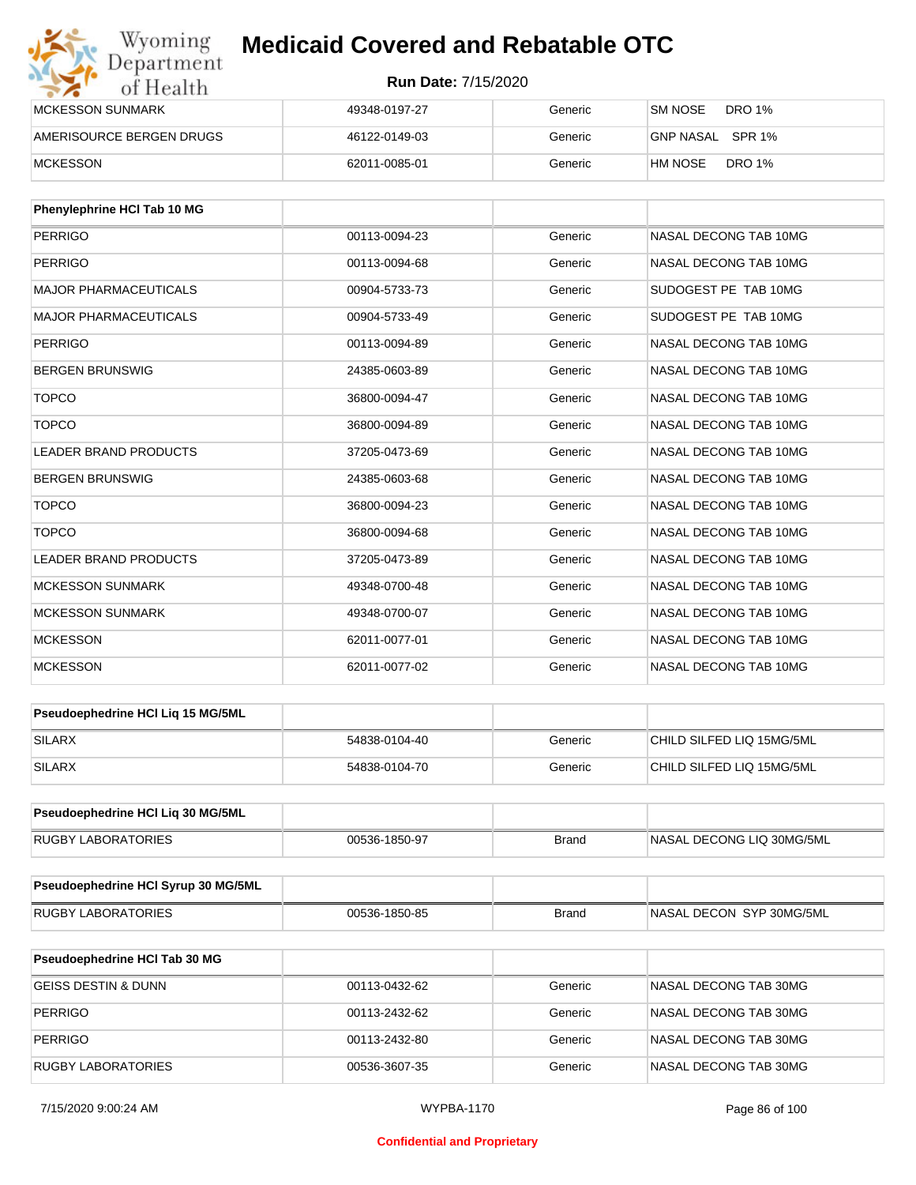| Wyoming<br>Department    | <b>Medicaid Covered and Rebatable OTC</b><br><b>Run Date: 7/15/2020</b> |         |                           |  |
|--------------------------|-------------------------------------------------------------------------|---------|---------------------------|--|
| of Health                |                                                                         |         |                           |  |
| MCKESSON SUNMARK         | 49348-0197-27                                                           | Generic | DRO 1%<br>SM NOSE         |  |
| AMERISOURCE BERGEN DRUGS | 46122-0149-03                                                           | Generic | GNP NASAL<br>SPR 1%       |  |
| <b>MCKESSON</b>          | 62011-0085-01                                                           | Generic | <b>DRO 1%</b><br>`HM NOSE |  |

| Phenylephrine HCI Tab 10 MG  |               |         |                       |
|------------------------------|---------------|---------|-----------------------|
| <b>PERRIGO</b>               | 00113-0094-23 | Generic | NASAL DECONG TAB 10MG |
| <b>PERRIGO</b>               | 00113-0094-68 | Generic | NASAL DECONG TAB 10MG |
| <b>MAJOR PHARMACEUTICALS</b> | 00904-5733-73 | Generic | SUDOGEST PE TAB 10MG  |
| <b>MAJOR PHARMACEUTICALS</b> | 00904-5733-49 | Generic | SUDOGEST PE TAB 10MG  |
| <b>PERRIGO</b>               | 00113-0094-89 | Generic | NASAL DECONG TAB 10MG |
| <b>BERGEN BRUNSWIG</b>       | 24385-0603-89 | Generic | NASAL DECONG TAB 10MG |
| <b>TOPCO</b>                 | 36800-0094-47 | Generic | NASAL DECONG TAB 10MG |
| <b>TOPCO</b>                 | 36800-0094-89 | Generic | NASAL DECONG TAB 10MG |
| <b>LEADER BRAND PRODUCTS</b> | 37205-0473-69 | Generic | NASAL DECONG TAB 10MG |
| <b>BERGEN BRUNSWIG</b>       | 24385-0603-68 | Generic | NASAL DECONG TAB 10MG |
| <b>TOPCO</b>                 | 36800-0094-23 | Generic | NASAL DECONG TAB 10MG |
| <b>TOPCO</b>                 | 36800-0094-68 | Generic | NASAL DECONG TAB 10MG |
| LEADER BRAND PRODUCTS        | 37205-0473-89 | Generic | NASAL DECONG TAB 10MG |
| <b>MCKESSON SUNMARK</b>      | 49348-0700-48 | Generic | NASAL DECONG TAB 10MG |
| <b>MCKESSON SUNMARK</b>      | 49348-0700-07 | Generic | NASAL DECONG TAB 10MG |
| <b>MCKESSON</b>              | 62011-0077-01 | Generic | NASAL DECONG TAB 10MG |
| <b>MCKESSON</b>              | 62011-0077-02 | Generic | NASAL DECONG TAB 10MG |

| <b>Pseudoephedrine HCI Lig 15 MG/5ML</b> |               |         |                           |
|------------------------------------------|---------------|---------|---------------------------|
| <b>SILARX</b>                            | 54838-0104-40 | Generic | CHILD SILFED LIQ 15MG/5ML |
| SILARX                                   | 54838-0104-70 | Generic | CHILD SILFED LIQ 15MG/5ML |

| <b>Pseudoephedrine HCI Lig 30 MG/5ML</b> |               |       |                           |
|------------------------------------------|---------------|-------|---------------------------|
| RUGBY LABORATORIES                       | 00536-1850-97 | Brand | NASAL DECONG LIQ 30MG/5ML |

| <b>Pseudoephedrine HCI Syrup 30 MG/5ML</b> |               |       |                           |
|--------------------------------------------|---------------|-------|---------------------------|
| RUGBY LABORATORIES                         | 00536-1850-85 | Brand | INASAL DECON SYP 30MG/5ML |

| <b>Pseudoephedrine HCI Tab 30 MG</b> |               |         |                       |
|--------------------------------------|---------------|---------|-----------------------|
| GEISS DESTIN & DUNN                  | 00113-0432-62 | Generic | NASAL DECONG TAB 30MG |
| PERRIGO                              | 00113-2432-62 | Generic | NASAL DECONG TAB 30MG |
| PERRIGO                              | 00113-2432-80 | Generic | NASAL DECONG TAB 30MG |
| RUGBY LABORATORIES                   | 00536-3607-35 | Generic | NASAL DECONG TAB 30MG |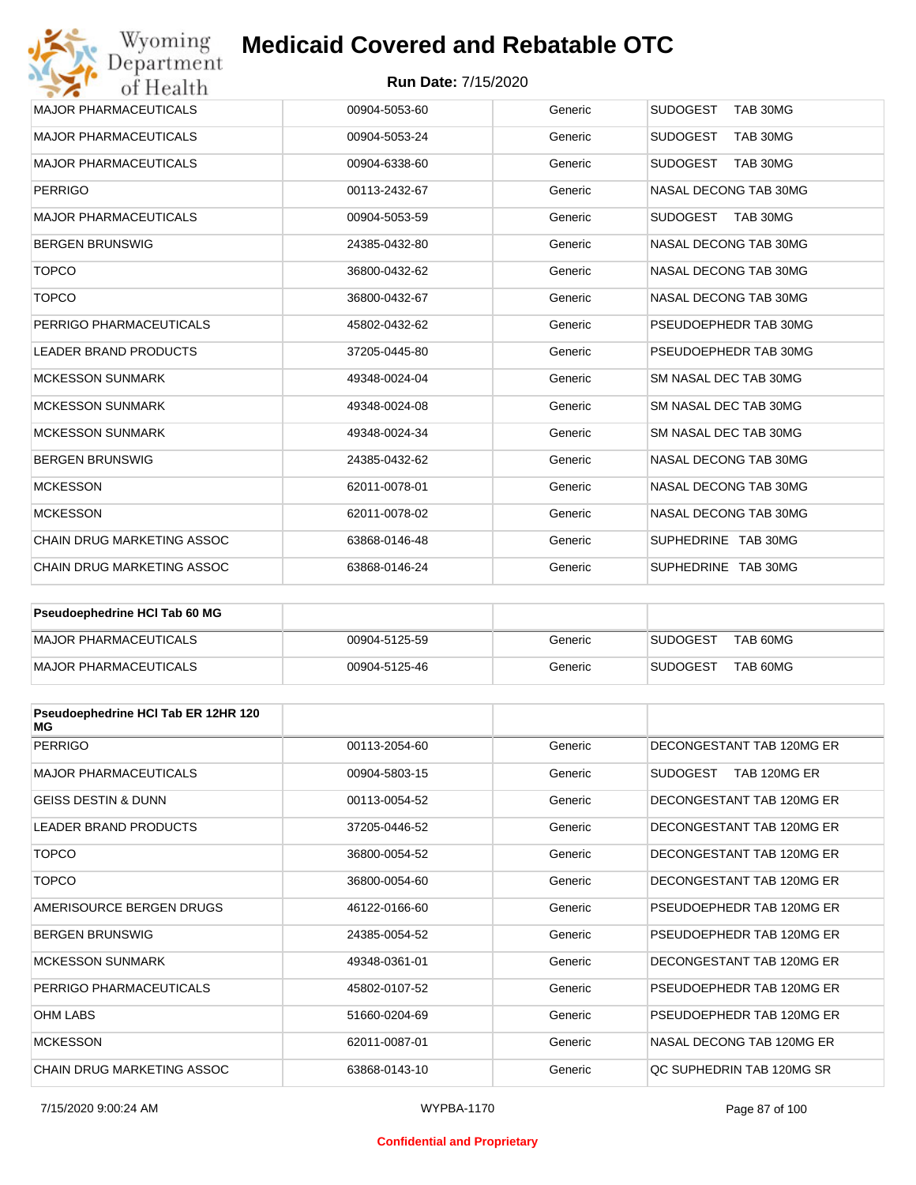### **Run Date:** 7/15/2020

| Wyoming                           | <b>Medicaid Covered and Rebatable OTC</b> |         |                             |
|-----------------------------------|-------------------------------------------|---------|-----------------------------|
| Department<br>of Health           | <b>Run Date: 7/15/2020</b>                |         |                             |
| <b>MAJOR PHARMACEUTICALS</b>      | 00904-5053-60                             | Generic | <b>SUDOGEST</b><br>TAB 30MG |
| <b>MAJOR PHARMACEUTICALS</b>      | 00904-5053-24                             | Generic | <b>SUDOGEST</b><br>TAB 30MG |
| <b>MAJOR PHARMACEUTICALS</b>      | 00904-6338-60                             | Generic | <b>SUDOGEST</b><br>TAB 30MG |
| <b>PERRIGO</b>                    | 00113-2432-67                             | Generic | NASAL DECONG TAB 30MG       |
| <b>MAJOR PHARMACEUTICALS</b>      | 00904-5053-59                             | Generic | <b>SUDOGEST</b><br>TAB 30MG |
| <b>BERGEN BRUNSWIG</b>            | 24385-0432-80                             | Generic | NASAL DECONG TAB 30MG       |
| <b>TOPCO</b>                      | 36800-0432-62                             | Generic | NASAL DECONG TAB 30MG       |
| <b>TOPCO</b>                      | 36800-0432-67                             | Generic | NASAL DECONG TAB 30MG       |
| PERRIGO PHARMACEUTICALS           | 45802-0432-62                             | Generic | PSEUDOEPHEDR TAB 30MG       |
| <b>LEADER BRAND PRODUCTS</b>      | 37205-0445-80                             | Generic | PSEUDOEPHEDR TAB 30MG       |
| <b>MCKESSON SUNMARK</b>           | 49348-0024-04                             | Generic | SM NASAL DEC TAB 30MG       |
| <b>MCKESSON SUNMARK</b>           | 49348-0024-08                             | Generic | SM NASAL DEC TAB 30MG       |
| <b>MCKESSON SUNMARK</b>           | 49348-0024-34                             | Generic | SM NASAL DEC TAB 30MG       |
| <b>BERGEN BRUNSWIG</b>            | 24385-0432-62                             | Generic | NASAL DECONG TAB 30MG       |
| <b>MCKESSON</b>                   | 62011-0078-01                             | Generic | NASAL DECONG TAB 30MG       |
| <b>MCKESSON</b>                   | 62011-0078-02                             | Generic | NASAL DECONG TAB 30MG       |
| CHAIN DRUG MARKETING ASSOC        | 63868-0146-48                             | Generic | SUPHEDRINE TAB 30MG         |
| <b>CHAIN DRUG MARKETING ASSOC</b> | 63868-0146-24                             | Generic | SUPHEDRINE TAB 30MG         |

| <b>Pseudoephedrine HCI Tab 60 MG</b> |               |         |                             |
|--------------------------------------|---------------|---------|-----------------------------|
| MAJOR PHARMACEUTICALS                | 00904-5125-59 | Generic | TAB 60MG<br><b>SUDOGEST</b> |
| MAJOR PHARMACEUTICALS                | 00904-5125-46 | Generic | TAB 60MG<br><b>SUDOGEST</b> |

| Pseudoephedrine HCI Tab ER 12HR 120<br>МG |               |         |                                 |
|-------------------------------------------|---------------|---------|---------------------------------|
| <b>PERRIGO</b>                            | 00113-2054-60 | Generic | DECONGESTANT TAB 120MG ER       |
| <b>MAJOR PHARMACEUTICALS</b>              | 00904-5803-15 | Generic | <b>SUDOGEST</b><br>TAB 120MG ER |
| <b>GEISS DESTIN &amp; DUNN</b>            | 00113-0054-52 | Generic | DECONGESTANT TAB 120MG ER       |
| <b>LEADER BRAND PRODUCTS</b>              | 37205-0446-52 | Generic | DECONGESTANT TAB 120MG ER       |
| <b>TOPCO</b>                              | 36800-0054-52 | Generic | DECONGESTANT TAB 120MG ER       |
| <b>TOPCO</b>                              | 36800-0054-60 | Generic | DECONGESTANT TAB 120MG ER       |
| AMERISOURCE BERGEN DRUGS                  | 46122-0166-60 | Generic | PSEUDOEPHEDR TAB 120MG ER       |
| <b>BERGEN BRUNSWIG</b>                    | 24385-0054-52 | Generic | PSEUDOEPHEDR TAB 120MG ER       |
| <b>MCKESSON SUNMARK</b>                   | 49348-0361-01 | Generic | DECONGESTANT TAB 120MG ER       |
| PERRIGO PHARMACEUTICALS                   | 45802-0107-52 | Generic | PSEUDOEPHEDR TAB 120MG ER       |
| <b>OHM LABS</b>                           | 51660-0204-69 | Generic | PSEUDOEPHEDR TAB 120MG ER       |
| <b>MCKESSON</b>                           | 62011-0087-01 | Generic | NASAL DECONG TAB 120MG ER       |
| CHAIN DRUG MARKETING ASSOC                | 63868-0143-10 | Generic | OC SUPHEDRIN TAB 120MG SR       |

#### **Confidential and Proprietary**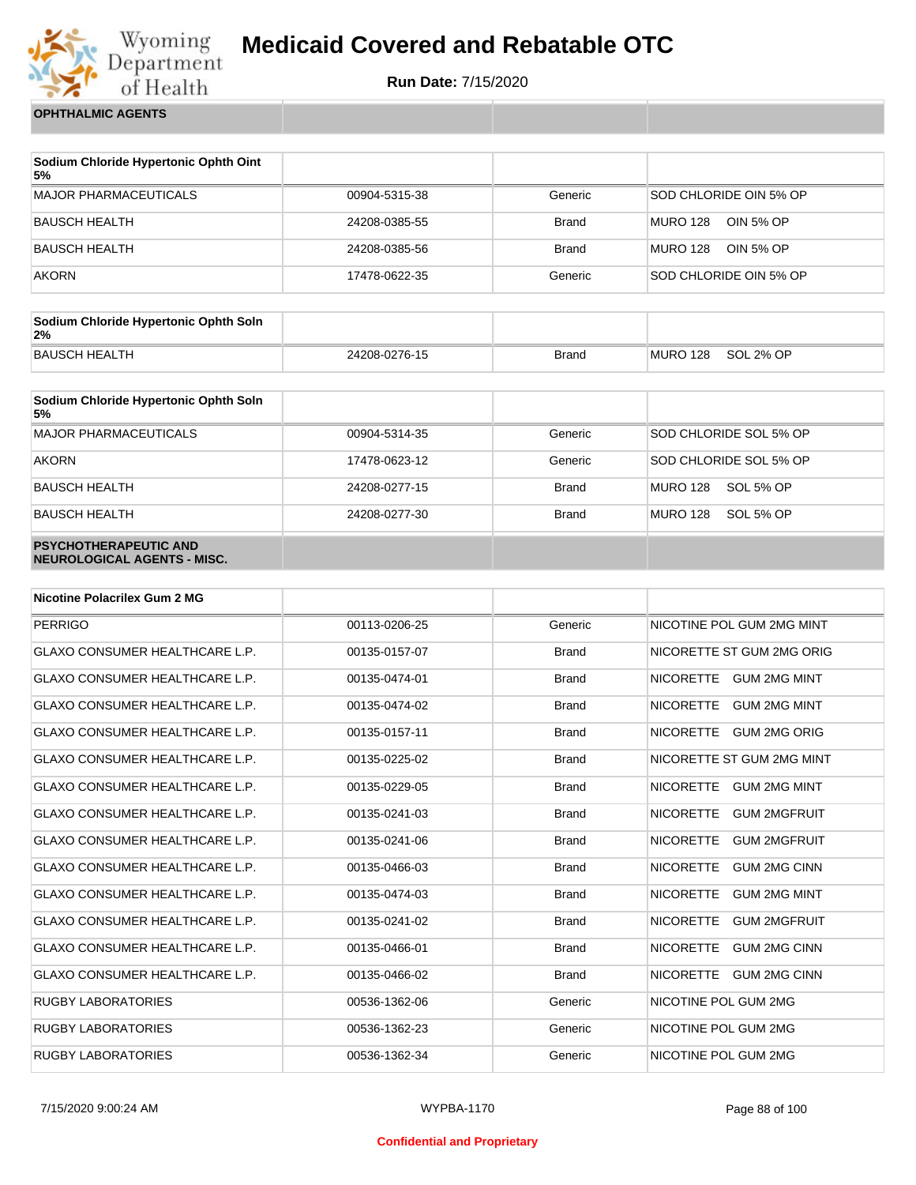

**Run Date:** 7/15/2020

**OPHTHALMIC AGENTS**

| Sodium Chloride Hypertonic Ophth Oint<br>5% |               |              |                              |
|---------------------------------------------|---------------|--------------|------------------------------|
| MAJOR PHARMACEUTICALS                       | 00904-5315-38 | Generic      | SOD CHLORIDE OIN 5% OP       |
| BAUSCH HEALTH                               | 24208-0385-55 | <b>Brand</b> | <b>MURO 128</b><br>OIN 5% OP |
| BAUSCH HEALTH                               | 24208-0385-56 | <b>Brand</b> | MURO 128<br>OIN 5% OP        |
| <b>AKORN</b>                                | 17478-0622-35 | Generic      | SOD CHLORIDE OIN 5% OP       |

| Sodium Chloride Hypertonic Ophth Soln<br>2% |               |       |          |           |
|---------------------------------------------|---------------|-------|----------|-----------|
| BAUSCH HEALTH                               | 24208-0276-15 | Brand | MURO 128 | SOL 2% OP |

| Sodium Chloride Hypertonic Ophth Soln<br>5%                 |               |              |                        |
|-------------------------------------------------------------|---------------|--------------|------------------------|
| <b>MAJOR PHARMACEUTICALS</b>                                | 00904-5314-35 | Generic      | SOD CHLORIDE SOL 5% OP |
| <b>AKORN</b>                                                | 17478-0623-12 | Generic      | SOD CHLORIDE SOL 5% OP |
| <b>BAUSCH HEALTH</b>                                        | 24208-0277-15 | <b>Brand</b> | MURO 128<br>SOL 5% OP  |
| <b>BAUSCH HEALTH</b>                                        | 24208-0277-30 | <b>Brand</b> | MURO 128<br>SOL 5% OP  |
| <b>PSYCHOTHERAPEUTIC AND</b><br>NEUROLOGICAL AGENTS - MISC. |               |              |                        |

| <b>Nicotine Polacrilex Gum 2 MG</b>   |               |              |                                         |
|---------------------------------------|---------------|--------------|-----------------------------------------|
| <b>PERRIGO</b>                        | 00113-0206-25 | Generic      | NICOTINE POL GUM 2MG MINT               |
| <b>GLAXO CONSUMER HEALTHCARE L.P.</b> | 00135-0157-07 | <b>Brand</b> | NICORETTE ST GUM 2MG ORIG               |
| <b>GLAXO CONSUMER HEALTHCARE L.P.</b> | 00135-0474-01 | <b>Brand</b> | NICORETTE GUM 2MG MINT                  |
| <b>GLAXO CONSUMER HEALTHCARE L.P.</b> | 00135-0474-02 | <b>Brand</b> | <b>NICORETTE</b><br><b>GUM 2MG MINT</b> |
| <b>GLAXO CONSUMER HEALTHCARE L.P.</b> | 00135-0157-11 | <b>Brand</b> | NICORETTE GUM 2MG ORIG                  |
| <b>GLAXO CONSUMER HEALTHCARE L.P.</b> | 00135-0225-02 | <b>Brand</b> | NICORETTE ST GUM 2MG MINT               |
| <b>GLAXO CONSUMER HEALTHCARE L.P.</b> | 00135-0229-05 | <b>Brand</b> | <b>NICORETTE</b><br><b>GUM 2MG MINT</b> |
| GLAXO CONSUMER HEALTHCARE L.P.        | 00135-0241-03 | <b>Brand</b> | <b>NICORETTE</b><br><b>GUM 2MGFRUIT</b> |
| <b>GLAXO CONSUMER HEALTHCARE L.P.</b> | 00135-0241-06 | <b>Brand</b> | <b>NICORETTE</b><br><b>GUM 2MGFRUIT</b> |
| <b>GLAXO CONSUMER HEALTHCARE L.P.</b> | 00135-0466-03 | <b>Brand</b> | <b>NICORETTE</b><br><b>GUM 2MG CINN</b> |
| <b>GLAXO CONSUMER HEALTHCARE L.P.</b> | 00135-0474-03 | <b>Brand</b> | <b>NICORETTE</b><br><b>GUM 2MG MINT</b> |
| <b>GLAXO CONSUMER HEALTHCARE L.P.</b> | 00135-0241-02 | <b>Brand</b> | <b>NICORETTE</b><br><b>GUM 2MGFRUIT</b> |
| GLAXO CONSUMER HEALTHCARE L.P.        | 00135-0466-01 | <b>Brand</b> | <b>NICORETTE</b><br><b>GUM 2MG CINN</b> |
| <b>GLAXO CONSUMER HEALTHCARE L.P.</b> | 00135-0466-02 | <b>Brand</b> | <b>NICORETTE</b><br><b>GUM 2MG CINN</b> |
| <b>RUGBY LABORATORIES</b>             | 00536-1362-06 | Generic      | NICOTINE POL GUM 2MG                    |
| <b>RUGBY LABORATORIES</b>             | 00536-1362-23 | Generic      | NICOTINE POL GUM 2MG                    |
| <b>RUGBY LABORATORIES</b>             | 00536-1362-34 | Generic      | NICOTINE POL GUM 2MG                    |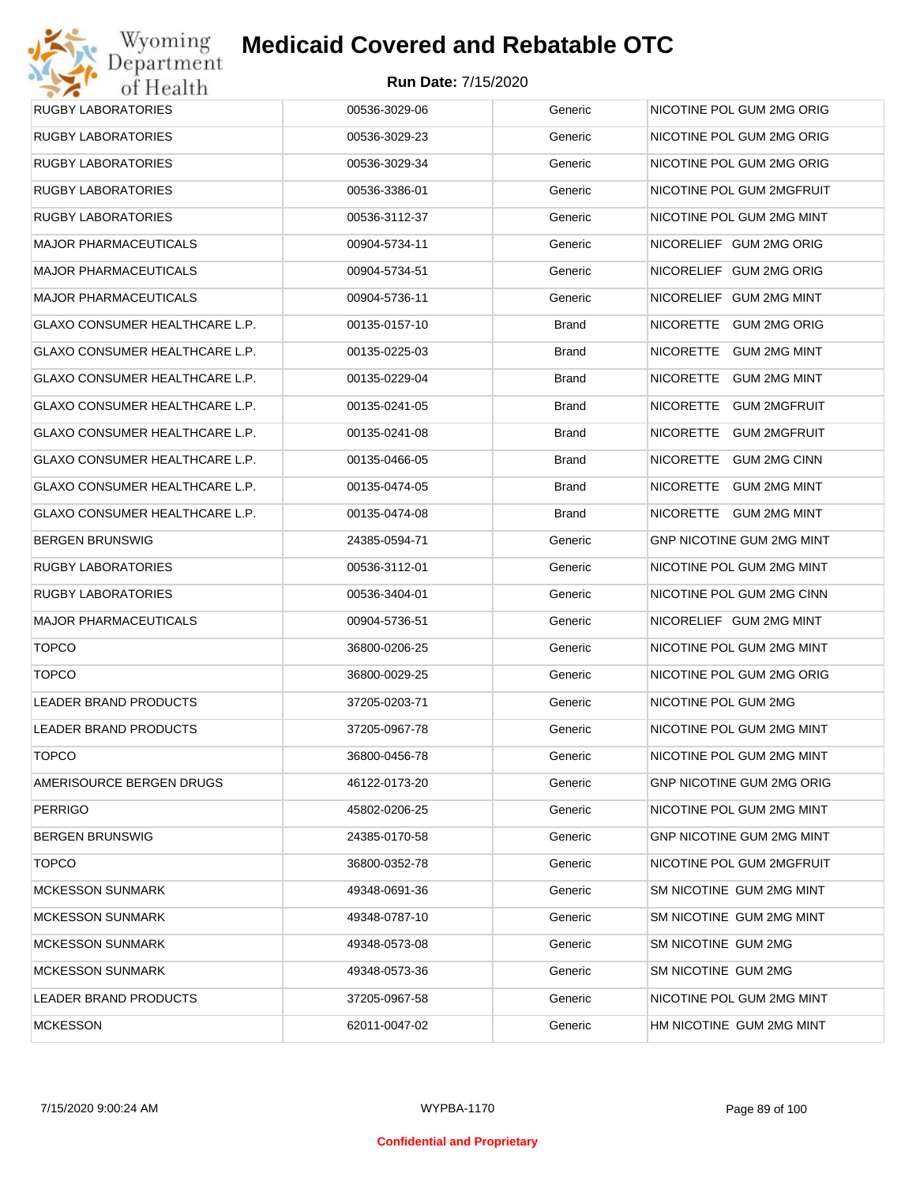

| RUGBY LABORATORIES                    | 00536-3029-06 | Generic      | NICOTINE POL GUM 2MG ORIG        |
|---------------------------------------|---------------|--------------|----------------------------------|
| RUGBY LABORATORIES                    | 00536-3029-23 | Generic      | NICOTINE POL GUM 2MG ORIG        |
| RUGBY LABORATORIES                    | 00536-3029-34 | Generic      | NICOTINE POL GUM 2MG ORIG        |
| RUGBY LABORATORIES                    | 00536-3386-01 | Generic      | NICOTINE POL GUM 2MGFRUIT        |
| RUGBY LABORATORIES                    | 00536-3112-37 | Generic      | NICOTINE POL GUM 2MG MINT        |
| MAJOR PHARMACEUTICALS                 | 00904-5734-11 | Generic      | NICORELIEF GUM 2MG ORIG          |
| MAJOR PHARMACEUTICALS                 | 00904-5734-51 | Generic      | NICORELIEF GUM 2MG ORIG          |
| MAJOR PHARMACEUTICALS                 | 00904-5736-11 | Generic      | NICORELIEF GUM 2MG MINT          |
| GLAXO CONSUMER HEALTHCARE L.P.        | 00135-0157-10 | <b>Brand</b> | NICORETTE GUM 2MG ORIG           |
| GLAXO CONSUMER HEALTHCARE L.P.        | 00135-0225-03 | <b>Brand</b> | NICORETTE GUM 2MG MINT           |
| GLAXO CONSUMER HEALTHCARE L.P.        | 00135-0229-04 | <b>Brand</b> | NICORETTE GUM 2MG MINT           |
| <b>GLAXO CONSUMER HEALTHCARE L.P.</b> | 00135-0241-05 | <b>Brand</b> | NICORETTE<br><b>GUM 2MGFRUIT</b> |
| <b>GLAXO CONSUMER HEALTHCARE L.P.</b> | 00135-0241-08 | <b>Brand</b> | NICORETTE GUM 2MGFRUIT           |
| <b>GLAXO CONSUMER HEALTHCARE L.P.</b> | 00135-0466-05 | <b>Brand</b> | NICORETTE<br><b>GUM 2MG CINN</b> |
| GLAXO CONSUMER HEALTHCARE L.P.        | 00135-0474-05 | <b>Brand</b> | NICORETTE GUM 2MG MINT           |
| GLAXO CONSUMER HEALTHCARE L.P.        | 00135-0474-08 | <b>Brand</b> | NICORETTE GUM 2MG MINT           |
| BERGEN BRUNSWIG                       | 24385-0594-71 | Generic      | GNP NICOTINE GUM 2MG MINT        |
| <b>RUGBY LABORATORIES</b>             | 00536-3112-01 | Generic      | NICOTINE POL GUM 2MG MINT        |
| RUGBY LABORATORIES                    | 00536-3404-01 | Generic      | NICOTINE POL GUM 2MG CINN        |
| MAJOR PHARMACEUTICALS                 | 00904-5736-51 | Generic      | NICORELIEF GUM 2MG MINT          |
| <b>TOPCO</b>                          | 36800-0206-25 | Generic      | NICOTINE POL GUM 2MG MINT        |
| <b>TOPCO</b>                          | 36800-0029-25 | Generic      | NICOTINE POL GUM 2MG ORIG        |
| <b>LEADER BRAND PRODUCTS</b>          | 37205-0203-71 | Generic      | NICOTINE POL GUM 2MG             |
| LEADER BRAND PRODUCTS                 | 37205-0967-78 | Generic      | NICOTINE POL GUM 2MG MINT        |
| <b>TOPCO</b>                          | 36800-0456-78 | Generic      | NICOTINE POL GUM 2MG MINT        |
| AMERISOURCE BERGEN DRUGS              | 46122-0173-20 | Generic      | <b>GNP NICOTINE GUM 2MG ORIG</b> |
| PERRIGO                               | 45802-0206-25 | Generic      | NICOTINE POL GUM 2MG MINT        |
| BERGEN BRUNSWIG                       | 24385-0170-58 | Generic      | GNP NICOTINE GUM 2MG MINT        |
| <b>TOPCO</b>                          | 36800-0352-78 | Generic      | NICOTINE POL GUM 2MGFRUIT        |
| <b>MCKESSON SUNMARK</b>               | 49348-0691-36 | Generic      | SM NICOTINE GUM 2MG MINT         |
| <b>MCKESSON SUNMARK</b>               | 49348-0787-10 | Generic      | SM NICOTINE GUM 2MG MINT         |
| <b>MCKESSON SUNMARK</b>               | 49348-0573-08 | Generic      | SM NICOTINE GUM 2MG              |
| <b>MCKESSON SUNMARK</b>               | 49348-0573-36 | Generic      | SM NICOTINE GUM 2MG              |
| LEADER BRAND PRODUCTS                 | 37205-0967-58 | Generic      | NICOTINE POL GUM 2MG MINT        |
| <b>MCKESSON</b>                       | 62011-0047-02 | Generic      | HM NICOTINE GUM 2MG MINT         |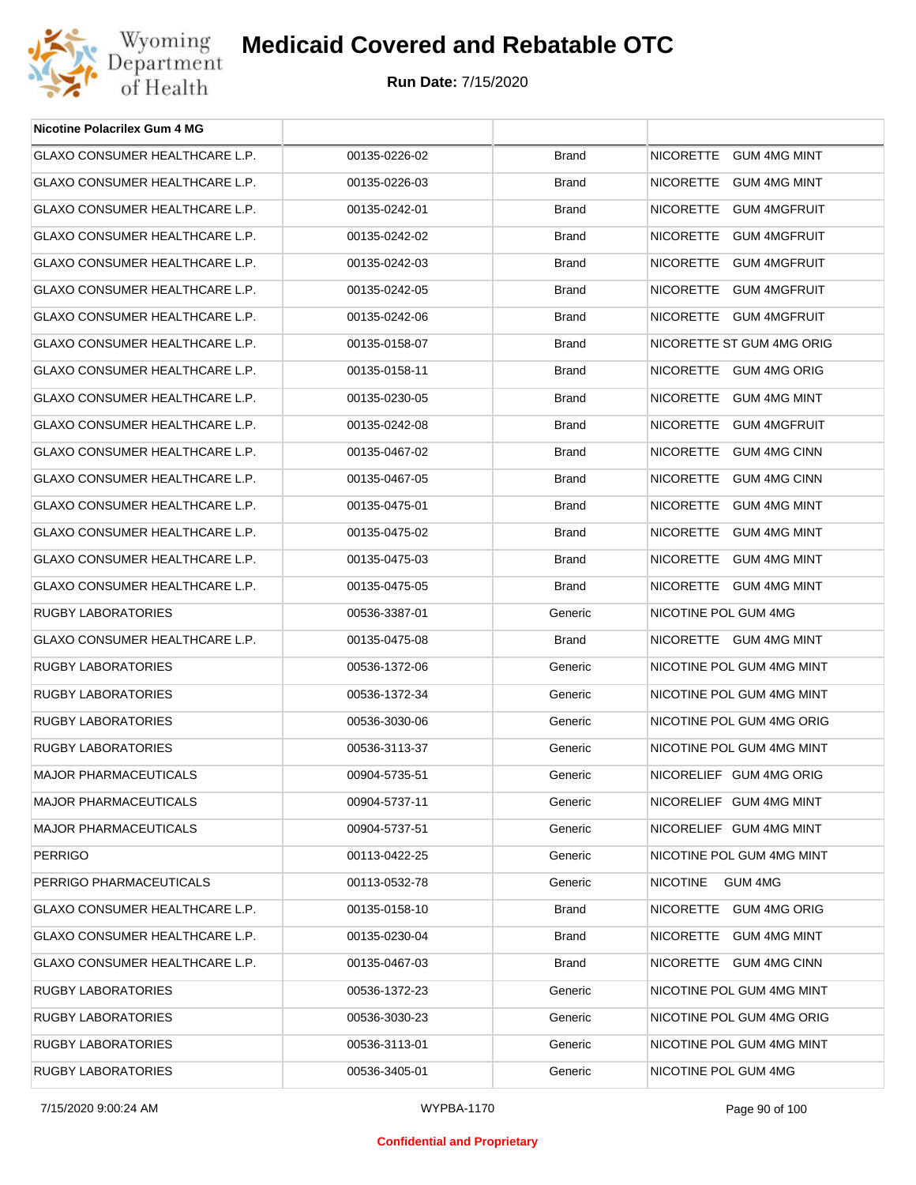

| <b>Nicotine Polacrilex Gum 4 MG</b>   |               |              |                            |
|---------------------------------------|---------------|--------------|----------------------------|
| GLAXO CONSUMER HEALTHCARE L.P.        | 00135-0226-02 | <b>Brand</b> | NICORETTE GUM 4MG MINT     |
| GLAXO CONSUMER HEALTHCARE L.P.        | 00135-0226-03 | <b>Brand</b> | NICORETTE GUM 4MG MINT     |
| GLAXO CONSUMER HEALTHCARE L.P.        | 00135-0242-01 | <b>Brand</b> | NICORETTE GUM 4MGFRUIT     |
| GLAXO CONSUMER HEALTHCARE L.P.        | 00135-0242-02 | <b>Brand</b> | NICORETTE GUM 4MGFRUIT     |
| GLAXO CONSUMER HEALTHCARE L.P.        | 00135-0242-03 | <b>Brand</b> | NICORETTE GUM 4MGFRUIT     |
| <b>GLAXO CONSUMER HEALTHCARE L.P.</b> | 00135-0242-05 | <b>Brand</b> | NICORETTE GUM 4MGFRUIT     |
| GLAXO CONSUMER HEALTHCARE L.P.        | 00135-0242-06 | <b>Brand</b> | NICORETTE GUM 4MGFRUIT     |
| GLAXO CONSUMER HEALTHCARE L.P.        | 00135-0158-07 | <b>Brand</b> | NICORETTE ST GUM 4MG ORIG  |
| GLAXO CONSUMER HEALTHCARE L.P.        | 00135-0158-11 | <b>Brand</b> | NICORETTE GUM 4MG ORIG     |
| GLAXO CONSUMER HEALTHCARE L.P.        | 00135-0230-05 | <b>Brand</b> | NICORETTE GUM 4MG MINT     |
| GLAXO CONSUMER HEALTHCARE L.P.        | 00135-0242-08 | <b>Brand</b> | NICORETTE GUM 4MGFRUIT     |
| GLAXO CONSUMER HEALTHCARE L.P.        | 00135-0467-02 | <b>Brand</b> | NICORETTE GUM 4MG CINN     |
| GLAXO CONSUMER HEALTHCARE L.P.        | 00135-0467-05 | <b>Brand</b> | NICORETTE GUM 4MG CINN     |
| GLAXO CONSUMER HEALTHCARE L.P.        | 00135-0475-01 | <b>Brand</b> | NICORETTE GUM 4MG MINT     |
| GLAXO CONSUMER HEALTHCARE L.P.        | 00135-0475-02 | <b>Brand</b> | NICORETTE GUM 4MG MINT     |
| GLAXO CONSUMER HEALTHCARE L.P.        | 00135-0475-03 | <b>Brand</b> | NICORETTE GUM 4MG MINT     |
| GLAXO CONSUMER HEALTHCARE L.P.        | 00135-0475-05 | <b>Brand</b> | NICORETTE GUM 4MG MINT     |
| RUGBY LABORATORIES                    | 00536-3387-01 | Generic      | NICOTINE POL GUM 4MG       |
| GLAXO CONSUMER HEALTHCARE L.P.        | 00135-0475-08 | Brand        | NICORETTE GUM 4MG MINT     |
| RUGBY LABORATORIES                    | 00536-1372-06 | Generic      | NICOTINE POL GUM 4MG MINT  |
| RUGBY LABORATORIES                    | 00536-1372-34 | Generic      | NICOTINE POL GUM 4MG MINT  |
| RUGBY LABORATORIES                    | 00536-3030-06 | Generic      | NICOTINE POL GUM 4MG ORIG  |
| <b>RUGBY LABORATORIES</b>             | 00536-3113-37 | Generic      | NICOTINE POL GUM 4MG MINT  |
| <b>MAJOR PHARMACEUTICALS</b>          | 00904-5735-51 | Generic      | NICORELIEF GUM 4MG ORIG    |
| <b>MAJOR PHARMACEUTICALS</b>          | 00904-5737-11 | Generic      | NICORELIEF GUM 4MG MINT    |
| <b>MAJOR PHARMACEUTICALS</b>          | 00904-5737-51 | Generic      | NICORELIEF GUM 4MG MINT    |
| <b>PERRIGO</b>                        | 00113-0422-25 | Generic      | NICOTINE POL GUM 4MG MINT  |
| PERRIGO PHARMACEUTICALS               | 00113-0532-78 | Generic      | <b>NICOTINE</b><br>GUM 4MG |
| GLAXO CONSUMER HEALTHCARE L.P.        | 00135-0158-10 | Brand        | NICORETTE GUM 4MG ORIG     |
| GLAXO CONSUMER HEALTHCARE L.P.        | 00135-0230-04 | Brand        | NICORETTE GUM 4MG MINT     |
| GLAXO CONSUMER HEALTHCARE L.P.        | 00135-0467-03 | Brand        | NICORETTE GUM 4MG CINN     |
| RUGBY LABORATORIES                    | 00536-1372-23 | Generic      | NICOTINE POL GUM 4MG MINT  |
| RUGBY LABORATORIES                    | 00536-3030-23 | Generic      | NICOTINE POL GUM 4MG ORIG  |
| RUGBY LABORATORIES                    | 00536-3113-01 | Generic      | NICOTINE POL GUM 4MG MINT  |
| RUGBY LABORATORIES                    | 00536-3405-01 | Generic      | NICOTINE POL GUM 4MG       |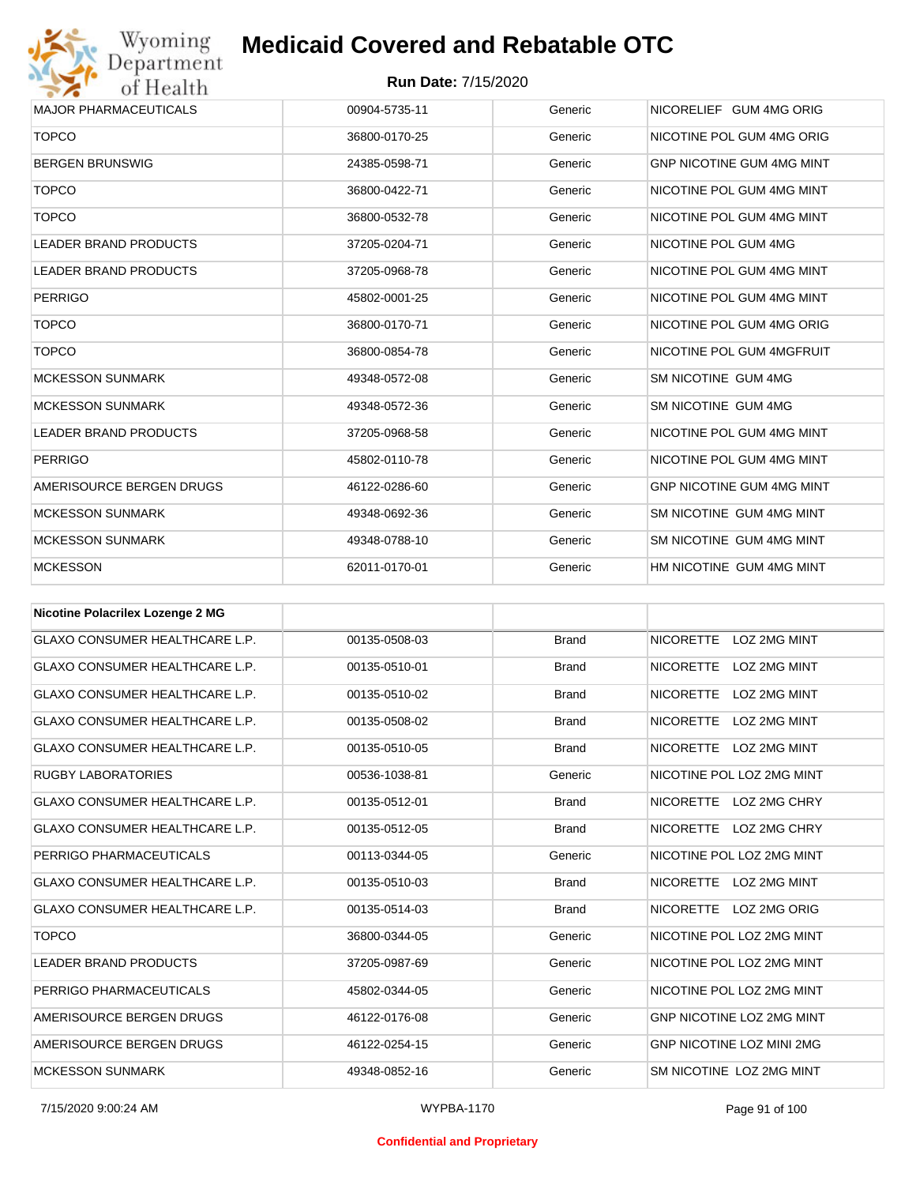

| <b>MAJOR PHARMACEUTICALS</b>       | 00904-5735-11 | Generic | NICORELIEF GUM 4MG ORIG          |
|------------------------------------|---------------|---------|----------------------------------|
| <b>TOPCO</b>                       | 36800-0170-25 | Generic | NICOTINE POL GUM 4MG ORIG        |
| <b>BERGEN BRUNSWIG</b>             | 24385-0598-71 | Generic | <b>GNP NICOTINE GUM 4MG MINT</b> |
| <b>TOPCO</b>                       | 36800-0422-71 | Generic | NICOTINE POL GUM 4MG MINT        |
| <b>TOPCO</b>                       | 36800-0532-78 | Generic | NICOTINE POL GUM 4MG MINT        |
| <b>LEADER BRAND PRODUCTS</b>       | 37205-0204-71 | Generic | NICOTINE POL GUM 4MG             |
| <b>LEADER BRAND PRODUCTS</b>       | 37205-0968-78 | Generic | NICOTINE POL GUM 4MG MINT        |
| <b>PERRIGO</b>                     | 45802-0001-25 | Generic | NICOTINE POL GUM 4MG MINT        |
| <b>TOPCO</b>                       | 36800-0170-71 | Generic | NICOTINE POL GUM 4MG ORIG        |
| <b>TOPCO</b>                       | 36800-0854-78 | Generic | NICOTINE POL GUM 4MGFRUIT        |
| <b>MCKESSON SUNMARK</b>            | 49348-0572-08 | Generic | SM NICOTINE GUM 4MG              |
| <b>MCKESSON SUNMARK</b>            | 49348-0572-36 | Generic | SM NICOTINE GUM 4MG              |
| <b>LEADER BRAND PRODUCTS</b>       | 37205-0968-58 | Generic | NICOTINE POL GUM 4MG MINT        |
| <b>PERRIGO</b>                     | 45802-0110-78 | Generic | NICOTINE POL GUM 4MG MINT        |
| AMERISOURCE BERGEN DRUGS           | 46122-0286-60 | Generic | <b>GNP NICOTINE GUM 4MG MINT</b> |
| <b>MCKESSON SUNMARK</b>            | 49348-0692-36 | Generic | SM NICOTINE GUM 4MG MINT         |
| <b>MCKESSON SUNMARK</b>            | 49348-0788-10 | Generic | SM NICOTINE GUM 4MG MINT         |
| <b>MCKESSON</b>                    | 62011-0170-01 | Generic | HM NICOTINE GUM 4MG MINT         |
| Nisstine Delessiless Legenden O.MO |               |         |                                  |

| <b>Nicotine Polacrilex Lozenge 2 MG</b> |               |              |                                         |
|-----------------------------------------|---------------|--------------|-----------------------------------------|
| <b>GLAXO CONSUMER HEALTHCARE L.P.</b>   | 00135-0508-03 | <b>Brand</b> | <b>NICORETTE</b><br>LOZ 2MG MINT        |
| <b>GLAXO CONSUMER HEALTHCARE L.P.</b>   | 00135-0510-01 | <b>Brand</b> | <b>NICORETTE</b><br>LOZ 2MG MINT        |
| <b>GLAXO CONSUMER HEALTHCARE L.P.</b>   | 00135-0510-02 | <b>Brand</b> | <b>LOZ 2MG MINT</b><br><b>NICORETTE</b> |
| <b>GLAXO CONSUMER HEALTHCARE L.P.</b>   | 00135-0508-02 | <b>Brand</b> | <b>NICORETTE</b><br>LOZ 2MG MINT        |
| <b>GLAXO CONSUMER HEALTHCARE L.P.</b>   | 00135-0510-05 | <b>Brand</b> | <b>NICORETTE</b><br>LOZ 2MG MINT        |
| <b>RUGBY LABORATORIES</b>               | 00536-1038-81 | Generic      | NICOTINE POL LOZ 2MG MINT               |
| <b>GLAXO CONSUMER HEALTHCARE L.P.</b>   | 00135-0512-01 | <b>Brand</b> | <b>NICORETTE</b><br>LOZ 2MG CHRY        |
| <b>GLAXO CONSUMER HEALTHCARE L.P.</b>   | 00135-0512-05 | <b>Brand</b> | <b>NICORETTE</b><br>LOZ 2MG CHRY        |
| PERRIGO PHARMACEUTICALS                 | 00113-0344-05 | Generic      | NICOTINE POL LOZ 2MG MINT               |
| <b>GLAXO CONSUMER HEALTHCARE L.P.</b>   | 00135-0510-03 | <b>Brand</b> | <b>NICORETTE</b><br>LOZ 2MG MINT        |
| <b>GLAXO CONSUMER HEALTHCARE L.P.</b>   | 00135-0514-03 | <b>Brand</b> | <b>NICORETTE</b><br>LOZ 2MG ORIG        |
| <b>TOPCO</b>                            | 36800-0344-05 | Generic      | NICOTINE POL LOZ 2MG MINT               |
| <b>LEADER BRAND PRODUCTS</b>            | 37205-0987-69 | Generic      | NICOTINE POL LOZ 2MG MINT               |
| PERRIGO PHARMACEUTICALS                 | 45802-0344-05 | Generic      | NICOTINE POL LOZ 2MG MINT               |
| AMERISOURCE BERGEN DRUGS                | 46122-0176-08 | Generic      | GNP NICOTINE LOZ 2MG MINT               |
| AMERISOURCE BERGEN DRUGS                | 46122-0254-15 | Generic      | <b>GNP NICOTINE LOZ MINI 2MG</b>        |
| <b>MCKESSON SUNMARK</b>                 | 49348-0852-16 | Generic      | SM NICOTINE LOZ 2MG MINT                |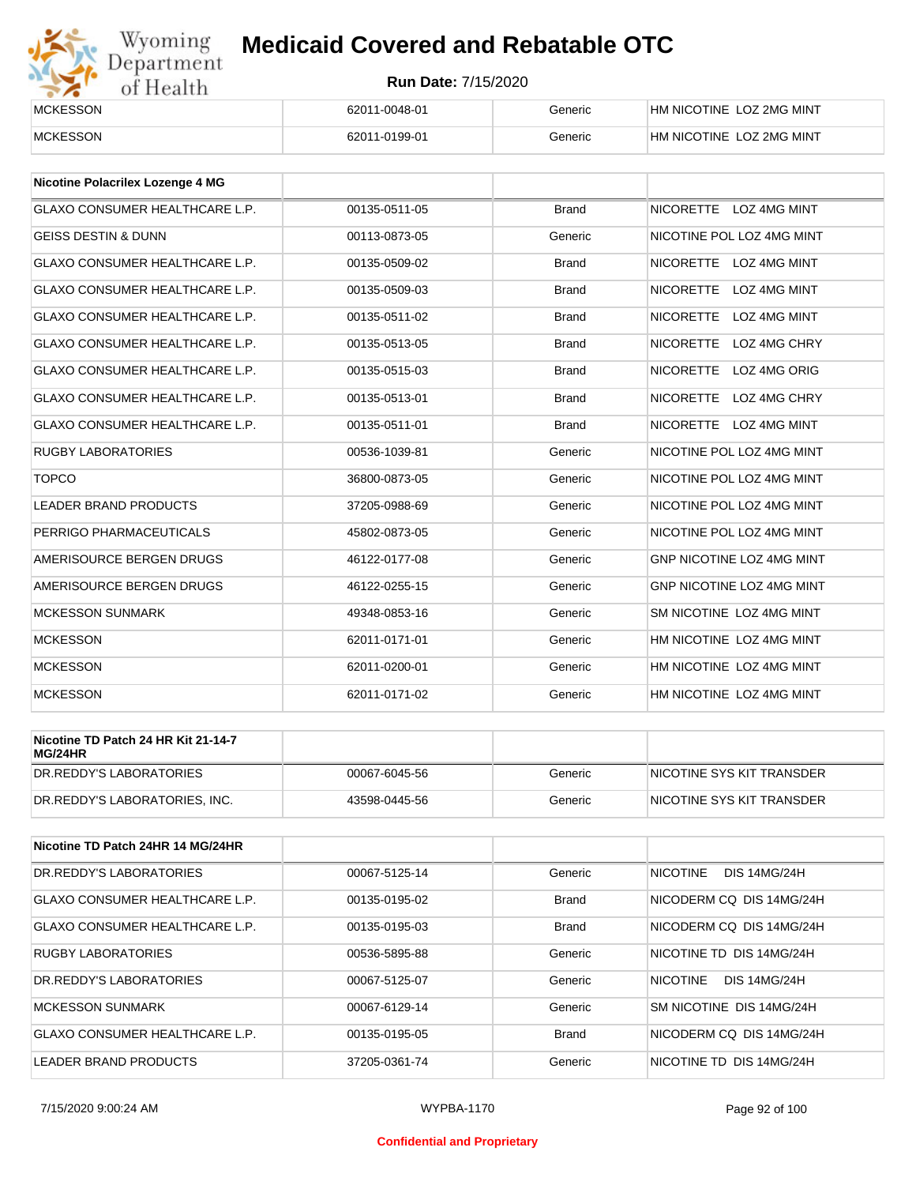

| <b>MCKESSON</b> | 62011-0048-01 | Generic | HM NICOTINE LOZ 2MG MINT |
|-----------------|---------------|---------|--------------------------|
| <b>MCKESSON</b> | 62011-0199-01 | Beneric | HM NICOTINE LOZ 2MG MINT |

| <b>Nicotine Polacrilex Lozenge 4 MG</b> |               |              |                                         |
|-----------------------------------------|---------------|--------------|-----------------------------------------|
| <b>GLAXO CONSUMER HEALTHCARE L.P.</b>   | 00135-0511-05 | <b>Brand</b> | NICORETTE LOZ 4MG MINT                  |
| <b>GEISS DESTIN &amp; DUNN</b>          | 00113-0873-05 | Generic      | NICOTINE POL LOZ 4MG MINT               |
| <b>GLAXO CONSUMER HEALTHCARE L.P.</b>   | 00135-0509-02 | <b>Brand</b> | <b>NICORETTE</b><br><b>LOZ 4MG MINT</b> |
| <b>GLAXO CONSUMER HEALTHCARE L.P.</b>   | 00135-0509-03 | <b>Brand</b> | <b>NICORETTE</b><br><b>LOZ 4MG MINT</b> |
| <b>GLAXO CONSUMER HEALTHCARE L.P.</b>   | 00135-0511-02 | <b>Brand</b> | <b>NICORETTE</b><br>LOZ 4MG MINT        |
| <b>GLAXO CONSUMER HEALTHCARE L.P.</b>   | 00135-0513-05 | <b>Brand</b> | <b>NICORETTE</b><br>LOZ 4MG CHRY        |
| <b>GLAXO CONSUMER HEALTHCARE L.P.</b>   | 00135-0515-03 | <b>Brand</b> | <b>NICORETTE</b><br>LOZ 4MG ORIG        |
| <b>GLAXO CONSUMER HEALTHCARE L.P.</b>   | 00135-0513-01 | <b>Brand</b> | <b>NICORETTE</b><br>LOZ 4MG CHRY        |
| <b>GLAXO CONSUMER HEALTHCARE L.P.</b>   | 00135-0511-01 | <b>Brand</b> | NICORETTE LOZ 4MG MINT                  |
| <b>RUGBY LABORATORIES</b>               | 00536-1039-81 | Generic      | NICOTINE POL LOZ 4MG MINT               |
| <b>TOPCO</b>                            | 36800-0873-05 | Generic      | NICOTINE POL LOZ 4MG MINT               |
| <b>LEADER BRAND PRODUCTS</b>            | 37205-0988-69 | Generic      | NICOTINE POL LOZ 4MG MINT               |
| PERRIGO PHARMACEUTICALS                 | 45802-0873-05 | Generic      | NICOTINE POL LOZ 4MG MINT               |
| AMERISOURCE BERGEN DRUGS                | 46122-0177-08 | Generic      | GNP NICOTINE LOZ 4MG MINT               |
| AMERISOURCE BERGEN DRUGS                | 46122-0255-15 | Generic      | <b>GNP NICOTINE LOZ 4MG MINT</b>        |
| <b>MCKESSON SUNMARK</b>                 | 49348-0853-16 | Generic      | SM NICOTINE LOZ 4MG MINT                |
| <b>MCKESSON</b>                         | 62011-0171-01 | Generic      | HM NICOTINE LOZ 4MG MINT                |
| <b>MCKESSON</b>                         | 62011-0200-01 | Generic      | HM NICOTINE LOZ 4MG MINT                |
| <b>MCKESSON</b>                         | 62011-0171-02 | Generic      | HM NICOTINE LOZ 4MG MINT                |

| Nicotine TD Patch 24 HR Kit 21-14-7<br>MG/24HR |               |         |                           |
|------------------------------------------------|---------------|---------|---------------------------|
| IDR.REDDY'S LABORATORIES                       | 00067-6045-56 | Generic | NICOTINE SYS KIT TRANSDER |
| DR.REDDY'S LABORATORIES. INC.                  | 43598-0445-56 | Generic | NICOTINE SYS KIT TRANSDER |

| Nicotine TD Patch 24HR 14 MG/24HR     |               |              |                                        |
|---------------------------------------|---------------|--------------|----------------------------------------|
| DR. REDDY'S LABORATORIES              | 00067-5125-14 | Generic      | <b>NICOTINE</b><br><b>DIS 14MG/24H</b> |
| <b>GLAXO CONSUMER HEALTHCARE L.P.</b> | 00135-0195-02 | <b>Brand</b> | NICODERM CO DIS 14MG/24H               |
| <b>GLAXO CONSUMER HEALTHCARE L.P.</b> | 00135-0195-03 | <b>Brand</b> | NICODERM CO DIS 14MG/24H               |
| <b>RUGBY LABORATORIES</b>             | 00536-5895-88 | Generic      | NICOTINE TD DIS 14MG/24H               |
| DR. REDDY'S LABORATORIES              | 00067-5125-07 | Generic      | <b>NICOTINE</b><br><b>DIS 14MG/24H</b> |
| <b>MCKESSON SUNMARK</b>               | 00067-6129-14 | Generic      | SM NICOTINE DIS 14MG/24H               |
| <b>GLAXO CONSUMER HEALTHCARE L.P.</b> | 00135-0195-05 | <b>Brand</b> | NICODERM CO DIS 14MG/24H               |
| LEADER BRAND PRODUCTS                 | 37205-0361-74 | Generic      | NICOTINE TD DIS 14MG/24H               |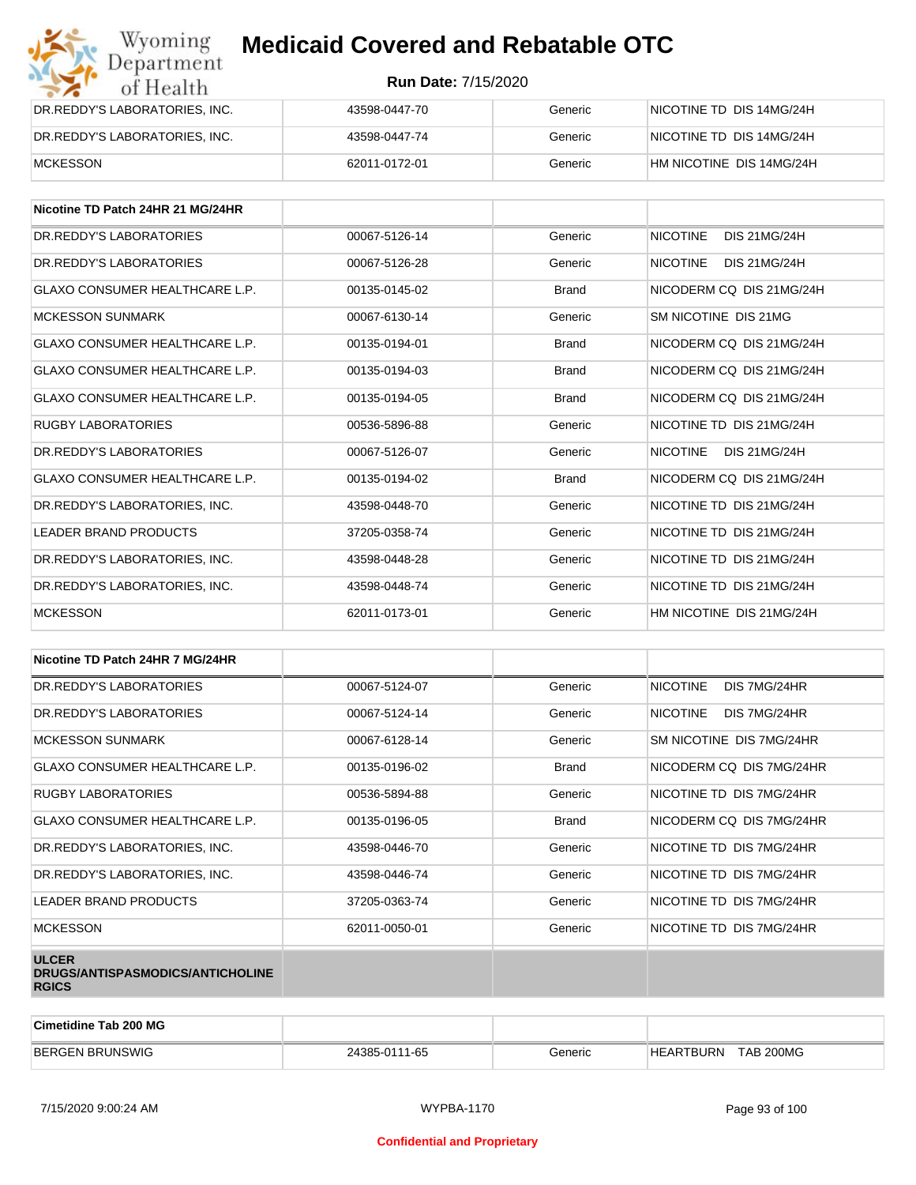| Wyoming<br><b>Medicaid Covered and Rebatable OTC</b><br>Department |                            |         |                          |  |
|--------------------------------------------------------------------|----------------------------|---------|--------------------------|--|
| of Health                                                          | <b>Run Date: 7/15/2020</b> |         |                          |  |
| DR.REDDY'S LABORATORIES, INC.                                      | 43598-0447-70              | Generic | NICOTINE TD DIS 14MG/24H |  |
| DR.REDDY'S LABORATORIES, INC.                                      | 43598-0447-74              | Generic | NICOTINE TD DIS 14MG/24H |  |
| <b>MCKESSON</b>                                                    | 62011-0172-01              | Generic | HM NICOTINE DIS 14MG/24H |  |

| Nicotine TD Patch 24HR 21 MG/24HR     |               |              |                                        |
|---------------------------------------|---------------|--------------|----------------------------------------|
| DR. REDDY'S LABORATORIES              | 00067-5126-14 | Generic      | <b>NICOTINE</b><br><b>DIS 21MG/24H</b> |
| DR. REDDY'S LABORATORIES              | 00067-5126-28 | Generic      | <b>NICOTINE</b><br>DIS 21MG/24H        |
| <b>GLAXO CONSUMER HEALTHCARE L.P.</b> | 00135-0145-02 | <b>Brand</b> | NICODERM CO DIS 21MG/24H               |
| <b>MCKESSON SUNMARK</b>               | 00067-6130-14 | Generic      | SM NICOTINE DIS 21MG                   |
| <b>GLAXO CONSUMER HEALTHCARE L.P.</b> | 00135-0194-01 | <b>Brand</b> | NICODERM CO DIS 21MG/24H               |
| <b>GLAXO CONSUMER HEALTHCARE L.P.</b> | 00135-0194-03 | <b>Brand</b> | NICODERM CO DIS 21MG/24H               |
| <b>GLAXO CONSUMER HEALTHCARE L.P.</b> | 00135-0194-05 | <b>Brand</b> | NICODERM CO DIS 21MG/24H               |
| <b>RUGBY LABORATORIES</b>             | 00536-5896-88 | Generic      | NICOTINE TD DIS 21MG/24H               |
| DR.REDDY'S LABORATORIES               | 00067-5126-07 | Generic      | <b>NICOTINE</b><br>DIS 21MG/24H        |
| <b>GLAXO CONSUMER HEALTHCARE L.P.</b> | 00135-0194-02 | <b>Brand</b> | NICODERM CO DIS 21MG/24H               |
| DR. REDDY'S LABORATORIES. INC.        | 43598-0448-70 | Generic      | NICOTINE TD DIS 21MG/24H               |
| <b>LEADER BRAND PRODUCTS</b>          | 37205-0358-74 | Generic      | NICOTINE TD DIS 21MG/24H               |
| DR.REDDY'S LABORATORIES, INC.         | 43598-0448-28 | Generic      | NICOTINE TD DIS 21MG/24H               |
| DR. REDDY'S LABORATORIES. INC.        | 43598-0448-74 | Generic      | NICOTINE TD DIS 21MG/24H               |
| <b>MCKESSON</b>                       | 62011-0173-01 | Generic      | HM NICOTINE DIS 21MG/24H               |

| Nicotine TD Patch 24HR 7 MG/24HR                                 |               |              |                                 |
|------------------------------------------------------------------|---------------|--------------|---------------------------------|
| DR. REDDY'S LABORATORIES                                         | 00067-5124-07 | Generic      | <b>NICOTINE</b><br>DIS 7MG/24HR |
| DR. REDDY'S LABORATORIES                                         | 00067-5124-14 | Generic      | <b>NICOTINE</b><br>DIS 7MG/24HR |
| <b>MCKESSON SUNMARK</b>                                          | 00067-6128-14 | Generic      | SM NICOTINE DIS 7MG/24HR        |
| <b>GLAXO CONSUMER HEALTHCARE L.P.</b>                            | 00135-0196-02 | <b>Brand</b> | NICODERM CQ DIS 7MG/24HR        |
| <b>RUGBY LABORATORIES</b>                                        | 00536-5894-88 | Generic      | NICOTINE TD DIS 7MG/24HR        |
| <b>GLAXO CONSUMER HEALTHCARE L.P.</b>                            | 00135-0196-05 | <b>Brand</b> | NICODERM CQ DIS 7MG/24HR        |
| DR.REDDY'S LABORATORIES, INC.                                    | 43598-0446-70 | Generic      | NICOTINE TD DIS 7MG/24HR        |
| DR.REDDY'S LABORATORIES, INC.                                    | 43598-0446-74 | Generic      | NICOTINE TD DIS 7MG/24HR        |
| <b>LEADER BRAND PRODUCTS</b>                                     | 37205-0363-74 | Generic      | NICOTINE TD DIS 7MG/24HR        |
| <b>MCKESSON</b>                                                  | 62011-0050-01 | Generic      | NICOTINE TD DIS 7MG/24HR        |
| <b>ULCER</b><br>DRUGS/ANTISPASMODICS/ANTICHOLINE<br><b>RGICS</b> |               |              |                                 |

| Cimetidine Tab 200 MG  |               |         |                                      |  |
|------------------------|---------------|---------|--------------------------------------|--|
| <b>BERGEN BRUNSWIG</b> | 24385-0111-65 | Generic | <b>TAB 200MG</b><br><b>HEARTBURN</b> |  |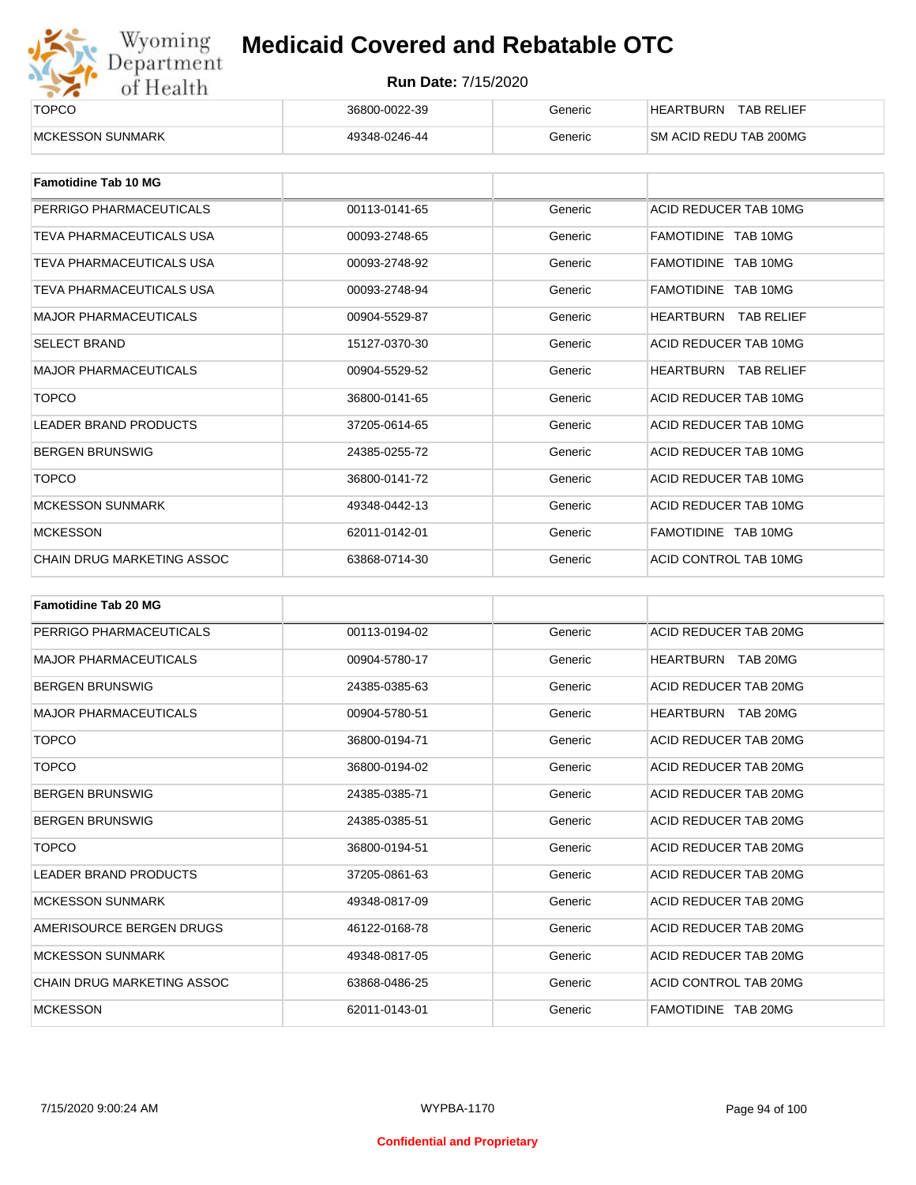

| ______<br><b>TOPCO</b>   | 36800-0022-39 | Generic | <b>TAB RELIEF</b><br><b>HEARTBURN</b> |
|--------------------------|---------------|---------|---------------------------------------|
| <b>IMCKESSON SUNMARK</b> | 49348-0246-44 | Generic | <b>SM ACID REDU TAB 200MG</b>         |

| <b>Famotidine Tab 10 MG</b>  |               |         |                             |
|------------------------------|---------------|---------|-----------------------------|
| PERRIGO PHARMACEUTICALS      | 00113-0141-65 | Generic | ACID REDUCER TAB 10MG       |
| TEVA PHARMACEUTICALS USA     | 00093-2748-65 | Generic | FAMOTIDINE TAB 10MG         |
| TEVA PHARMACEUTICALS USA     | 00093-2748-92 | Generic | FAMOTIDINE TAB 10MG         |
| TEVA PHARMACEUTICALS USA     | 00093-2748-94 | Generic | FAMOTIDINE TAB 10MG         |
| <b>MAJOR PHARMACEUTICALS</b> | 00904-5529-87 | Generic | <b>HEARTBURN TAB RELIEF</b> |
| <b>SELECT BRAND</b>          | 15127-0370-30 | Generic | ACID REDUCER TAB 10MG       |
| <b>MAJOR PHARMACEUTICALS</b> | 00904-5529-52 | Generic | <b>HEARTBURN TAB RELIEF</b> |
| <b>TOPCO</b>                 | 36800-0141-65 | Generic | ACID REDUCER TAB 10MG       |
| <b>LEADER BRAND PRODUCTS</b> | 37205-0614-65 | Generic | ACID REDUCER TAB 10MG       |
| <b>BERGEN BRUNSWIG</b>       | 24385-0255-72 | Generic | ACID REDUCER TAB 10MG       |
| <b>TOPCO</b>                 | 36800-0141-72 | Generic | ACID REDUCER TAB 10MG       |
| <b>MCKESSON SUNMARK</b>      | 49348-0442-13 | Generic | ACID REDUCER TAB 10MG       |
| <b>MCKESSON</b>              | 62011-0142-01 | Generic | FAMOTIDINE TAB 10MG         |
| CHAIN DRUG MARKETING ASSOC   | 63868-0714-30 | Generic | ACID CONTROL TAB 10MG       |

| <b>Famotidine Tab 20 MG</b>  |               |         |                           |
|------------------------------|---------------|---------|---------------------------|
| PERRIGO PHARMACEUTICALS      | 00113-0194-02 | Generic | ACID REDUCER TAB 20MG     |
| <b>MAJOR PHARMACEUTICALS</b> | 00904-5780-17 | Generic | HEARTBURN TAB 20MG        |
| <b>BERGEN BRUNSWIG</b>       | 24385-0385-63 | Generic | ACID REDUCER TAB 20MG     |
| <b>MAJOR PHARMACEUTICALS</b> | 00904-5780-51 | Generic | <b>HEARTBURN TAB 20MG</b> |
| <b>TOPCO</b>                 | 36800-0194-71 | Generic | ACID REDUCER TAB 20MG     |
| <b>TOPCO</b>                 | 36800-0194-02 | Generic | ACID REDUCER TAB 20MG     |
| <b>BERGEN BRUNSWIG</b>       | 24385-0385-71 | Generic | ACID REDUCER TAB 20MG     |
| <b>BERGEN BRUNSWIG</b>       | 24385-0385-51 | Generic | ACID REDUCER TAB 20MG     |
| <b>TOPCO</b>                 | 36800-0194-51 | Generic | ACID REDUCER TAB 20MG     |
| <b>LEADER BRAND PRODUCTS</b> | 37205-0861-63 | Generic | ACID REDUCER TAB 20MG     |
| <b>MCKESSON SUNMARK</b>      | 49348-0817-09 | Generic | ACID REDUCER TAB 20MG     |
| AMERISOURCE BERGEN DRUGS     | 46122-0168-78 | Generic | ACID REDUCER TAB 20MG     |
| <b>MCKESSON SUNMARK</b>      | 49348-0817-05 | Generic | ACID REDUCER TAB 20MG     |
| CHAIN DRUG MARKETING ASSOC   | 63868-0486-25 | Generic | ACID CONTROL TAB 20MG     |
| <b>MCKESSON</b>              | 62011-0143-01 | Generic | FAMOTIDINE TAB 20MG       |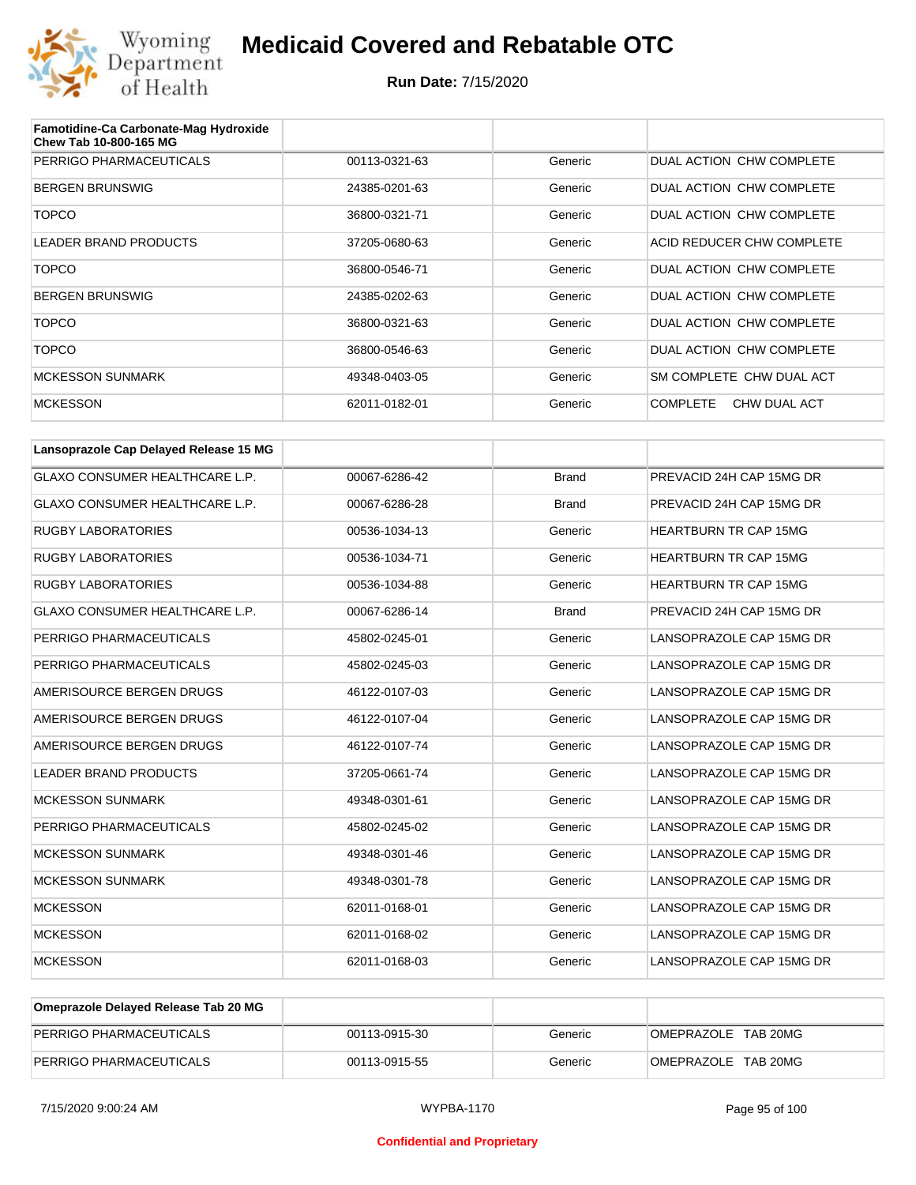

| Famotidine-Ca Carbonate-Mag Hydroxide<br>Chew Tab 10-800-165 MG |               |         |                                 |
|-----------------------------------------------------------------|---------------|---------|---------------------------------|
| PERRIGO PHARMACEUTICALS                                         | 00113-0321-63 | Generic | DUAL ACTION CHW COMPLETE        |
| <b>BERGEN BRUNSWIG</b>                                          | 24385-0201-63 | Generic | DUAL ACTION CHW COMPLETE        |
| <b>TOPCO</b>                                                    | 36800-0321-71 | Generic | DUAL ACTION CHW COMPLETE        |
| LEADER BRAND PRODUCTS                                           | 37205-0680-63 | Generic | ACID REDUCER CHW COMPLETE       |
| <b>TOPCO</b>                                                    | 36800-0546-71 | Generic | DUAL ACTION CHW COMPLETE        |
| <b>BERGEN BRUNSWIG</b>                                          | 24385-0202-63 | Generic | DUAL ACTION CHW COMPLETE        |
| <b>TOPCO</b>                                                    | 36800-0321-63 | Generic | DUAL ACTION CHW COMPLETE        |
| <b>TOPCO</b>                                                    | 36800-0546-63 | Generic | DUAL ACTION CHW COMPLETE        |
| <b>MCKESSON SUNMARK</b>                                         | 49348-0403-05 | Generic | SM COMPLETE CHW DUAL ACT        |
| <b>MCKESSON</b>                                                 | 62011-0182-01 | Generic | <b>COMPLETE</b><br>CHW DUAL ACT |

| Lansoprazole Cap Delayed Release 15 MG |               |              |                              |
|----------------------------------------|---------------|--------------|------------------------------|
| <b>GLAXO CONSUMER HEALTHCARE L.P.</b>  | 00067-6286-42 | <b>Brand</b> | PREVACID 24H CAP 15MG DR     |
| <b>GLAXO CONSUMER HEALTHCARE L.P.</b>  | 00067-6286-28 | <b>Brand</b> | PREVACID 24H CAP 15MG DR     |
| <b>RUGBY LABORATORIES</b>              | 00536-1034-13 | Generic      | <b>HEARTBURN TR CAP 15MG</b> |
| <b>RUGBY LABORATORIES</b>              | 00536-1034-71 | Generic      | <b>HEARTBURN TR CAP 15MG</b> |
| <b>RUGBY LABORATORIES</b>              | 00536-1034-88 | Generic      | <b>HEARTBURN TR CAP 15MG</b> |
| <b>GLAXO CONSUMER HEALTHCARE L.P.</b>  | 00067-6286-14 | <b>Brand</b> | PREVACID 24H CAP 15MG DR     |
| PERRIGO PHARMACEUTICALS                | 45802-0245-01 | Generic      | LANSOPRAZOLE CAP 15MG DR     |
| PERRIGO PHARMACEUTICALS                | 45802-0245-03 | Generic      | LANSOPRAZOLE CAP 15MG DR     |
| AMERISOURCE BERGEN DRUGS               | 46122-0107-03 | Generic      | LANSOPRAZOLE CAP 15MG DR     |
| AMERISOURCE BERGEN DRUGS               | 46122-0107-04 | Generic      | LANSOPRAZOLE CAP 15MG DR     |
| AMERISOURCE BERGEN DRUGS               | 46122-0107-74 | Generic      | LANSOPRAZOLE CAP 15MG DR     |
| <b>LEADER BRAND PRODUCTS</b>           | 37205-0661-74 | Generic      | LANSOPRAZOLE CAP 15MG DR     |
| <b>MCKESSON SUNMARK</b>                | 49348-0301-61 | Generic      | LANSOPRAZOLE CAP 15MG DR     |
| PERRIGO PHARMACEUTICALS                | 45802-0245-02 | Generic      | LANSOPRAZOLE CAP 15MG DR     |
| <b>MCKESSON SUNMARK</b>                | 49348-0301-46 | Generic      | LANSOPRAZOLE CAP 15MG DR     |
| <b>MCKESSON SUNMARK</b>                | 49348-0301-78 | Generic      | LANSOPRAZOLE CAP 15MG DR     |
| <b>MCKESSON</b>                        | 62011-0168-01 | Generic      | LANSOPRAZOLE CAP 15MG DR     |
| <b>MCKESSON</b>                        | 62011-0168-02 | Generic      | LANSOPRAZOLE CAP 15MG DR     |
| <b>MCKESSON</b>                        | 62011-0168-03 | Generic      | LANSOPRAZOLE CAP 15MG DR     |

| Omeprazole Delayed Release Tab 20 MG |               |         |                     |
|--------------------------------------|---------------|---------|---------------------|
| PERRIGO PHARMACEUTICALS              | 00113-0915-30 | Generic | OMEPRAZOLE TAB 20MG |
| PERRIGO PHARMACEUTICALS              | 00113-0915-55 | Generic | OMEPRAZOLE TAB 20MG |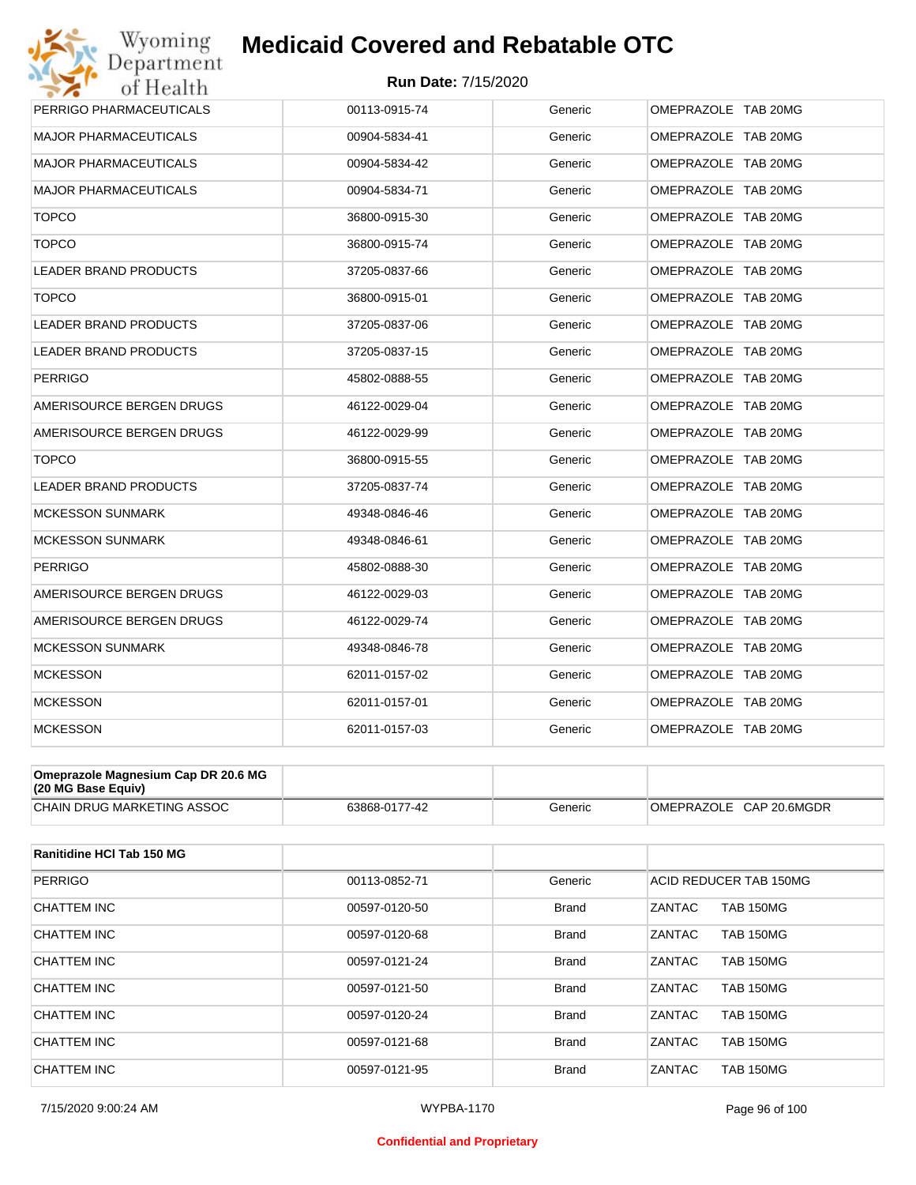

| PERRIGO PHARMACEUTICALS                                   | 00113-0915-74 | Generic | OMEPRAZOLE TAB 20MG |
|-----------------------------------------------------------|---------------|---------|---------------------|
| <b>MAJOR PHARMACEUTICALS</b>                              | 00904-5834-41 | Generic | OMEPRAZOLE TAB 20MG |
| <b>MAJOR PHARMACEUTICALS</b>                              | 00904-5834-42 | Generic | OMEPRAZOLE TAB 20MG |
| <b>MAJOR PHARMACEUTICALS</b>                              | 00904-5834-71 | Generic | OMEPRAZOLE TAB 20MG |
| <b>TOPCO</b>                                              | 36800-0915-30 | Generic | OMEPRAZOLE TAB 20MG |
| <b>TOPCO</b>                                              | 36800-0915-74 | Generic | OMEPRAZOLE TAB 20MG |
| <b>LEADER BRAND PRODUCTS</b>                              | 37205-0837-66 | Generic | OMEPRAZOLE TAB 20MG |
| <b>TOPCO</b>                                              | 36800-0915-01 | Generic | OMEPRAZOLE TAB 20MG |
| <b>LEADER BRAND PRODUCTS</b>                              | 37205-0837-06 | Generic | OMEPRAZOLE TAB 20MG |
| LEADER BRAND PRODUCTS                                     | 37205-0837-15 | Generic | OMEPRAZOLE TAB 20MG |
| <b>PERRIGO</b>                                            | 45802-0888-55 | Generic | OMEPRAZOLE TAB 20MG |
| AMERISOURCE BERGEN DRUGS                                  | 46122-0029-04 | Generic | OMEPRAZOLE TAB 20MG |
| AMERISOURCE BERGEN DRUGS                                  | 46122-0029-99 | Generic | OMEPRAZOLE TAB 20MG |
| <b>TOPCO</b>                                              | 36800-0915-55 | Generic | OMEPRAZOLE TAB 20MG |
| <b>LEADER BRAND PRODUCTS</b>                              | 37205-0837-74 | Generic | OMEPRAZOLE TAB 20MG |
| <b>MCKESSON SUNMARK</b>                                   | 49348-0846-46 | Generic | OMEPRAZOLE TAB 20MG |
| <b>MCKESSON SUNMARK</b>                                   | 49348-0846-61 | Generic | OMEPRAZOLE TAB 20MG |
| <b>PERRIGO</b>                                            | 45802-0888-30 | Generic | OMEPRAZOLE TAB 20MG |
| AMERISOURCE BERGEN DRUGS                                  | 46122-0029-03 | Generic | OMEPRAZOLE TAB 20MG |
| AMERISOURCE BERGEN DRUGS                                  | 46122-0029-74 | Generic | OMEPRAZOLE TAB 20MG |
| <b>MCKESSON SUNMARK</b>                                   | 49348-0846-78 | Generic | OMEPRAZOLE TAB 20MG |
| <b>MCKESSON</b>                                           | 62011-0157-02 | Generic | OMEPRAZOLE TAB 20MG |
| <b>MCKESSON</b>                                           | 62011-0157-01 | Generic | OMEPRAZOLE TAB 20MG |
| <b>MCKESSON</b>                                           | 62011-0157-03 | Generic | OMEPRAZOLE TAB 20MG |
|                                                           |               |         |                     |
| Omeprazole Magnesium Cap DR 20.6 MG<br>(20 MG Base Equiv) |               |         |                     |

| $\overline{120}$ ind dase culture |                               |         |                                |
|-----------------------------------|-------------------------------|---------|--------------------------------|
| I DRUG MARKETING ASSOC<br>CHAIN   | 63868-0<br>$\sim$<br>$1 - 44$ | Generic | 20.6MGDR<br>⊟OMEPRAZO∟∟<br>GAP |

| Ranitidine HCI Tab 150 MG |               |              |                                   |
|---------------------------|---------------|--------------|-----------------------------------|
| <b>PERRIGO</b>            | 00113-0852-71 | Generic      | ACID REDUCER TAB 150MG            |
| <b>CHATTEM INC</b>        | 00597-0120-50 | <b>Brand</b> | <b>ZANTAC</b><br><b>TAB 150MG</b> |
| CHATTEM INC               | 00597-0120-68 | <b>Brand</b> | <b>ZANTAC</b><br><b>TAB 150MG</b> |
| <b>CHATTEM INC</b>        | 00597-0121-24 | <b>Brand</b> | ZANTAC<br><b>TAB 150MG</b>        |
| <b>CHATTEM INC</b>        | 00597-0121-50 | <b>Brand</b> | ZANTAC<br><b>TAB 150MG</b>        |
| CHATTEM INC               | 00597-0120-24 | <b>Brand</b> | ZANTAC<br><b>TAB 150MG</b>        |
| CHATTEM INC               | 00597-0121-68 | <b>Brand</b> | ZANTAC<br><b>TAB 150MG</b>        |
| CHATTEM INC               | 00597-0121-95 | <b>Brand</b> | ZANTAC<br><b>TAB 150MG</b>        |

#### **Confidential and Proprietary**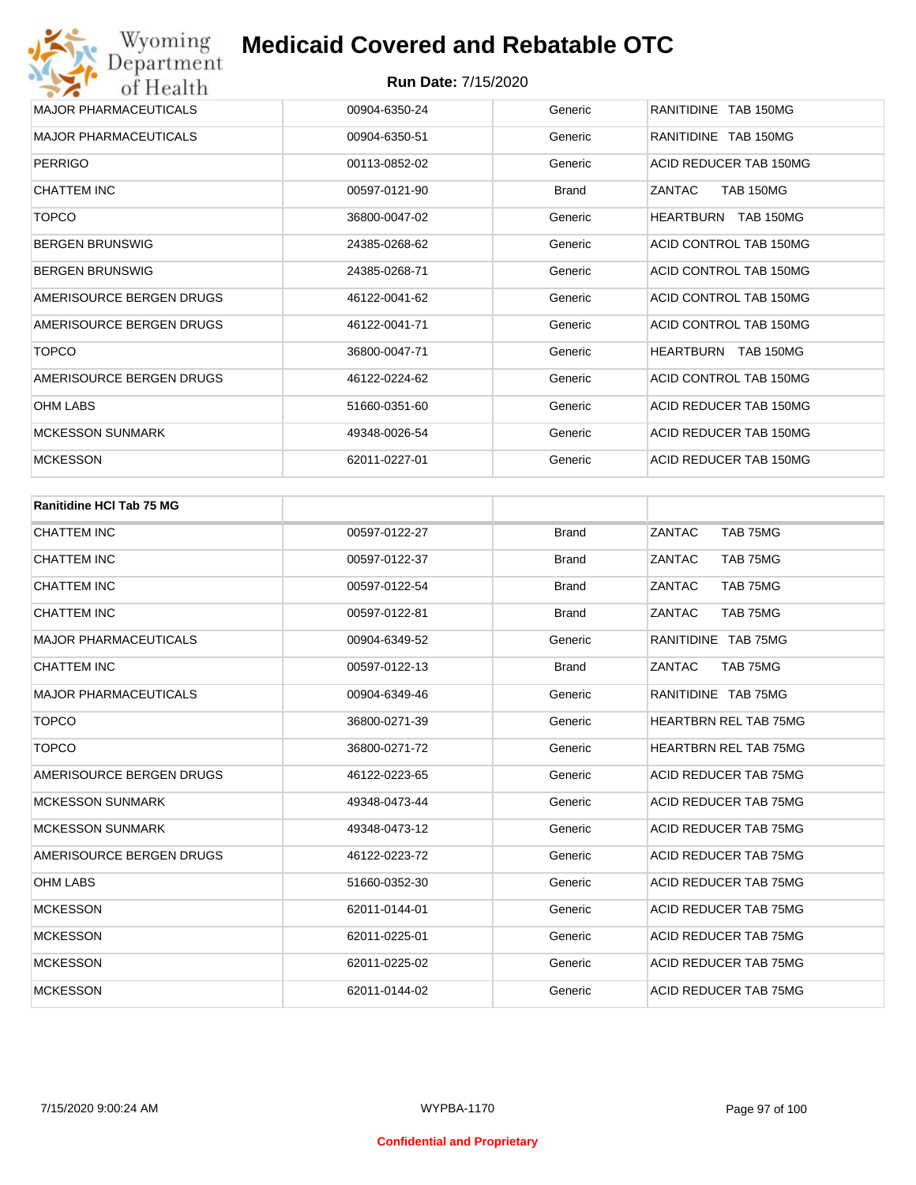| <b>MAJOR PHARMACEUTICALS</b> | 00904-6350-24 | Generic      | RANITIDINE TAB 150MG       |
|------------------------------|---------------|--------------|----------------------------|
| <b>MAJOR PHARMACEUTICALS</b> | 00904-6350-51 | Generic      | RANITIDINE TAB 150MG       |
| <b>PERRIGO</b>               | 00113-0852-02 | Generic      | ACID REDUCER TAB 150MG     |
| CHATTEM INC                  | 00597-0121-90 | <b>Brand</b> | ZANTAC<br><b>TAB 150MG</b> |
| <b>TOPCO</b>                 | 36800-0047-02 | Generic      | HEARTBURN TAB 150MG        |
| <b>BERGEN BRUNSWIG</b>       | 24385-0268-62 | Generic      | ACID CONTROL TAB 150MG     |
| <b>BERGEN BRUNSWIG</b>       | 24385-0268-71 | Generic      | ACID CONTROL TAB 150MG     |
| AMERISOURCE BERGEN DRUGS     | 46122-0041-62 | Generic      | ACID CONTROL TAB 150MG     |
| AMERISOURCE BERGEN DRUGS     | 46122-0041-71 | Generic      | ACID CONTROL TAB 150MG     |
| <b>TOPCO</b>                 | 36800-0047-71 | Generic      | HEARTBURN<br>TAB 150MG     |
| AMERISOURCE BERGEN DRUGS     | 46122-0224-62 | Generic      | ACID CONTROL TAB 150MG     |
| <b>OHM LABS</b>              | 51660-0351-60 | Generic      | ACID REDUCER TAB 150MG     |
| <b>MCKESSON SUNMARK</b>      | 49348-0026-54 | Generic      | ACID REDUCER TAB 150MG     |
| <b>MCKESSON</b>              | 62011-0227-01 | Generic      | ACID REDUCER TAB 150MG     |

| <b>Ranitidine HCI Tab 75 MG</b> |               |              |                              |
|---------------------------------|---------------|--------------|------------------------------|
| <b>CHATTEM INC</b>              | 00597-0122-27 | <b>Brand</b> | TAB 75MG<br>ZANTAC           |
| <b>CHATTEM INC</b>              | 00597-0122-37 | <b>Brand</b> | ZANTAC<br>TAB 75MG           |
| <b>CHATTEM INC</b>              | 00597-0122-54 | <b>Brand</b> | ZANTAC<br>TAB 75MG           |
| <b>CHATTEM INC</b>              | 00597-0122-81 | <b>Brand</b> | ZANTAC<br>TAB 75MG           |
| <b>MAJOR PHARMACEUTICALS</b>    | 00904-6349-52 | Generic      | RANITIDINE TAB 75MG          |
| <b>CHATTEM INC</b>              | 00597-0122-13 | <b>Brand</b> | ZANTAC<br>TAB 75MG           |
| <b>MAJOR PHARMACEUTICALS</b>    | 00904-6349-46 | Generic      | RANITIDINE TAB 75MG          |
| <b>TOPCO</b>                    | 36800-0271-39 | Generic      | <b>HEARTBRN REL TAB 75MG</b> |
| <b>TOPCO</b>                    | 36800-0271-72 | Generic      | <b>HEARTBRN REL TAB 75MG</b> |
| AMERISOURCE BERGEN DRUGS        | 46122-0223-65 | Generic      | <b>ACID REDUCER TAB 75MG</b> |
| <b>MCKESSON SUNMARK</b>         | 49348-0473-44 | Generic      | ACID REDUCER TAB 75MG        |
| <b>MCKESSON SUNMARK</b>         | 49348-0473-12 | Generic      | ACID REDUCER TAB 75MG        |
| AMERISOURCE BERGEN DRUGS        | 46122-0223-72 | Generic      | ACID REDUCER TAB 75MG        |
| <b>OHM LABS</b>                 | 51660-0352-30 | Generic      | <b>ACID REDUCER TAB 75MG</b> |
| <b>MCKESSON</b>                 | 62011-0144-01 | Generic      | ACID REDUCER TAB 75MG        |
| <b>MCKESSON</b>                 | 62011-0225-01 | Generic      | ACID REDUCER TAB 75MG        |
| <b>MCKESSON</b>                 | 62011-0225-02 | Generic      | ACID REDUCER TAB 75MG        |
| <b>MCKESSON</b>                 | 62011-0144-02 | Generic      | <b>ACID REDUCER TAB 75MG</b> |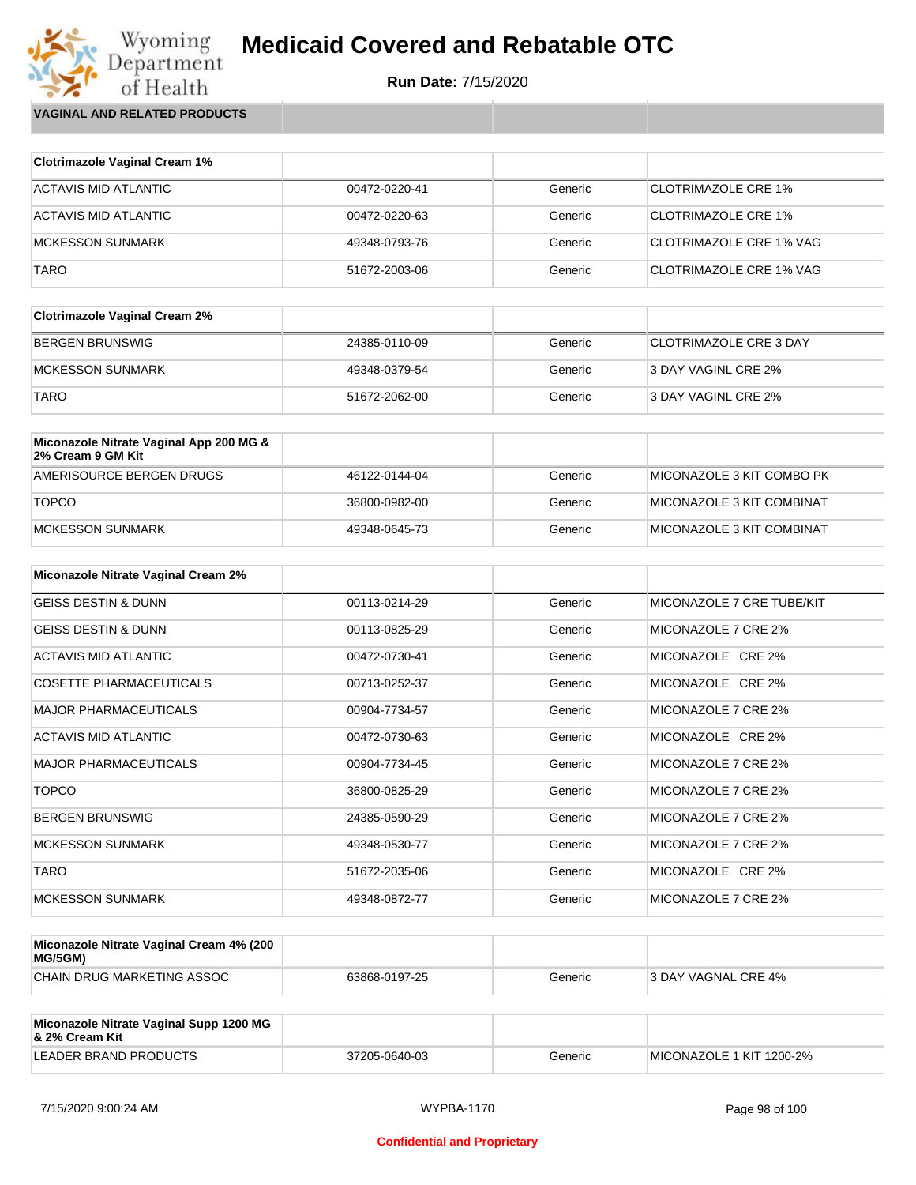**Run Date:** 7/15/2020

Wyoming<br>Department<br>of Health **VAGINAL AND RELATED PRODUCTS**

| <b>Clotrimazole Vaginal Cream 1%</b> |               |         |                            |
|--------------------------------------|---------------|---------|----------------------------|
| ACTAVIS MID ATLANTIC                 | 00472-0220-41 | Generic | CLOTRIMAZOLE CRE 1%        |
| ACTAVIS MID ATLANTIC                 | 00472-0220-63 | Generic | <b>CLOTRIMAZOLE CRE 1%</b> |
| <b>MCKESSON SUNMARK</b>              | 49348-0793-76 | Generic | CLOTRIMAZOLE CRE 1% VAG    |
| <b>TARO</b>                          | 51672-2003-06 | Generic | CLOTRIMAZOLE CRE 1% VAG    |

| <b>Clotrimazole Vaginal Cream 2%</b> |               |         |                        |
|--------------------------------------|---------------|---------|------------------------|
| <b>BERGEN BRUNSWIG</b>               | 24385-0110-09 | Generic | CLOTRIMAZOLE CRE 3 DAY |
| MCKESSON SUNMARK                     | 49348-0379-54 | Generic | 3 DAY VAGINL CRE 2%    |
| <b>TARO</b>                          | 51672-2062-00 | Generic | 3 DAY VAGINL CRE 2%    |

| Miconazole Nitrate Vaginal App 200 MG &<br>2% Cream 9 GM Kit |               |         |                               |
|--------------------------------------------------------------|---------------|---------|-------------------------------|
| AMERISOURCE BERGEN DRUGS                                     | 46122-0144-04 | Generic | ™II MICONAZOLE 3 KIT COMBO PK |
| <b>TOPCO</b>                                                 | 36800-0982-00 | Generic | MICONAZOLE 3 KIT COMBINAT     |
| MCKESSON SUNMARK                                             | 49348-0645-73 | Generic | MICONAZOLE 3 KIT COMBINAT     |

| <b>Miconazole Nitrate Vaginal Cream 2%</b> |               |         |                           |
|--------------------------------------------|---------------|---------|---------------------------|
| <b>GEISS DESTIN &amp; DUNN</b>             | 00113-0214-29 | Generic | MICONAZOLE 7 CRE TUBE/KIT |
| <b>GEISS DESTIN &amp; DUNN</b>             | 00113-0825-29 | Generic | MICONAZOLE 7 CRE 2%       |
| ACTAVIS MID ATLANTIC                       | 00472-0730-41 | Generic | MICONAZOLE CRE 2%         |
| <b>COSETTE PHARMACEUTICALS</b>             | 00713-0252-37 | Generic | MICONAZOLE CRE 2%         |
| <b>MAJOR PHARMACEUTICALS</b>               | 00904-7734-57 | Generic | MICONAZOLE 7 CRE 2%       |
| ACTAVIS MID ATLANTIC                       | 00472-0730-63 | Generic | MICONAZOLE CRE 2%         |
| <b>MAJOR PHARMACEUTICALS</b>               | 00904-7734-45 | Generic | MICONAZOLE 7 CRE 2%       |
| <b>TOPCO</b>                               | 36800-0825-29 | Generic | MICONAZOLE 7 CRE 2%       |
| <b>BERGEN BRUNSWIG</b>                     | 24385-0590-29 | Generic | MICONAZOLE 7 CRE 2%       |
| <b>MCKESSON SUNMARK</b>                    | 49348-0530-77 | Generic | MICONAZOLE 7 CRE 2%       |
| <b>TARO</b>                                | 51672-2035-06 | Generic | MICONAZOLE CRE 2%         |
| <b>MCKESSON SUNMARK</b>                    | 49348-0872-77 | Generic | MICONAZOLE 7 CRE 2%       |

| Miconazole Nitrate Vaginal Cream 4% (200<br>MG/5GM) |               |         |                     |
|-----------------------------------------------------|---------------|---------|---------------------|
| CHAIN DRUG MARKETING ASSOC                          | 63868-0197-25 | Generic | 3 DAY VAGNAL CRE 4% |

| Miconazole Nitrate Vaginal Supp 1200 MG<br>8. 2% Cream Kit |               |         |                          |
|------------------------------------------------------------|---------------|---------|--------------------------|
| LEADER BRAND PRODUCTS                                      | 37205-0640-03 | Generic | MICONAZOLE 1 KIT 1200-2% |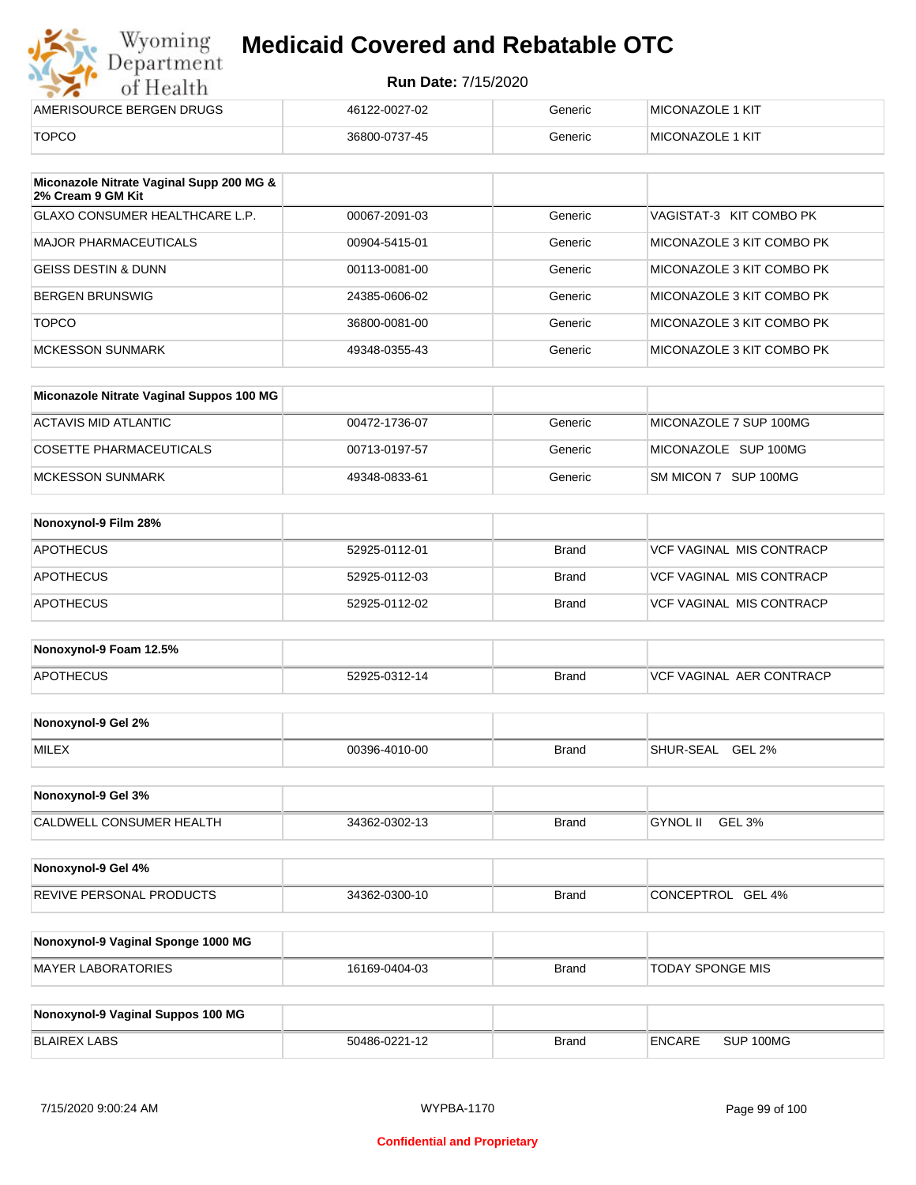|  | от пеани                 |  |
|--|--------------------------|--|
|  | AMERISOURCE BERGEN DRUGS |  |

| .                        |               |         |                          |
|--------------------------|---------------|---------|--------------------------|
| AMERISOURCE BERGEN DRUGS | 46122-0027-02 | Generic | <b>IMICONAZOLE 1 KIT</b> |
| TOPCO                    | 36800-0737-45 | Generic | <b>IMICONAZOLE 1 KIT</b> |

| Miconazole Nitrate Vaginal Supp 200 MG &<br>2% Cream 9 GM Kit |               |         |                           |
|---------------------------------------------------------------|---------------|---------|---------------------------|
| <b>GLAXO CONSUMER HEALTHCARE L.P.</b>                         | 00067-2091-03 | Generic | VAGISTAT-3 KIT COMBO PK   |
| <b>MAJOR PHARMACEUTICALS</b>                                  | 00904-5415-01 | Generic | MICONAZOLE 3 KIT COMBO PK |
| <b>GEISS DESTIN &amp; DUNN</b>                                | 00113-0081-00 | Generic | MICONAZOLE 3 KIT COMBO PK |
| BERGEN BRUNSWIG                                               | 24385-0606-02 | Generic | MICONAZOLE 3 KIT COMBO PK |
| <b>TOPCO</b>                                                  | 36800-0081-00 | Generic | MICONAZOLE 3 KIT COMBO PK |
| <b>MCKESSON SUNMARK</b>                                       | 49348-0355-43 | Generic | MICONAZOLE 3 KIT COMBO PK |

| Miconazole Nitrate Vaginal Suppos 100 MG |               |         |                        |
|------------------------------------------|---------------|---------|------------------------|
| ACTAVIS MID ATLANTIC                     | 00472-1736-07 | Generic | MICONAZOLE 7 SUP 100MG |
| COSETTE PHARMACEUTICALS                  | 00713-0197-57 | Generic | MICONAZOLE SUP 100MG   |
| IMCKESSON SUNMARK                        | 49348-0833-61 | Generic | SM MICON 7 SUP 100MG   |

| Nonoxynol-9 Film 28% |               |              |                                 |
|----------------------|---------------|--------------|---------------------------------|
| <b>APOTHECUS</b>     | 52925-0112-01 | <b>Brand</b> | <b>VCF VAGINAL MIS CONTRACP</b> |
| <b>APOTHECUS</b>     | 52925-0112-03 | <b>Brand</b> | <b>VCF VAGINAL MIS CONTRACP</b> |
| APOTHECUS            | 52925-0112-02 | <b>Brand</b> | <b>VCF VAGINAL MIS CONTRACP</b> |

| Nonoxynol-9 Foam 12.5% |               |              |                          |
|------------------------|---------------|--------------|--------------------------|
| APOTHECUS              | 52925-0312-14 | <b>Brand</b> | VCF VAGINAL AER CONTRACP |

| Nonoxynol-9 Gel 2% |               |       |                  |               |
|--------------------|---------------|-------|------------------|---------------|
| <b>MILEX</b>       | 00396-4010-00 | Brand | <b>SHUR-SEAL</b> | <b>GEL 2%</b> |

| GEL 3%<br><b>CALDWELL CONSUMER HEALTH</b><br><b>GYNOL</b><br>34362-0302-13<br><b>Brand</b> | Nonoxynol-9 Gel 3% |  |  |
|--------------------------------------------------------------------------------------------|--------------------|--|--|
|                                                                                            |                    |  |  |

| Nonoxynol-9 Gel 4%              |               |              |                   |
|---------------------------------|---------------|--------------|-------------------|
| <b>REVIVE PERSONAL PRODUCTS</b> | 34362-0300-10 | <b>Brand</b> | CONCEPTROL GEL 4% |

| Nonoxynol-9 Vaginal Sponge 1000 MG |               |       |                         |
|------------------------------------|---------------|-------|-------------------------|
| <b>MAYER LABORATORIES</b>          | 16169-0404-03 | Brand | <b>TODAY SPONGE MIS</b> |

| Nonoxynol-9 Vaginal Suppos 100 MG |               |              |               |           |
|-----------------------------------|---------------|--------------|---------------|-----------|
| <b>BLAIREX LABS</b>               | 50486-0221-12 | <b>Brand</b> | <b>ENCARE</b> | SUP 100MG |